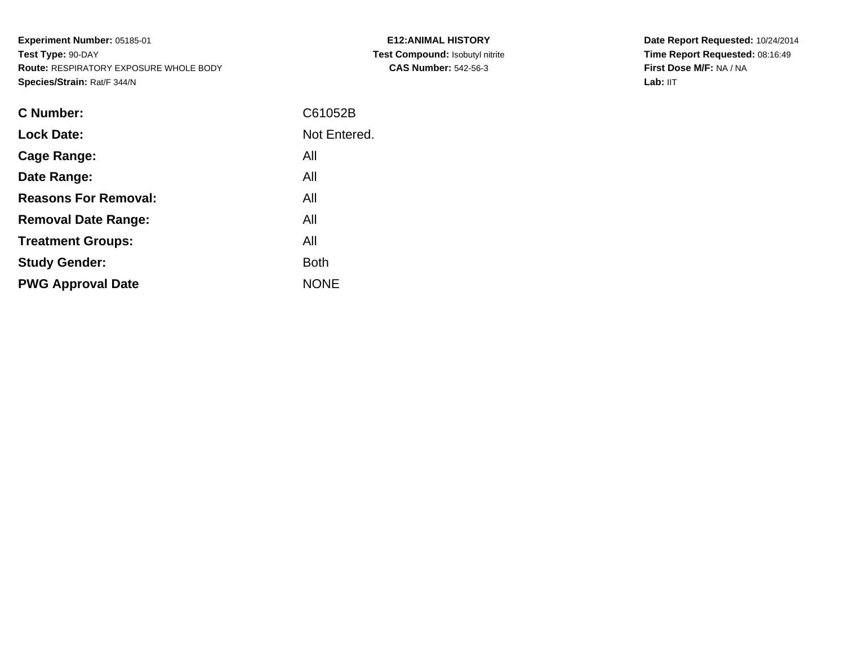**Experiment Number:** 05185-01**Test Type:** 90-DAY **Route:** RESPIRATORY EXPOSURE WHOLE BODY**Species/Strain:** Rat/F 344/N

| <b>E12:ANIMAL HISTORY</b>              |
|----------------------------------------|
| <b>Test Compound: Isobutyl nitrite</b> |
| <b>CAS Number: 542-56-3</b>            |

| <b>C</b> Number:            | C61052B      |
|-----------------------------|--------------|
| <b>Lock Date:</b>           | Not Entered. |
| Cage Range:                 | All          |
| Date Range:                 | All          |
| <b>Reasons For Removal:</b> | All          |
| <b>Removal Date Range:</b>  | All          |
| <b>Treatment Groups:</b>    | All          |
| <b>Study Gender:</b>        | <b>Both</b>  |
| <b>PWG Approval Date</b>    | <b>NONE</b>  |
|                             |              |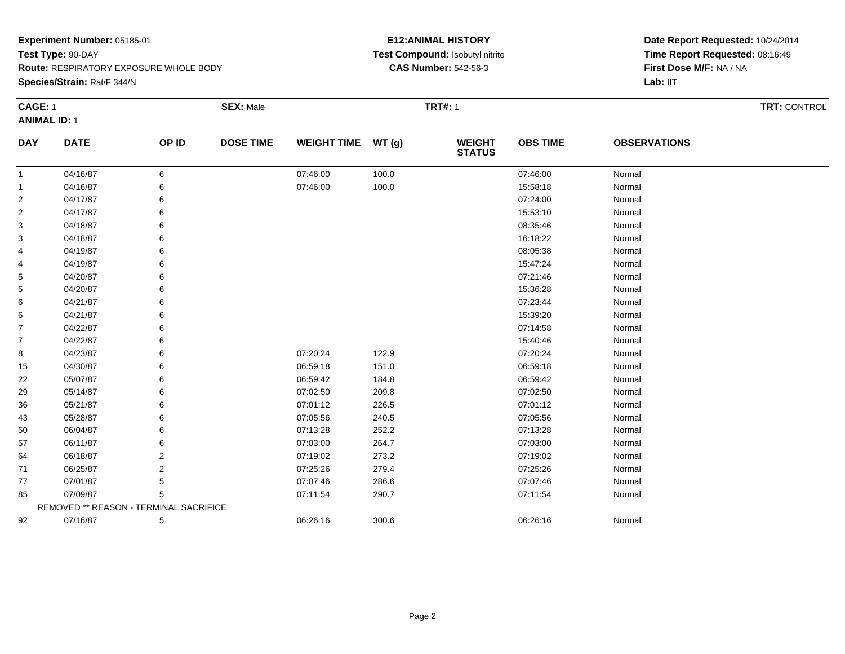**Route:** RESPIRATORY EXPOSURE WHOLE BODY

**Species/Strain:** Rat/F 344/N

#### **E12:ANIMAL HISTORY Test Compound:** Isobutyl nitrite**CAS Number:** 542-56-3

|                | <b>CAGE: 1</b>                         |       | <b>SEX: Male</b> |                    |       | <b>TRT#: 1</b>                 |                 | TRT: CONTROL        |  |
|----------------|----------------------------------------|-------|------------------|--------------------|-------|--------------------------------|-----------------|---------------------|--|
|                | <b>ANIMAL ID: 1</b>                    |       |                  |                    |       |                                |                 |                     |  |
| <b>DAY</b>     | <b>DATE</b>                            | OP ID | <b>DOSE TIME</b> | WEIGHT TIME WT (g) |       | <b>WEIGHT</b><br><b>STATUS</b> | <b>OBS TIME</b> | <b>OBSERVATIONS</b> |  |
| $\mathbf{1}$   | 04/16/87                               | 6     |                  | 07:46:00           | 100.0 |                                | 07:46:00        | Normal              |  |
| -1             | 04/16/87                               | 6     |                  | 07:46:00           | 100.0 |                                | 15:58:18        | Normal              |  |
| 2              | 04/17/87                               | 6     |                  |                    |       |                                | 07:24:00        | Normal              |  |
| $\overline{c}$ | 04/17/87                               | 6     |                  |                    |       |                                | 15:53:10        | Normal              |  |
| 3              | 04/18/87                               | 6     |                  |                    |       |                                | 08:35:46        | Normal              |  |
| 3              | 04/18/87                               | 6     |                  |                    |       |                                | 16:18:22        | Normal              |  |
| 4              | 04/19/87                               | 6     |                  |                    |       |                                | 08:05:38        | Normal              |  |
| 4              | 04/19/87                               |       |                  |                    |       |                                | 15:47:24        | Normal              |  |
| 5              | 04/20/87                               |       |                  |                    |       |                                | 07:21:46        | Normal              |  |
| 5              | 04/20/87                               |       |                  |                    |       |                                | 15:36:28        | Normal              |  |
| 6              | 04/21/87                               | 6     |                  |                    |       |                                | 07:23:44        | Normal              |  |
| 6              | 04/21/87                               | 6     |                  |                    |       |                                | 15:39:20        | Normal              |  |
| 7              | 04/22/87                               | 6     |                  |                    |       |                                | 07:14:58        | Normal              |  |
| $\overline{7}$ | 04/22/87                               | 6     |                  |                    |       |                                | 15:40:46        | Normal              |  |
| 8              | 04/23/87                               | 6     |                  | 07:20:24           | 122.9 |                                | 07:20:24        | Normal              |  |
| 15             | 04/30/87                               | 6     |                  | 06:59:18           | 151.0 |                                | 06:59:18        | Normal              |  |
| 22             | 05/07/87                               |       |                  | 06:59:42           | 184.8 |                                | 06:59:42        | Normal              |  |
| 29             | 05/14/87                               |       |                  | 07:02:50           | 209.8 |                                | 07:02:50        | Normal              |  |
| 36             | 05/21/87                               |       |                  | 07:01:12           | 226.5 |                                | 07:01:12        | Normal              |  |
| 43             | 05/28/87                               | 6     |                  | 07:05:56           | 240.5 |                                | 07:05:56        | Normal              |  |
| 50             | 06/04/87                               | 6     |                  | 07:13:28           | 252.2 |                                | 07:13:28        | Normal              |  |
| 57             | 06/11/87                               | 6     |                  | 07:03:00           | 264.7 |                                | 07:03:00        | Normal              |  |
| 64             | 06/18/87                               | 2     |                  | 07:19:02           | 273.2 |                                | 07:19:02        | Normal              |  |
| 71             | 06/25/87                               | 2     |                  | 07:25:26           | 279.4 |                                | 07:25:26        | Normal              |  |
| 77             | 07/01/87                               | 5     |                  | 07:07:46           | 286.6 |                                | 07:07:46        | Normal              |  |
| 85             | 07/09/87                               | 5     |                  | 07:11:54           | 290.7 |                                | 07:11:54        | Normal              |  |
|                | REMOVED ** REASON - TERMINAL SACRIFICE |       |                  |                    |       |                                |                 |                     |  |
| 92             | 07/16/87                               | 5     |                  | 06:26:16           | 300.6 |                                | 06:26:16        | Normal              |  |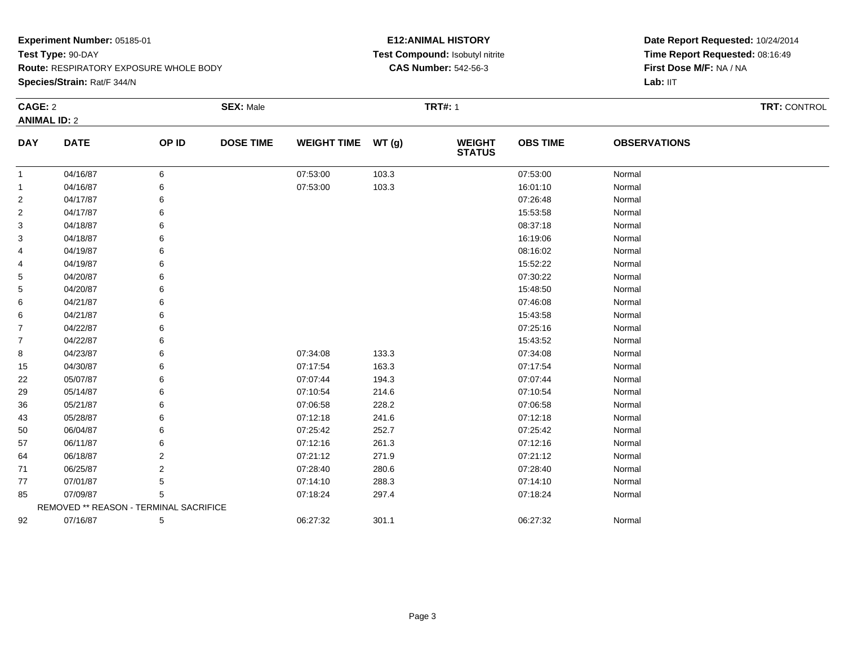**Species/Strain:** Rat/F 344/N

#### **E12:ANIMAL HISTORY Test Compound:** Isobutyl nitrite**CAS Number:** 542-56-3

|                | CAGE: 2                                |       | <b>SEX: Male</b> |                    |       | <b>TRT#: 1</b>                 | TRT: CONTROL    |                     |  |
|----------------|----------------------------------------|-------|------------------|--------------------|-------|--------------------------------|-----------------|---------------------|--|
|                | <b>ANIMAL ID: 2</b>                    |       |                  |                    |       |                                |                 |                     |  |
| <b>DAY</b>     | <b>DATE</b>                            | OP ID | <b>DOSE TIME</b> | WEIGHT TIME WT (g) |       | <b>WEIGHT</b><br><b>STATUS</b> | <b>OBS TIME</b> | <b>OBSERVATIONS</b> |  |
| 1              | 04/16/87                               | 6     |                  | 07:53:00           | 103.3 |                                | 07:53:00        | Normal              |  |
| 1              | 04/16/87                               | 6     |                  | 07:53:00           | 103.3 |                                | 16:01:10        | Normal              |  |
| $\overline{2}$ | 04/17/87                               | 6     |                  |                    |       |                                | 07:26:48        | Normal              |  |
| 2              | 04/17/87                               |       |                  |                    |       |                                | 15:53:58        | Normal              |  |
| 3              | 04/18/87                               |       |                  |                    |       |                                | 08:37:18        | Normal              |  |
| 3              | 04/18/87                               |       |                  |                    |       |                                | 16:19:06        | Normal              |  |
| 4              | 04/19/87                               | 6     |                  |                    |       |                                | 08:16:02        | Normal              |  |
| 4              | 04/19/87                               | 6     |                  |                    |       |                                | 15:52:22        | Normal              |  |
| 5              | 04/20/87                               |       |                  |                    |       |                                | 07:30:22        | Normal              |  |
| 5              | 04/20/87                               |       |                  |                    |       |                                | 15:48:50        | Normal              |  |
| 6              | 04/21/87                               |       |                  |                    |       |                                | 07:46:08        | Normal              |  |
| 6              | 04/21/87                               | 6     |                  |                    |       |                                | 15:43:58        | Normal              |  |
| 7              | 04/22/87                               | 6     |                  |                    |       |                                | 07:25:16        | Normal              |  |
| $\overline{7}$ | 04/22/87                               |       |                  |                    |       |                                | 15:43:52        | Normal              |  |
| 8              | 04/23/87                               |       |                  | 07:34:08           | 133.3 |                                | 07:34:08        | Normal              |  |
| 15             | 04/30/87                               | 6     |                  | 07:17:54           | 163.3 |                                | 07:17:54        | Normal              |  |
| 22             | 05/07/87                               | 6     |                  | 07:07:44           | 194.3 |                                | 07:07:44        | Normal              |  |
| 29             | 05/14/87                               |       |                  | 07:10:54           | 214.6 |                                | 07:10:54        | Normal              |  |
| 36             | 05/21/87                               |       |                  | 07:06:58           | 228.2 |                                | 07:06:58        | Normal              |  |
| 43             | 05/28/87                               |       |                  | 07:12:18           | 241.6 |                                | 07:12:18        | Normal              |  |
| 50             | 06/04/87                               | 6     |                  | 07:25:42           | 252.7 |                                | 07:25:42        | Normal              |  |
| 57             | 06/11/87                               | 6     |                  | 07:12:16           | 261.3 |                                | 07:12:16        | Normal              |  |
| 64             | 06/18/87                               | 2     |                  | 07:21:12           | 271.9 |                                | 07:21:12        | Normal              |  |
| 71             | 06/25/87                               | 2     |                  | 07:28:40           | 280.6 |                                | 07:28:40        | Normal              |  |
| 77             | 07/01/87                               | 5     |                  | 07:14:10           | 288.3 |                                | 07:14:10        | Normal              |  |
| 85             | 07/09/87                               | 5     |                  | 07:18:24           | 297.4 |                                | 07:18:24        | Normal              |  |
|                | REMOVED ** REASON - TERMINAL SACRIFICE |       |                  |                    |       |                                |                 |                     |  |
| 92             | 07/16/87                               | 5     |                  | 06:27:32           | 301.1 |                                | 06:27:32        | Normal              |  |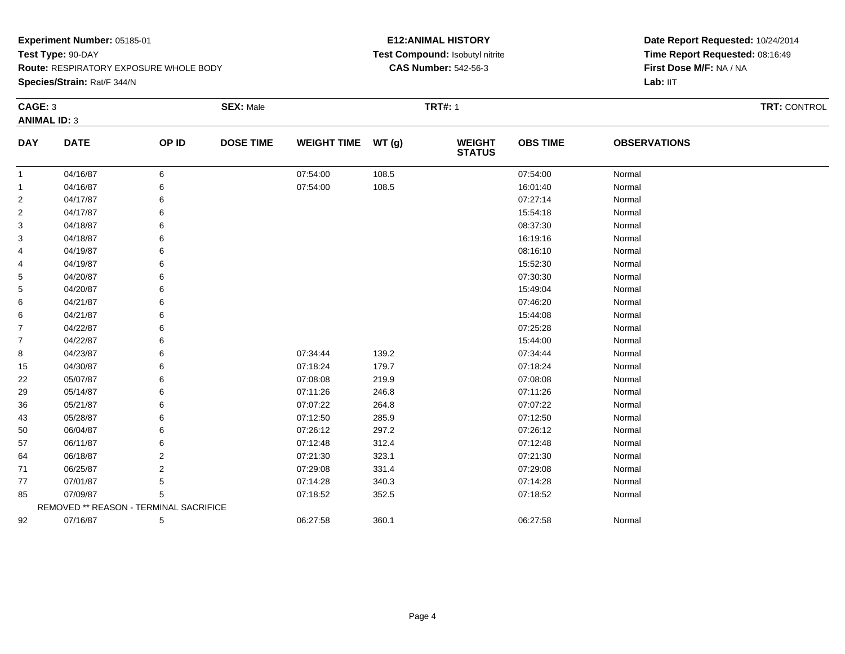**Species/Strain:** Rat/F 344/N

#### **E12:ANIMAL HISTORY Test Compound:** Isobutyl nitrite**CAS Number:** 542-56-3

|                | CAGE: 3                                |                | <b>SEX: Male</b> |                    |       | <b>TRT#: 1</b>                 |                 | TRT: CONTROL        |  |
|----------------|----------------------------------------|----------------|------------------|--------------------|-------|--------------------------------|-----------------|---------------------|--|
|                | <b>ANIMAL ID: 3</b>                    |                |                  |                    |       |                                |                 |                     |  |
| <b>DAY</b>     | <b>DATE</b>                            | OP ID          | <b>DOSE TIME</b> | <b>WEIGHT TIME</b> | WT(g) | <b>WEIGHT</b><br><b>STATUS</b> | <b>OBS TIME</b> | <b>OBSERVATIONS</b> |  |
| $\mathbf{1}$   | 04/16/87                               | 6              |                  | 07:54:00           | 108.5 |                                | 07:54:00        | Normal              |  |
| $\mathbf{1}$   | 04/16/87                               |                |                  | 07:54:00           | 108.5 |                                | 16:01:40        | Normal              |  |
| $\overline{2}$ | 04/17/87                               |                |                  |                    |       |                                | 07:27:14        | Normal              |  |
| $\overline{2}$ | 04/17/87                               |                |                  |                    |       |                                | 15:54:18        | Normal              |  |
| 3              | 04/18/87                               |                |                  |                    |       |                                | 08:37:30        | Normal              |  |
| 3              | 04/18/87                               |                |                  |                    |       |                                | 16:19:16        | Normal              |  |
| 4              | 04/19/87                               |                |                  |                    |       |                                | 08:16:10        | Normal              |  |
| 4              | 04/19/87                               |                |                  |                    |       |                                | 15:52:30        | Normal              |  |
| 5              | 04/20/87                               |                |                  |                    |       |                                | 07:30:30        | Normal              |  |
| 5              | 04/20/87                               |                |                  |                    |       |                                | 15:49:04        | Normal              |  |
| 6              | 04/21/87                               |                |                  |                    |       |                                | 07:46:20        | Normal              |  |
| 6              | 04/21/87                               |                |                  |                    |       |                                | 15:44:08        | Normal              |  |
| $\overline{7}$ | 04/22/87                               |                |                  |                    |       |                                | 07:25:28        | Normal              |  |
| $\overline{7}$ | 04/22/87                               |                |                  |                    |       |                                | 15:44:00        | Normal              |  |
| 8              | 04/23/87                               |                |                  | 07:34:44           | 139.2 |                                | 07:34:44        | Normal              |  |
| 15             | 04/30/87                               |                |                  | 07:18:24           | 179.7 |                                | 07:18:24        | Normal              |  |
| 22             | 05/07/87                               |                |                  | 07:08:08           | 219.9 |                                | 07:08:08        | Normal              |  |
| 29             | 05/14/87                               |                |                  | 07:11:26           | 246.8 |                                | 07:11:26        | Normal              |  |
| 36             | 05/21/87                               |                |                  | 07:07:22           | 264.8 |                                | 07:07:22        | Normal              |  |
| 43             | 05/28/87                               |                |                  | 07:12:50           | 285.9 |                                | 07:12:50        | Normal              |  |
| 50             | 06/04/87                               |                |                  | 07:26:12           | 297.2 |                                | 07:26:12        | Normal              |  |
| 57             | 06/11/87                               |                |                  | 07:12:48           | 312.4 |                                | 07:12:48        | Normal              |  |
| 64             | 06/18/87                               | $\overline{2}$ |                  | 07:21:30           | 323.1 |                                | 07:21:30        | Normal              |  |
| 71             | 06/25/87                               | 2              |                  | 07:29:08           | 331.4 |                                | 07:29:08        | Normal              |  |
| 77             | 07/01/87                               | 5              |                  | 07:14:28           | 340.3 |                                | 07:14:28        | Normal              |  |
| 85             | 07/09/87                               | 5              |                  | 07:18:52           | 352.5 |                                | 07:18:52        | Normal              |  |
|                | REMOVED ** REASON - TERMINAL SACRIFICE |                |                  |                    |       |                                |                 |                     |  |
| 92             | 07/16/87                               | 5              |                  | 06:27:58           | 360.1 |                                | 06:27:58        | Normal              |  |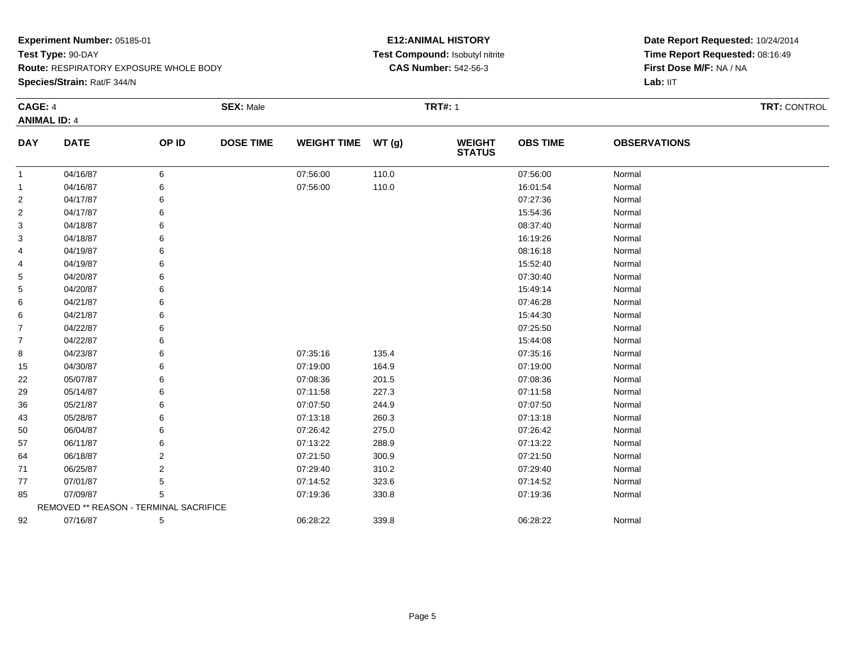**Species/Strain:** Rat/F 344/N

#### **E12:ANIMAL HISTORY Test Compound:** Isobutyl nitrite**CAS Number:** 542-56-3

|                | <b>CAGE: 4</b>                         |       | <b>SEX: Male</b> |                    |       | <b>TRT#: 1</b>                 |                 | TRT: CONTROL        |  |
|----------------|----------------------------------------|-------|------------------|--------------------|-------|--------------------------------|-----------------|---------------------|--|
|                | <b>ANIMAL ID: 4</b>                    |       |                  |                    |       |                                |                 |                     |  |
| <b>DAY</b>     | <b>DATE</b>                            | OP ID | <b>DOSE TIME</b> | <b>WEIGHT TIME</b> | WT(g) | <b>WEIGHT</b><br><b>STATUS</b> | <b>OBS TIME</b> | <b>OBSERVATIONS</b> |  |
| $\mathbf{1}$   | 04/16/87                               | 6     |                  | 07:56:00           | 110.0 |                                | 07:56:00        | Normal              |  |
| -1             | 04/16/87                               | 6     |                  | 07:56:00           | 110.0 |                                | 16:01:54        | Normal              |  |
| $\overline{2}$ | 04/17/87                               | 6     |                  |                    |       |                                | 07:27:36        | Normal              |  |
| 2              | 04/17/87                               |       |                  |                    |       |                                | 15:54:36        | Normal              |  |
| 3              | 04/18/87                               |       |                  |                    |       |                                | 08:37:40        | Normal              |  |
| 3              | 04/18/87                               |       |                  |                    |       |                                | 16:19:26        | Normal              |  |
| 4              | 04/19/87                               |       |                  |                    |       |                                | 08:16:18        | Normal              |  |
| 4              | 04/19/87                               |       |                  |                    |       |                                | 15:52:40        | Normal              |  |
| 5              | 04/20/87                               |       |                  |                    |       |                                | 07:30:40        | Normal              |  |
| 5              | 04/20/87                               |       |                  |                    |       |                                | 15:49:14        | Normal              |  |
| 6              | 04/21/87                               |       |                  |                    |       |                                | 07:46:28        | Normal              |  |
| 6              | 04/21/87                               |       |                  |                    |       |                                | 15:44:30        | Normal              |  |
| 7              | 04/22/87                               |       |                  |                    |       |                                | 07:25:50        | Normal              |  |
| 7              | 04/22/87                               |       |                  |                    |       |                                | 15:44:08        | Normal              |  |
| 8              | 04/23/87                               |       |                  | 07:35:16           | 135.4 |                                | 07:35:16        | Normal              |  |
| 15             | 04/30/87                               |       |                  | 07:19:00           | 164.9 |                                | 07:19:00        | Normal              |  |
| 22             | 05/07/87                               |       |                  | 07:08:36           | 201.5 |                                | 07:08:36        | Normal              |  |
| 29             | 05/14/87                               |       |                  | 07:11:58           | 227.3 |                                | 07:11:58        | Normal              |  |
| 36             | 05/21/87                               |       |                  | 07:07:50           | 244.9 |                                | 07:07:50        | Normal              |  |
| 43             | 05/28/87                               |       |                  | 07:13:18           | 260.3 |                                | 07:13:18        | Normal              |  |
| 50             | 06/04/87                               |       |                  | 07:26:42           | 275.0 |                                | 07:26:42        | Normal              |  |
| 57             | 06/11/87                               |       |                  | 07:13:22           | 288.9 |                                | 07:13:22        | Normal              |  |
| 64             | 06/18/87                               | 2     |                  | 07:21:50           | 300.9 |                                | 07:21:50        | Normal              |  |
| 71             | 06/25/87                               | 2     |                  | 07:29:40           | 310.2 |                                | 07:29:40        | Normal              |  |
| 77             | 07/01/87                               |       |                  | 07:14:52           | 323.6 |                                | 07:14:52        | Normal              |  |
| 85             | 07/09/87                               | 5     |                  | 07:19:36           | 330.8 |                                | 07:19:36        | Normal              |  |
|                | REMOVED ** REASON - TERMINAL SACRIFICE |       |                  |                    |       |                                |                 |                     |  |
| 92             | 07/16/87                               | 5     |                  | 06:28:22           | 339.8 |                                | 06:28:22        | Normal              |  |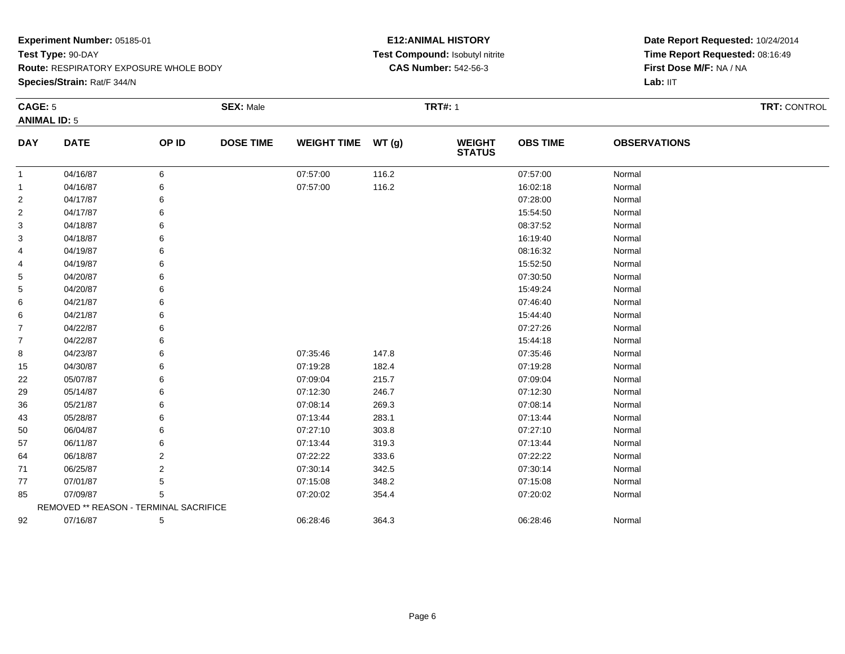**Species/Strain:** Rat/F 344/N

#### **E12:ANIMAL HISTORY Test Compound:** Isobutyl nitrite**CAS Number:** 542-56-3

|                | <b>CAGE: 5</b>                         |                | <b>SEX: Male</b> |                    |       |                                | <b>TRT#: 1</b>  |                     |  |  |
|----------------|----------------------------------------|----------------|------------------|--------------------|-------|--------------------------------|-----------------|---------------------|--|--|
|                | <b>ANIMAL ID: 5</b>                    |                |                  |                    |       |                                |                 |                     |  |  |
| <b>DAY</b>     | <b>DATE</b>                            | OP ID          | <b>DOSE TIME</b> | <b>WEIGHT TIME</b> | WT(g) | <b>WEIGHT</b><br><b>STATUS</b> | <b>OBS TIME</b> | <b>OBSERVATIONS</b> |  |  |
| $\overline{1}$ | 04/16/87                               | 6              |                  | 07:57:00           | 116.2 |                                | 07:57:00        | Normal              |  |  |
| -1             | 04/16/87                               | 6              |                  | 07:57:00           | 116.2 |                                | 16:02:18        | Normal              |  |  |
| 2              | 04/17/87                               | 6              |                  |                    |       |                                | 07:28:00        | Normal              |  |  |
| 2              | 04/17/87                               |                |                  |                    |       |                                | 15:54:50        | Normal              |  |  |
| 3              | 04/18/87                               |                |                  |                    |       |                                | 08:37:52        | Normal              |  |  |
| 3              | 04/18/87                               |                |                  |                    |       |                                | 16:19:40        | Normal              |  |  |
| 4              | 04/19/87                               |                |                  |                    |       |                                | 08:16:32        | Normal              |  |  |
| 4              | 04/19/87                               |                |                  |                    |       |                                | 15:52:50        | Normal              |  |  |
| 5              | 04/20/87                               |                |                  |                    |       |                                | 07:30:50        | Normal              |  |  |
| 5              | 04/20/87                               |                |                  |                    |       |                                | 15:49:24        | Normal              |  |  |
| 6              | 04/21/87                               |                |                  |                    |       |                                | 07:46:40        | Normal              |  |  |
| 6              | 04/21/87                               |                |                  |                    |       |                                | 15:44:40        | Normal              |  |  |
| 7              | 04/22/87                               |                |                  |                    |       |                                | 07:27:26        | Normal              |  |  |
| 7              | 04/22/87                               |                |                  |                    |       |                                | 15:44:18        | Normal              |  |  |
| 8              | 04/23/87                               |                |                  | 07:35:46           | 147.8 |                                | 07:35:46        | Normal              |  |  |
| 15             | 04/30/87                               |                |                  | 07:19:28           | 182.4 |                                | 07:19:28        | Normal              |  |  |
| 22             | 05/07/87                               |                |                  | 07:09:04           | 215.7 |                                | 07:09:04        | Normal              |  |  |
| 29             | 05/14/87                               |                |                  | 07:12:30           | 246.7 |                                | 07:12:30        | Normal              |  |  |
| 36             | 05/21/87                               |                |                  | 07:08:14           | 269.3 |                                | 07:08:14        | Normal              |  |  |
| 43             | 05/28/87                               |                |                  | 07:13:44           | 283.1 |                                | 07:13:44        | Normal              |  |  |
| 50             | 06/04/87                               |                |                  | 07:27:10           | 303.8 |                                | 07:27:10        | Normal              |  |  |
| 57             | 06/11/87                               |                |                  | 07:13:44           | 319.3 |                                | 07:13:44        | Normal              |  |  |
| 64             | 06/18/87                               | 2              |                  | 07:22:22           | 333.6 |                                | 07:22:22        | Normal              |  |  |
| 71             | 06/25/87                               | $\overline{2}$ |                  | 07:30:14           | 342.5 |                                | 07:30:14        | Normal              |  |  |
| 77             | 07/01/87                               | 5              |                  | 07:15:08           | 348.2 |                                | 07:15:08        | Normal              |  |  |
| 85             | 07/09/87                               | 5              |                  | 07:20:02           | 354.4 |                                | 07:20:02        | Normal              |  |  |
|                | REMOVED ** REASON - TERMINAL SACRIFICE |                |                  |                    |       |                                |                 |                     |  |  |
| 92             | 07/16/87                               | 5              |                  | 06:28:46           | 364.3 |                                | 06:28:46        | Normal              |  |  |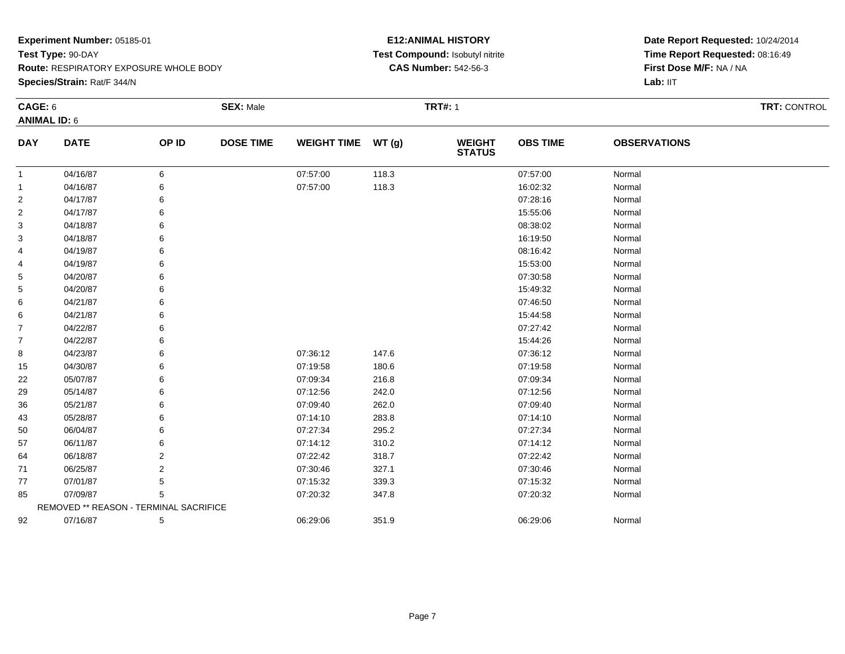**Species/Strain:** Rat/F 344/N

#### **E12:ANIMAL HISTORY Test Compound:** Isobutyl nitrite**CAS Number:** 542-56-3

|                     | <b>CAGE: 6</b>                         |       | <b>SEX: Male</b> |                    |       | <b>TRT#: 1</b>                 |                 |                     | <b>TRT: CONTROL</b> |
|---------------------|----------------------------------------|-------|------------------|--------------------|-------|--------------------------------|-----------------|---------------------|---------------------|
| <b>ANIMAL ID: 6</b> |                                        |       |                  |                    |       |                                |                 |                     |                     |
| <b>DAY</b>          | <b>DATE</b>                            | OP ID | <b>DOSE TIME</b> | <b>WEIGHT TIME</b> | WT(g) | <b>WEIGHT</b><br><b>STATUS</b> | <b>OBS TIME</b> | <b>OBSERVATIONS</b> |                     |
| -1                  | 04/16/87                               | 6     |                  | 07:57:00           | 118.3 |                                | 07:57:00        | Normal              |                     |
| $\mathbf{1}$        | 04/16/87                               |       |                  | 07:57:00           | 118.3 |                                | 16:02:32        | Normal              |                     |
| $\overline{2}$      | 04/17/87                               |       |                  |                    |       |                                | 07:28:16        | Normal              |                     |
| $\overline{2}$      | 04/17/87                               |       |                  |                    |       |                                | 15:55:06        | Normal              |                     |
| $\mathbf{3}$        | 04/18/87                               |       |                  |                    |       |                                | 08:38:02        | Normal              |                     |
| 3                   | 04/18/87                               |       |                  |                    |       |                                | 16:19:50        | Normal              |                     |
| 4                   | 04/19/87                               |       |                  |                    |       |                                | 08:16:42        | Normal              |                     |
| 4                   | 04/19/87                               |       |                  |                    |       |                                | 15:53:00        | Normal              |                     |
| 5                   | 04/20/87                               |       |                  |                    |       |                                | 07:30:58        | Normal              |                     |
| 5                   | 04/20/87                               |       |                  |                    |       |                                | 15:49:32        | Normal              |                     |
| 6                   | 04/21/87                               |       |                  |                    |       |                                | 07:46:50        | Normal              |                     |
| 6                   | 04/21/87                               |       |                  |                    |       |                                | 15:44:58        | Normal              |                     |
| 7                   | 04/22/87                               |       |                  |                    |       |                                | 07:27:42        | Normal              |                     |
| $\overline{7}$      | 04/22/87                               |       |                  |                    |       |                                | 15:44:26        | Normal              |                     |
| 8                   | 04/23/87                               |       |                  | 07:36:12           | 147.6 |                                | 07:36:12        | Normal              |                     |
| 15                  | 04/30/87                               |       |                  | 07:19:58           | 180.6 |                                | 07:19:58        | Normal              |                     |
| 22                  | 05/07/87                               |       |                  | 07:09:34           | 216.8 |                                | 07:09:34        | Normal              |                     |
| 29                  | 05/14/87                               |       |                  | 07:12:56           | 242.0 |                                | 07:12:56        | Normal              |                     |
| 36                  | 05/21/87                               |       |                  | 07:09:40           | 262.0 |                                | 07:09:40        | Normal              |                     |
| 43                  | 05/28/87                               |       |                  | 07:14:10           | 283.8 |                                | 07:14:10        | Normal              |                     |
| 50                  | 06/04/87                               |       |                  | 07:27:34           | 295.2 |                                | 07:27:34        | Normal              |                     |
| 57                  | 06/11/87                               |       |                  | 07:14:12           | 310.2 |                                | 07:14:12        | Normal              |                     |
| 64                  | 06/18/87                               | 2     |                  | 07:22:42           | 318.7 |                                | 07:22:42        | Normal              |                     |
| 71                  | 06/25/87                               | 2     |                  | 07:30:46           | 327.1 |                                | 07:30:46        | Normal              |                     |
| 77                  | 07/01/87                               | 5     |                  | 07:15:32           | 339.3 |                                | 07:15:32        | Normal              |                     |
| 85                  | 07/09/87                               | 5     |                  | 07:20:32           | 347.8 |                                | 07:20:32        | Normal              |                     |
|                     | REMOVED ** REASON - TERMINAL SACRIFICE |       |                  |                    |       |                                |                 |                     |                     |
| 92                  | 07/16/87                               | 5     |                  | 06:29:06           | 351.9 |                                | 06:29:06        | Normal              |                     |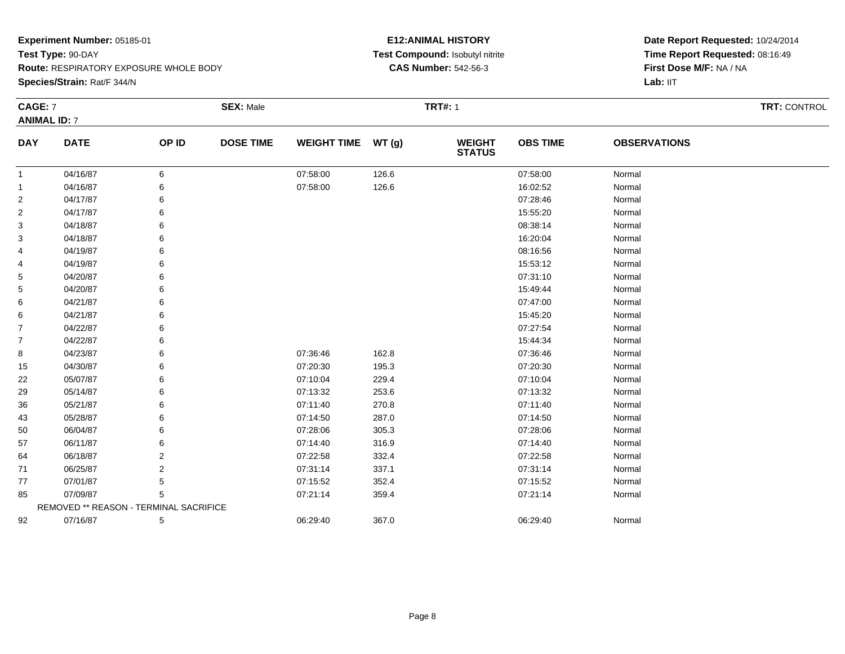**Species/Strain:** Rat/F 344/N

#### **E12:ANIMAL HISTORY Test Compound:** Isobutyl nitrite**CAS Number:** 542-56-3

|                | CAGE: 7<br><b>ANIMAL ID: 7</b>         |       | <b>SEX: Male</b> |                    |       | <b>TRT#: 1</b>                 | <b>TRT: CONTROL</b> |                     |  |
|----------------|----------------------------------------|-------|------------------|--------------------|-------|--------------------------------|---------------------|---------------------|--|
|                |                                        |       |                  |                    |       |                                |                     |                     |  |
| <b>DAY</b>     | <b>DATE</b>                            | OP ID | <b>DOSE TIME</b> | WEIGHT TIME WT (g) |       | <b>WEIGHT</b><br><b>STATUS</b> | <b>OBS TIME</b>     | <b>OBSERVATIONS</b> |  |
| $\mathbf{1}$   | 04/16/87                               | 6     |                  | 07:58:00           | 126.6 |                                | 07:58:00            | Normal              |  |
| $\mathbf{1}$   | 04/16/87                               | 6     |                  | 07:58:00           | 126.6 |                                | 16:02:52            | Normal              |  |
| $\overline{2}$ | 04/17/87                               | 6     |                  |                    |       |                                | 07:28:46            | Normal              |  |
| $\overline{2}$ | 04/17/87                               |       |                  |                    |       |                                | 15:55:20            | Normal              |  |
| 3              | 04/18/87                               |       |                  |                    |       |                                | 08:38:14            | Normal              |  |
| 3              | 04/18/87                               |       |                  |                    |       |                                | 16:20:04            | Normal              |  |
| 4              | 04/19/87                               |       |                  |                    |       |                                | 08:16:56            | Normal              |  |
| 4              | 04/19/87                               |       |                  |                    |       |                                | 15:53:12            | Normal              |  |
| 5              | 04/20/87                               |       |                  |                    |       |                                | 07:31:10            | Normal              |  |
| 5              | 04/20/87                               |       |                  |                    |       |                                | 15:49:44            | Normal              |  |
| 6              | 04/21/87                               |       |                  |                    |       |                                | 07:47:00            | Normal              |  |
| 6              | 04/21/87                               |       |                  |                    |       |                                | 15:45:20            | Normal              |  |
| 7              | 04/22/87                               |       |                  |                    |       |                                | 07:27:54            | Normal              |  |
| $\overline{7}$ | 04/22/87                               |       |                  |                    |       |                                | 15:44:34            | Normal              |  |
| 8              | 04/23/87                               |       |                  | 07:36:46           | 162.8 |                                | 07:36:46            | Normal              |  |
| 15             | 04/30/87                               | 6     |                  | 07:20:30           | 195.3 |                                | 07:20:30            | Normal              |  |
| 22             | 05/07/87                               |       |                  | 07:10:04           | 229.4 |                                | 07:10:04            | Normal              |  |
| 29             | 05/14/87                               |       |                  | 07:13:32           | 253.6 |                                | 07:13:32            | Normal              |  |
| 36             | 05/21/87                               |       |                  | 07:11:40           | 270.8 |                                | 07:11:40            | Normal              |  |
| 43             | 05/28/87                               |       |                  | 07:14:50           | 287.0 |                                | 07:14:50            | Normal              |  |
| 50             | 06/04/87                               |       |                  | 07:28:06           | 305.3 |                                | 07:28:06            | Normal              |  |
| 57             | 06/11/87                               |       |                  | 07:14:40           | 316.9 |                                | 07:14:40            | Normal              |  |
| 64             | 06/18/87                               | 2     |                  | 07:22:58           | 332.4 |                                | 07:22:58            | Normal              |  |
| 71             | 06/25/87                               | 2     |                  | 07:31:14           | 337.1 |                                | 07:31:14            | Normal              |  |
| 77             | 07/01/87                               |       |                  | 07:15:52           | 352.4 |                                | 07:15:52            | Normal              |  |
| 85             | 07/09/87                               | 5     |                  | 07:21:14           | 359.4 |                                | 07:21:14            | Normal              |  |
|                | REMOVED ** REASON - TERMINAL SACRIFICE |       |                  |                    |       |                                |                     |                     |  |
| 92             | 07/16/87                               | 5     |                  | 06:29:40           | 367.0 |                                | 06:29:40            | Normal              |  |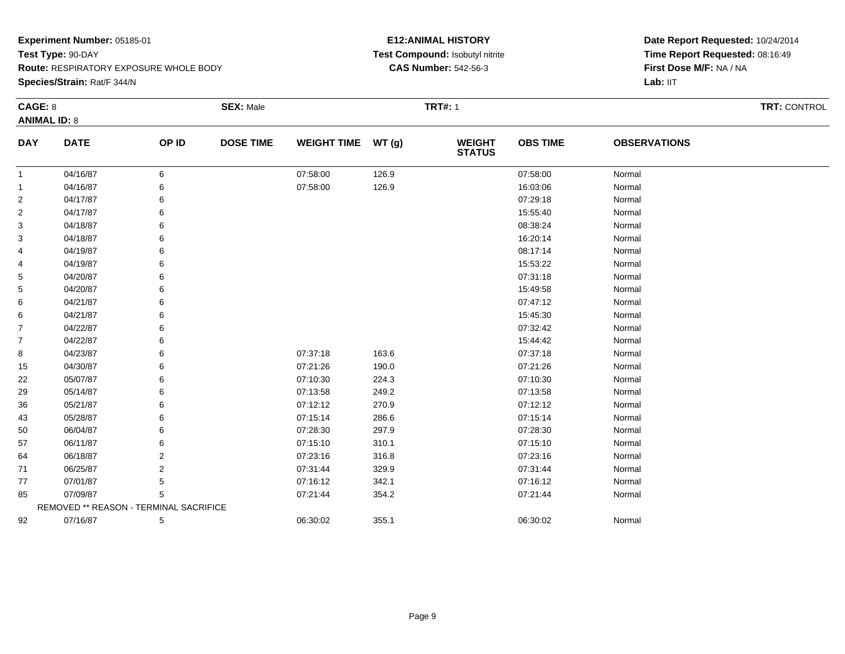**Species/Strain:** Rat/F 344/N

#### **E12:ANIMAL HISTORY Test Compound:** Isobutyl nitrite**CAS Number:** 542-56-3

|                     | CAGE: 8                                |       | <b>SEX: Male</b> |                    |       | <b>TRT#: 1</b>                 |                 |                     | <b>TRT: CONTROL</b> |
|---------------------|----------------------------------------|-------|------------------|--------------------|-------|--------------------------------|-----------------|---------------------|---------------------|
| <b>ANIMAL ID: 8</b> |                                        |       |                  |                    |       |                                |                 |                     |                     |
| <b>DAY</b>          | <b>DATE</b>                            | OP ID | <b>DOSE TIME</b> | WEIGHT TIME WT (g) |       | <b>WEIGHT</b><br><b>STATUS</b> | <b>OBS TIME</b> | <b>OBSERVATIONS</b> |                     |
| -1                  | 04/16/87                               | 6     |                  | 07:58:00           | 126.9 |                                | 07:58:00        | Normal              |                     |
| $\mathbf 1$         | 04/16/87                               | 6     |                  | 07:58:00           | 126.9 |                                | 16:03:06        | Normal              |                     |
| $\overline{2}$      | 04/17/87                               |       |                  |                    |       |                                | 07:29:18        | Normal              |                     |
| $\overline{2}$      | 04/17/87                               |       |                  |                    |       |                                | 15:55:40        | Normal              |                     |
| 3                   | 04/18/87                               |       |                  |                    |       |                                | 08:38:24        | Normal              |                     |
| 3                   | 04/18/87                               |       |                  |                    |       |                                | 16:20:14        | Normal              |                     |
| 4                   | 04/19/87                               |       |                  |                    |       |                                | 08:17:14        | Normal              |                     |
| 4                   | 04/19/87                               |       |                  |                    |       |                                | 15:53:22        | Normal              |                     |
| 5                   | 04/20/87                               |       |                  |                    |       |                                | 07:31:18        | Normal              |                     |
| 5                   | 04/20/87                               |       |                  |                    |       |                                | 15:49:58        | Normal              |                     |
| 6                   | 04/21/87                               |       |                  |                    |       |                                | 07:47:12        | Normal              |                     |
| 6                   | 04/21/87                               |       |                  |                    |       |                                | 15:45:30        | Normal              |                     |
| 7                   | 04/22/87                               |       |                  |                    |       |                                | 07:32:42        | Normal              |                     |
| 7                   | 04/22/87                               |       |                  |                    |       |                                | 15:44:42        | Normal              |                     |
| 8                   | 04/23/87                               |       |                  | 07:37:18           | 163.6 |                                | 07:37:18        | Normal              |                     |
| 15                  | 04/30/87                               |       |                  | 07:21:26           | 190.0 |                                | 07:21:26        | Normal              |                     |
| 22                  | 05/07/87                               |       |                  | 07:10:30           | 224.3 |                                | 07:10:30        | Normal              |                     |
| 29                  | 05/14/87                               |       |                  | 07:13:58           | 249.2 |                                | 07:13:58        | Normal              |                     |
| 36                  | 05/21/87                               |       |                  | 07:12:12           | 270.9 |                                | 07:12:12        | Normal              |                     |
| 43                  | 05/28/87                               |       |                  | 07:15:14           | 286.6 |                                | 07:15:14        | Normal              |                     |
| 50                  | 06/04/87                               |       |                  | 07:28:30           | 297.9 |                                | 07:28:30        | Normal              |                     |
| 57                  | 06/11/87                               | 6     |                  | 07:15:10           | 310.1 |                                | 07:15:10        | Normal              |                     |
| 64                  | 06/18/87                               | 2     |                  | 07:23:16           | 316.8 |                                | 07:23:16        | Normal              |                     |
| 71                  | 06/25/87                               | 2     |                  | 07:31:44           | 329.9 |                                | 07:31:44        | Normal              |                     |
| 77                  | 07/01/87                               |       |                  | 07:16:12           | 342.1 |                                | 07:16:12        | Normal              |                     |
| 85                  | 07/09/87                               | 5     |                  | 07:21:44           | 354.2 |                                | 07:21:44        | Normal              |                     |
|                     | REMOVED ** REASON - TERMINAL SACRIFICE |       |                  |                    |       |                                |                 |                     |                     |
| 92                  | 07/16/87                               | 5     |                  | 06:30:02           | 355.1 |                                | 06:30:02        | Normal              |                     |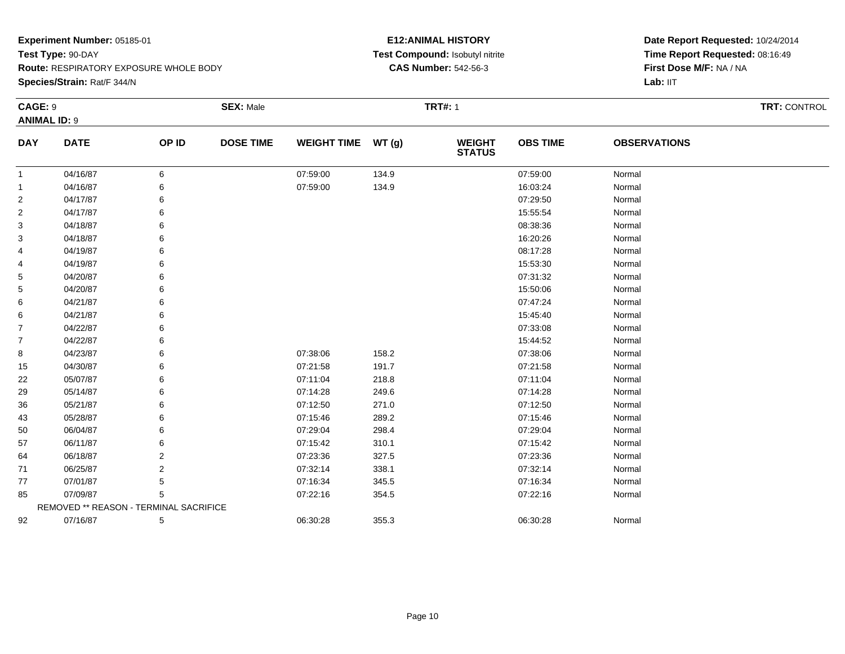**Species/Strain:** Rat/F 344/N

#### **E12:ANIMAL HISTORY Test Compound:** Isobutyl nitrite**CAS Number:** 542-56-3

|                     | CAGE: 9                                |       | <b>SEX: Male</b> |                    |       | <b>TRT#: 1</b>                 |                 | TRT: CONTROL        |  |
|---------------------|----------------------------------------|-------|------------------|--------------------|-------|--------------------------------|-----------------|---------------------|--|
| <b>ANIMAL ID: 9</b> |                                        |       |                  |                    |       |                                |                 |                     |  |
| <b>DAY</b>          | <b>DATE</b>                            | OP ID | <b>DOSE TIME</b> | <b>WEIGHT TIME</b> | WT(g) | <b>WEIGHT</b><br><b>STATUS</b> | <b>OBS TIME</b> | <b>OBSERVATIONS</b> |  |
| $\mathbf{1}$        | 04/16/87                               | 6     |                  | 07:59:00           | 134.9 |                                | 07:59:00        | Normal              |  |
| $\mathbf{1}$        | 04/16/87                               | 6     |                  | 07:59:00           | 134.9 |                                | 16:03:24        | Normal              |  |
| $\overline{2}$      | 04/17/87                               |       |                  |                    |       |                                | 07:29:50        | Normal              |  |
| $\overline{2}$      | 04/17/87                               |       |                  |                    |       |                                | 15:55:54        | Normal              |  |
| 3                   | 04/18/87                               |       |                  |                    |       |                                | 08:38:36        | Normal              |  |
| 3                   | 04/18/87                               |       |                  |                    |       |                                | 16:20:26        | Normal              |  |
| 4                   | 04/19/87                               |       |                  |                    |       |                                | 08:17:28        | Normal              |  |
| 4                   | 04/19/87                               |       |                  |                    |       |                                | 15:53:30        | Normal              |  |
| 5                   | 04/20/87                               |       |                  |                    |       |                                | 07:31:32        | Normal              |  |
| 5                   | 04/20/87                               |       |                  |                    |       |                                | 15:50:06        | Normal              |  |
| 6                   | 04/21/87                               |       |                  |                    |       |                                | 07:47:24        | Normal              |  |
| 6                   | 04/21/87                               |       |                  |                    |       |                                | 15:45:40        | Normal              |  |
| $\overline{7}$      | 04/22/87                               |       |                  |                    |       |                                | 07:33:08        | Normal              |  |
| 7                   | 04/22/87                               |       |                  |                    |       |                                | 15:44:52        | Normal              |  |
| 8                   | 04/23/87                               |       |                  | 07:38:06           | 158.2 |                                | 07:38:06        | Normal              |  |
| 15                  | 04/30/87                               |       |                  | 07:21:58           | 191.7 |                                | 07:21:58        | Normal              |  |
| 22                  | 05/07/87                               |       |                  | 07:11:04           | 218.8 |                                | 07:11:04        | Normal              |  |
| 29                  | 05/14/87                               |       |                  | 07:14:28           | 249.6 |                                | 07:14:28        | Normal              |  |
| 36                  | 05/21/87                               |       |                  | 07:12:50           | 271.0 |                                | 07:12:50        | Normal              |  |
| 43                  | 05/28/87                               |       |                  | 07:15:46           | 289.2 |                                | 07:15:46        | Normal              |  |
| 50                  | 06/04/87                               |       |                  | 07:29:04           | 298.4 |                                | 07:29:04        | Normal              |  |
| 57                  | 06/11/87                               |       |                  | 07:15:42           | 310.1 |                                | 07:15:42        | Normal              |  |
| 64                  | 06/18/87                               | 2     |                  | 07:23:36           | 327.5 |                                | 07:23:36        | Normal              |  |
| 71                  | 06/25/87                               | 2     |                  | 07:32:14           | 338.1 |                                | 07:32:14        | Normal              |  |
| 77                  | 07/01/87                               | 5     |                  | 07:16:34           | 345.5 |                                | 07:16:34        | Normal              |  |
| 85                  | 07/09/87                               | 5     |                  | 07:22:16           | 354.5 |                                | 07:22:16        | Normal              |  |
|                     | REMOVED ** REASON - TERMINAL SACRIFICE |       |                  |                    |       |                                |                 |                     |  |
| 92                  | 07/16/87                               | 5     |                  | 06:30:28           | 355.3 |                                | 06:30:28        | Normal              |  |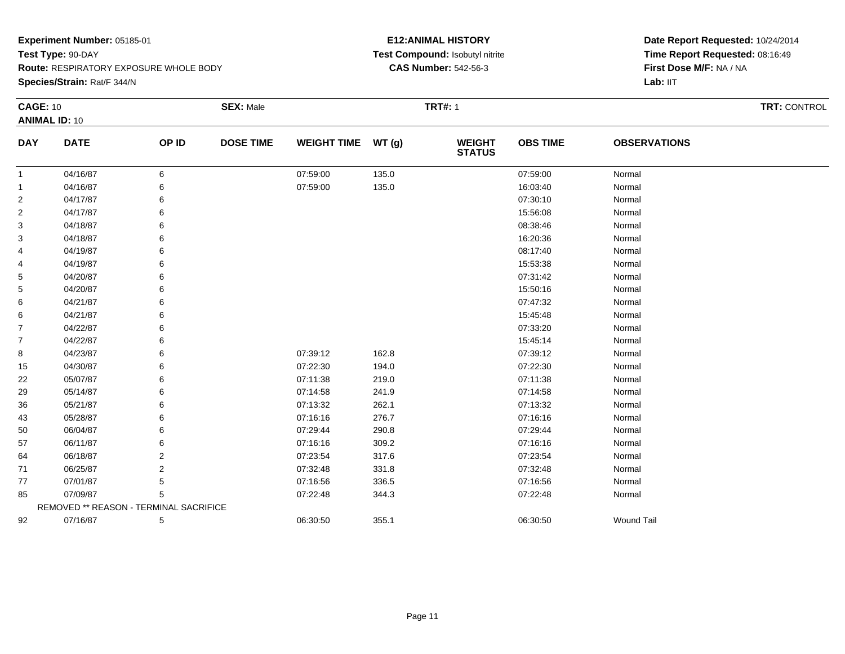**Route:** RESPIRATORY EXPOSURE WHOLE BODY

**Species/Strain:** Rat/F 344/N

#### **E12:ANIMAL HISTORY Test Compound:** Isobutyl nitrite**CAS Number:** 542-56-3

|                | <b>CAGE: 10</b>                        |       | <b>SEX: Male</b> |                    |        | <b>TRT#: 1</b>                 |                 |                     | <b>TRT: CONTROL</b> |
|----------------|----------------------------------------|-------|------------------|--------------------|--------|--------------------------------|-----------------|---------------------|---------------------|
|                | <b>ANIMAL ID: 10</b>                   |       |                  |                    |        |                                |                 |                     |                     |
| <b>DAY</b>     | <b>DATE</b>                            | OP ID | <b>DOSE TIME</b> | <b>WEIGHT TIME</b> | WT (g) | <b>WEIGHT</b><br><b>STATUS</b> | <b>OBS TIME</b> | <b>OBSERVATIONS</b> |                     |
| $\mathbf{1}$   | 04/16/87                               | 6     |                  | 07:59:00           | 135.0  |                                | 07:59:00        | Normal              |                     |
| $\overline{1}$ | 04/16/87                               | 6     |                  | 07:59:00           | 135.0  |                                | 16:03:40        | Normal              |                     |
| $\overline{2}$ | 04/17/87                               | 6     |                  |                    |        |                                | 07:30:10        | Normal              |                     |
| $\overline{2}$ | 04/17/87                               | 6     |                  |                    |        |                                | 15:56:08        | Normal              |                     |
| 3              | 04/18/87                               | 6     |                  |                    |        |                                | 08:38:46        | Normal              |                     |
| 3              | 04/18/87                               | 6     |                  |                    |        |                                | 16:20:36        | Normal              |                     |
| 4              | 04/19/87                               | 6     |                  |                    |        |                                | 08:17:40        | Normal              |                     |
| 4              | 04/19/87                               | 6     |                  |                    |        |                                | 15:53:38        | Normal              |                     |
| 5              | 04/20/87                               | 6     |                  |                    |        |                                | 07:31:42        | Normal              |                     |
| 5              | 04/20/87                               | 6     |                  |                    |        |                                | 15:50:16        | Normal              |                     |
| 6              | 04/21/87                               | 6     |                  |                    |        |                                | 07:47:32        | Normal              |                     |
| 6              | 04/21/87                               | 6     |                  |                    |        |                                | 15:45:48        | Normal              |                     |
| 7              | 04/22/87                               | 6     |                  |                    |        |                                | 07:33:20        | Normal              |                     |
| 7              | 04/22/87                               | 6     |                  |                    |        |                                | 15:45:14        | Normal              |                     |
| 8              | 04/23/87                               | 6     |                  | 07:39:12           | 162.8  |                                | 07:39:12        | Normal              |                     |
| 15             | 04/30/87                               | 6     |                  | 07:22:30           | 194.0  |                                | 07:22:30        | Normal              |                     |
| 22             | 05/07/87                               | 6     |                  | 07:11:38           | 219.0  |                                | 07:11:38        | Normal              |                     |
| 29             | 05/14/87                               | 6     |                  | 07:14:58           | 241.9  |                                | 07:14:58        | Normal              |                     |
| 36             | 05/21/87                               | 6     |                  | 07:13:32           | 262.1  |                                | 07:13:32        | Normal              |                     |
| 43             | 05/28/87                               | 6     |                  | 07:16:16           | 276.7  |                                | 07:16:16        | Normal              |                     |
| 50             | 06/04/87                               | 6     |                  | 07:29:44           | 290.8  |                                | 07:29:44        | Normal              |                     |
| 57             | 06/11/87                               | 6     |                  | 07:16:16           | 309.2  |                                | 07:16:16        | Normal              |                     |
| 64             | 06/18/87                               | 2     |                  | 07:23:54           | 317.6  |                                | 07:23:54        | Normal              |                     |
| 71             | 06/25/87                               | 2     |                  | 07:32:48           | 331.8  |                                | 07:32:48        | Normal              |                     |
| 77             | 07/01/87                               | 5     |                  | 07:16:56           | 336.5  |                                | 07:16:56        | Normal              |                     |
| 85             | 07/09/87                               | 5     |                  | 07:22:48           | 344.3  |                                | 07:22:48        | Normal              |                     |
|                | REMOVED ** REASON - TERMINAL SACRIFICE |       |                  |                    |        |                                |                 |                     |                     |
| 92             | 07/16/87                               | 5     |                  | 06:30:50           | 355.1  |                                | 06:30:50        | <b>Wound Tail</b>   |                     |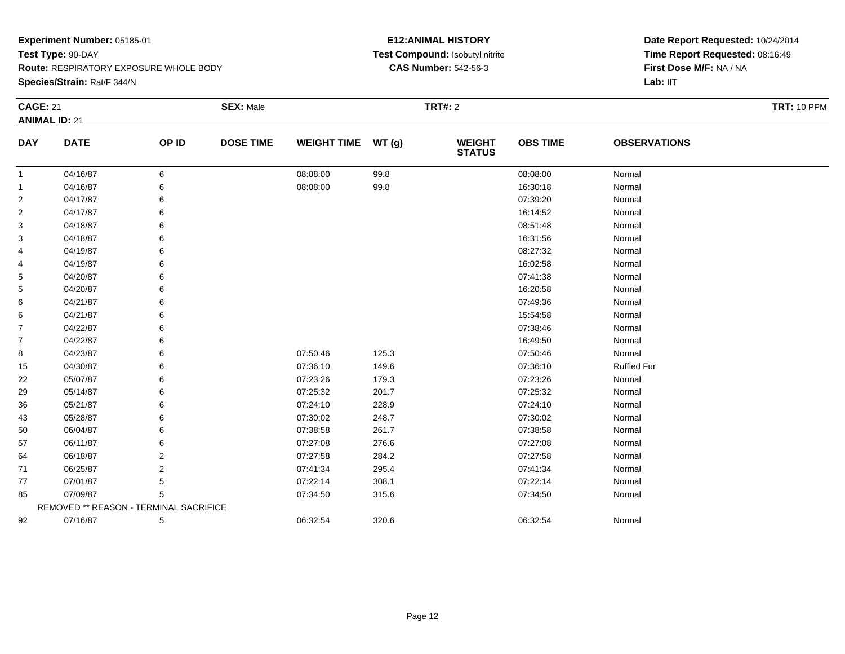**Route:** RESPIRATORY EXPOSURE WHOLE BODY

**Species/Strain:** Rat/F 344/N

#### **E12:ANIMAL HISTORY Test Compound:** Isobutyl nitrite**CAS Number:** 542-56-3

| <b>CAGE: 21</b> |                                        |       | <b>SEX: Male</b> |                    |       | <b>TRT#: 2</b>                 |                 |                     | <b>TRT: 10 PPM</b> |
|-----------------|----------------------------------------|-------|------------------|--------------------|-------|--------------------------------|-----------------|---------------------|--------------------|
|                 | <b>ANIMAL ID: 21</b>                   |       |                  |                    |       |                                |                 |                     |                    |
| <b>DAY</b>      | <b>DATE</b>                            | OP ID | <b>DOSE TIME</b> | WEIGHT TIME WT (g) |       | <b>WEIGHT</b><br><b>STATUS</b> | <b>OBS TIME</b> | <b>OBSERVATIONS</b> |                    |
| -1              | 04/16/87                               | 6     |                  | 08:08:00           | 99.8  |                                | 08:08:00        | Normal              |                    |
| -1              | 04/16/87                               |       |                  | 08:08:00           | 99.8  |                                | 16:30:18        | Normal              |                    |
| $\overline{2}$  | 04/17/87                               |       |                  |                    |       |                                | 07:39:20        | Normal              |                    |
| $\overline{2}$  | 04/17/87                               |       |                  |                    |       |                                | 16:14:52        | Normal              |                    |
| 3               | 04/18/87                               |       |                  |                    |       |                                | 08:51:48        | Normal              |                    |
| 3               | 04/18/87                               |       |                  |                    |       |                                | 16:31:56        | Normal              |                    |
| 4               | 04/19/87                               |       |                  |                    |       |                                | 08:27:32        | Normal              |                    |
| 4               | 04/19/87                               |       |                  |                    |       |                                | 16:02:58        | Normal              |                    |
| 5               | 04/20/87                               |       |                  |                    |       |                                | 07:41:38        | Normal              |                    |
| 5               | 04/20/87                               |       |                  |                    |       |                                | 16:20:58        | Normal              |                    |
| 6               | 04/21/87                               |       |                  |                    |       |                                | 07:49:36        | Normal              |                    |
| 6               | 04/21/87                               |       |                  |                    |       |                                | 15:54:58        | Normal              |                    |
| 7               | 04/22/87                               |       |                  |                    |       |                                | 07:38:46        | Normal              |                    |
| $\overline{7}$  | 04/22/87                               |       |                  |                    |       |                                | 16:49:50        | Normal              |                    |
| 8               | 04/23/87                               |       |                  | 07:50:46           | 125.3 |                                | 07:50:46        | Normal              |                    |
| 15              | 04/30/87                               |       |                  | 07:36:10           | 149.6 |                                | 07:36:10        | <b>Ruffled Fur</b>  |                    |
| 22              | 05/07/87                               |       |                  | 07:23:26           | 179.3 |                                | 07:23:26        | Normal              |                    |
| 29              | 05/14/87                               |       |                  | 07:25:32           | 201.7 |                                | 07:25:32        | Normal              |                    |
| 36              | 05/21/87                               |       |                  | 07:24:10           | 228.9 |                                | 07:24:10        | Normal              |                    |
| 43              | 05/28/87                               |       |                  | 07:30:02           | 248.7 |                                | 07:30:02        | Normal              |                    |
| 50              | 06/04/87                               |       |                  | 07:38:58           | 261.7 |                                | 07:38:58        | Normal              |                    |
| 57              | 06/11/87                               |       |                  | 07:27:08           | 276.6 |                                | 07:27:08        | Normal              |                    |
| 64              | 06/18/87                               | 2     |                  | 07:27:58           | 284.2 |                                | 07:27:58        | Normal              |                    |
| 71              | 06/25/87                               | 2     |                  | 07:41:34           | 295.4 |                                | 07:41:34        | Normal              |                    |
| 77              | 07/01/87                               | 5     |                  | 07:22:14           | 308.1 |                                | 07:22:14        | Normal              |                    |
| 85              | 07/09/87                               | 5     |                  | 07:34:50           | 315.6 |                                | 07:34:50        | Normal              |                    |
|                 | REMOVED ** REASON - TERMINAL SACRIFICE |       |                  |                    |       |                                |                 |                     |                    |
| 92              | 07/16/87                               | 5     |                  | 06:32:54           | 320.6 |                                | 06:32:54        | Normal              |                    |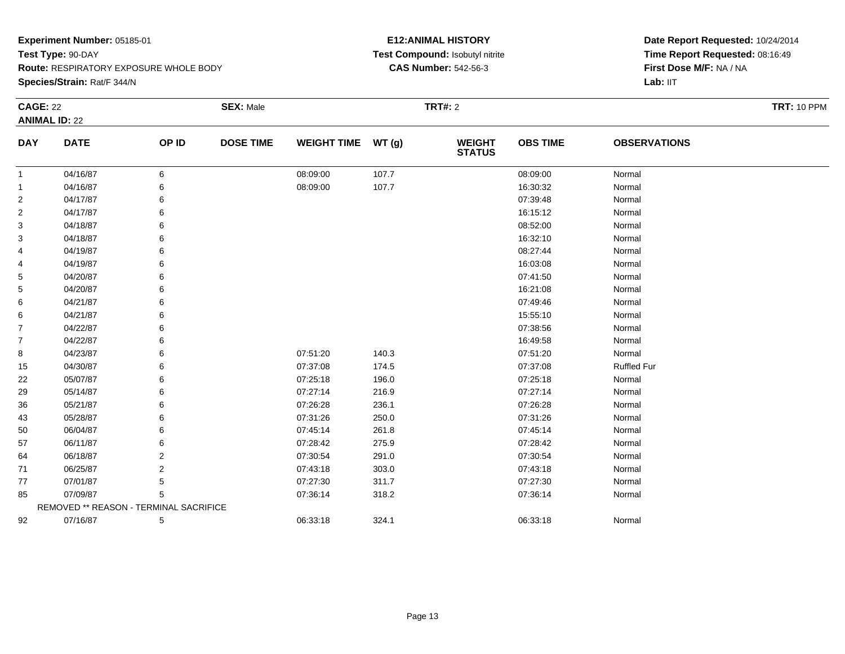**Route:** RESPIRATORY EXPOSURE WHOLE BODY

**Species/Strain:** Rat/F 344/N

#### **E12:ANIMAL HISTORY Test Compound:** Isobutyl nitrite**CAS Number:** 542-56-3

| <b>CAGE: 22</b> |                                        |       | <b>SEX: Male</b> |                    |       | <b>TRT#: 2</b>                 |                 |                     | <b>TRT: 10 PPM</b> |
|-----------------|----------------------------------------|-------|------------------|--------------------|-------|--------------------------------|-----------------|---------------------|--------------------|
|                 | <b>ANIMAL ID: 22</b>                   |       |                  |                    |       |                                |                 |                     |                    |
| <b>DAY</b>      | <b>DATE</b>                            | OP ID | <b>DOSE TIME</b> | <b>WEIGHT TIME</b> | WT(g) | <b>WEIGHT</b><br><b>STATUS</b> | <b>OBS TIME</b> | <b>OBSERVATIONS</b> |                    |
| $\mathbf{1}$    | 04/16/87                               | 6     |                  | 08:09:00           | 107.7 |                                | 08:09:00        | Normal              |                    |
| $\mathbf{1}$    | 04/16/87                               | 6     |                  | 08:09:00           | 107.7 |                                | 16:30:32        | Normal              |                    |
| 2               | 04/17/87                               | 6     |                  |                    |       |                                | 07:39:48        | Normal              |                    |
| 2               | 04/17/87                               |       |                  |                    |       |                                | 16:15:12        | Normal              |                    |
| 3               | 04/18/87                               |       |                  |                    |       |                                | 08:52:00        | Normal              |                    |
| 3               | 04/18/87                               |       |                  |                    |       |                                | 16:32:10        | Normal              |                    |
| 4               | 04/19/87                               |       |                  |                    |       |                                | 08:27:44        | Normal              |                    |
| 4               | 04/19/87                               |       |                  |                    |       |                                | 16:03:08        | Normal              |                    |
| 5               | 04/20/87                               |       |                  |                    |       |                                | 07:41:50        | Normal              |                    |
| 5               | 04/20/87                               |       |                  |                    |       |                                | 16:21:08        | Normal              |                    |
| 6               | 04/21/87                               |       |                  |                    |       |                                | 07:49:46        | Normal              |                    |
| 6               | 04/21/87                               |       |                  |                    |       |                                | 15:55:10        | Normal              |                    |
| 7               | 04/22/87                               |       |                  |                    |       |                                | 07:38:56        | Normal              |                    |
| $\overline{7}$  | 04/22/87                               |       |                  |                    |       |                                | 16:49:58        | Normal              |                    |
| 8               | 04/23/87                               |       |                  | 07:51:20           | 140.3 |                                | 07:51:20        | Normal              |                    |
| 15              | 04/30/87                               |       |                  | 07:37:08           | 174.5 |                                | 07:37:08        | <b>Ruffled Fur</b>  |                    |
| 22              | 05/07/87                               |       |                  | 07:25:18           | 196.0 |                                | 07:25:18        | Normal              |                    |
| 29              | 05/14/87                               |       |                  | 07:27:14           | 216.9 |                                | 07:27:14        | Normal              |                    |
| 36              | 05/21/87                               |       |                  | 07:26:28           | 236.1 |                                | 07:26:28        | Normal              |                    |
| 43              | 05/28/87                               |       |                  | 07:31:26           | 250.0 |                                | 07:31:26        | Normal              |                    |
| 50              | 06/04/87                               |       |                  | 07:45:14           | 261.8 |                                | 07:45:14        | Normal              |                    |
| 57              | 06/11/87                               |       |                  | 07:28:42           | 275.9 |                                | 07:28:42        | Normal              |                    |
| 64              | 06/18/87                               | 2     |                  | 07:30:54           | 291.0 |                                | 07:30:54        | Normal              |                    |
| 71              | 06/25/87                               | 2     |                  | 07:43:18           | 303.0 |                                | 07:43:18        | Normal              |                    |
| 77              | 07/01/87                               | 5     |                  | 07:27:30           | 311.7 |                                | 07:27:30        | Normal              |                    |
| 85              | 07/09/87                               | 5     |                  | 07:36:14           | 318.2 |                                | 07:36:14        | Normal              |                    |
|                 | REMOVED ** REASON - TERMINAL SACRIFICE |       |                  |                    |       |                                |                 |                     |                    |
| 92              | 07/16/87                               | 5     |                  | 06:33:18           | 324.1 |                                | 06:33:18        | Normal              |                    |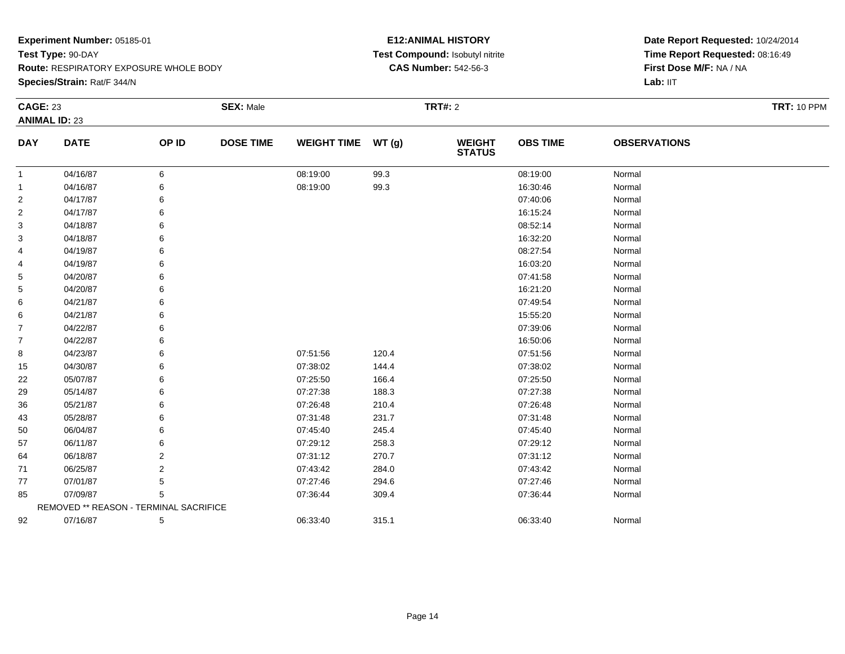**Route:** RESPIRATORY EXPOSURE WHOLE BODY

**Species/Strain:** Rat/F 344/N

#### **E12:ANIMAL HISTORY Test Compound:** Isobutyl nitrite**CAS Number:** 542-56-3

| <b>CAGE: 23</b> |                                        |       | <b>SEX: Male</b> |                    |        | <b>TRT#: 2</b>                 |                 |                     | <b>TRT: 10 PPM</b> |
|-----------------|----------------------------------------|-------|------------------|--------------------|--------|--------------------------------|-----------------|---------------------|--------------------|
|                 | <b>ANIMAL ID: 23</b>                   |       |                  |                    |        |                                |                 |                     |                    |
| <b>DAY</b>      | <b>DATE</b>                            | OP ID | <b>DOSE TIME</b> | <b>WEIGHT TIME</b> | WT (g) | <b>WEIGHT</b><br><b>STATUS</b> | <b>OBS TIME</b> | <b>OBSERVATIONS</b> |                    |
| 1               | 04/16/87                               | 6     |                  | 08:19:00           | 99.3   |                                | 08:19:00        | Normal              |                    |
| 1               | 04/16/87                               | 6     |                  | 08:19:00           | 99.3   |                                | 16:30:46        | Normal              |                    |
| 2               | 04/17/87                               | 6     |                  |                    |        |                                | 07:40:06        | Normal              |                    |
| 2               | 04/17/87                               | 6     |                  |                    |        |                                | 16:15:24        | Normal              |                    |
| 3               | 04/18/87                               | 6     |                  |                    |        |                                | 08:52:14        | Normal              |                    |
| 3               | 04/18/87                               | 6     |                  |                    |        |                                | 16:32:20        | Normal              |                    |
| 4               | 04/19/87                               | 6     |                  |                    |        |                                | 08:27:54        | Normal              |                    |
| 4               | 04/19/87                               | 6     |                  |                    |        |                                | 16:03:20        | Normal              |                    |
| 5               | 04/20/87                               | 6     |                  |                    |        |                                | 07:41:58        | Normal              |                    |
| 5               | 04/20/87                               | 6     |                  |                    |        |                                | 16:21:20        | Normal              |                    |
| 6               | 04/21/87                               | 6     |                  |                    |        |                                | 07:49:54        | Normal              |                    |
| 6               | 04/21/87                               | 6     |                  |                    |        |                                | 15:55:20        | Normal              |                    |
| 7               | 04/22/87                               | 6     |                  |                    |        |                                | 07:39:06        | Normal              |                    |
| $\overline{7}$  | 04/22/87                               | 6     |                  |                    |        |                                | 16:50:06        | Normal              |                    |
| 8               | 04/23/87                               | 6     |                  | 07:51:56           | 120.4  |                                | 07:51:56        | Normal              |                    |
| 15              | 04/30/87                               | 6     |                  | 07:38:02           | 144.4  |                                | 07:38:02        | Normal              |                    |
| 22              | 05/07/87                               | 6     |                  | 07:25:50           | 166.4  |                                | 07:25:50        | Normal              |                    |
| 29              | 05/14/87                               | 6     |                  | 07:27:38           | 188.3  |                                | 07:27:38        | Normal              |                    |
| 36              | 05/21/87                               | 6     |                  | 07:26:48           | 210.4  |                                | 07:26:48        | Normal              |                    |
| 43              | 05/28/87                               | 6     |                  | 07:31:48           | 231.7  |                                | 07:31:48        | Normal              |                    |
| 50              | 06/04/87                               | 6     |                  | 07:45:40           | 245.4  |                                | 07:45:40        | Normal              |                    |
| 57              | 06/11/87                               | 6     |                  | 07:29:12           | 258.3  |                                | 07:29:12        | Normal              |                    |
| 64              | 06/18/87                               | 2     |                  | 07:31:12           | 270.7  |                                | 07:31:12        | Normal              |                    |
| 71              | 06/25/87                               | 2     |                  | 07:43:42           | 284.0  |                                | 07:43:42        | Normal              |                    |
| 77              | 07/01/87                               | 5     |                  | 07:27:46           | 294.6  |                                | 07:27:46        | Normal              |                    |
| 85              | 07/09/87                               | 5     |                  | 07:36:44           | 309.4  |                                | 07:36:44        | Normal              |                    |
|                 | REMOVED ** REASON - TERMINAL SACRIFICE |       |                  |                    |        |                                |                 |                     |                    |
| 92              | 07/16/87                               | 5     |                  | 06:33:40           | 315.1  |                                | 06:33:40        | Normal              |                    |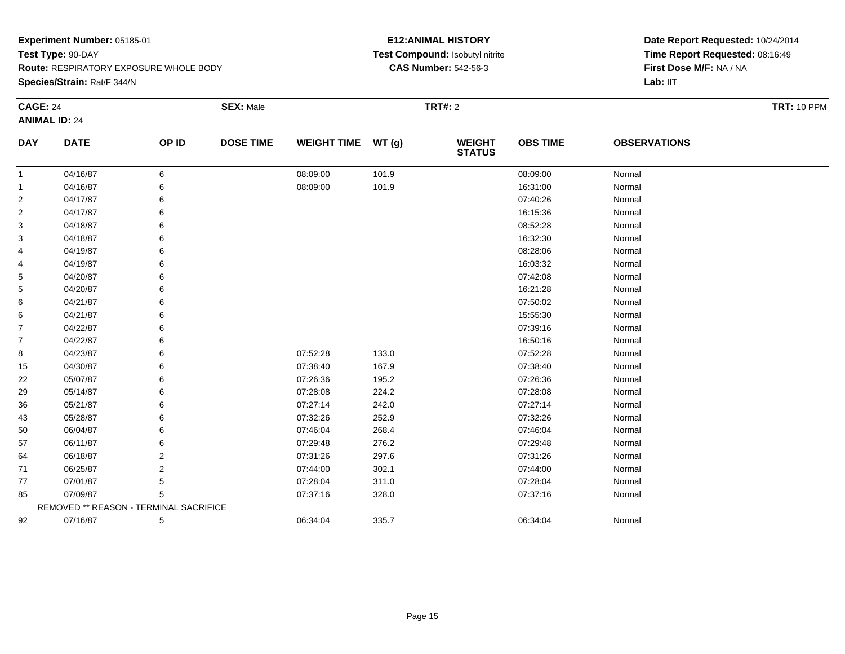**Route:** RESPIRATORY EXPOSURE WHOLE BODY

**Species/Strain:** Rat/F 344/N

#### **E12:ANIMAL HISTORY Test Compound:** Isobutyl nitrite**CAS Number:** 542-56-3

| <b>CAGE: 24</b> |                                        |       | <b>SEX: Male</b> |                    |       | <b>TRT#: 2</b>                 |                 |                     | <b>TRT: 10 PPM</b> |
|-----------------|----------------------------------------|-------|------------------|--------------------|-------|--------------------------------|-----------------|---------------------|--------------------|
|                 | <b>ANIMAL ID: 24</b>                   |       |                  |                    |       |                                |                 |                     |                    |
| <b>DAY</b>      | <b>DATE</b>                            | OP ID | <b>DOSE TIME</b> | <b>WEIGHT TIME</b> | WT(g) | <b>WEIGHT</b><br><b>STATUS</b> | <b>OBS TIME</b> | <b>OBSERVATIONS</b> |                    |
| -1              | 04/16/87                               | 6     |                  | 08:09:00           | 101.9 |                                | 08:09:00        | Normal              |                    |
| $\mathbf{1}$    | 04/16/87                               |       |                  | 08:09:00           | 101.9 |                                | 16:31:00        | Normal              |                    |
| $\overline{2}$  | 04/17/87                               |       |                  |                    |       |                                | 07:40:26        | Normal              |                    |
| $\overline{2}$  | 04/17/87                               |       |                  |                    |       |                                | 16:15:36        | Normal              |                    |
| 3               | 04/18/87                               |       |                  |                    |       |                                | 08:52:28        | Normal              |                    |
| 3               | 04/18/87                               |       |                  |                    |       |                                | 16:32:30        | Normal              |                    |
| 4               | 04/19/87                               |       |                  |                    |       |                                | 08:28:06        | Normal              |                    |
| 4               | 04/19/87                               |       |                  |                    |       |                                | 16:03:32        | Normal              |                    |
| 5               | 04/20/87                               |       |                  |                    |       |                                | 07:42:08        | Normal              |                    |
| 5               | 04/20/87                               |       |                  |                    |       |                                | 16:21:28        | Normal              |                    |
| 6               | 04/21/87                               |       |                  |                    |       |                                | 07:50:02        | Normal              |                    |
| 6               | 04/21/87                               |       |                  |                    |       |                                | 15:55:30        | Normal              |                    |
| 7               | 04/22/87                               |       |                  |                    |       |                                | 07:39:16        | Normal              |                    |
| $\overline{7}$  | 04/22/87                               |       |                  |                    |       |                                | 16:50:16        | Normal              |                    |
| 8               | 04/23/87                               |       |                  | 07:52:28           | 133.0 |                                | 07:52:28        | Normal              |                    |
| 15              | 04/30/87                               |       |                  | 07:38:40           | 167.9 |                                | 07:38:40        | Normal              |                    |
| 22              | 05/07/87                               |       |                  | 07:26:36           | 195.2 |                                | 07:26:36        | Normal              |                    |
| 29              | 05/14/87                               |       |                  | 07:28:08           | 224.2 |                                | 07:28:08        | Normal              |                    |
| 36              | 05/21/87                               |       |                  | 07:27:14           | 242.0 |                                | 07:27:14        | Normal              |                    |
| 43              | 05/28/87                               |       |                  | 07:32:26           | 252.9 |                                | 07:32:26        | Normal              |                    |
| 50              | 06/04/87                               |       |                  | 07:46:04           | 268.4 |                                | 07:46:04        | Normal              |                    |
| 57              | 06/11/87                               |       |                  | 07:29:48           | 276.2 |                                | 07:29:48        | Normal              |                    |
| 64              | 06/18/87                               | 2     |                  | 07:31:26           | 297.6 |                                | 07:31:26        | Normal              |                    |
| 71              | 06/25/87                               | 2     |                  | 07:44:00           | 302.1 |                                | 07:44:00        | Normal              |                    |
| 77              | 07/01/87                               |       |                  | 07:28:04           | 311.0 |                                | 07:28:04        | Normal              |                    |
| 85              | 07/09/87                               | 5     |                  | 07:37:16           | 328.0 |                                | 07:37:16        | Normal              |                    |
|                 | REMOVED ** REASON - TERMINAL SACRIFICE |       |                  |                    |       |                                |                 |                     |                    |
| 92              | 07/16/87                               | 5     |                  | 06:34:04           | 335.7 |                                | 06:34:04        | Normal              |                    |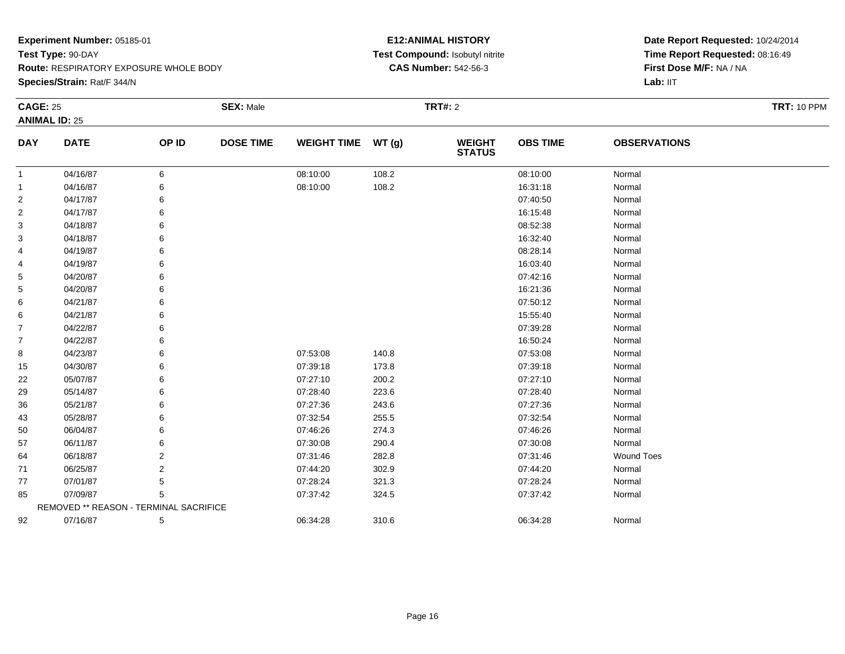**Route:** RESPIRATORY EXPOSURE WHOLE BODY

**Species/Strain:** Rat/F 344/N

#### **E12:ANIMAL HISTORY Test Compound:** Isobutyl nitrite**CAS Number:** 542-56-3

| <b>CAGE: 25</b> |                                        |                | <b>SEX: Male</b> |                    |        | <b>TRT#: 2</b>                 |                 |                     | <b>TRT: 10 PPM</b> |
|-----------------|----------------------------------------|----------------|------------------|--------------------|--------|--------------------------------|-----------------|---------------------|--------------------|
|                 | <b>ANIMAL ID: 25</b>                   |                |                  |                    |        |                                |                 |                     |                    |
| <b>DAY</b>      | <b>DATE</b>                            | OP ID          | <b>DOSE TIME</b> | <b>WEIGHT TIME</b> | WT (g) | <b>WEIGHT</b><br><b>STATUS</b> | <b>OBS TIME</b> | <b>OBSERVATIONS</b> |                    |
| 1               | 04/16/87                               | 6              |                  | 08:10:00           | 108.2  |                                | 08:10:00        | Normal              |                    |
| 1               | 04/16/87                               | 6              |                  | 08:10:00           | 108.2  |                                | 16:31:18        | Normal              |                    |
| 2               | 04/17/87                               | 6              |                  |                    |        |                                | 07:40:50        | Normal              |                    |
| 2               | 04/17/87                               | 6              |                  |                    |        |                                | 16:15:48        | Normal              |                    |
| 3               | 04/18/87                               | 6              |                  |                    |        |                                | 08:52:38        | Normal              |                    |
| 3               | 04/18/87                               | 6              |                  |                    |        |                                | 16:32:40        | Normal              |                    |
| 4               | 04/19/87                               | 6              |                  |                    |        |                                | 08:28:14        | Normal              |                    |
| 4               | 04/19/87                               | 6              |                  |                    |        |                                | 16:03:40        | Normal              |                    |
| 5               | 04/20/87                               | 6              |                  |                    |        |                                | 07:42:16        | Normal              |                    |
| 5               | 04/20/87                               | 6              |                  |                    |        |                                | 16:21:36        | Normal              |                    |
| 6               | 04/21/87                               | 6              |                  |                    |        |                                | 07:50:12        | Normal              |                    |
| 6               | 04/21/87                               | 6              |                  |                    |        |                                | 15:55:40        | Normal              |                    |
| 7               | 04/22/87                               | 6              |                  |                    |        |                                | 07:39:28        | Normal              |                    |
| $\overline{7}$  | 04/22/87                               | 6              |                  |                    |        |                                | 16:50:24        | Normal              |                    |
| 8               | 04/23/87                               | 6              |                  | 07:53:08           | 140.8  |                                | 07:53:08        | Normal              |                    |
| 15              | 04/30/87                               | 6              |                  | 07:39:18           | 173.8  |                                | 07:39:18        | Normal              |                    |
| 22              | 05/07/87                               | 6              |                  | 07:27:10           | 200.2  |                                | 07:27:10        | Normal              |                    |
| 29              | 05/14/87                               | 6              |                  | 07:28:40           | 223.6  |                                | 07:28:40        | Normal              |                    |
| 36              | 05/21/87                               | 6              |                  | 07:27:36           | 243.6  |                                | 07:27:36        | Normal              |                    |
| 43              | 05/28/87                               | 6              |                  | 07:32:54           | 255.5  |                                | 07:32:54        | Normal              |                    |
| 50              | 06/04/87                               | 6              |                  | 07:46:26           | 274.3  |                                | 07:46:26        | Normal              |                    |
| 57              | 06/11/87                               | 6              |                  | 07:30:08           | 290.4  |                                | 07:30:08        | Normal              |                    |
| 64              | 06/18/87                               | 2              |                  | 07:31:46           | 282.8  |                                | 07:31:46        | <b>Wound Toes</b>   |                    |
| 71              | 06/25/87                               | $\overline{2}$ |                  | 07:44:20           | 302.9  |                                | 07:44:20        | Normal              |                    |
| 77              | 07/01/87                               | 5              |                  | 07:28:24           | 321.3  |                                | 07:28:24        | Normal              |                    |
| 85              | 07/09/87                               | 5              |                  | 07:37:42           | 324.5  |                                | 07:37:42        | Normal              |                    |
|                 | REMOVED ** REASON - TERMINAL SACRIFICE |                |                  |                    |        |                                |                 |                     |                    |
| 92              | 07/16/87                               | 5              |                  | 06:34:28           | 310.6  |                                | 06:34:28        | Normal              |                    |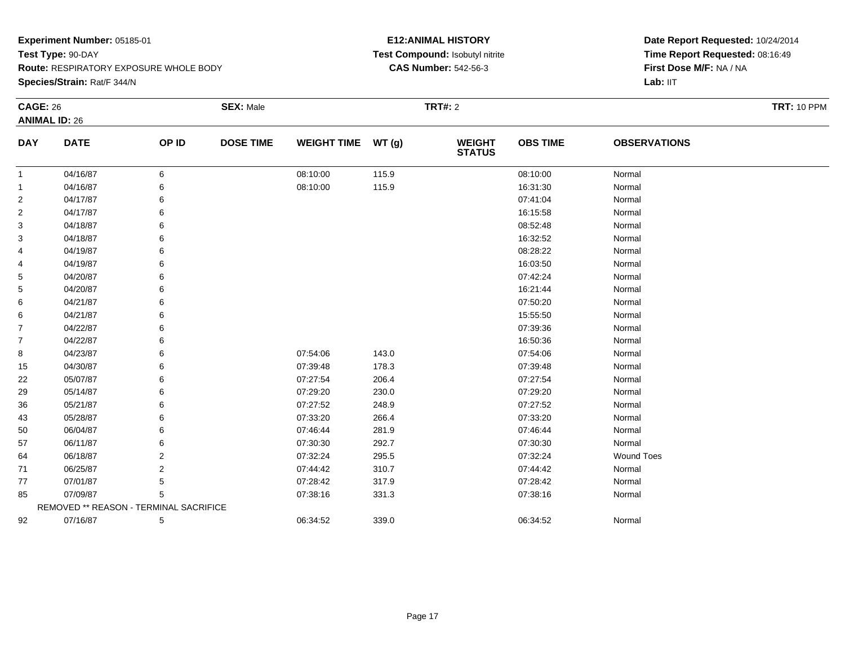**Species/Strain:** Rat/F 344/N

#### **E12:ANIMAL HISTORY Test Compound:** Isobutyl nitrite**CAS Number:** 542-56-3

| <b>CAGE: 26</b> |                                        |       | <b>SEX: Male</b> |                    |       | <b>TRT#:</b> 2                 |                 |                     | <b>TRT: 10 PPM</b> |  |
|-----------------|----------------------------------------|-------|------------------|--------------------|-------|--------------------------------|-----------------|---------------------|--------------------|--|
|                 | <b>ANIMAL ID: 26</b>                   |       |                  |                    |       |                                |                 |                     |                    |  |
| <b>DAY</b>      | <b>DATE</b>                            | OP ID | <b>DOSE TIME</b> | <b>WEIGHT TIME</b> | WT(g) | <b>WEIGHT</b><br><b>STATUS</b> | <b>OBS TIME</b> | <b>OBSERVATIONS</b> |                    |  |
| 1               | 04/16/87                               | 6     |                  | 08:10:00           | 115.9 |                                | 08:10:00        | Normal              |                    |  |
| 1               | 04/16/87                               | 6     |                  | 08:10:00           | 115.9 |                                | 16:31:30        | Normal              |                    |  |
| 2               | 04/17/87                               | 6     |                  |                    |       |                                | 07:41:04        | Normal              |                    |  |
| 2               | 04/17/87                               | 6     |                  |                    |       |                                | 16:15:58        | Normal              |                    |  |
| 3               | 04/18/87                               | 6     |                  |                    |       |                                | 08:52:48        | Normal              |                    |  |
| 3               | 04/18/87                               | 6     |                  |                    |       |                                | 16:32:52        | Normal              |                    |  |
| 4               | 04/19/87                               | 6     |                  |                    |       |                                | 08:28:22        | Normal              |                    |  |
| 4               | 04/19/87                               | 6     |                  |                    |       |                                | 16:03:50        | Normal              |                    |  |
| 5               | 04/20/87                               | 6     |                  |                    |       |                                | 07:42:24        | Normal              |                    |  |
| 5               | 04/20/87                               | 6     |                  |                    |       |                                | 16:21:44        | Normal              |                    |  |
| 6               | 04/21/87                               | 6     |                  |                    |       |                                | 07:50:20        | Normal              |                    |  |
| 6               | 04/21/87                               | 6     |                  |                    |       |                                | 15:55:50        | Normal              |                    |  |
| $\overline{7}$  | 04/22/87                               | 6     |                  |                    |       |                                | 07:39:36        | Normal              |                    |  |
| 7               | 04/22/87                               | 6     |                  |                    |       |                                | 16:50:36        | Normal              |                    |  |
| 8               | 04/23/87                               | 6     |                  | 07:54:06           | 143.0 |                                | 07:54:06        | Normal              |                    |  |
| 15              | 04/30/87                               | 6     |                  | 07:39:48           | 178.3 |                                | 07:39:48        | Normal              |                    |  |
| 22              | 05/07/87                               | 6     |                  | 07:27:54           | 206.4 |                                | 07:27:54        | Normal              |                    |  |
| 29              | 05/14/87                               | 6     |                  | 07:29:20           | 230.0 |                                | 07:29:20        | Normal              |                    |  |
| 36              | 05/21/87                               | 6     |                  | 07:27:52           | 248.9 |                                | 07:27:52        | Normal              |                    |  |
| 43              | 05/28/87                               | 6     |                  | 07:33:20           | 266.4 |                                | 07:33:20        | Normal              |                    |  |
| 50              | 06/04/87                               | 6     |                  | 07:46:44           | 281.9 |                                | 07:46:44        | Normal              |                    |  |
| 57              | 06/11/87                               | 6     |                  | 07:30:30           | 292.7 |                                | 07:30:30        | Normal              |                    |  |
| 64              | 06/18/87                               | 2     |                  | 07:32:24           | 295.5 |                                | 07:32:24        | <b>Wound Toes</b>   |                    |  |
| 71              | 06/25/87                               | 2     |                  | 07:44:42           | 310.7 |                                | 07:44:42        | Normal              |                    |  |
| 77              | 07/01/87                               | 5     |                  | 07:28:42           | 317.9 |                                | 07:28:42        | Normal              |                    |  |
| 85              | 07/09/87                               | 5     |                  | 07:38:16           | 331.3 |                                | 07:38:16        | Normal              |                    |  |
|                 | REMOVED ** REASON - TERMINAL SACRIFICE |       |                  |                    |       |                                |                 |                     |                    |  |
| 92              | 07/16/87                               | 5     |                  | 06:34:52           | 339.0 |                                | 06:34:52        | Normal              |                    |  |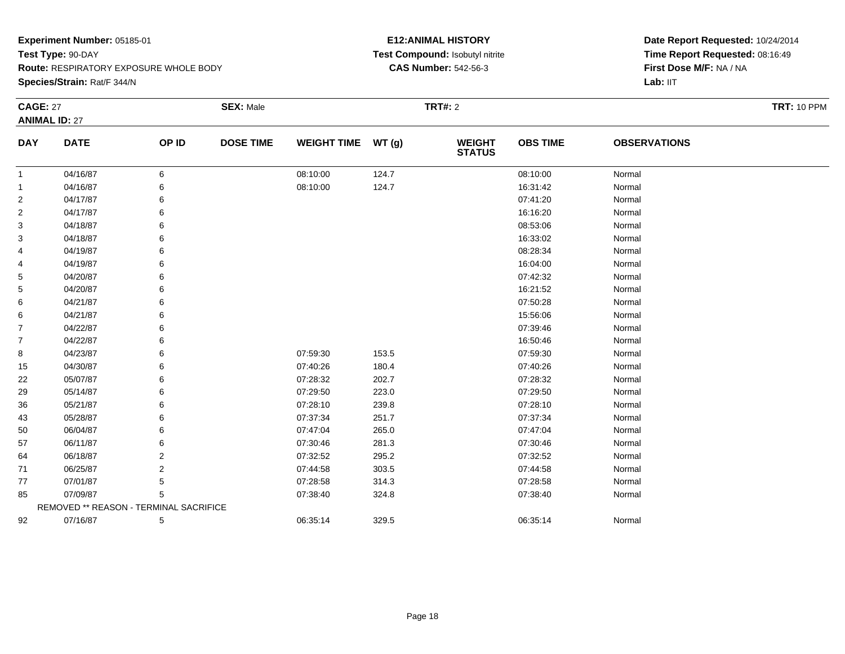**Route:** RESPIRATORY EXPOSURE WHOLE BODY

**Species/Strain:** Rat/F 344/N

#### **E12:ANIMAL HISTORY Test Compound:** Isobutyl nitrite**CAS Number:** 542-56-3

| <b>CAGE: 27</b> |                                        |       | <b>SEX: Male</b> |                    |       | <b>TRT#: 2</b>           |                 |                     | <b>TRT: 10 PPM</b> |
|-----------------|----------------------------------------|-------|------------------|--------------------|-------|--------------------------|-----------------|---------------------|--------------------|
|                 | <b>ANIMAL ID: 27</b>                   |       |                  |                    |       |                          |                 |                     |                    |
| <b>DAY</b>      | <b>DATE</b>                            | OP ID | <b>DOSE TIME</b> | WEIGHT TIME WT (g) |       | <b>WEIGHT<br/>STATUS</b> | <b>OBS TIME</b> | <b>OBSERVATIONS</b> |                    |
| $\mathbf{1}$    | 04/16/87                               | 6     |                  | 08:10:00           | 124.7 |                          | 08:10:00        | Normal              |                    |
| 1               | 04/16/87                               | 6     |                  | 08:10:00           | 124.7 |                          | 16:31:42        | Normal              |                    |
| $\overline{2}$  | 04/17/87                               | 6     |                  |                    |       |                          | 07:41:20        | Normal              |                    |
| 2               | 04/17/87                               | 6     |                  |                    |       |                          | 16:16:20        | Normal              |                    |
| 3               | 04/18/87                               | 6     |                  |                    |       |                          | 08:53:06        | Normal              |                    |
| 3               | 04/18/87                               | 6     |                  |                    |       |                          | 16:33:02        | Normal              |                    |
| 4               | 04/19/87                               | 6     |                  |                    |       |                          | 08:28:34        | Normal              |                    |
| 4               | 04/19/87                               | 6     |                  |                    |       |                          | 16:04:00        | Normal              |                    |
| 5               | 04/20/87                               | 6     |                  |                    |       |                          | 07:42:32        | Normal              |                    |
| 5               | 04/20/87                               | 6     |                  |                    |       |                          | 16:21:52        | Normal              |                    |
| 6               | 04/21/87                               | 6     |                  |                    |       |                          | 07:50:28        | Normal              |                    |
| 6               | 04/21/87                               | 6     |                  |                    |       |                          | 15:56:06        | Normal              |                    |
| $\overline{7}$  | 04/22/87                               | 6     |                  |                    |       |                          | 07:39:46        | Normal              |                    |
| $\overline{7}$  | 04/22/87                               | 6     |                  |                    |       |                          | 16:50:46        | Normal              |                    |
| 8               | 04/23/87                               | 6     |                  | 07:59:30           | 153.5 |                          | 07:59:30        | Normal              |                    |
| 15              | 04/30/87                               | 6     |                  | 07:40:26           | 180.4 |                          | 07:40:26        | Normal              |                    |
| 22              | 05/07/87                               | 6     |                  | 07:28:32           | 202.7 |                          | 07:28:32        | Normal              |                    |
| 29              | 05/14/87                               | 6     |                  | 07:29:50           | 223.0 |                          | 07:29:50        | Normal              |                    |
| 36              | 05/21/87                               | 6     |                  | 07:28:10           | 239.8 |                          | 07:28:10        | Normal              |                    |
| 43              | 05/28/87                               | 6     |                  | 07:37:34           | 251.7 |                          | 07:37:34        | Normal              |                    |
| 50              | 06/04/87                               | 6     |                  | 07:47:04           | 265.0 |                          | 07:47:04        | Normal              |                    |
| 57              | 06/11/87                               | 6     |                  | 07:30:46           | 281.3 |                          | 07:30:46        | Normal              |                    |
| 64              | 06/18/87                               | 2     |                  | 07:32:52           | 295.2 |                          | 07:32:52        | Normal              |                    |
| 71              | 06/25/87                               | 2     |                  | 07:44:58           | 303.5 |                          | 07:44:58        | Normal              |                    |
| 77              | 07/01/87                               | 5     |                  | 07:28:58           | 314.3 |                          | 07:28:58        | Normal              |                    |
| 85              | 07/09/87                               | 5     |                  | 07:38:40           | 324.8 |                          | 07:38:40        | Normal              |                    |
|                 | REMOVED ** REASON - TERMINAL SACRIFICE |       |                  |                    |       |                          |                 |                     |                    |
| 92              | 07/16/87                               | 5     |                  | 06:35:14           | 329.5 |                          | 06:35:14        | Normal              |                    |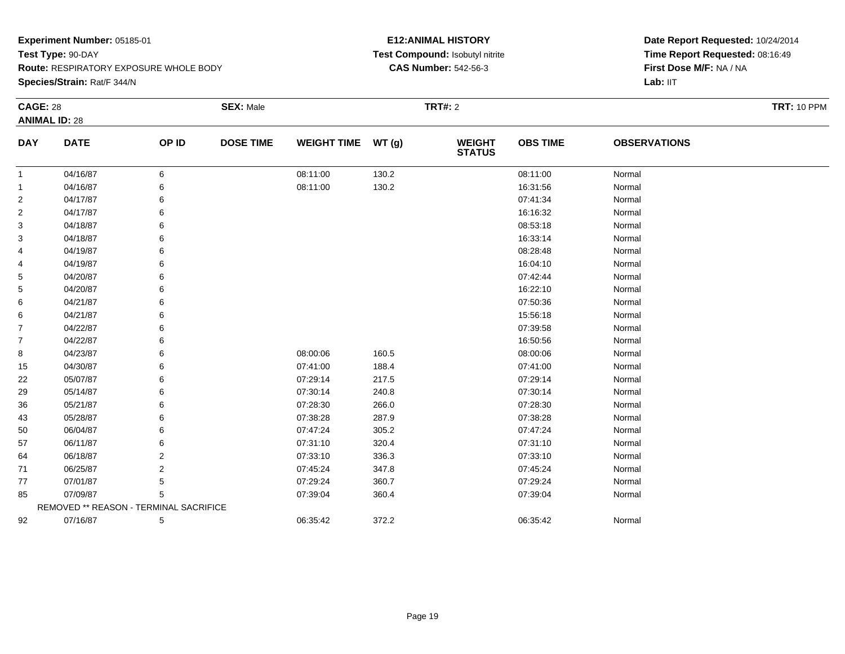**Species/Strain:** Rat/F 344/N

#### **E12:ANIMAL HISTORY Test Compound:** Isobutyl nitrite**CAS Number:** 542-56-3

| <b>CAGE: 28</b> |                                        |       | <b>SEX: Male</b> |                    |       | <b>TRT#: 2</b>                 |                 |                     | <b>TRT: 10 PPM</b> |
|-----------------|----------------------------------------|-------|------------------|--------------------|-------|--------------------------------|-----------------|---------------------|--------------------|
|                 | <b>ANIMAL ID: 28</b>                   |       |                  |                    |       |                                |                 |                     |                    |
| <b>DAY</b>      | <b>DATE</b>                            | OP ID | <b>DOSE TIME</b> | <b>WEIGHT TIME</b> | WT(g) | <b>WEIGHT</b><br><b>STATUS</b> | <b>OBS TIME</b> | <b>OBSERVATIONS</b> |                    |
| $\mathbf{1}$    | 04/16/87                               | 6     |                  | 08:11:00           | 130.2 |                                | 08:11:00        | Normal              |                    |
| 1               | 04/16/87                               | 6     |                  | 08:11:00           | 130.2 |                                | 16:31:56        | Normal              |                    |
| 2               | 04/17/87                               |       |                  |                    |       |                                | 07:41:34        | Normal              |                    |
| 2               | 04/17/87                               | 6     |                  |                    |       |                                | 16:16:32        | Normal              |                    |
| 3               | 04/18/87                               | 6     |                  |                    |       |                                | 08:53:18        | Normal              |                    |
| 3               | 04/18/87                               |       |                  |                    |       |                                | 16:33:14        | Normal              |                    |
| 4               | 04/19/87                               |       |                  |                    |       |                                | 08:28:48        | Normal              |                    |
| 4               | 04/19/87                               | 6     |                  |                    |       |                                | 16:04:10        | Normal              |                    |
| 5               | 04/20/87                               |       |                  |                    |       |                                | 07:42:44        | Normal              |                    |
| 5               | 04/20/87                               |       |                  |                    |       |                                | 16:22:10        | Normal              |                    |
| 6               | 04/21/87                               |       |                  |                    |       |                                | 07:50:36        | Normal              |                    |
| 6               | 04/21/87                               | 6     |                  |                    |       |                                | 15:56:18        | Normal              |                    |
| 7               | 04/22/87                               |       |                  |                    |       |                                | 07:39:58        | Normal              |                    |
| 7               | 04/22/87                               | 6     |                  |                    |       |                                | 16:50:56        | Normal              |                    |
| 8               | 04/23/87                               | 6     |                  | 08:00:06           | 160.5 |                                | 08:00:06        | Normal              |                    |
| 15              | 04/30/87                               | 6     |                  | 07:41:00           | 188.4 |                                | 07:41:00        | Normal              |                    |
| 22              | 05/07/87                               |       |                  | 07:29:14           | 217.5 |                                | 07:29:14        | Normal              |                    |
| 29              | 05/14/87                               |       |                  | 07:30:14           | 240.8 |                                | 07:30:14        | Normal              |                    |
| 36              | 05/21/87                               | 6     |                  | 07:28:30           | 266.0 |                                | 07:28:30        | Normal              |                    |
| 43              | 05/28/87                               | 6     |                  | 07:38:28           | 287.9 |                                | 07:38:28        | Normal              |                    |
| 50              | 06/04/87                               | 6     |                  | 07:47:24           | 305.2 |                                | 07:47:24        | Normal              |                    |
| 57              | 06/11/87                               | 6     |                  | 07:31:10           | 320.4 |                                | 07:31:10        | Normal              |                    |
| 64              | 06/18/87                               | 2     |                  | 07:33:10           | 336.3 |                                | 07:33:10        | Normal              |                    |
| 71              | 06/25/87                               | 2     |                  | 07:45:24           | 347.8 |                                | 07:45:24        | Normal              |                    |
| 77              | 07/01/87                               | 5     |                  | 07:29:24           | 360.7 |                                | 07:29:24        | Normal              |                    |
| 85              | 07/09/87                               | 5     |                  | 07:39:04           | 360.4 |                                | 07:39:04        | Normal              |                    |
|                 | REMOVED ** REASON - TERMINAL SACRIFICE |       |                  |                    |       |                                |                 |                     |                    |
| 92              | 07/16/87                               | 5     |                  | 06:35:42           | 372.2 |                                | 06:35:42        | Normal              |                    |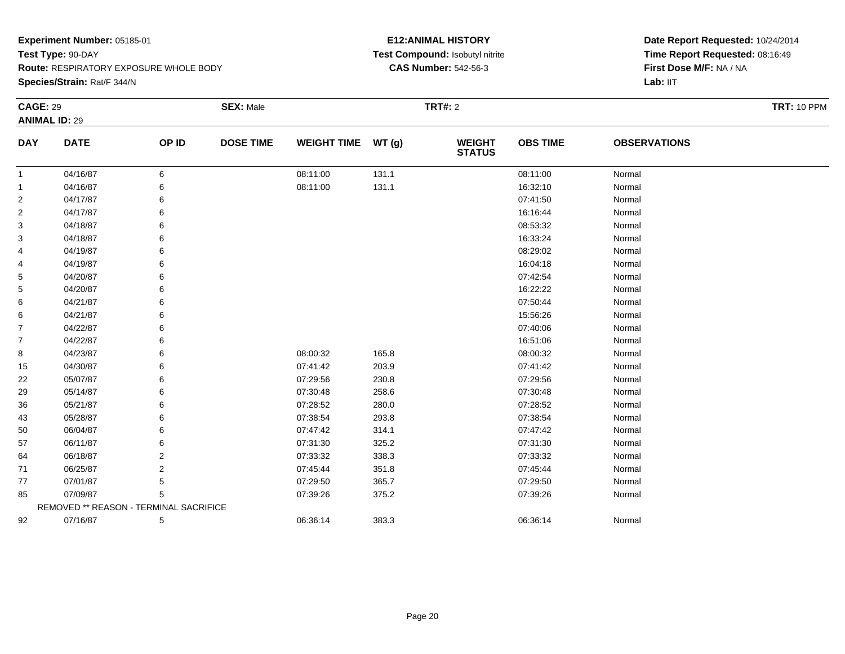**Species/Strain:** Rat/F 344/N

#### **E12:ANIMAL HISTORY Test Compound:** Isobutyl nitrite**CAS Number:** 542-56-3

| <b>CAGE: 29</b> | <b>ANIMAL ID: 29</b>                   |       | <b>SEX: Male</b> |                    |       | <b>TRT#: 2</b>                 |                 |                     | <b>TRT: 10 PPM</b> |
|-----------------|----------------------------------------|-------|------------------|--------------------|-------|--------------------------------|-----------------|---------------------|--------------------|
| <b>DAY</b>      | <b>DATE</b>                            | OP ID | <b>DOSE TIME</b> | WEIGHT TIME WT (g) |       | <b>WEIGHT</b><br><b>STATUS</b> | <b>OBS TIME</b> | <b>OBSERVATIONS</b> |                    |
| $\mathbf{1}$    | 04/16/87                               | 6     |                  | 08:11:00           | 131.1 |                                | 08:11:00        | Normal              |                    |
| 1               | 04/16/87                               | 6     |                  | 08:11:00           | 131.1 |                                | 16:32:10        | Normal              |                    |
| $\overline{c}$  | 04/17/87                               | 6     |                  |                    |       |                                | 07:41:50        | Normal              |                    |
| $\overline{2}$  | 04/17/87                               | 6     |                  |                    |       |                                | 16:16:44        | Normal              |                    |
| 3               | 04/18/87                               | 6     |                  |                    |       |                                | 08:53:32        | Normal              |                    |
| 3               | 04/18/87                               | 6     |                  |                    |       |                                | 16:33:24        | Normal              |                    |
| 4               | 04/19/87                               | 6     |                  |                    |       |                                | 08:29:02        | Normal              |                    |
| 4               | 04/19/87                               | 6     |                  |                    |       |                                | 16:04:18        | Normal              |                    |
| 5               | 04/20/87                               | 6     |                  |                    |       |                                | 07:42:54        | Normal              |                    |
| 5               | 04/20/87                               | 6     |                  |                    |       |                                | 16:22:22        | Normal              |                    |
| 6               | 04/21/87                               | 6     |                  |                    |       |                                | 07:50:44        | Normal              |                    |
| 6               | 04/21/87                               | 6     |                  |                    |       |                                | 15:56:26        | Normal              |                    |
| 7               | 04/22/87                               | 6     |                  |                    |       |                                | 07:40:06        | Normal              |                    |
| 7               | 04/22/87                               | 6     |                  |                    |       |                                | 16:51:06        | Normal              |                    |
| 8               | 04/23/87                               | 6     |                  | 08:00:32           | 165.8 |                                | 08:00:32        | Normal              |                    |
| 15              | 04/30/87                               | 6     |                  | 07:41:42           | 203.9 |                                | 07:41:42        | Normal              |                    |
| 22              | 05/07/87                               | 6     |                  | 07:29:56           | 230.8 |                                | 07:29:56        | Normal              |                    |
| 29              | 05/14/87                               | 6     |                  | 07:30:48           | 258.6 |                                | 07:30:48        | Normal              |                    |
| 36              | 05/21/87                               | 6     |                  | 07:28:52           | 280.0 |                                | 07:28:52        | Normal              |                    |
| 43              | 05/28/87                               | 6     |                  | 07:38:54           | 293.8 |                                | 07:38:54        | Normal              |                    |
| 50              | 06/04/87                               | 6     |                  | 07:47:42           | 314.1 |                                | 07:47:42        | Normal              |                    |
| 57              | 06/11/87                               | 6     |                  | 07:31:30           | 325.2 |                                | 07:31:30        | Normal              |                    |
| 64              | 06/18/87                               | 2     |                  | 07:33:32           | 338.3 |                                | 07:33:32        | Normal              |                    |
| 71              | 06/25/87                               | 2     |                  | 07:45:44           | 351.8 |                                | 07:45:44        | Normal              |                    |
| 77              | 07/01/87                               | 5     |                  | 07:29:50           | 365.7 |                                | 07:29:50        | Normal              |                    |
| 85              | 07/09/87                               | 5     |                  | 07:39:26           | 375.2 |                                | 07:39:26        | Normal              |                    |
|                 | REMOVED ** REASON - TERMINAL SACRIFICE |       |                  |                    |       |                                |                 |                     |                    |
| 92              | 07/16/87                               | 5     |                  | 06:36:14           | 383.3 |                                | 06:36:14        | Normal              |                    |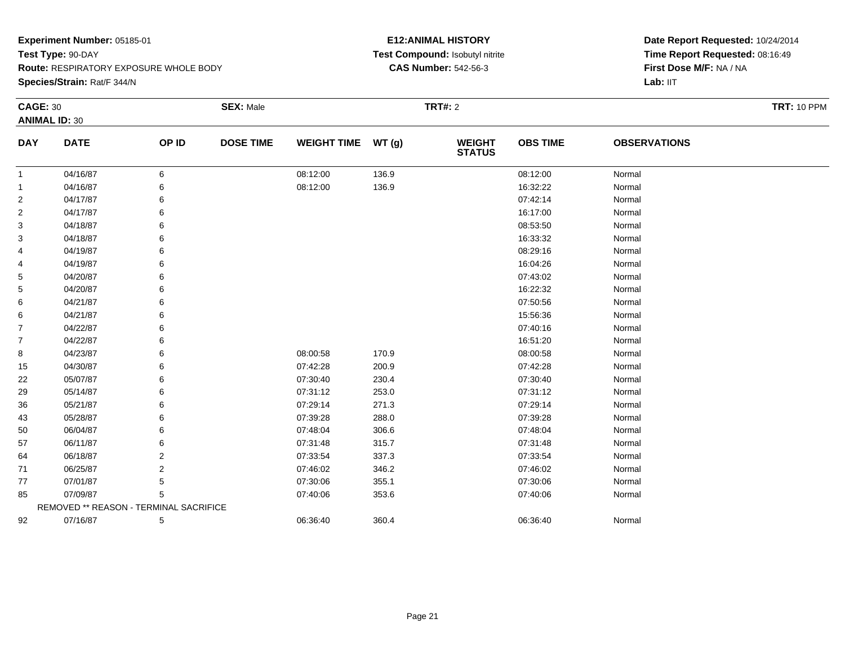**Species/Strain:** Rat/F 344/N

#### **E12:ANIMAL HISTORY Test Compound:** Isobutyl nitrite**CAS Number:** 542-56-3

**Date Report Requested:** 10/24/2014 **Time Report Requested:** 08:16:49**First Dose M/F:** NA / NA

| <b>CAGE: 30</b> | <b>ANIMAL ID: 30</b>                   |                | <b>SEX: Male</b> |                    |       | <b>TRT#: 2</b>                 |                 |                     | <b>TRT: 10 PPM</b> |
|-----------------|----------------------------------------|----------------|------------------|--------------------|-------|--------------------------------|-----------------|---------------------|--------------------|
| <b>DAY</b>      | <b>DATE</b>                            | OP ID          | <b>DOSE TIME</b> | <b>WEIGHT TIME</b> | WT(g) | <b>WEIGHT</b><br><b>STATUS</b> | <b>OBS TIME</b> | <b>OBSERVATIONS</b> |                    |
| $\mathbf{1}$    | 04/16/87                               | 6              |                  | 08:12:00           | 136.9 |                                | 08:12:00        | Normal              |                    |
| 1               | 04/16/87                               | 6              |                  | 08:12:00           | 136.9 |                                | 16:32:22        | Normal              |                    |
| $\overline{2}$  | 04/17/87                               | 6              |                  |                    |       |                                | 07:42:14        | Normal              |                    |
| 2               | 04/17/87                               | 6              |                  |                    |       |                                | 16:17:00        | Normal              |                    |
| 3               | 04/18/87                               | 6              |                  |                    |       |                                | 08:53:50        | Normal              |                    |
| 3               | 04/18/87                               | 6              |                  |                    |       |                                | 16:33:32        | Normal              |                    |
| 4               | 04/19/87                               | 6              |                  |                    |       |                                | 08:29:16        | Normal              |                    |
| 4               | 04/19/87                               | 6              |                  |                    |       |                                | 16:04:26        | Normal              |                    |
| 5               | 04/20/87                               | 6              |                  |                    |       |                                | 07:43:02        | Normal              |                    |
| 5               | 04/20/87                               | 6              |                  |                    |       |                                | 16:22:32        | Normal              |                    |
| 6               | 04/21/87                               | 6              |                  |                    |       |                                | 07:50:56        | Normal              |                    |
| 6               | 04/21/87                               | 6              |                  |                    |       |                                | 15:56:36        | Normal              |                    |
| $\overline{7}$  | 04/22/87                               | 6              |                  |                    |       |                                | 07:40:16        | Normal              |                    |
| $\overline{7}$  | 04/22/87                               | 6              |                  |                    |       |                                | 16:51:20        | Normal              |                    |
| 8               | 04/23/87                               | 6              |                  | 08:00:58           | 170.9 |                                | 08:00:58        | Normal              |                    |
| 15              | 04/30/87                               | 6              |                  | 07:42:28           | 200.9 |                                | 07:42:28        | Normal              |                    |
| 22              | 05/07/87                               | 6              |                  | 07:30:40           | 230.4 |                                | 07:30:40        | Normal              |                    |
| 29              | 05/14/87                               | 6              |                  | 07:31:12           | 253.0 |                                | 07:31:12        | Normal              |                    |
| 36              | 05/21/87                               | 6              |                  | 07:29:14           | 271.3 |                                | 07:29:14        | Normal              |                    |
| 43              | 05/28/87                               | 6              |                  | 07:39:28           | 288.0 |                                | 07:39:28        | Normal              |                    |
| 50              | 06/04/87                               | 6              |                  | 07:48:04           | 306.6 |                                | 07:48:04        | Normal              |                    |
| 57              | 06/11/87                               | 6              |                  | 07:31:48           | 315.7 |                                | 07:31:48        | Normal              |                    |
| 64              | 06/18/87                               | 2              |                  | 07:33:54           | 337.3 |                                | 07:33:54        | Normal              |                    |
| 71              | 06/25/87                               | $\overline{2}$ |                  | 07:46:02           | 346.2 |                                | 07:46:02        | Normal              |                    |
| 77              | 07/01/87                               | 5              |                  | 07:30:06           | 355.1 |                                | 07:30:06        | Normal              |                    |
| 85              | 07/09/87                               | 5              |                  | 07:40:06           | 353.6 |                                | 07:40:06        | Normal              |                    |
|                 | REMOVED ** REASON - TERMINAL SACRIFICE |                |                  |                    |       |                                |                 |                     |                    |
| 92              | 07/16/87                               | 5              |                  | 06:36:40           | 360.4 |                                | 06:36:40        | Normal              |                    |

**Lab:** IIT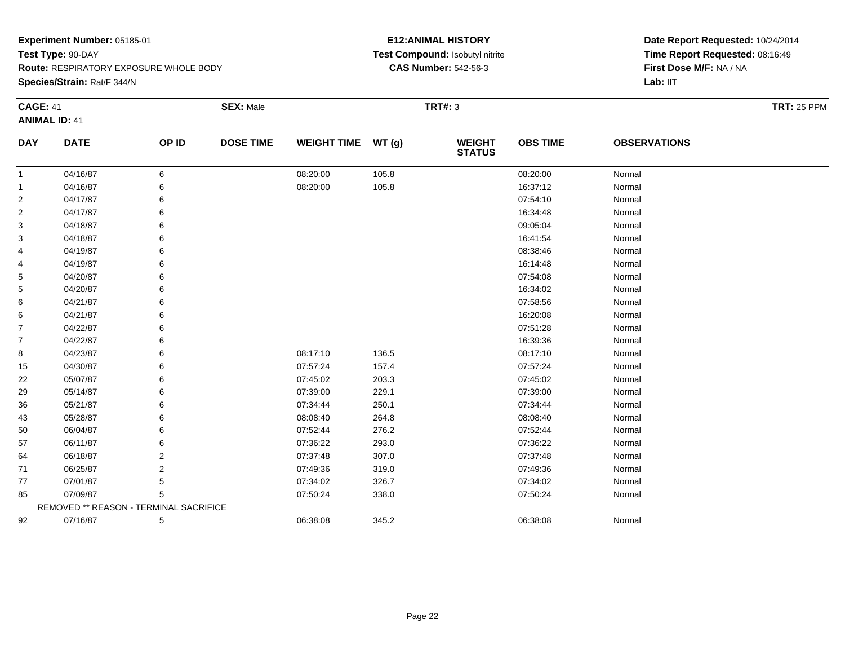**Route:** RESPIRATORY EXPOSURE WHOLE BODY

**Species/Strain:** Rat/F 344/N

#### **E12:ANIMAL HISTORY Test Compound:** Isobutyl nitrite**CAS Number:** 542-56-3

| <b>CAGE: 41</b> |                                        |       | <b>SEX: Male</b> |                    |       | <b>TRT#: 3</b>                 |                 |                     | <b>TRT: 25 PPM</b> |
|-----------------|----------------------------------------|-------|------------------|--------------------|-------|--------------------------------|-----------------|---------------------|--------------------|
|                 | <b>ANIMAL ID: 41</b>                   |       |                  |                    |       |                                |                 |                     |                    |
| <b>DAY</b>      | <b>DATE</b>                            | OP ID | <b>DOSE TIME</b> | WEIGHT TIME WT (g) |       | <b>WEIGHT</b><br><b>STATUS</b> | <b>OBS TIME</b> | <b>OBSERVATIONS</b> |                    |
| $\mathbf{1}$    | 04/16/87                               | 6     |                  | 08:20:00           | 105.8 |                                | 08:20:00        | Normal              |                    |
| -1              | 04/16/87                               | 6     |                  | 08:20:00           | 105.8 |                                | 16:37:12        | Normal              |                    |
| 2               | 04/17/87                               |       |                  |                    |       |                                | 07:54:10        | Normal              |                    |
| $\overline{2}$  | 04/17/87                               |       |                  |                    |       |                                | 16:34:48        | Normal              |                    |
| 3               | 04/18/87                               |       |                  |                    |       |                                | 09:05:04        | Normal              |                    |
| 3               | 04/18/87                               |       |                  |                    |       |                                | 16:41:54        | Normal              |                    |
| 4               | 04/19/87                               |       |                  |                    |       |                                | 08:38:46        | Normal              |                    |
| 4               | 04/19/87                               |       |                  |                    |       |                                | 16:14:48        | Normal              |                    |
| 5               | 04/20/87                               |       |                  |                    |       |                                | 07:54:08        | Normal              |                    |
| 5               | 04/20/87                               |       |                  |                    |       |                                | 16:34:02        | Normal              |                    |
| 6               | 04/21/87                               |       |                  |                    |       |                                | 07:58:56        | Normal              |                    |
| 6               | 04/21/87                               |       |                  |                    |       |                                | 16:20:08        | Normal              |                    |
| 7               | 04/22/87                               |       |                  |                    |       |                                | 07:51:28        | Normal              |                    |
| $\overline{7}$  | 04/22/87                               |       |                  |                    |       |                                | 16:39:36        | Normal              |                    |
| 8               | 04/23/87                               |       |                  | 08:17:10           | 136.5 |                                | 08:17:10        | Normal              |                    |
| 15              | 04/30/87                               |       |                  | 07:57:24           | 157.4 |                                | 07:57:24        | Normal              |                    |
| 22              | 05/07/87                               |       |                  | 07:45:02           | 203.3 |                                | 07:45:02        | Normal              |                    |
| 29              | 05/14/87                               |       |                  | 07:39:00           | 229.1 |                                | 07:39:00        | Normal              |                    |
| 36              | 05/21/87                               |       |                  | 07:34:44           | 250.1 |                                | 07:34:44        | Normal              |                    |
| 43              | 05/28/87                               |       |                  | 08:08:40           | 264.8 |                                | 08:08:40        | Normal              |                    |
| 50              | 06/04/87                               |       |                  | 07:52:44           | 276.2 |                                | 07:52:44        | Normal              |                    |
| 57              | 06/11/87                               |       |                  | 07:36:22           | 293.0 |                                | 07:36:22        | Normal              |                    |
| 64              | 06/18/87                               | 2     |                  | 07:37:48           | 307.0 |                                | 07:37:48        | Normal              |                    |
| 71              | 06/25/87                               | 2     |                  | 07:49:36           | 319.0 |                                | 07:49:36        | Normal              |                    |
| 77              | 07/01/87                               |       |                  | 07:34:02           | 326.7 |                                | 07:34:02        | Normal              |                    |
| 85              | 07/09/87                               | 5     |                  | 07:50:24           | 338.0 |                                | 07:50:24        | Normal              |                    |
|                 | REMOVED ** REASON - TERMINAL SACRIFICE |       |                  |                    |       |                                |                 |                     |                    |
| 92              | 07/16/87                               | 5     |                  | 06:38:08           | 345.2 |                                | 06:38:08        | Normal              |                    |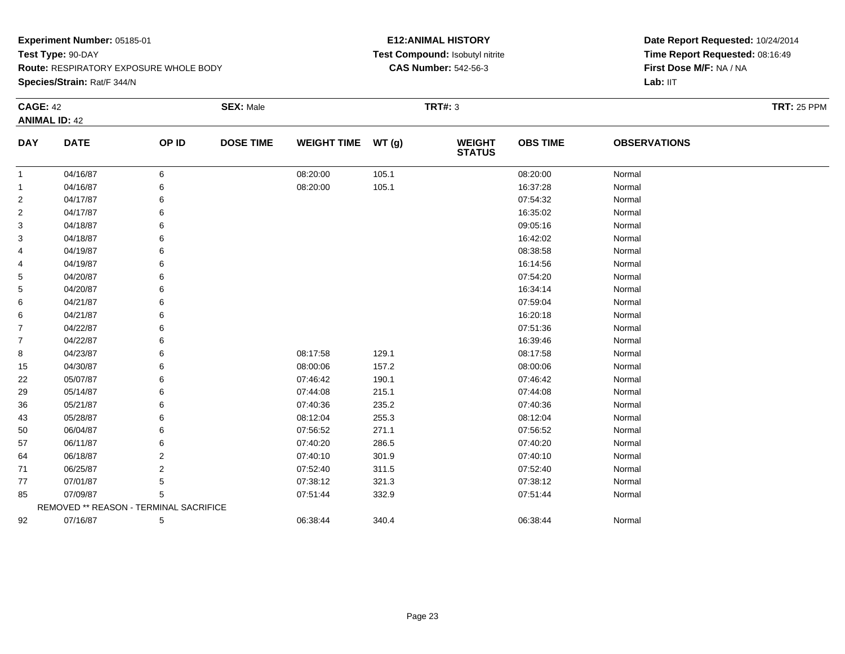**Species/Strain:** Rat/F 344/N

#### **E12:ANIMAL HISTORY Test Compound:** Isobutyl nitrite**CAS Number:** 542-56-3

| <b>CAGE: 42</b> |                                        |       | <b>SEX: Male</b> |                    |       | <b>TRT#: 3</b>                 |                 |                     | <b>TRT: 25 PPM</b> |
|-----------------|----------------------------------------|-------|------------------|--------------------|-------|--------------------------------|-----------------|---------------------|--------------------|
|                 | <b>ANIMAL ID: 42</b>                   |       |                  |                    |       |                                |                 |                     |                    |
| <b>DAY</b>      | <b>DATE</b>                            | OP ID | <b>DOSE TIME</b> | WEIGHT TIME WT (g) |       | <b>WEIGHT</b><br><b>STATUS</b> | <b>OBS TIME</b> | <b>OBSERVATIONS</b> |                    |
| $\mathbf{1}$    | 04/16/87                               | 6     |                  | 08:20:00           | 105.1 |                                | 08:20:00        | Normal              |                    |
| $\mathbf{1}$    | 04/16/87                               | 6     |                  | 08:20:00           | 105.1 |                                | 16:37:28        | Normal              |                    |
| $\overline{2}$  | 04/17/87                               |       |                  |                    |       |                                | 07:54:32        | Normal              |                    |
| $\overline{2}$  | 04/17/87                               |       |                  |                    |       |                                | 16:35:02        | Normal              |                    |
| 3               | 04/18/87                               |       |                  |                    |       |                                | 09:05:16        | Normal              |                    |
| 3               | 04/18/87                               |       |                  |                    |       |                                | 16:42:02        | Normal              |                    |
| 4               | 04/19/87                               |       |                  |                    |       |                                | 08:38:58        | Normal              |                    |
| 4               | 04/19/87                               |       |                  |                    |       |                                | 16:14:56        | Normal              |                    |
| 5               | 04/20/87                               |       |                  |                    |       |                                | 07:54:20        | Normal              |                    |
| 5               | 04/20/87                               |       |                  |                    |       |                                | 16:34:14        | Normal              |                    |
| 6               | 04/21/87                               |       |                  |                    |       |                                | 07:59:04        | Normal              |                    |
| 6               | 04/21/87                               |       |                  |                    |       |                                | 16:20:18        | Normal              |                    |
| $\overline{7}$  | 04/22/87                               |       |                  |                    |       |                                | 07:51:36        | Normal              |                    |
| $\overline{7}$  | 04/22/87                               |       |                  |                    |       |                                | 16:39:46        | Normal              |                    |
| 8               | 04/23/87                               |       |                  | 08:17:58           | 129.1 |                                | 08:17:58        | Normal              |                    |
| 15              | 04/30/87                               |       |                  | 08:00:06           | 157.2 |                                | 08:00:06        | Normal              |                    |
| 22              | 05/07/87                               |       |                  | 07:46:42           | 190.1 |                                | 07:46:42        | Normal              |                    |
| 29              | 05/14/87                               |       |                  | 07:44:08           | 215.1 |                                | 07:44:08        | Normal              |                    |
| 36              | 05/21/87                               |       |                  | 07:40:36           | 235.2 |                                | 07:40:36        | Normal              |                    |
| 43              | 05/28/87                               |       |                  | 08:12:04           | 255.3 |                                | 08:12:04        | Normal              |                    |
| 50              | 06/04/87                               |       |                  | 07:56:52           | 271.1 |                                | 07:56:52        | Normal              |                    |
| 57              | 06/11/87                               |       |                  | 07:40:20           | 286.5 |                                | 07:40:20        | Normal              |                    |
| 64              | 06/18/87                               |       |                  | 07:40:10           | 301.9 |                                | 07:40:10        | Normal              |                    |
| 71              | 06/25/87                               | 2     |                  | 07:52:40           | 311.5 |                                | 07:52:40        | Normal              |                    |
| 77              | 07/01/87                               |       |                  | 07:38:12           | 321.3 |                                | 07:38:12        | Normal              |                    |
| 85              | 07/09/87                               | 5     |                  | 07:51:44           | 332.9 |                                | 07:51:44        | Normal              |                    |
|                 | REMOVED ** REASON - TERMINAL SACRIFICE |       |                  |                    |       |                                |                 |                     |                    |
| 92              | 07/16/87                               | 5     |                  | 06:38:44           | 340.4 |                                | 06:38:44        | Normal              |                    |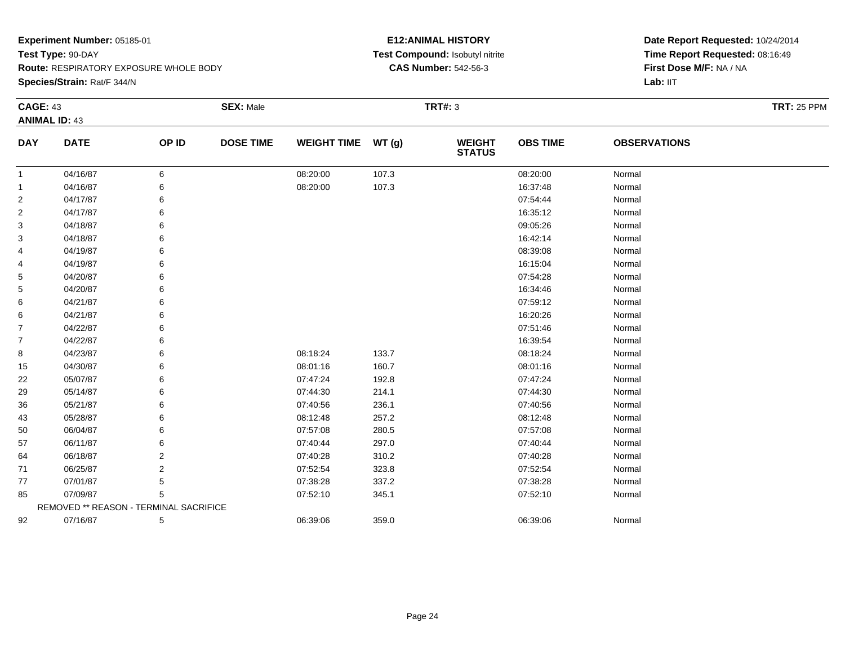**Species/Strain:** Rat/F 344/N

#### **E12:ANIMAL HISTORY Test Compound:** Isobutyl nitrite**CAS Number:** 542-56-3

| <b>CAGE: 43</b> |                                        |       | <b>SEX: Male</b> |                    |       | <b>TRT#: 3</b>                 |                 |                     | <b>TRT: 25 PPM</b> |
|-----------------|----------------------------------------|-------|------------------|--------------------|-------|--------------------------------|-----------------|---------------------|--------------------|
|                 | <b>ANIMAL ID: 43</b>                   |       |                  |                    |       |                                |                 |                     |                    |
| <b>DAY</b>      | <b>DATE</b>                            | OP ID | <b>DOSE TIME</b> | <b>WEIGHT TIME</b> | WT(g) | <b>WEIGHT</b><br><b>STATUS</b> | <b>OBS TIME</b> | <b>OBSERVATIONS</b> |                    |
| $\mathbf{1}$    | 04/16/87                               | 6     |                  | 08:20:00           | 107.3 |                                | 08:20:00        | Normal              |                    |
| $\mathbf{1}$    | 04/16/87                               | 6     |                  | 08:20:00           | 107.3 |                                | 16:37:48        | Normal              |                    |
| $\overline{2}$  | 04/17/87                               | 6     |                  |                    |       |                                | 07:54:44        | Normal              |                    |
| 2               | 04/17/87                               | 6     |                  |                    |       |                                | 16:35:12        | Normal              |                    |
| 3               | 04/18/87                               |       |                  |                    |       |                                | 09:05:26        | Normal              |                    |
| 3               | 04/18/87                               |       |                  |                    |       |                                | 16:42:14        | Normal              |                    |
| 4               | 04/19/87                               |       |                  |                    |       |                                | 08:39:08        | Normal              |                    |
| 4               | 04/19/87                               | 6     |                  |                    |       |                                | 16:15:04        | Normal              |                    |
| 5               | 04/20/87                               |       |                  |                    |       |                                | 07:54:28        | Normal              |                    |
| 5               | 04/20/87                               |       |                  |                    |       |                                | 16:34:46        | Normal              |                    |
| 6               | 04/21/87                               |       |                  |                    |       |                                | 07:59:12        | Normal              |                    |
| 6               | 04/21/87                               | 6     |                  |                    |       |                                | 16:20:26        | Normal              |                    |
| 7               | 04/22/87                               |       |                  |                    |       |                                | 07:51:46        | Normal              |                    |
| $\overline{7}$  | 04/22/87                               |       |                  |                    |       |                                | 16:39:54        | Normal              |                    |
| 8               | 04/23/87                               |       |                  | 08:18:24           | 133.7 |                                | 08:18:24        | Normal              |                    |
| 15              | 04/30/87                               | 6     |                  | 08:01:16           | 160.7 |                                | 08:01:16        | Normal              |                    |
| 22              | 05/07/87                               |       |                  | 07:47:24           | 192.8 |                                | 07:47:24        | Normal              |                    |
| 29              | 05/14/87                               |       |                  | 07:44:30           | 214.1 |                                | 07:44:30        | Normal              |                    |
| 36              | 05/21/87                               |       |                  | 07:40:56           | 236.1 |                                | 07:40:56        | Normal              |                    |
| 43              | 05/28/87                               |       |                  | 08:12:48           | 257.2 |                                | 08:12:48        | Normal              |                    |
| 50              | 06/04/87                               |       |                  | 07:57:08           | 280.5 |                                | 07:57:08        | Normal              |                    |
| 57              | 06/11/87                               | 6     |                  | 07:40:44           | 297.0 |                                | 07:40:44        | Normal              |                    |
| 64              | 06/18/87                               | 2     |                  | 07:40:28           | 310.2 |                                | 07:40:28        | Normal              |                    |
| 71              | 06/25/87                               | 2     |                  | 07:52:54           | 323.8 |                                | 07:52:54        | Normal              |                    |
| 77              | 07/01/87                               | 5     |                  | 07:38:28           | 337.2 |                                | 07:38:28        | Normal              |                    |
| 85              | 07/09/87                               | 5     |                  | 07:52:10           | 345.1 |                                | 07:52:10        | Normal              |                    |
|                 | REMOVED ** REASON - TERMINAL SACRIFICE |       |                  |                    |       |                                |                 |                     |                    |
| 92              | 07/16/87                               | 5     |                  | 06:39:06           | 359.0 |                                | 06:39:06        | Normal              |                    |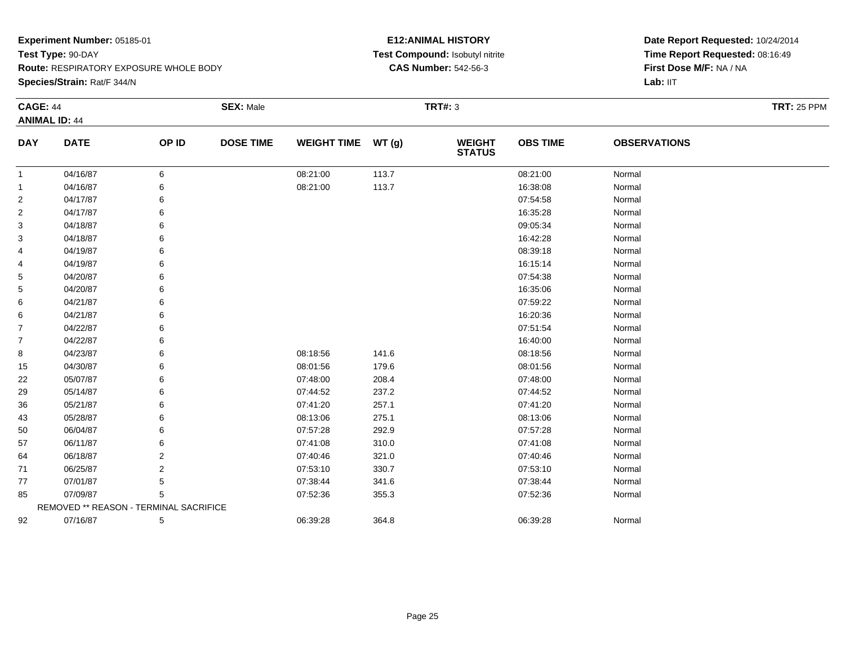**Species/Strain:** Rat/F 344/N

#### **E12:ANIMAL HISTORY Test Compound:** Isobutyl nitrite**CAS Number:** 542-56-3

| <b>CAGE: 44</b> |                                        |                | <b>SEX: Male</b> |                    |       | <b>TRT#: 3</b>                 |                 |                     | <b>TRT: 25 PPM</b> |
|-----------------|----------------------------------------|----------------|------------------|--------------------|-------|--------------------------------|-----------------|---------------------|--------------------|
|                 | <b>ANIMAL ID: 44</b>                   |                |                  |                    |       |                                |                 |                     |                    |
| <b>DAY</b>      | <b>DATE</b>                            | OP ID          | <b>DOSE TIME</b> | <b>WEIGHT TIME</b> | WT(g) | <b>WEIGHT</b><br><b>STATUS</b> | <b>OBS TIME</b> | <b>OBSERVATIONS</b> |                    |
| -1              | 04/16/87                               | 6              |                  | 08:21:00           | 113.7 |                                | 08:21:00        | Normal              |                    |
| -1              | 04/16/87                               | 6              |                  | 08:21:00           | 113.7 |                                | 16:38:08        | Normal              |                    |
| 2               | 04/17/87                               | 6              |                  |                    |       |                                | 07:54:58        | Normal              |                    |
| 2               | 04/17/87                               | 6              |                  |                    |       |                                | 16:35:28        | Normal              |                    |
| 3               | 04/18/87                               | 6              |                  |                    |       |                                | 09:05:34        | Normal              |                    |
| 3               | 04/18/87                               | 6              |                  |                    |       |                                | 16:42:28        | Normal              |                    |
| 4               | 04/19/87                               | 6              |                  |                    |       |                                | 08:39:18        | Normal              |                    |
| 4               | 04/19/87                               | 6              |                  |                    |       |                                | 16:15:14        | Normal              |                    |
| 5               | 04/20/87                               | 6              |                  |                    |       |                                | 07:54:38        | Normal              |                    |
| 5               | 04/20/87                               | 6              |                  |                    |       |                                | 16:35:06        | Normal              |                    |
| 6               | 04/21/87                               | 6              |                  |                    |       |                                | 07:59:22        | Normal              |                    |
| 6               | 04/21/87                               | 6              |                  |                    |       |                                | 16:20:36        | Normal              |                    |
| 7               | 04/22/87                               | 6              |                  |                    |       |                                | 07:51:54        | Normal              |                    |
| $\overline{7}$  | 04/22/87                               | 6              |                  |                    |       |                                | 16:40:00        | Normal              |                    |
| 8               | 04/23/87                               | 6              |                  | 08:18:56           | 141.6 |                                | 08:18:56        | Normal              |                    |
| 15              | 04/30/87                               | 6              |                  | 08:01:56           | 179.6 |                                | 08:01:56        | Normal              |                    |
| 22              | 05/07/87                               | 6              |                  | 07:48:00           | 208.4 |                                | 07:48:00        | Normal              |                    |
| 29              | 05/14/87                               | 6              |                  | 07:44:52           | 237.2 |                                | 07:44:52        | Normal              |                    |
| 36              | 05/21/87                               | 6              |                  | 07:41:20           | 257.1 |                                | 07:41:20        | Normal              |                    |
| 43              | 05/28/87                               | 6              |                  | 08:13:06           | 275.1 |                                | 08:13:06        | Normal              |                    |
| 50              | 06/04/87                               | 6              |                  | 07:57:28           | 292.9 |                                | 07:57:28        | Normal              |                    |
| 57              | 06/11/87                               | 6              |                  | 07:41:08           | 310.0 |                                | 07:41:08        | Normal              |                    |
| 64              | 06/18/87                               | 2              |                  | 07:40:46           | 321.0 |                                | 07:40:46        | Normal              |                    |
| 71              | 06/25/87                               | $\overline{2}$ |                  | 07:53:10           | 330.7 |                                | 07:53:10        | Normal              |                    |
| 77              | 07/01/87                               | 5              |                  | 07:38:44           | 341.6 |                                | 07:38:44        | Normal              |                    |
| 85              | 07/09/87                               | 5              |                  | 07:52:36           | 355.3 |                                | 07:52:36        | Normal              |                    |
|                 | REMOVED ** REASON - TERMINAL SACRIFICE |                |                  |                    |       |                                |                 |                     |                    |
| 92              | 07/16/87                               | 5              |                  | 06:39:28           | 364.8 |                                | 06:39:28        | Normal              |                    |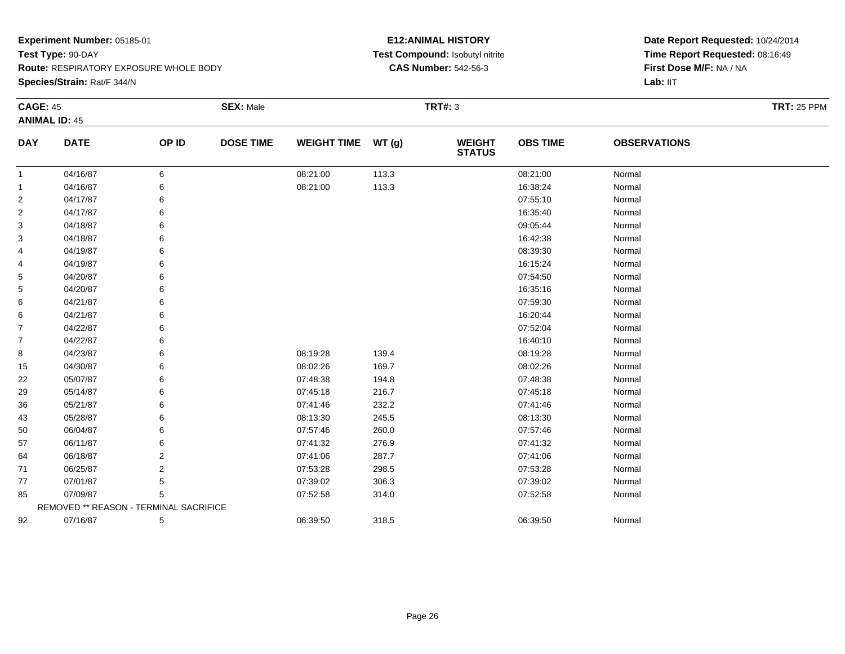**Species/Strain:** Rat/F 344/N

#### **E12:ANIMAL HISTORY Test Compound:** Isobutyl nitrite**CAS Number:** 542-56-3

| <b>CAGE: 45</b> |                                        |                | <b>SEX: Male</b> |                    |       | <b>TRT#: 3</b>                 |                 |                     | <b>TRT: 25 PPM</b> |
|-----------------|----------------------------------------|----------------|------------------|--------------------|-------|--------------------------------|-----------------|---------------------|--------------------|
|                 | <b>ANIMAL ID: 45</b>                   |                |                  |                    |       |                                |                 |                     |                    |
| <b>DAY</b>      | <b>DATE</b>                            | OP ID          | <b>DOSE TIME</b> | <b>WEIGHT TIME</b> | WT(g) | <b>WEIGHT</b><br><b>STATUS</b> | <b>OBS TIME</b> | <b>OBSERVATIONS</b> |                    |
| $\mathbf 1$     | 04/16/87                               | 6              |                  | 08:21:00           | 113.3 |                                | 08:21:00        | Normal              |                    |
| -1              | 04/16/87                               | 6              |                  | 08:21:00           | 113.3 |                                | 16:38:24        | Normal              |                    |
| $\overline{2}$  | 04/17/87                               | 6              |                  |                    |       |                                | 07:55:10        | Normal              |                    |
| $\overline{2}$  | 04/17/87                               | 6              |                  |                    |       |                                | 16:35:40        | Normal              |                    |
| 3               | 04/18/87                               | 6              |                  |                    |       |                                | 09:05:44        | Normal              |                    |
| 3               | 04/18/87                               | 6              |                  |                    |       |                                | 16:42:38        | Normal              |                    |
| 4               | 04/19/87                               | 6              |                  |                    |       |                                | 08:39:30        | Normal              |                    |
| 4               | 04/19/87                               | 6              |                  |                    |       |                                | 16:15:24        | Normal              |                    |
| 5               | 04/20/87                               | 6              |                  |                    |       |                                | 07:54:50        | Normal              |                    |
| 5               | 04/20/87                               | 6              |                  |                    |       |                                | 16:35:16        | Normal              |                    |
| 6               | 04/21/87                               | 6              |                  |                    |       |                                | 07:59:30        | Normal              |                    |
| 6               | 04/21/87                               | 6              |                  |                    |       |                                | 16:20:44        | Normal              |                    |
| $\overline{7}$  | 04/22/87                               | 6              |                  |                    |       |                                | 07:52:04        | Normal              |                    |
| $\overline{7}$  | 04/22/87                               | 6              |                  |                    |       |                                | 16:40:10        | Normal              |                    |
| 8               | 04/23/87                               | 6              |                  | 08:19:28           | 139.4 |                                | 08:19:28        | Normal              |                    |
| 15              | 04/30/87                               | 6              |                  | 08:02:26           | 169.7 |                                | 08:02:26        | Normal              |                    |
| 22              | 05/07/87                               | 6              |                  | 07:48:38           | 194.8 |                                | 07:48:38        | Normal              |                    |
| 29              | 05/14/87                               | 6              |                  | 07:45:18           | 216.7 |                                | 07:45:18        | Normal              |                    |
| 36              | 05/21/87                               | 6              |                  | 07:41:46           | 232.2 |                                | 07:41:46        | Normal              |                    |
| 43              | 05/28/87                               | 6              |                  | 08:13:30           | 245.5 |                                | 08:13:30        | Normal              |                    |
| 50              | 06/04/87                               | 6              |                  | 07:57:46           | 260.0 |                                | 07:57:46        | Normal              |                    |
| 57              | 06/11/87                               | 6              |                  | 07:41:32           | 276.9 |                                | 07:41:32        | Normal              |                    |
| 64              | 06/18/87                               | 2              |                  | 07:41:06           | 287.7 |                                | 07:41:06        | Normal              |                    |
| 71              | 06/25/87                               | $\overline{2}$ |                  | 07:53:28           | 298.5 |                                | 07:53:28        | Normal              |                    |
| 77              | 07/01/87                               | 5              |                  | 07:39:02           | 306.3 |                                | 07:39:02        | Normal              |                    |
| 85              | 07/09/87                               | 5              |                  | 07:52:58           | 314.0 |                                | 07:52:58        | Normal              |                    |
|                 | REMOVED ** REASON - TERMINAL SACRIFICE |                |                  |                    |       |                                |                 |                     |                    |
| 92              | 07/16/87                               | 5              |                  | 06:39:50           | 318.5 |                                | 06:39:50        | Normal              |                    |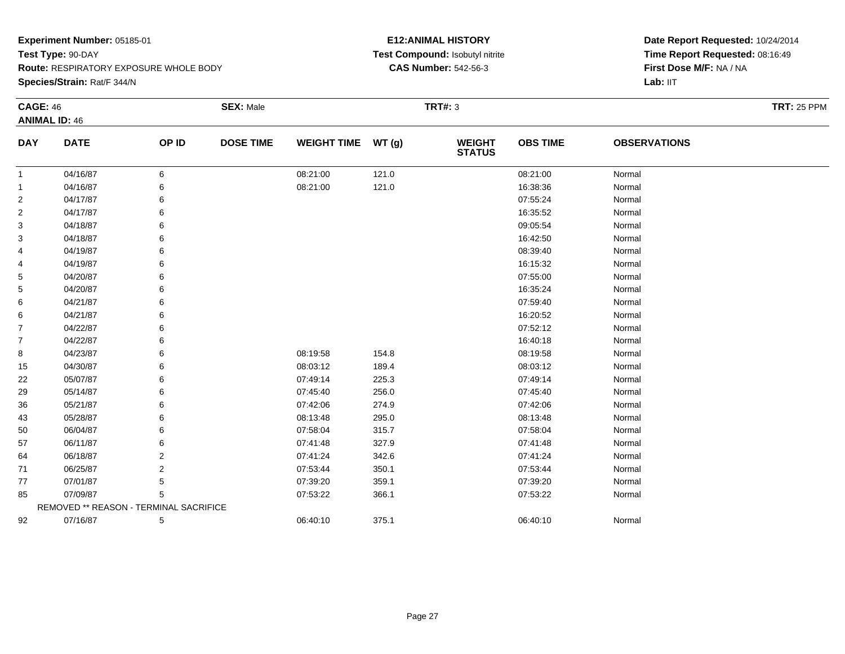**Species/Strain:** Rat/F 344/N

#### **E12:ANIMAL HISTORY Test Compound:** Isobutyl nitrite**CAS Number:** 542-56-3

| <b>CAGE: 46</b> | <b>ANIMAL ID: 46</b>                   |                | <b>SEX: Male</b> |                    |       | <b>TRT#: 3</b>                 |                 |                     | <b>TRT: 25 PPM</b> |
|-----------------|----------------------------------------|----------------|------------------|--------------------|-------|--------------------------------|-----------------|---------------------|--------------------|
| <b>DAY</b>      | <b>DATE</b>                            | OP ID          | <b>DOSE TIME</b> | <b>WEIGHT TIME</b> | WT(g) | <b>WEIGHT</b><br><b>STATUS</b> | <b>OBS TIME</b> | <b>OBSERVATIONS</b> |                    |
| $\mathbf{1}$    | 04/16/87                               | 6              |                  | 08:21:00           | 121.0 |                                | 08:21:00        | Normal              |                    |
| -1              | 04/16/87                               | 6              |                  | 08:21:00           | 121.0 |                                | 16:38:36        | Normal              |                    |
| $\overline{2}$  | 04/17/87                               | 6              |                  |                    |       |                                | 07:55:24        | Normal              |                    |
| $\overline{2}$  | 04/17/87                               | 6              |                  |                    |       |                                | 16:35:52        | Normal              |                    |
| 3               | 04/18/87                               | 6              |                  |                    |       |                                | 09:05:54        | Normal              |                    |
| 3               | 04/18/87                               | 6              |                  |                    |       |                                | 16:42:50        | Normal              |                    |
| 4               | 04/19/87                               | 6              |                  |                    |       |                                | 08:39:40        | Normal              |                    |
| 4               | 04/19/87                               | 6              |                  |                    |       |                                | 16:15:32        | Normal              |                    |
| 5               | 04/20/87                               | 6              |                  |                    |       |                                | 07:55:00        | Normal              |                    |
| 5               | 04/20/87                               |                |                  |                    |       |                                | 16:35:24        | Normal              |                    |
| 6               | 04/21/87                               |                |                  |                    |       |                                | 07:59:40        | Normal              |                    |
| 6               | 04/21/87                               | 6              |                  |                    |       |                                | 16:20:52        | Normal              |                    |
| $\overline{7}$  | 04/22/87                               | 6              |                  |                    |       |                                | 07:52:12        | Normal              |                    |
| $\overline{7}$  | 04/22/87                               |                |                  |                    |       |                                | 16:40:18        | Normal              |                    |
| 8               | 04/23/87                               | 6              |                  | 08:19:58           | 154.8 |                                | 08:19:58        | Normal              |                    |
| 15              | 04/30/87                               | 6              |                  | 08:03:12           | 189.4 |                                | 08:03:12        | Normal              |                    |
| 22              | 05/07/87                               | 6              |                  | 07:49:14           | 225.3 |                                | 07:49:14        | Normal              |                    |
| 29              | 05/14/87                               |                |                  | 07:45:40           | 256.0 |                                | 07:45:40        | Normal              |                    |
| 36              | 05/21/87                               |                |                  | 07:42:06           | 274.9 |                                | 07:42:06        | Normal              |                    |
| 43              | 05/28/87                               | 6              |                  | 08:13:48           | 295.0 |                                | 08:13:48        | Normal              |                    |
| 50              | 06/04/87                               | 6              |                  | 07:58:04           | 315.7 |                                | 07:58:04        | Normal              |                    |
| 57              | 06/11/87                               | 6              |                  | 07:41:48           | 327.9 |                                | 07:41:48        | Normal              |                    |
| 64              | 06/18/87                               | $\overline{2}$ |                  | 07:41:24           | 342.6 |                                | 07:41:24        | Normal              |                    |
| 71              | 06/25/87                               | $\overline{2}$ |                  | 07:53:44           | 350.1 |                                | 07:53:44        | Normal              |                    |
| 77              | 07/01/87                               | 5              |                  | 07:39:20           | 359.1 |                                | 07:39:20        | Normal              |                    |
| 85              | 07/09/87                               | 5              |                  | 07:53:22           | 366.1 |                                | 07:53:22        | Normal              |                    |
|                 | REMOVED ** REASON - TERMINAL SACRIFICE |                |                  |                    |       |                                |                 |                     |                    |
| 92              | 07/16/87                               | 5              |                  | 06:40:10           | 375.1 |                                | 06:40:10        | Normal              |                    |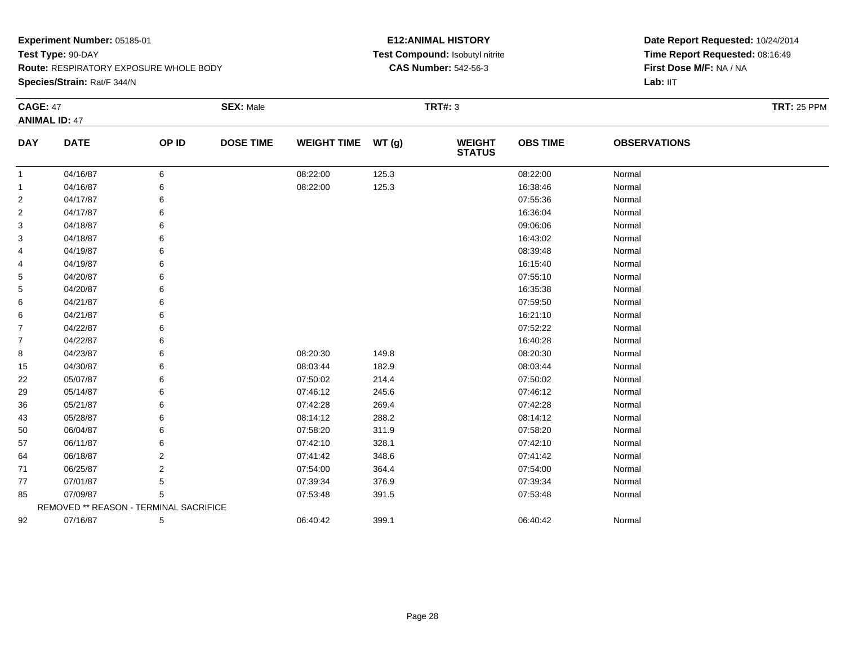**Species/Strain:** Rat/F 344/N

#### **E12:ANIMAL HISTORY Test Compound:** Isobutyl nitrite**CAS Number:** 542-56-3

| <b>CAGE: 47</b> |                                        |                | <b>SEX: Male</b> |                    |       | <b>TRT#: 3</b>                 |                 |                     | <b>TRT: 25 PPM</b> |
|-----------------|----------------------------------------|----------------|------------------|--------------------|-------|--------------------------------|-----------------|---------------------|--------------------|
|                 | <b>ANIMAL ID: 47</b>                   |                |                  |                    |       |                                |                 |                     |                    |
| <b>DAY</b>      | <b>DATE</b>                            | OP ID          | <b>DOSE TIME</b> | WEIGHT TIME WT (g) |       | <b>WEIGHT</b><br><b>STATUS</b> | <b>OBS TIME</b> | <b>OBSERVATIONS</b> |                    |
| 1               | 04/16/87                               | 6              |                  | 08:22:00           | 125.3 |                                | 08:22:00        | Normal              |                    |
| -1              | 04/16/87                               | 6              |                  | 08:22:00           | 125.3 |                                | 16:38:46        | Normal              |                    |
| 2               | 04/17/87                               | 6              |                  |                    |       |                                | 07:55:36        | Normal              |                    |
| 2               | 04/17/87                               |                |                  |                    |       |                                | 16:36:04        | Normal              |                    |
| 3               | 04/18/87                               |                |                  |                    |       |                                | 09:06:06        | Normal              |                    |
| 3               | 04/18/87                               |                |                  |                    |       |                                | 16:43:02        | Normal              |                    |
| 4               | 04/19/87                               | 6              |                  |                    |       |                                | 08:39:48        | Normal              |                    |
| 4               | 04/19/87                               |                |                  |                    |       |                                | 16:15:40        | Normal              |                    |
| 5               | 04/20/87                               |                |                  |                    |       |                                | 07:55:10        | Normal              |                    |
| 5               | 04/20/87                               |                |                  |                    |       |                                | 16:35:38        | Normal              |                    |
| 6               | 04/21/87                               |                |                  |                    |       |                                | 07:59:50        | Normal              |                    |
| 6               | 04/21/87                               |                |                  |                    |       |                                | 16:21:10        | Normal              |                    |
| 7               | 04/22/87                               |                |                  |                    |       |                                | 07:52:22        | Normal              |                    |
| $\overline{7}$  | 04/22/87                               |                |                  |                    |       |                                | 16:40:28        | Normal              |                    |
| 8               | 04/23/87                               |                |                  | 08:20:30           | 149.8 |                                | 08:20:30        | Normal              |                    |
| 15              | 04/30/87                               | 6              |                  | 08:03:44           | 182.9 |                                | 08:03:44        | Normal              |                    |
| 22              | 05/07/87                               |                |                  | 07:50:02           | 214.4 |                                | 07:50:02        | Normal              |                    |
| 29              | 05/14/87                               |                |                  | 07:46:12           | 245.6 |                                | 07:46:12        | Normal              |                    |
| 36              | 05/21/87                               |                |                  | 07:42:28           | 269.4 |                                | 07:42:28        | Normal              |                    |
| 43              | 05/28/87                               |                |                  | 08:14:12           | 288.2 |                                | 08:14:12        | Normal              |                    |
| 50              | 06/04/87                               | 6              |                  | 07:58:20           | 311.9 |                                | 07:58:20        | Normal              |                    |
| 57              | 06/11/87                               |                |                  | 07:42:10           | 328.1 |                                | 07:42:10        | Normal              |                    |
| 64              | 06/18/87                               | 2              |                  | 07:41:42           | 348.6 |                                | 07:41:42        | Normal              |                    |
| 71              | 06/25/87                               | $\overline{2}$ |                  | 07:54:00           | 364.4 |                                | 07:54:00        | Normal              |                    |
| 77              | 07/01/87                               | 5              |                  | 07:39:34           | 376.9 |                                | 07:39:34        | Normal              |                    |
| 85              | 07/09/87                               | 5              |                  | 07:53:48           | 391.5 |                                | 07:53:48        | Normal              |                    |
|                 | REMOVED ** REASON - TERMINAL SACRIFICE |                |                  |                    |       |                                |                 |                     |                    |
| 92              | 07/16/87                               | 5              |                  | 06:40:42           | 399.1 |                                | 06:40:42        | Normal              |                    |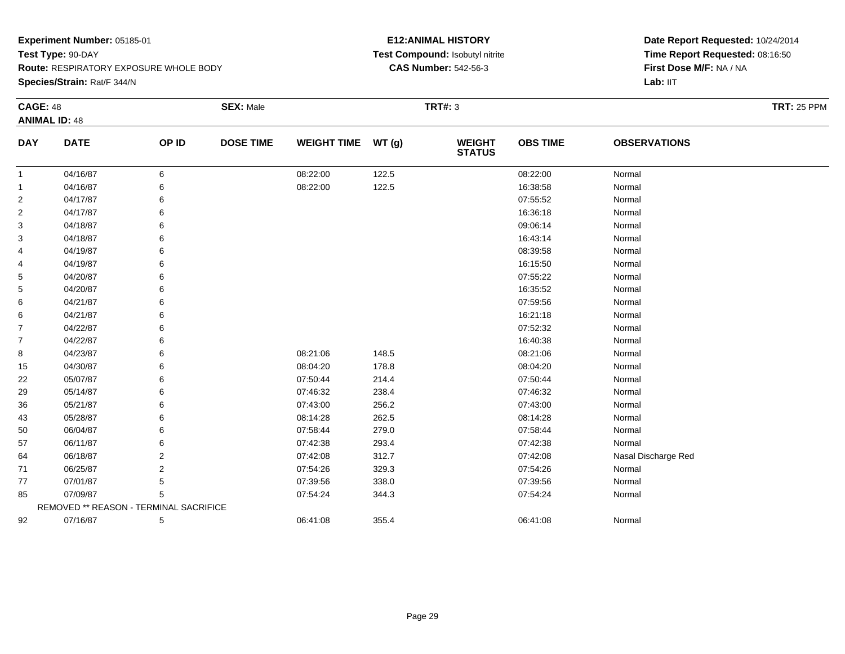**Species/Strain:** Rat/F 344/N

#### **E12:ANIMAL HISTORY Test Compound:** Isobutyl nitrite**CAS Number:** 542-56-3

| <b>CAGE: 48</b> | <b>ANIMAL ID: 48</b>                   |                | <b>SEX: Male</b> |                    |       | <b>TRT#: 3</b>                 |                 |                     | <b>TRT: 25 PPM</b> |
|-----------------|----------------------------------------|----------------|------------------|--------------------|-------|--------------------------------|-----------------|---------------------|--------------------|
| <b>DAY</b>      | <b>DATE</b>                            | OP ID          | <b>DOSE TIME</b> | <b>WEIGHT TIME</b> | WT(g) | <b>WEIGHT</b><br><b>STATUS</b> | <b>OBS TIME</b> | <b>OBSERVATIONS</b> |                    |
| $\mathbf{1}$    | 04/16/87                               | 6              |                  | 08:22:00           | 122.5 |                                | 08:22:00        | Normal              |                    |
| $\mathbf{1}$    | 04/16/87                               | 6              |                  | 08:22:00           | 122.5 |                                | 16:38:58        | Normal              |                    |
| $\overline{2}$  | 04/17/87                               |                |                  |                    |       |                                | 07:55:52        | Normal              |                    |
| 2               | 04/17/87                               | 6              |                  |                    |       |                                | 16:36:18        | Normal              |                    |
| 3               | 04/18/87                               |                |                  |                    |       |                                | 09:06:14        | Normal              |                    |
| 3               | 04/18/87                               |                |                  |                    |       |                                | 16:43:14        | Normal              |                    |
| 4               | 04/19/87                               |                |                  |                    |       |                                | 08:39:58        | Normal              |                    |
| 4               | 04/19/87                               | 6              |                  |                    |       |                                | 16:15:50        | Normal              |                    |
| 5               | 04/20/87                               |                |                  |                    |       |                                | 07:55:22        | Normal              |                    |
| 5               | 04/20/87                               |                |                  |                    |       |                                | 16:35:52        | Normal              |                    |
| 6               | 04/21/87                               |                |                  |                    |       |                                | 07:59:56        | Normal              |                    |
| 6               | 04/21/87                               | 6              |                  |                    |       |                                | 16:21:18        | Normal              |                    |
| $\overline{7}$  | 04/22/87                               |                |                  |                    |       |                                | 07:52:32        | Normal              |                    |
| $\overline{7}$  | 04/22/87                               | 6              |                  |                    |       |                                | 16:40:38        | Normal              |                    |
| 8               | 04/23/87                               |                |                  | 08:21:06           | 148.5 |                                | 08:21:06        | Normal              |                    |
| 15              | 04/30/87                               | 6              |                  | 08:04:20           | 178.8 |                                | 08:04:20        | Normal              |                    |
| 22              | 05/07/87                               |                |                  | 07:50:44           | 214.4 |                                | 07:50:44        | Normal              |                    |
| 29              | 05/14/87                               |                |                  | 07:46:32           | 238.4 |                                | 07:46:32        | Normal              |                    |
| 36              | 05/21/87                               | 6              |                  | 07:43:00           | 256.2 |                                | 07:43:00        | Normal              |                    |
| 43              | 05/28/87                               | 6              |                  | 08:14:28           | 262.5 |                                | 08:14:28        | Normal              |                    |
| 50              | 06/04/87                               | 6              |                  | 07:58:44           | 279.0 |                                | 07:58:44        | Normal              |                    |
| 57              | 06/11/87                               | 6              |                  | 07:42:38           | 293.4 |                                | 07:42:38        | Normal              |                    |
| 64              | 06/18/87                               | $\overline{2}$ |                  | 07:42:08           | 312.7 |                                | 07:42:08        | Nasal Discharge Red |                    |
| 71              | 06/25/87                               | 2              |                  | 07:54:26           | 329.3 |                                | 07:54:26        | Normal              |                    |
| 77              | 07/01/87                               | 5              |                  | 07:39:56           | 338.0 |                                | 07:39:56        | Normal              |                    |
| 85              | 07/09/87                               | 5              |                  | 07:54:24           | 344.3 |                                | 07:54:24        | Normal              |                    |
|                 | REMOVED ** REASON - TERMINAL SACRIFICE |                |                  |                    |       |                                |                 |                     |                    |
| 92              | 07/16/87                               | 5              |                  | 06:41:08           | 355.4 |                                | 06:41:08        | Normal              |                    |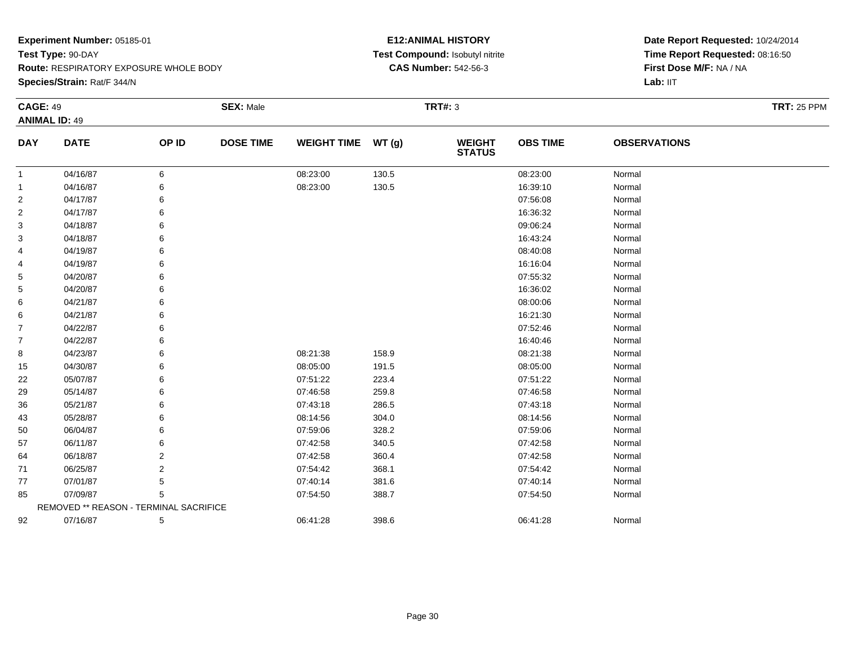**Species/Strain:** Rat/F 344/N

#### **E12:ANIMAL HISTORY Test Compound:** Isobutyl nitrite**CAS Number:** 542-56-3

| <b>CAGE: 49</b> |                                        |       | <b>SEX: Male</b> |                    |       | <b>TRT#: 3</b>                 |                 |                     | <b>TRT: 25 PPM</b> |
|-----------------|----------------------------------------|-------|------------------|--------------------|-------|--------------------------------|-----------------|---------------------|--------------------|
|                 | <b>ANIMAL ID: 49</b>                   |       |                  |                    |       |                                |                 |                     |                    |
| <b>DAY</b>      | <b>DATE</b>                            | OP ID | <b>DOSE TIME</b> | <b>WEIGHT TIME</b> | WT(g) | <b>WEIGHT</b><br><b>STATUS</b> | <b>OBS TIME</b> | <b>OBSERVATIONS</b> |                    |
| -1              | 04/16/87                               | 6     |                  | 08:23:00           | 130.5 |                                | 08:23:00        | Normal              |                    |
| -1              | 04/16/87                               | 6     |                  | 08:23:00           | 130.5 |                                | 16:39:10        | Normal              |                    |
| 2               | 04/17/87                               | 6     |                  |                    |       |                                | 07:56:08        | Normal              |                    |
| 2               | 04/17/87                               | 6     |                  |                    |       |                                | 16:36:32        | Normal              |                    |
| 3               | 04/18/87                               |       |                  |                    |       |                                | 09:06:24        | Normal              |                    |
| 3               | 04/18/87                               |       |                  |                    |       |                                | 16:43:24        | Normal              |                    |
| 4               | 04/19/87                               |       |                  |                    |       |                                | 08:40:08        | Normal              |                    |
| 4               | 04/19/87                               | 6     |                  |                    |       |                                | 16:16:04        | Normal              |                    |
| 5               | 04/20/87                               |       |                  |                    |       |                                | 07:55:32        | Normal              |                    |
| 5               | 04/20/87                               |       |                  |                    |       |                                | 16:36:02        | Normal              |                    |
| 6               | 04/21/87                               |       |                  |                    |       |                                | 08:00:06        | Normal              |                    |
| 6               | 04/21/87                               | 6     |                  |                    |       |                                | 16:21:30        | Normal              |                    |
| 7               | 04/22/87                               |       |                  |                    |       |                                | 07:52:46        | Normal              |                    |
| $\overline{7}$  | 04/22/87                               |       |                  |                    |       |                                | 16:40:46        | Normal              |                    |
| 8               | 04/23/87                               |       |                  | 08:21:38           | 158.9 |                                | 08:21:38        | Normal              |                    |
| 15              | 04/30/87                               | 6     |                  | 08:05:00           | 191.5 |                                | 08:05:00        | Normal              |                    |
| 22              | 05/07/87                               |       |                  | 07:51:22           | 223.4 |                                | 07:51:22        | Normal              |                    |
| 29              | 05/14/87                               |       |                  | 07:46:58           | 259.8 |                                | 07:46:58        | Normal              |                    |
| 36              | 05/21/87                               |       |                  | 07:43:18           | 286.5 |                                | 07:43:18        | Normal              |                    |
| 43              | 05/28/87                               | 6     |                  | 08:14:56           | 304.0 |                                | 08:14:56        | Normal              |                    |
| 50              | 06/04/87                               |       |                  | 07:59:06           | 328.2 |                                | 07:59:06        | Normal              |                    |
| 57              | 06/11/87                               | 6     |                  | 07:42:58           | 340.5 |                                | 07:42:58        | Normal              |                    |
| 64              | 06/18/87                               | 2     |                  | 07:42:58           | 360.4 |                                | 07:42:58        | Normal              |                    |
| 71              | 06/25/87                               | 2     |                  | 07:54:42           | 368.1 |                                | 07:54:42        | Normal              |                    |
| 77              | 07/01/87                               | 5     |                  | 07:40:14           | 381.6 |                                | 07:40:14        | Normal              |                    |
| 85              | 07/09/87                               | 5     |                  | 07:54:50           | 388.7 |                                | 07:54:50        | Normal              |                    |
|                 | REMOVED ** REASON - TERMINAL SACRIFICE |       |                  |                    |       |                                |                 |                     |                    |
| 92              | 07/16/87                               | 5     |                  | 06:41:28           | 398.6 |                                | 06:41:28        | Normal              |                    |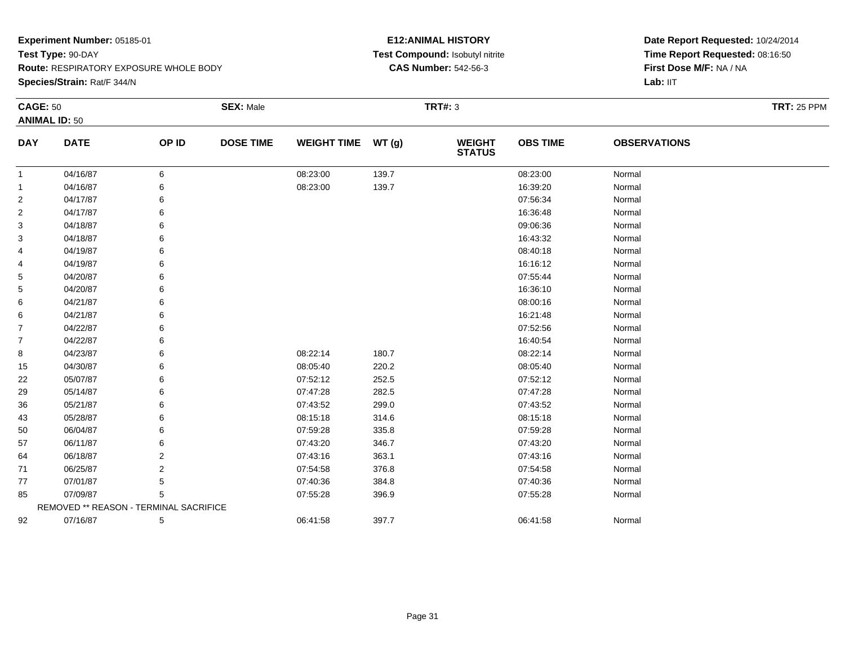**Route:** RESPIRATORY EXPOSURE WHOLE BODY

**Species/Strain:** Rat/F 344/N

#### **E12:ANIMAL HISTORY Test Compound:** Isobutyl nitrite**CAS Number:** 542-56-3

| <b>CAGE: 50</b> |                                        |                | <b>SEX: Male</b> |                    |       | <b>TRT#: 3</b>                 |                 |                     | <b>TRT: 25 PPM</b> |
|-----------------|----------------------------------------|----------------|------------------|--------------------|-------|--------------------------------|-----------------|---------------------|--------------------|
|                 | <b>ANIMAL ID: 50</b>                   |                |                  |                    |       |                                |                 |                     |                    |
| <b>DAY</b>      | <b>DATE</b>                            | OP ID          | <b>DOSE TIME</b> | <b>WEIGHT TIME</b> | WT(g) | <b>WEIGHT</b><br><b>STATUS</b> | <b>OBS TIME</b> | <b>OBSERVATIONS</b> |                    |
| 1               | 04/16/87                               | 6              |                  | 08:23:00           | 139.7 |                                | 08:23:00        | Normal              |                    |
| -1              | 04/16/87                               | 6              |                  | 08:23:00           | 139.7 |                                | 16:39:20        | Normal              |                    |
| $\overline{2}$  | 04/17/87                               | 6              |                  |                    |       |                                | 07:56:34        | Normal              |                    |
| 2               | 04/17/87                               | 6              |                  |                    |       |                                | 16:36:48        | Normal              |                    |
| 3               | 04/18/87                               |                |                  |                    |       |                                | 09:06:36        | Normal              |                    |
| 3               | 04/18/87                               |                |                  |                    |       |                                | 16:43:32        | Normal              |                    |
| 4               | 04/19/87                               | 6              |                  |                    |       |                                | 08:40:18        | Normal              |                    |
| 4               | 04/19/87                               | 6              |                  |                    |       |                                | 16:16:12        | Normal              |                    |
| 5               | 04/20/87                               |                |                  |                    |       |                                | 07:55:44        | Normal              |                    |
| 5               | 04/20/87                               |                |                  |                    |       |                                | 16:36:10        | Normal              |                    |
| 6               | 04/21/87                               | 6              |                  |                    |       |                                | 08:00:16        | Normal              |                    |
| 6               | 04/21/87                               | 6              |                  |                    |       |                                | 16:21:48        | Normal              |                    |
| 7               | 04/22/87                               |                |                  |                    |       |                                | 07:52:56        | Normal              |                    |
| $\overline{7}$  | 04/22/87                               |                |                  |                    |       |                                | 16:40:54        | Normal              |                    |
| 8               | 04/23/87                               | 6              |                  | 08:22:14           | 180.7 |                                | 08:22:14        | Normal              |                    |
| 15              | 04/30/87                               | 6              |                  | 08:05:40           | 220.2 |                                | 08:05:40        | Normal              |                    |
| 22              | 05/07/87                               |                |                  | 07:52:12           | 252.5 |                                | 07:52:12        | Normal              |                    |
| 29              | 05/14/87                               |                |                  | 07:47:28           | 282.5 |                                | 07:47:28        | Normal              |                    |
| 36              | 05/21/87                               |                |                  | 07:43:52           | 299.0 |                                | 07:43:52        | Normal              |                    |
| 43              | 05/28/87                               | 6              |                  | 08:15:18           | 314.6 |                                | 08:15:18        | Normal              |                    |
| 50              | 06/04/87                               |                |                  | 07:59:28           | 335.8 |                                | 07:59:28        | Normal              |                    |
| 57              | 06/11/87                               | 6              |                  | 07:43:20           | 346.7 |                                | 07:43:20        | Normal              |                    |
| 64              | 06/18/87                               | 2              |                  | 07:43:16           | 363.1 |                                | 07:43:16        | Normal              |                    |
| 71              | 06/25/87                               | $\overline{2}$ |                  | 07:54:58           | 376.8 |                                | 07:54:58        | Normal              |                    |
| 77              | 07/01/87                               | 5              |                  | 07:40:36           | 384.8 |                                | 07:40:36        | Normal              |                    |
| 85              | 07/09/87                               | 5              |                  | 07:55:28           | 396.9 |                                | 07:55:28        | Normal              |                    |
|                 | REMOVED ** REASON - TERMINAL SACRIFICE |                |                  |                    |       |                                |                 |                     |                    |
| 92              | 07/16/87                               | 5              |                  | 06:41:58           | 397.7 |                                | 06:41:58        | Normal              |                    |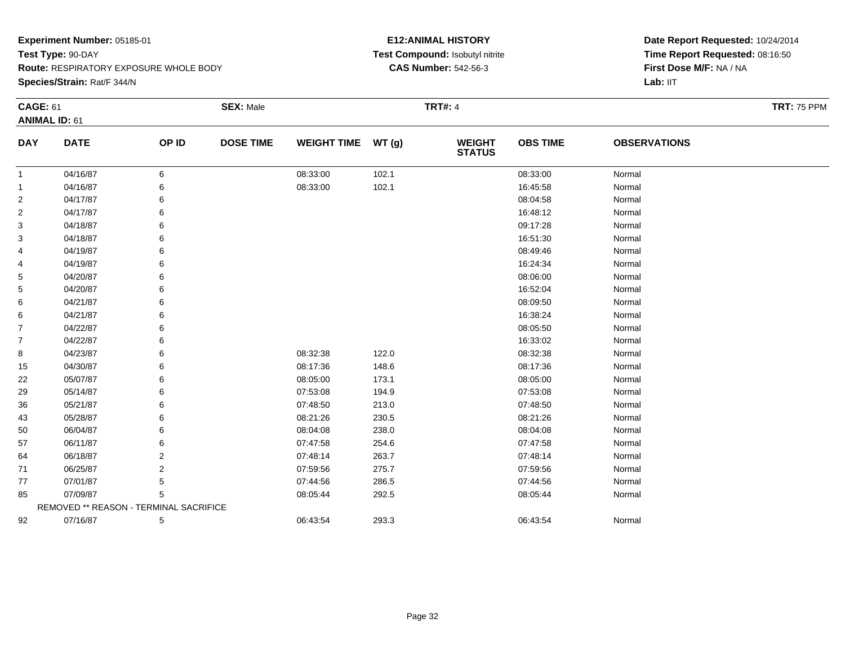**Route:** RESPIRATORY EXPOSURE WHOLE BODY

**Species/Strain:** Rat/F 344/N

#### **E12:ANIMAL HISTORY Test Compound:** Isobutyl nitrite**CAS Number:** 542-56-3

| <b>CAGE: 61</b> |                                        |                | <b>SEX: Male</b> |                    |       | <b>TRT#: 4</b>                 |                 |                     | <b>TRT: 75 PPM</b> |
|-----------------|----------------------------------------|----------------|------------------|--------------------|-------|--------------------------------|-----------------|---------------------|--------------------|
|                 | <b>ANIMAL ID: 61</b>                   |                |                  |                    |       |                                |                 |                     |                    |
| <b>DAY</b>      | <b>DATE</b>                            | OP ID          | <b>DOSE TIME</b> | <b>WEIGHT TIME</b> | WT(g) | <b>WEIGHT</b><br><b>STATUS</b> | <b>OBS TIME</b> | <b>OBSERVATIONS</b> |                    |
| -1              | 04/16/87                               | 6              |                  | 08:33:00           | 102.1 |                                | 08:33:00        | Normal              |                    |
| 1               | 04/16/87                               | 6              |                  | 08:33:00           | 102.1 |                                | 16:45:58        | Normal              |                    |
| $\overline{2}$  | 04/17/87                               | 6              |                  |                    |       |                                | 08:04:58        | Normal              |                    |
| 2               | 04/17/87                               | 6              |                  |                    |       |                                | 16:48:12        | Normal              |                    |
| 3               | 04/18/87                               | 6              |                  |                    |       |                                | 09:17:28        | Normal              |                    |
| 3               | 04/18/87                               | 6              |                  |                    |       |                                | 16:51:30        | Normal              |                    |
| 4               | 04/19/87                               | 6              |                  |                    |       |                                | 08:49:46        | Normal              |                    |
| 4               | 04/19/87                               | 6              |                  |                    |       |                                | 16:24:34        | Normal              |                    |
| 5               | 04/20/87                               | 6              |                  |                    |       |                                | 08:06:00        | Normal              |                    |
| 5               | 04/20/87                               | 6              |                  |                    |       |                                | 16:52:04        | Normal              |                    |
| 6               | 04/21/87                               | 6              |                  |                    |       |                                | 08:09:50        | Normal              |                    |
| 6               | 04/21/87                               | 6              |                  |                    |       |                                | 16:38:24        | Normal              |                    |
| $\overline{7}$  | 04/22/87                               | 6              |                  |                    |       |                                | 08:05:50        | Normal              |                    |
| $\overline{7}$  | 04/22/87                               | 6              |                  |                    |       |                                | 16:33:02        | Normal              |                    |
| 8               | 04/23/87                               | 6              |                  | 08:32:38           | 122.0 |                                | 08:32:38        | Normal              |                    |
| 15              | 04/30/87                               | 6              |                  | 08:17:36           | 148.6 |                                | 08:17:36        | Normal              |                    |
| 22              | 05/07/87                               | 6              |                  | 08:05:00           | 173.1 |                                | 08:05:00        | Normal              |                    |
| 29              | 05/14/87                               | 6              |                  | 07:53:08           | 194.9 |                                | 07:53:08        | Normal              |                    |
| 36              | 05/21/87                               | 6              |                  | 07:48:50           | 213.0 |                                | 07:48:50        | Normal              |                    |
| 43              | 05/28/87                               | 6              |                  | 08:21:26           | 230.5 |                                | 08:21:26        | Normal              |                    |
| 50              | 06/04/87                               | 6              |                  | 08:04:08           | 238.0 |                                | 08:04:08        | Normal              |                    |
| 57              | 06/11/87                               | 6              |                  | 07:47:58           | 254.6 |                                | 07:47:58        | Normal              |                    |
| 64              | 06/18/87                               | 2              |                  | 07:48:14           | 263.7 |                                | 07:48:14        | Normal              |                    |
| 71              | 06/25/87                               | $\overline{2}$ |                  | 07:59:56           | 275.7 |                                | 07:59:56        | Normal              |                    |
| 77              | 07/01/87                               | 5              |                  | 07:44:56           | 286.5 |                                | 07:44:56        | Normal              |                    |
| 85              | 07/09/87                               | 5              |                  | 08:05:44           | 292.5 |                                | 08:05:44        | Normal              |                    |
|                 | REMOVED ** REASON - TERMINAL SACRIFICE |                |                  |                    |       |                                |                 |                     |                    |
| 92              | 07/16/87                               | 5              |                  | 06:43:54           | 293.3 |                                | 06:43:54        | Normal              |                    |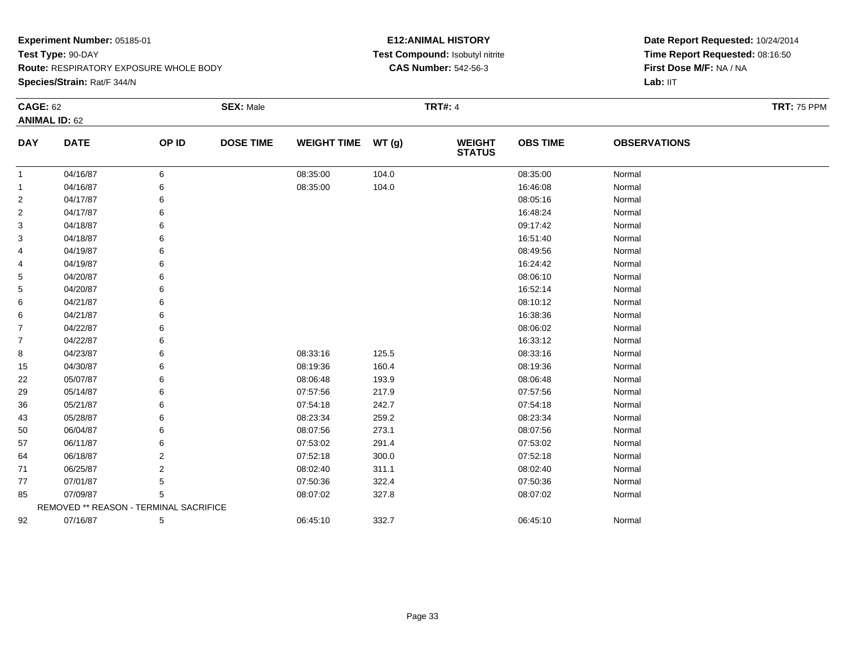**Route:** RESPIRATORY EXPOSURE WHOLE BODY

**Species/Strain:** Rat/F 344/N

#### **E12:ANIMAL HISTORY Test Compound:** Isobutyl nitrite**CAS Number:** 542-56-3

| <b>CAGE: 62</b> |                                        |                | <b>SEX: Male</b> |                    |       | <b>TRT#: 4</b>                 |                 |                     | <b>TRT: 75 PPM</b> |
|-----------------|----------------------------------------|----------------|------------------|--------------------|-------|--------------------------------|-----------------|---------------------|--------------------|
|                 | <b>ANIMAL ID: 62</b>                   |                |                  |                    |       |                                |                 |                     |                    |
| <b>DAY</b>      | <b>DATE</b>                            | OP ID          | <b>DOSE TIME</b> | <b>WEIGHT TIME</b> | WT(g) | <b>WEIGHT</b><br><b>STATUS</b> | <b>OBS TIME</b> | <b>OBSERVATIONS</b> |                    |
| 1               | 04/16/87                               | 6              |                  | 08:35:00           | 104.0 |                                | 08:35:00        | Normal              |                    |
| 1               | 04/16/87                               | 6              |                  | 08:35:00           | 104.0 |                                | 16:46:08        | Normal              |                    |
| 2               | 04/17/87                               | 6              |                  |                    |       |                                | 08:05:16        | Normal              |                    |
| 2               | 04/17/87                               | 6              |                  |                    |       |                                | 16:48:24        | Normal              |                    |
| 3               | 04/18/87                               | 6              |                  |                    |       |                                | 09:17:42        | Normal              |                    |
| 3               | 04/18/87                               | 6              |                  |                    |       |                                | 16:51:40        | Normal              |                    |
| 4               | 04/19/87                               | 6              |                  |                    |       |                                | 08:49:56        | Normal              |                    |
| 4               | 04/19/87                               | 6              |                  |                    |       |                                | 16:24:42        | Normal              |                    |
| 5               | 04/20/87                               | 6              |                  |                    |       |                                | 08:06:10        | Normal              |                    |
| 5               | 04/20/87                               | 6              |                  |                    |       |                                | 16:52:14        | Normal              |                    |
| 6               | 04/21/87                               | 6              |                  |                    |       |                                | 08:10:12        | Normal              |                    |
| 6               | 04/21/87                               | 6              |                  |                    |       |                                | 16:38:36        | Normal              |                    |
| $\overline{7}$  | 04/22/87                               | 6              |                  |                    |       |                                | 08:06:02        | Normal              |                    |
| $\overline{7}$  | 04/22/87                               | 6              |                  |                    |       |                                | 16:33:12        | Normal              |                    |
| 8               | 04/23/87                               | 6              |                  | 08:33:16           | 125.5 |                                | 08:33:16        | Normal              |                    |
| 15              | 04/30/87                               | 6              |                  | 08:19:36           | 160.4 |                                | 08:19:36        | Normal              |                    |
| 22              | 05/07/87                               | 6              |                  | 08:06:48           | 193.9 |                                | 08:06:48        | Normal              |                    |
| 29              | 05/14/87                               | 6              |                  | 07:57:56           | 217.9 |                                | 07:57:56        | Normal              |                    |
| 36              | 05/21/87                               | 6              |                  | 07:54:18           | 242.7 |                                | 07:54:18        | Normal              |                    |
| 43              | 05/28/87                               | 6              |                  | 08:23:34           | 259.2 |                                | 08:23:34        | Normal              |                    |
| 50              | 06/04/87                               | 6              |                  | 08:07:56           | 273.1 |                                | 08:07:56        | Normal              |                    |
| 57              | 06/11/87                               | 6              |                  | 07:53:02           | 291.4 |                                | 07:53:02        | Normal              |                    |
| 64              | 06/18/87                               | 2              |                  | 07:52:18           | 300.0 |                                | 07:52:18        | Normal              |                    |
| 71              | 06/25/87                               | $\overline{2}$ |                  | 08:02:40           | 311.1 |                                | 08:02:40        | Normal              |                    |
| 77              | 07/01/87                               | 5              |                  | 07:50:36           | 322.4 |                                | 07:50:36        | Normal              |                    |
| 85              | 07/09/87                               | 5              |                  | 08:07:02           | 327.8 |                                | 08:07:02        | Normal              |                    |
|                 | REMOVED ** REASON - TERMINAL SACRIFICE |                |                  |                    |       |                                |                 |                     |                    |
| 92              | 07/16/87                               | 5              |                  | 06:45:10           | 332.7 |                                | 06:45:10        | Normal              |                    |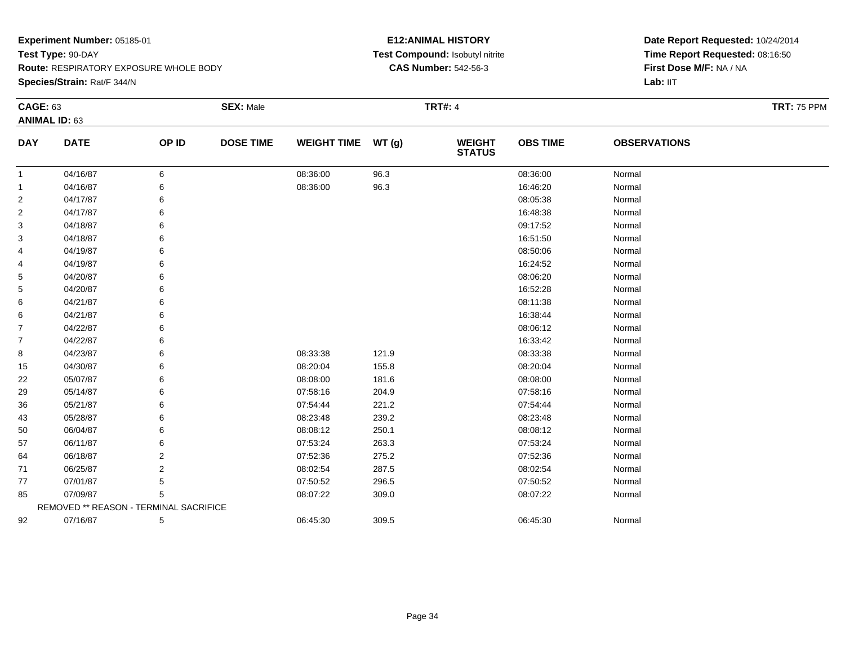**Route:** RESPIRATORY EXPOSURE WHOLE BODY

**Species/Strain:** Rat/F 344/N

#### **E12:ANIMAL HISTORY Test Compound:** Isobutyl nitrite**CAS Number:** 542-56-3

| <b>CAGE: 63</b> |                                        |                | <b>SEX: Male</b> |                    |       | <b>TRT#: 4</b>                 |                 |                     | <b>TRT: 75 PPM</b> |
|-----------------|----------------------------------------|----------------|------------------|--------------------|-------|--------------------------------|-----------------|---------------------|--------------------|
|                 | <b>ANIMAL ID: 63</b>                   |                |                  |                    |       |                                |                 |                     |                    |
| <b>DAY</b>      | <b>DATE</b>                            | OP ID          | <b>DOSE TIME</b> | <b>WEIGHT TIME</b> | WT(g) | <b>WEIGHT</b><br><b>STATUS</b> | <b>OBS TIME</b> | <b>OBSERVATIONS</b> |                    |
| -1              | 04/16/87                               | 6              |                  | 08:36:00           | 96.3  |                                | 08:36:00        | Normal              |                    |
| -1              | 04/16/87                               | 6              |                  | 08:36:00           | 96.3  |                                | 16:46:20        | Normal              |                    |
| 2               | 04/17/87                               | 6              |                  |                    |       |                                | 08:05:38        | Normal              |                    |
| $\overline{2}$  | 04/17/87                               | 6              |                  |                    |       |                                | 16:48:38        | Normal              |                    |
| 3               | 04/18/87                               | 6              |                  |                    |       |                                | 09:17:52        | Normal              |                    |
| 3               | 04/18/87                               | 6              |                  |                    |       |                                | 16:51:50        | Normal              |                    |
| 4               | 04/19/87                               | 6              |                  |                    |       |                                | 08:50:06        | Normal              |                    |
| 4               | 04/19/87                               | 6              |                  |                    |       |                                | 16:24:52        | Normal              |                    |
| 5               | 04/20/87                               | 6              |                  |                    |       |                                | 08:06:20        | Normal              |                    |
| 5               | 04/20/87                               | 6              |                  |                    |       |                                | 16:52:28        | Normal              |                    |
| 6               | 04/21/87                               | 6              |                  |                    |       |                                | 08:11:38        | Normal              |                    |
| 6               | 04/21/87                               | 6              |                  |                    |       |                                | 16:38:44        | Normal              |                    |
| $\overline{7}$  | 04/22/87                               | 6              |                  |                    |       |                                | 08:06:12        | Normal              |                    |
| 7               | 04/22/87                               | 6              |                  |                    |       |                                | 16:33:42        | Normal              |                    |
| 8               | 04/23/87                               | 6              |                  | 08:33:38           | 121.9 |                                | 08:33:38        | Normal              |                    |
| 15              | 04/30/87                               | 6              |                  | 08:20:04           | 155.8 |                                | 08:20:04        | Normal              |                    |
| 22              | 05/07/87                               | 6              |                  | 08:08:00           | 181.6 |                                | 08:08:00        | Normal              |                    |
| 29              | 05/14/87                               | 6              |                  | 07:58:16           | 204.9 |                                | 07:58:16        | Normal              |                    |
| 36              | 05/21/87                               | 6              |                  | 07:54:44           | 221.2 |                                | 07:54:44        | Normal              |                    |
| 43              | 05/28/87                               | 6              |                  | 08:23:48           | 239.2 |                                | 08:23:48        | Normal              |                    |
| 50              | 06/04/87                               | 6              |                  | 08:08:12           | 250.1 |                                | 08:08:12        | Normal              |                    |
| 57              | 06/11/87                               | 6              |                  | 07:53:24           | 263.3 |                                | 07:53:24        | Normal              |                    |
| 64              | 06/18/87                               | 2              |                  | 07:52:36           | 275.2 |                                | 07:52:36        | Normal              |                    |
| 71              | 06/25/87                               | $\overline{2}$ |                  | 08:02:54           | 287.5 |                                | 08:02:54        | Normal              |                    |
| 77              | 07/01/87                               | 5              |                  | 07:50:52           | 296.5 |                                | 07:50:52        | Normal              |                    |
| 85              | 07/09/87                               | 5              |                  | 08:07:22           | 309.0 |                                | 08:07:22        | Normal              |                    |
|                 | REMOVED ** REASON - TERMINAL SACRIFICE |                |                  |                    |       |                                |                 |                     |                    |
| 92              | 07/16/87                               | 5              |                  | 06:45:30           | 309.5 |                                | 06:45:30        | Normal              |                    |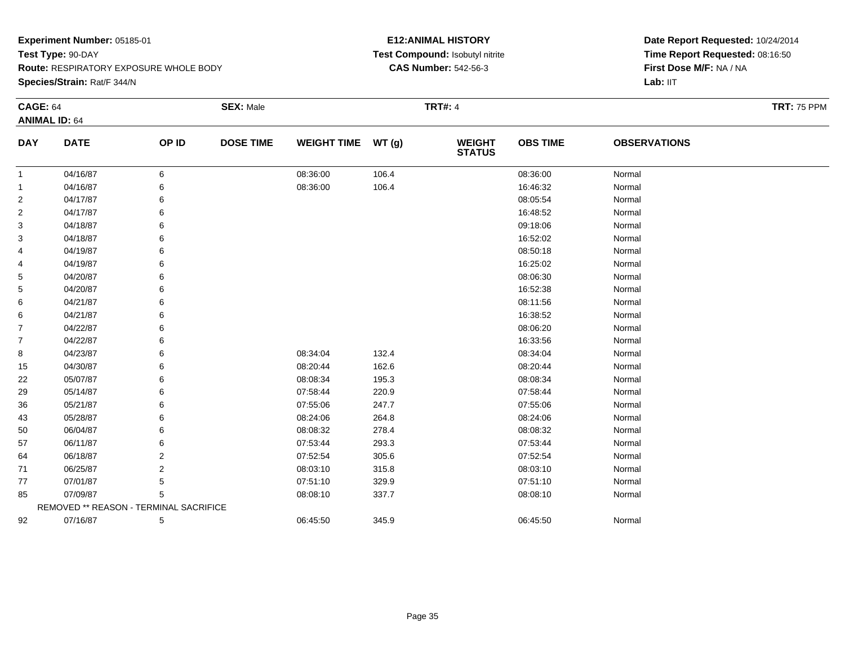**Route:** RESPIRATORY EXPOSURE WHOLE BODY

**Species/Strain:** Rat/F 344/N

#### **E12:ANIMAL HISTORY Test Compound:** Isobutyl nitrite**CAS Number:** 542-56-3

| <b>CAGE: 64</b> |                                        |                | <b>SEX: Male</b> |                    |       | <b>TRT#: 4</b>                 |                 |                     | <b>TRT: 75 PPM</b> |
|-----------------|----------------------------------------|----------------|------------------|--------------------|-------|--------------------------------|-----------------|---------------------|--------------------|
|                 | <b>ANIMAL ID: 64</b>                   |                |                  |                    |       |                                |                 |                     |                    |
| <b>DAY</b>      | <b>DATE</b>                            | OP ID          | <b>DOSE TIME</b> | <b>WEIGHT TIME</b> | WT(g) | <b>WEIGHT</b><br><b>STATUS</b> | <b>OBS TIME</b> | <b>OBSERVATIONS</b> |                    |
| 1               | 04/16/87                               | 6              |                  | 08:36:00           | 106.4 |                                | 08:36:00        | Normal              |                    |
| 1               | 04/16/87                               | 6              |                  | 08:36:00           | 106.4 |                                | 16:46:32        | Normal              |                    |
| $\overline{c}$  | 04/17/87                               | 6              |                  |                    |       |                                | 08:05:54        | Normal              |                    |
| $\overline{c}$  | 04/17/87                               | 6              |                  |                    |       |                                | 16:48:52        | Normal              |                    |
| 3               | 04/18/87                               |                |                  |                    |       |                                | 09:18:06        | Normal              |                    |
| 3               | 04/18/87                               | 6              |                  |                    |       |                                | 16:52:02        | Normal              |                    |
| 4               | 04/19/87                               | 6              |                  |                    |       |                                | 08:50:18        | Normal              |                    |
| 4               | 04/19/87                               | 6              |                  |                    |       |                                | 16:25:02        | Normal              |                    |
| 5               | 04/20/87                               | 6              |                  |                    |       |                                | 08:06:30        | Normal              |                    |
| 5               | 04/20/87                               |                |                  |                    |       |                                | 16:52:38        | Normal              |                    |
| 6               | 04/21/87                               |                |                  |                    |       |                                | 08:11:56        | Normal              |                    |
| 6               | 04/21/87                               | 6              |                  |                    |       |                                | 16:38:52        | Normal              |                    |
| 7               | 04/22/87                               | 6              |                  |                    |       |                                | 08:06:20        | Normal              |                    |
| $\overline{7}$  | 04/22/87                               | 6              |                  |                    |       |                                | 16:33:56        | Normal              |                    |
| 8               | 04/23/87                               | 6              |                  | 08:34:04           | 132.4 |                                | 08:34:04        | Normal              |                    |
| 15              | 04/30/87                               | 6              |                  | 08:20:44           | 162.6 |                                | 08:20:44        | Normal              |                    |
| 22              | 05/07/87                               | 6              |                  | 08:08:34           | 195.3 |                                | 08:08:34        | Normal              |                    |
| 29              | 05/14/87                               | 6              |                  | 07:58:44           | 220.9 |                                | 07:58:44        | Normal              |                    |
| 36              | 05/21/87                               | 6              |                  | 07:55:06           | 247.7 |                                | 07:55:06        | Normal              |                    |
| 43              | 05/28/87                               | 6              |                  | 08:24:06           | 264.8 |                                | 08:24:06        | Normal              |                    |
| 50              | 06/04/87                               | 6              |                  | 08:08:32           | 278.4 |                                | 08:08:32        | Normal              |                    |
| 57              | 06/11/87                               | 6              |                  | 07:53:44           | 293.3 |                                | 07:53:44        | Normal              |                    |
| 64              | 06/18/87                               | 2              |                  | 07:52:54           | 305.6 |                                | 07:52:54        | Normal              |                    |
| 71              | 06/25/87                               | $\overline{2}$ |                  | 08:03:10           | 315.8 |                                | 08:03:10        | Normal              |                    |
| 77              | 07/01/87                               | 5              |                  | 07:51:10           | 329.9 |                                | 07:51:10        | Normal              |                    |
| 85              | 07/09/87                               | 5              |                  | 08:08:10           | 337.7 |                                | 08:08:10        | Normal              |                    |
|                 | REMOVED ** REASON - TERMINAL SACRIFICE |                |                  |                    |       |                                |                 |                     |                    |
| 92              | 07/16/87                               | 5              |                  | 06:45:50           | 345.9 |                                | 06:45:50        | Normal              |                    |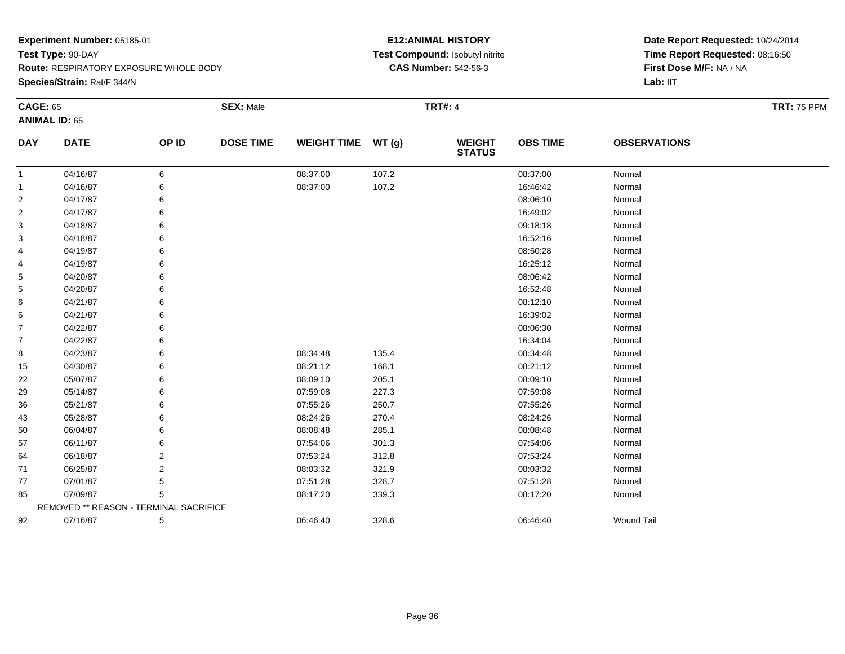**Route:** RESPIRATORY EXPOSURE WHOLE BODY

**Species/Strain:** Rat/F 344/N

#### **E12:ANIMAL HISTORY Test Compound:** Isobutyl nitrite**CAS Number:** 542-56-3

| <b>CAGE: 65</b>      |                                        | <b>SEX: Male</b> |                  | <b>TRT#: 4</b>     |       |                                |                 | <b>TRT: 75 PPM</b>  |  |
|----------------------|----------------------------------------|------------------|------------------|--------------------|-------|--------------------------------|-----------------|---------------------|--|
| <b>ANIMAL ID: 65</b> |                                        |                  |                  |                    |       |                                |                 |                     |  |
| <b>DAY</b>           | <b>DATE</b>                            | OP ID            | <b>DOSE TIME</b> | <b>WEIGHT TIME</b> | WT(g) | <b>WEIGHT</b><br><b>STATUS</b> | <b>OBS TIME</b> | <b>OBSERVATIONS</b> |  |
| 1                    | 04/16/87                               | 6                |                  | 08:37:00           | 107.2 |                                | 08:37:00        | Normal              |  |
| 1                    | 04/16/87                               | 6                |                  | 08:37:00           | 107.2 |                                | 16:46:42        | Normal              |  |
| 2                    | 04/17/87                               | 6                |                  |                    |       |                                | 08:06:10        | Normal              |  |
| 2                    | 04/17/87                               | 6                |                  |                    |       |                                | 16:49:02        | Normal              |  |
| 3                    | 04/18/87                               | 6                |                  |                    |       |                                | 09:18:18        | Normal              |  |
| 3                    | 04/18/87                               | 6                |                  |                    |       |                                | 16:52:16        | Normal              |  |
| 4                    | 04/19/87                               | 6                |                  |                    |       |                                | 08:50:28        | Normal              |  |
| 4                    | 04/19/87                               | 6                |                  |                    |       |                                | 16:25:12        | Normal              |  |
| 5                    | 04/20/87                               | 6                |                  |                    |       |                                | 08:06:42        | Normal              |  |
| 5                    | 04/20/87                               | 6                |                  |                    |       |                                | 16:52:48        | Normal              |  |
| 6                    | 04/21/87                               | 6                |                  |                    |       |                                | 08:12:10        | Normal              |  |
| 6                    | 04/21/87                               | 6                |                  |                    |       |                                | 16:39:02        | Normal              |  |
| $\overline{7}$       | 04/22/87                               | 6                |                  |                    |       |                                | 08:06:30        | Normal              |  |
| $\overline{7}$       | 04/22/87                               | 6                |                  |                    |       |                                | 16:34:04        | Normal              |  |
| 8                    | 04/23/87                               | 6                |                  | 08:34:48           | 135.4 |                                | 08:34:48        | Normal              |  |
| 15                   | 04/30/87                               | 6                |                  | 08:21:12           | 168.1 |                                | 08:21:12        | Normal              |  |
| 22                   | 05/07/87                               | 6                |                  | 08:09:10           | 205.1 |                                | 08:09:10        | Normal              |  |
| 29                   | 05/14/87                               | 6                |                  | 07:59:08           | 227.3 |                                | 07:59:08        | Normal              |  |
| 36                   | 05/21/87                               | 6                |                  | 07:55:26           | 250.7 |                                | 07:55:26        | Normal              |  |
| 43                   | 05/28/87                               | 6                |                  | 08:24:26           | 270.4 |                                | 08:24:26        | Normal              |  |
| 50                   | 06/04/87                               | 6                |                  | 08:08:48           | 285.1 |                                | 08:08:48        | Normal              |  |
| 57                   | 06/11/87                               | 6                |                  | 07:54:06           | 301.3 |                                | 07:54:06        | Normal              |  |
| 64                   | 06/18/87                               | 2                |                  | 07:53:24           | 312.8 |                                | 07:53:24        | Normal              |  |
| 71                   | 06/25/87                               | $\overline{2}$   |                  | 08:03:32           | 321.9 |                                | 08:03:32        | Normal              |  |
| 77                   | 07/01/87                               | 5                |                  | 07:51:28           | 328.7 |                                | 07:51:28        | Normal              |  |
| 85                   | 07/09/87                               | 5                |                  | 08:17:20           | 339.3 |                                | 08:17:20        | Normal              |  |
|                      | REMOVED ** REASON - TERMINAL SACRIFICE |                  |                  |                    |       |                                |                 |                     |  |
| 92                   | 07/16/87                               | 5                |                  | 06:46:40           | 328.6 |                                | 06:46:40        | <b>Wound Tail</b>   |  |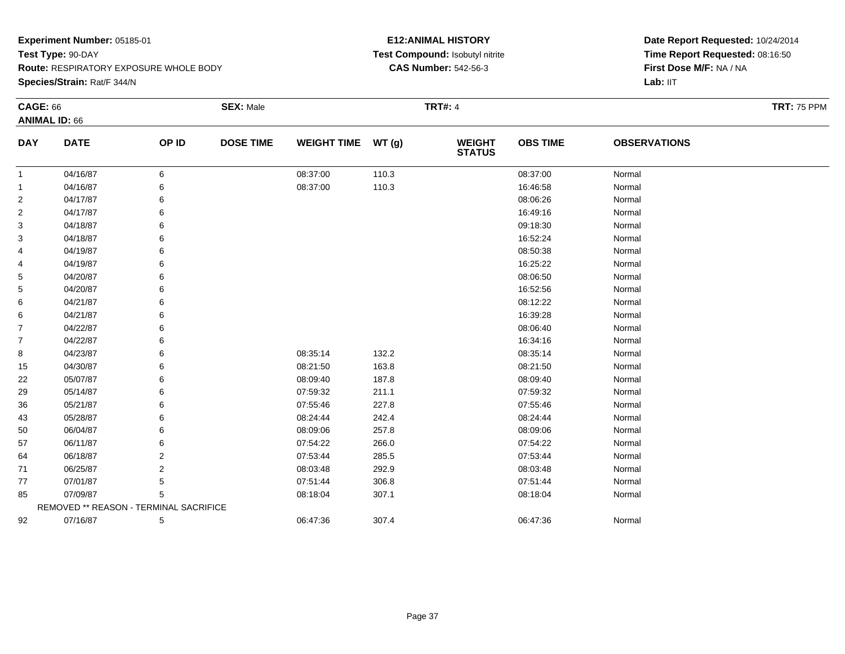**Species/Strain:** Rat/F 344/N

# **E12:ANIMAL HISTORY Test Compound:** Isobutyl nitrite**CAS Number:** 542-56-3

| <b>CAGE: 66</b> | <b>ANIMAL ID: 66</b>                   |                | <b>SEX: Male</b> |                    |       | <b>TRT#: 4</b>                 |                 |                     | <b>TRT: 75 PPM</b> |
|-----------------|----------------------------------------|----------------|------------------|--------------------|-------|--------------------------------|-----------------|---------------------|--------------------|
| <b>DAY</b>      | <b>DATE</b>                            | OP ID          | <b>DOSE TIME</b> | <b>WEIGHT TIME</b> | WT(g) | <b>WEIGHT</b><br><b>STATUS</b> | <b>OBS TIME</b> | <b>OBSERVATIONS</b> |                    |
| $\mathbf{1}$    | 04/16/87                               | 6              |                  | 08:37:00           | 110.3 |                                | 08:37:00        | Normal              |                    |
| 1               | 04/16/87                               | 6              |                  | 08:37:00           | 110.3 |                                | 16:46:58        | Normal              |                    |
| $\overline{2}$  | 04/17/87                               | 6              |                  |                    |       |                                | 08:06:26        | Normal              |                    |
| 2               | 04/17/87                               | 6              |                  |                    |       |                                | 16:49:16        | Normal              |                    |
| 3               | 04/18/87                               | 6              |                  |                    |       |                                | 09:18:30        | Normal              |                    |
| 3               | 04/18/87                               | 6              |                  |                    |       |                                | 16:52:24        | Normal              |                    |
| 4               | 04/19/87                               | 6              |                  |                    |       |                                | 08:50:38        | Normal              |                    |
| 4               | 04/19/87                               | 6              |                  |                    |       |                                | 16:25:22        | Normal              |                    |
| 5               | 04/20/87                               | 6              |                  |                    |       |                                | 08:06:50        | Normal              |                    |
| 5               | 04/20/87                               | 6              |                  |                    |       |                                | 16:52:56        | Normal              |                    |
| 6               | 04/21/87                               | 6              |                  |                    |       |                                | 08:12:22        | Normal              |                    |
| 6               | 04/21/87                               | 6              |                  |                    |       |                                | 16:39:28        | Normal              |                    |
| 7               | 04/22/87                               | 6              |                  |                    |       |                                | 08:06:40        | Normal              |                    |
| 7               | 04/22/87                               | 6              |                  |                    |       |                                | 16:34:16        | Normal              |                    |
| 8               | 04/23/87                               | 6              |                  | 08:35:14           | 132.2 |                                | 08:35:14        | Normal              |                    |
| 15              | 04/30/87                               | 6              |                  | 08:21:50           | 163.8 |                                | 08:21:50        | Normal              |                    |
| 22              | 05/07/87                               | 6              |                  | 08:09:40           | 187.8 |                                | 08:09:40        | Normal              |                    |
| 29              | 05/14/87                               | 6              |                  | 07:59:32           | 211.1 |                                | 07:59:32        | Normal              |                    |
| 36              | 05/21/87                               | 6              |                  | 07:55:46           | 227.8 |                                | 07:55:46        | Normal              |                    |
| 43              | 05/28/87                               | 6              |                  | 08:24:44           | 242.4 |                                | 08:24:44        | Normal              |                    |
| 50              | 06/04/87                               | 6              |                  | 08:09:06           | 257.8 |                                | 08:09:06        | Normal              |                    |
| 57              | 06/11/87                               | 6              |                  | 07:54:22           | 266.0 |                                | 07:54:22        | Normal              |                    |
| 64              | 06/18/87                               | 2              |                  | 07:53:44           | 285.5 |                                | 07:53:44        | Normal              |                    |
| 71              | 06/25/87                               | $\overline{2}$ |                  | 08:03:48           | 292.9 |                                | 08:03:48        | Normal              |                    |
| 77              | 07/01/87                               | 5              |                  | 07:51:44           | 306.8 |                                | 07:51:44        | Normal              |                    |
| 85              | 07/09/87                               | 5              |                  | 08:18:04           | 307.1 |                                | 08:18:04        | Normal              |                    |
|                 | REMOVED ** REASON - TERMINAL SACRIFICE |                |                  |                    |       |                                |                 |                     |                    |
| 92              | 07/16/87                               | 5              |                  | 06:47:36           | 307.4 |                                | 06:47:36        | Normal              |                    |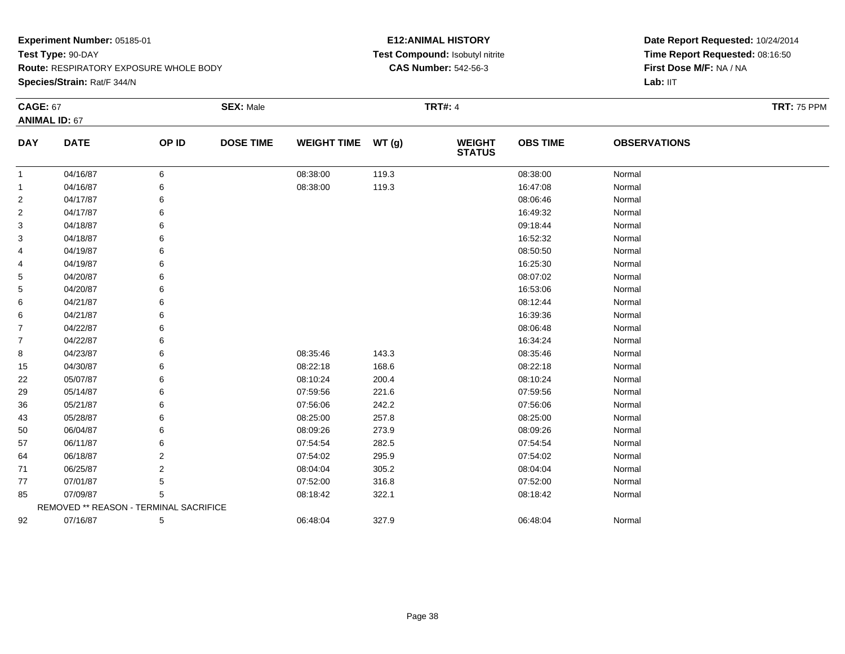**Route:** RESPIRATORY EXPOSURE WHOLE BODY

**Species/Strain:** Rat/F 344/N

# **E12:ANIMAL HISTORY Test Compound:** Isobutyl nitrite**CAS Number:** 542-56-3

| <b>CAGE: 67</b> |                                        |       | <b>SEX: Male</b> |                    |       | <b>TRT#: 4</b>                 |                 |                     | <b>TRT: 75 PPM</b> |
|-----------------|----------------------------------------|-------|------------------|--------------------|-------|--------------------------------|-----------------|---------------------|--------------------|
|                 | <b>ANIMAL ID: 67</b>                   |       |                  |                    |       |                                |                 |                     |                    |
| <b>DAY</b>      | <b>DATE</b>                            | OP ID | <b>DOSE TIME</b> | <b>WEIGHT TIME</b> | WT(g) | <b>WEIGHT</b><br><b>STATUS</b> | <b>OBS TIME</b> | <b>OBSERVATIONS</b> |                    |
| -1              | 04/16/87                               | 6     |                  | 08:38:00           | 119.3 |                                | 08:38:00        | Normal              |                    |
| $\mathbf 1$     | 04/16/87                               | 6     |                  | 08:38:00           | 119.3 |                                | 16:47:08        | Normal              |                    |
| $\overline{2}$  | 04/17/87                               | 6     |                  |                    |       |                                | 08:06:46        | Normal              |                    |
| $\overline{2}$  | 04/17/87                               | 6     |                  |                    |       |                                | 16:49:32        | Normal              |                    |
| 3               | 04/18/87                               | 6     |                  |                    |       |                                | 09:18:44        | Normal              |                    |
| 3               | 04/18/87                               | 6     |                  |                    |       |                                | 16:52:32        | Normal              |                    |
| 4               | 04/19/87                               | 6     |                  |                    |       |                                | 08:50:50        | Normal              |                    |
| 4               | 04/19/87                               | 6     |                  |                    |       |                                | 16:25:30        | Normal              |                    |
| 5               | 04/20/87                               | 6     |                  |                    |       |                                | 08:07:02        | Normal              |                    |
| 5               | 04/20/87                               | 6     |                  |                    |       |                                | 16:53:06        | Normal              |                    |
| 6               | 04/21/87                               | 6     |                  |                    |       |                                | 08:12:44        | Normal              |                    |
| 6               | 04/21/87                               | 6     |                  |                    |       |                                | 16:39:36        | Normal              |                    |
| $\overline{7}$  | 04/22/87                               | 6     |                  |                    |       |                                | 08:06:48        | Normal              |                    |
| $\overline{7}$  | 04/22/87                               | 6     |                  |                    |       |                                | 16:34:24        | Normal              |                    |
| 8               | 04/23/87                               | 6     |                  | 08:35:46           | 143.3 |                                | 08:35:46        | Normal              |                    |
| 15              | 04/30/87                               | 6     |                  | 08:22:18           | 168.6 |                                | 08:22:18        | Normal              |                    |
| 22              | 05/07/87                               | 6     |                  | 08:10:24           | 200.4 |                                | 08:10:24        | Normal              |                    |
| 29              | 05/14/87                               | 6     |                  | 07:59:56           | 221.6 |                                | 07:59:56        | Normal              |                    |
| 36              | 05/21/87                               | 6     |                  | 07:56:06           | 242.2 |                                | 07:56:06        | Normal              |                    |
| 43              | 05/28/87                               | 6     |                  | 08:25:00           | 257.8 |                                | 08:25:00        | Normal              |                    |
| 50              | 06/04/87                               | 6     |                  | 08:09:26           | 273.9 |                                | 08:09:26        | Normal              |                    |
| 57              | 06/11/87                               | 6     |                  | 07:54:54           | 282.5 |                                | 07:54:54        | Normal              |                    |
| 64              | 06/18/87                               | 2     |                  | 07:54:02           | 295.9 |                                | 07:54:02        | Normal              |                    |
| 71              | 06/25/87                               | 2     |                  | 08:04:04           | 305.2 |                                | 08:04:04        | Normal              |                    |
| 77              | 07/01/87                               | 5     |                  | 07:52:00           | 316.8 |                                | 07:52:00        | Normal              |                    |
| 85              | 07/09/87                               | 5     |                  | 08:18:42           | 322.1 |                                | 08:18:42        | Normal              |                    |
|                 | REMOVED ** REASON - TERMINAL SACRIFICE |       |                  |                    |       |                                |                 |                     |                    |
| 92              | 07/16/87                               | 5     |                  | 06:48:04           | 327.9 |                                | 06:48:04        | Normal              |                    |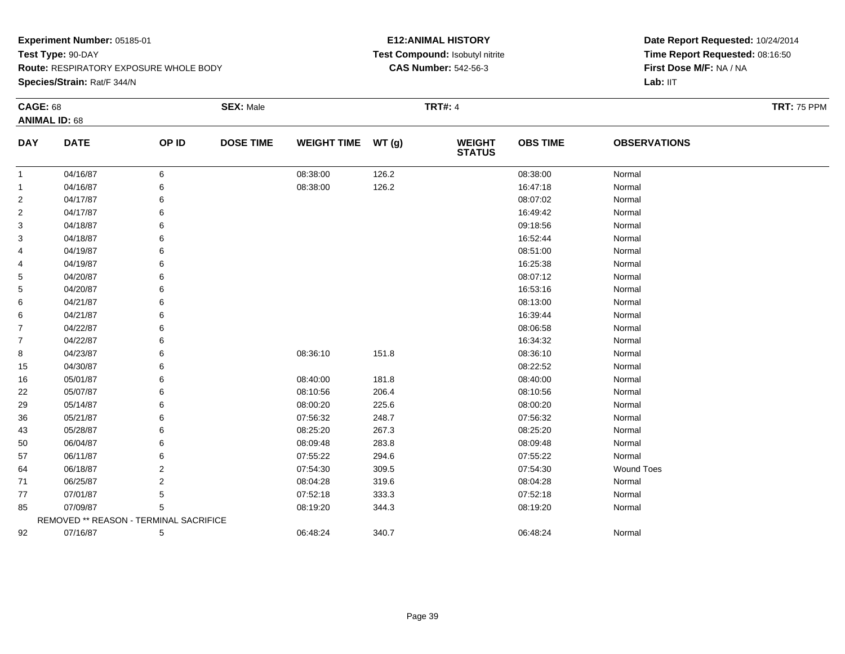**Species/Strain:** Rat/F 344/N

# **E12:ANIMAL HISTORY Test Compound:** Isobutyl nitrite**CAS Number:** 542-56-3

| <b>CAGE: 68</b> |                                        |                | <b>SEX: Male</b> |                    |       | <b>TRT#: 4</b>                 |                 |                     | <b>TRT: 75 PPM</b> |
|-----------------|----------------------------------------|----------------|------------------|--------------------|-------|--------------------------------|-----------------|---------------------|--------------------|
|                 | <b>ANIMAL ID: 68</b>                   |                |                  |                    |       |                                |                 |                     |                    |
| <b>DAY</b>      | <b>DATE</b>                            | OP ID          | <b>DOSE TIME</b> | <b>WEIGHT TIME</b> | WT(g) | <b>WEIGHT</b><br><b>STATUS</b> | <b>OBS TIME</b> | <b>OBSERVATIONS</b> |                    |
| $\mathbf{1}$    | 04/16/87                               | 6              |                  | 08:38:00           | 126.2 |                                | 08:38:00        | Normal              |                    |
| 1               | 04/16/87                               | 6              |                  | 08:38:00           | 126.2 |                                | 16:47:18        | Normal              |                    |
| 2               | 04/17/87                               | 6              |                  |                    |       |                                | 08:07:02        | Normal              |                    |
| 2               | 04/17/87                               | 6              |                  |                    |       |                                | 16:49:42        | Normal              |                    |
| 3               | 04/18/87                               |                |                  |                    |       |                                | 09:18:56        | Normal              |                    |
| 3               | 04/18/87                               |                |                  |                    |       |                                | 16:52:44        | Normal              |                    |
| 4               | 04/19/87                               |                |                  |                    |       |                                | 08:51:00        | Normal              |                    |
| 4               | 04/19/87                               | 6              |                  |                    |       |                                | 16:25:38        | Normal              |                    |
| 5               | 04/20/87                               |                |                  |                    |       |                                | 08:07:12        | Normal              |                    |
| 5               | 04/20/87                               |                |                  |                    |       |                                | 16:53:16        | Normal              |                    |
| 6               | 04/21/87                               | 6              |                  |                    |       |                                | 08:13:00        | Normal              |                    |
| 6               | 04/21/87                               | 6              |                  |                    |       |                                | 16:39:44        | Normal              |                    |
| 7               | 04/22/87                               | 6              |                  |                    |       |                                | 08:06:58        | Normal              |                    |
| 7               | 04/22/87                               | 6              |                  |                    |       |                                | 16:34:32        | Normal              |                    |
| 8               | 04/23/87                               |                |                  | 08:36:10           | 151.8 |                                | 08:36:10        | Normal              |                    |
| 15              | 04/30/87                               |                |                  |                    |       |                                | 08:22:52        | Normal              |                    |
| 16              | 05/01/87                               | 6              |                  | 08:40:00           | 181.8 |                                | 08:40:00        | Normal              |                    |
| 22              | 05/07/87                               | 6              |                  | 08:10:56           | 206.4 |                                | 08:10:56        | Normal              |                    |
| 29              | 05/14/87                               | 6              |                  | 08:00:20           | 225.6 |                                | 08:00:20        | Normal              |                    |
| 36              | 05/21/87                               |                |                  | 07:56:32           | 248.7 |                                | 07:56:32        | Normal              |                    |
| 43              | 05/28/87                               |                |                  | 08:25:20           | 267.3 |                                | 08:25:20        | Normal              |                    |
| 50              | 06/04/87                               |                |                  | 08:09:48           | 283.8 |                                | 08:09:48        | Normal              |                    |
| 57              | 06/11/87                               | 6              |                  | 07:55:22           | 294.6 |                                | 07:55:22        | Normal              |                    |
| 64              | 06/18/87                               | $\overline{2}$ |                  | 07:54:30           | 309.5 |                                | 07:54:30        | <b>Wound Toes</b>   |                    |
| 71              | 06/25/87                               | 2              |                  | 08:04:28           | 319.6 |                                | 08:04:28        | Normal              |                    |
| 77              | 07/01/87                               | 5              |                  | 07:52:18           | 333.3 |                                | 07:52:18        | Normal              |                    |
| 85              | 07/09/87                               | 5              |                  | 08:19:20           | 344.3 |                                | 08:19:20        | Normal              |                    |
|                 | REMOVED ** REASON - TERMINAL SACRIFICE |                |                  |                    |       |                                |                 |                     |                    |
| 92              | 07/16/87                               | 5              |                  | 06:48:24           | 340.7 |                                | 06:48:24        | Normal              |                    |
|                 |                                        |                |                  |                    |       |                                |                 |                     |                    |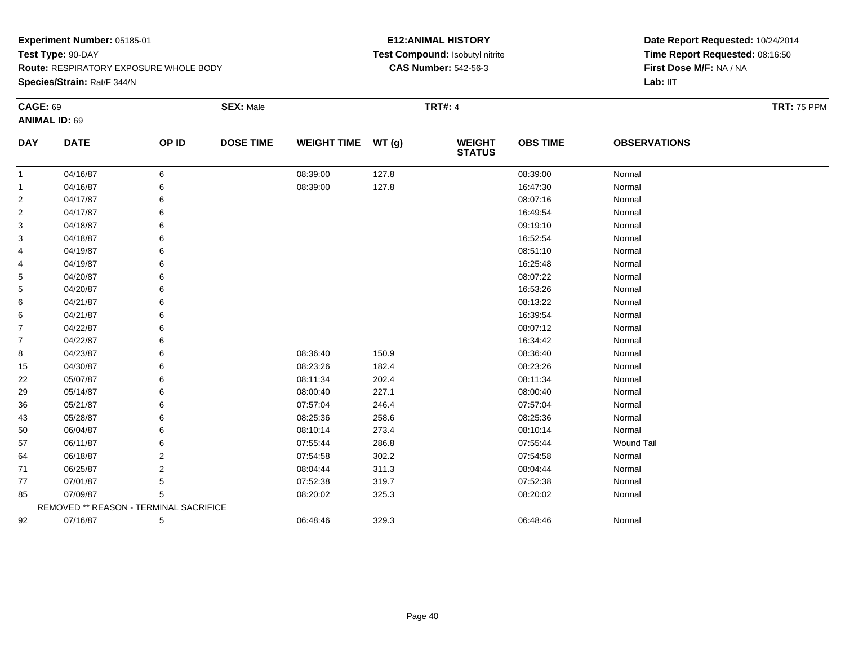**Route:** RESPIRATORY EXPOSURE WHOLE BODY

**Species/Strain:** Rat/F 344/N

# **E12:ANIMAL HISTORY Test Compound:** Isobutyl nitrite**CAS Number:** 542-56-3

| <b>CAGE: 69</b> |                                        |                | <b>SEX: Male</b> |                    |       | <b>TRT#: 4</b>                 |                 |                     | <b>TRT: 75 PPM</b> |
|-----------------|----------------------------------------|----------------|------------------|--------------------|-------|--------------------------------|-----------------|---------------------|--------------------|
|                 | <b>ANIMAL ID: 69</b>                   |                |                  |                    |       |                                |                 |                     |                    |
| <b>DAY</b>      | <b>DATE</b>                            | OP ID          | <b>DOSE TIME</b> | <b>WEIGHT TIME</b> | WT(g) | <b>WEIGHT</b><br><b>STATUS</b> | <b>OBS TIME</b> | <b>OBSERVATIONS</b> |                    |
| 1               | 04/16/87                               | 6              |                  | 08:39:00           | 127.8 |                                | 08:39:00        | Normal              |                    |
| 1               | 04/16/87                               | 6              |                  | 08:39:00           | 127.8 |                                | 16:47:30        | Normal              |                    |
| 2               | 04/17/87                               | 6              |                  |                    |       |                                | 08:07:16        | Normal              |                    |
| 2               | 04/17/87                               | 6              |                  |                    |       |                                | 16:49:54        | Normal              |                    |
| 3               | 04/18/87                               | 6              |                  |                    |       |                                | 09:19:10        | Normal              |                    |
| 3               | 04/18/87                               | 6              |                  |                    |       |                                | 16:52:54        | Normal              |                    |
| 4               | 04/19/87                               | 6              |                  |                    |       |                                | 08:51:10        | Normal              |                    |
| 4               | 04/19/87                               | 6              |                  |                    |       |                                | 16:25:48        | Normal              |                    |
| 5               | 04/20/87                               | 6              |                  |                    |       |                                | 08:07:22        | Normal              |                    |
| 5               | 04/20/87                               | 6              |                  |                    |       |                                | 16:53:26        | Normal              |                    |
| 6               | 04/21/87                               | 6              |                  |                    |       |                                | 08:13:22        | Normal              |                    |
| 6               | 04/21/87                               | 6              |                  |                    |       |                                | 16:39:54        | Normal              |                    |
| $\overline{7}$  | 04/22/87                               | 6              |                  |                    |       |                                | 08:07:12        | Normal              |                    |
| $\overline{7}$  | 04/22/87                               | 6              |                  |                    |       |                                | 16:34:42        | Normal              |                    |
| 8               | 04/23/87                               | 6              |                  | 08:36:40           | 150.9 |                                | 08:36:40        | Normal              |                    |
| 15              | 04/30/87                               | 6              |                  | 08:23:26           | 182.4 |                                | 08:23:26        | Normal              |                    |
| 22              | 05/07/87                               | 6              |                  | 08:11:34           | 202.4 |                                | 08:11:34        | Normal              |                    |
| 29              | 05/14/87                               | 6              |                  | 08:00:40           | 227.1 |                                | 08:00:40        | Normal              |                    |
| 36              | 05/21/87                               | 6              |                  | 07:57:04           | 246.4 |                                | 07:57:04        | Normal              |                    |
| 43              | 05/28/87                               | 6              |                  | 08:25:36           | 258.6 |                                | 08:25:36        | Normal              |                    |
| 50              | 06/04/87                               | 6              |                  | 08:10:14           | 273.4 |                                | 08:10:14        | Normal              |                    |
| 57              | 06/11/87                               | 6              |                  | 07:55:44           | 286.8 |                                | 07:55:44        | <b>Wound Tail</b>   |                    |
| 64              | 06/18/87                               | 2              |                  | 07:54:58           | 302.2 |                                | 07:54:58        | Normal              |                    |
| 71              | 06/25/87                               | $\overline{2}$ |                  | 08:04:44           | 311.3 |                                | 08:04:44        | Normal              |                    |
| 77              | 07/01/87                               | 5              |                  | 07:52:38           | 319.7 |                                | 07:52:38        | Normal              |                    |
| 85              | 07/09/87                               | 5              |                  | 08:20:02           | 325.3 |                                | 08:20:02        | Normal              |                    |
|                 | REMOVED ** REASON - TERMINAL SACRIFICE |                |                  |                    |       |                                |                 |                     |                    |
| 92              | 07/16/87                               | 5              |                  | 06:48:46           | 329.3 |                                | 06:48:46        | Normal              |                    |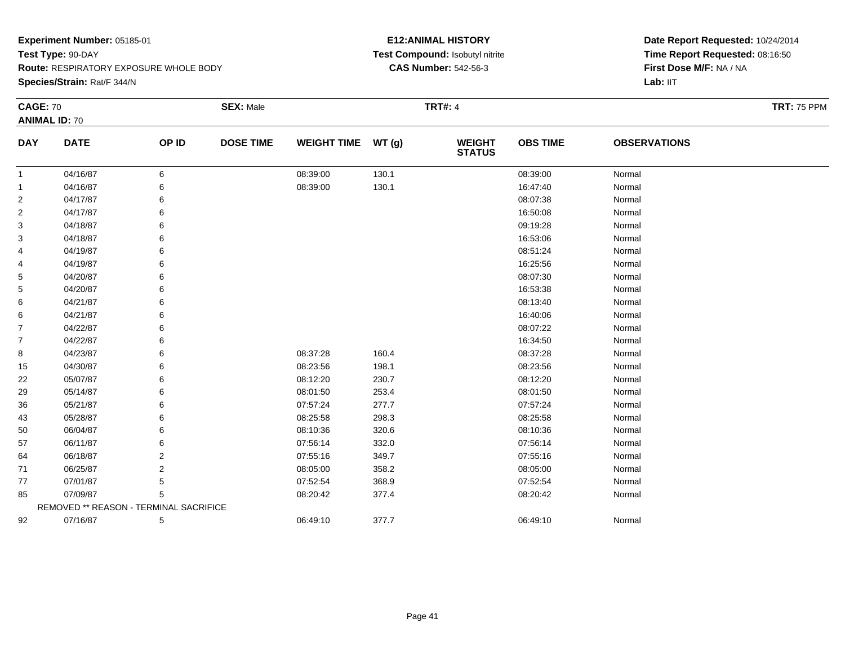**Route:** RESPIRATORY EXPOSURE WHOLE BODY

**Species/Strain:** Rat/F 344/N

# **E12:ANIMAL HISTORY Test Compound:** Isobutyl nitrite**CAS Number:** 542-56-3

| <b>CAGE: 70</b> |                                        |                | <b>SEX: Male</b> |                    |       | <b>TRT#: 4</b>                 |                 |                     | <b>TRT: 75 PPM</b> |
|-----------------|----------------------------------------|----------------|------------------|--------------------|-------|--------------------------------|-----------------|---------------------|--------------------|
|                 | <b>ANIMAL ID: 70</b>                   |                |                  |                    |       |                                |                 |                     |                    |
| <b>DAY</b>      | <b>DATE</b>                            | OP ID          | <b>DOSE TIME</b> | <b>WEIGHT TIME</b> | WT(g) | <b>WEIGHT</b><br><b>STATUS</b> | <b>OBS TIME</b> | <b>OBSERVATIONS</b> |                    |
| 1               | 04/16/87                               | 6              |                  | 08:39:00           | 130.1 |                                | 08:39:00        | Normal              |                    |
| -1              | 04/16/87                               | 6              |                  | 08:39:00           | 130.1 |                                | 16:47:40        | Normal              |                    |
| $\overline{2}$  | 04/17/87                               | 6              |                  |                    |       |                                | 08:07:38        | Normal              |                    |
| 2               | 04/17/87                               | 6              |                  |                    |       |                                | 16:50:08        | Normal              |                    |
| 3               | 04/18/87                               |                |                  |                    |       |                                | 09:19:28        | Normal              |                    |
| 3               | 04/18/87                               |                |                  |                    |       |                                | 16:53:06        | Normal              |                    |
| 4               | 04/19/87                               | 6              |                  |                    |       |                                | 08:51:24        | Normal              |                    |
| 4               | 04/19/87                               | 6              |                  |                    |       |                                | 16:25:56        | Normal              |                    |
| 5               | 04/20/87                               |                |                  |                    |       |                                | 08:07:30        | Normal              |                    |
| 5               | 04/20/87                               |                |                  |                    |       |                                | 16:53:38        | Normal              |                    |
| 6               | 04/21/87                               |                |                  |                    |       |                                | 08:13:40        | Normal              |                    |
| 6               | 04/21/87                               | 6              |                  |                    |       |                                | 16:40:06        | Normal              |                    |
| 7               | 04/22/87                               |                |                  |                    |       |                                | 08:07:22        | Normal              |                    |
| $\overline{7}$  | 04/22/87                               |                |                  |                    |       |                                | 16:34:50        | Normal              |                    |
| 8               | 04/23/87                               | 6              |                  | 08:37:28           | 160.4 |                                | 08:37:28        | Normal              |                    |
| 15              | 04/30/87                               | 6              |                  | 08:23:56           | 198.1 |                                | 08:23:56        | Normal              |                    |
| 22              | 05/07/87                               |                |                  | 08:12:20           | 230.7 |                                | 08:12:20        | Normal              |                    |
| 29              | 05/14/87                               |                |                  | 08:01:50           | 253.4 |                                | 08:01:50        | Normal              |                    |
| 36              | 05/21/87                               |                |                  | 07:57:24           | 277.7 |                                | 07:57:24        | Normal              |                    |
| 43              | 05/28/87                               | 6              |                  | 08:25:58           | 298.3 |                                | 08:25:58        | Normal              |                    |
| 50              | 06/04/87                               |                |                  | 08:10:36           | 320.6 |                                | 08:10:36        | Normal              |                    |
| 57              | 06/11/87                               | 6              |                  | 07:56:14           | 332.0 |                                | 07:56:14        | Normal              |                    |
| 64              | 06/18/87                               | 2              |                  | 07:55:16           | 349.7 |                                | 07:55:16        | Normal              |                    |
| 71              | 06/25/87                               | $\overline{2}$ |                  | 08:05:00           | 358.2 |                                | 08:05:00        | Normal              |                    |
| 77              | 07/01/87                               | 5              |                  | 07:52:54           | 368.9 |                                | 07:52:54        | Normal              |                    |
| 85              | 07/09/87                               | 5              |                  | 08:20:42           | 377.4 |                                | 08:20:42        | Normal              |                    |
|                 | REMOVED ** REASON - TERMINAL SACRIFICE |                |                  |                    |       |                                |                 |                     |                    |
| 92              | 07/16/87                               | 5              |                  | 06:49:10           | 377.7 |                                | 06:49:10        | Normal              |                    |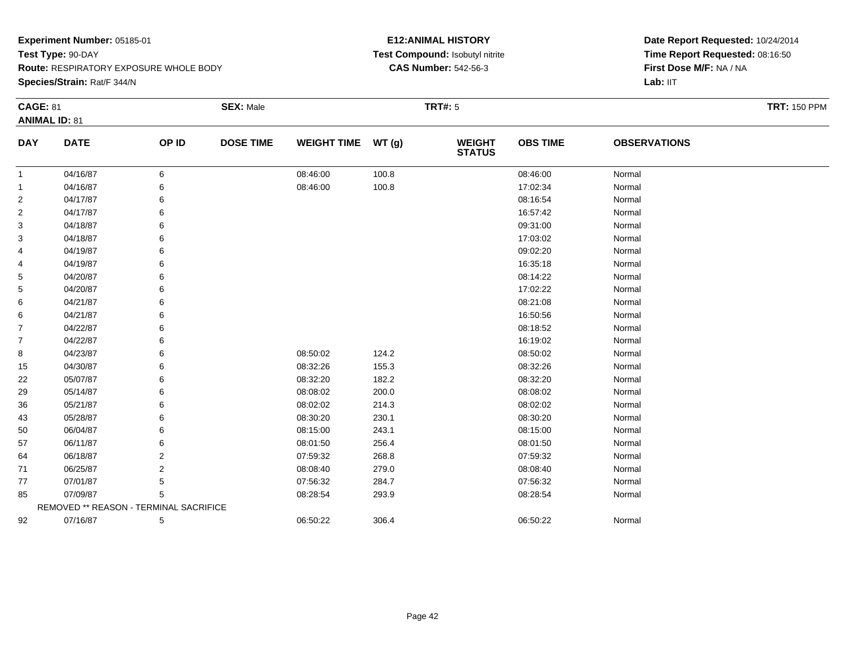**Route:** RESPIRATORY EXPOSURE WHOLE BODY

**Species/Strain:** Rat/F 344/N

# **E12:ANIMAL HISTORY Test Compound:** Isobutyl nitrite**CAS Number:** 542-56-3

| <b>CAGE: 81</b> |                                        |                | <b>SEX: Male</b> |                    |       | <b>TRT#: 5</b>                 |                 |                     | <b>TRT: 150 PPM</b> |
|-----------------|----------------------------------------|----------------|------------------|--------------------|-------|--------------------------------|-----------------|---------------------|---------------------|
|                 | <b>ANIMAL ID: 81</b>                   |                |                  |                    |       |                                |                 |                     |                     |
| <b>DAY</b>      | <b>DATE</b>                            | OP ID          | <b>DOSE TIME</b> | <b>WEIGHT TIME</b> | WT(g) | <b>WEIGHT</b><br><b>STATUS</b> | <b>OBS TIME</b> | <b>OBSERVATIONS</b> |                     |
| -1              | 04/16/87                               | 6              |                  | 08:46:00           | 100.8 |                                | 08:46:00        | Normal              |                     |
| -1              | 04/16/87                               | 6              |                  | 08:46:00           | 100.8 |                                | 17:02:34        | Normal              |                     |
| 2               | 04/17/87                               | 6              |                  |                    |       |                                | 08:16:54        | Normal              |                     |
| 2               | 04/17/87                               | 6              |                  |                    |       |                                | 16:57:42        | Normal              |                     |
| 3               | 04/18/87                               |                |                  |                    |       |                                | 09:31:00        | Normal              |                     |
| 3               | 04/18/87                               | 6              |                  |                    |       |                                | 17:03:02        | Normal              |                     |
| 4               | 04/19/87                               | 6              |                  |                    |       |                                | 09:02:20        | Normal              |                     |
| 4               | 04/19/87                               | 6              |                  |                    |       |                                | 16:35:18        | Normal              |                     |
| 5               | 04/20/87                               |                |                  |                    |       |                                | 08:14:22        | Normal              |                     |
| 5               | 04/20/87                               |                |                  |                    |       |                                | 17:02:22        | Normal              |                     |
| 6               | 04/21/87                               |                |                  |                    |       |                                | 08:21:08        | Normal              |                     |
| 6               | 04/21/87                               | 6              |                  |                    |       |                                | 16:50:56        | Normal              |                     |
| 7               | 04/22/87                               |                |                  |                    |       |                                | 08:18:52        | Normal              |                     |
| $\overline{7}$  | 04/22/87                               |                |                  |                    |       |                                | 16:19:02        | Normal              |                     |
| 8               | 04/23/87                               | 6              |                  | 08:50:02           | 124.2 |                                | 08:50:02        | Normal              |                     |
| 15              | 04/30/87                               | 6              |                  | 08:32:26           | 155.3 |                                | 08:32:26        | Normal              |                     |
| 22              | 05/07/87                               |                |                  | 08:32:20           | 182.2 |                                | 08:32:20        | Normal              |                     |
| 29              | 05/14/87                               |                |                  | 08:08:02           | 200.0 |                                | 08:08:02        | Normal              |                     |
| 36              | 05/21/87                               |                |                  | 08:02:02           | 214.3 |                                | 08:02:02        | Normal              |                     |
| 43              | 05/28/87                               | 6              |                  | 08:30:20           | 230.1 |                                | 08:30:20        | Normal              |                     |
| 50              | 06/04/87                               |                |                  | 08:15:00           | 243.1 |                                | 08:15:00        | Normal              |                     |
| 57              | 06/11/87                               | 6              |                  | 08:01:50           | 256.4 |                                | 08:01:50        | Normal              |                     |
| 64              | 06/18/87                               | 2              |                  | 07:59:32           | 268.8 |                                | 07:59:32        | Normal              |                     |
| 71              | 06/25/87                               | $\overline{2}$ |                  | 08:08:40           | 279.0 |                                | 08:08:40        | Normal              |                     |
| 77              | 07/01/87                               | 5              |                  | 07:56:32           | 284.7 |                                | 07:56:32        | Normal              |                     |
| 85              | 07/09/87                               | 5              |                  | 08:28:54           | 293.9 |                                | 08:28:54        | Normal              |                     |
|                 | REMOVED ** REASON - TERMINAL SACRIFICE |                |                  |                    |       |                                |                 |                     |                     |
| 92              | 07/16/87                               | 5              |                  | 06:50:22           | 306.4 |                                | 06:50:22        | Normal              |                     |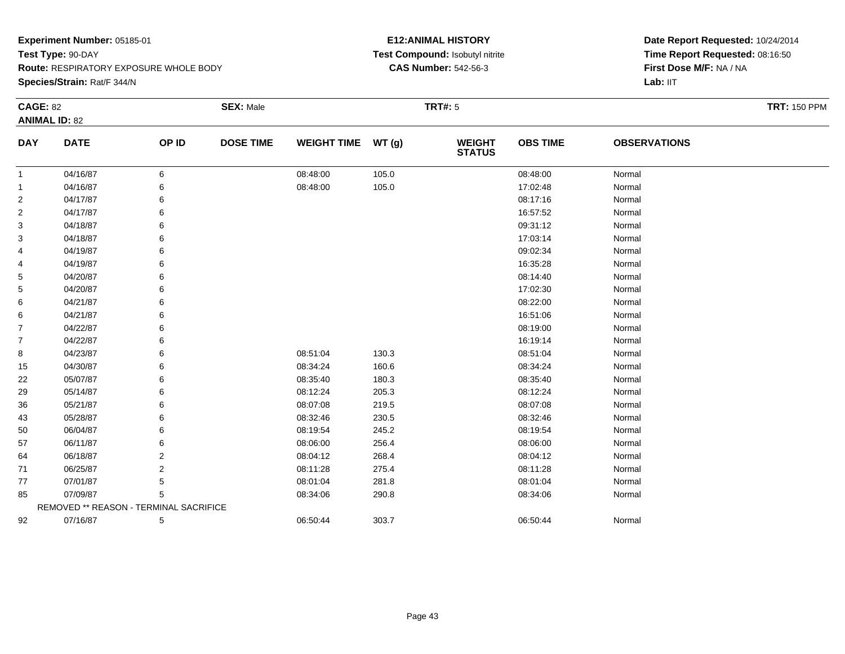**Species/Strain:** Rat/F 344/N

# **E12:ANIMAL HISTORY Test Compound:** Isobutyl nitrite**CAS Number:** 542-56-3

| <b>CAGE: 82</b> |                                        |       | <b>SEX: Male</b> |                    |       | <b>TRT#: 5</b>                 |                 |                     | <b>TRT: 150 PPM</b> |
|-----------------|----------------------------------------|-------|------------------|--------------------|-------|--------------------------------|-----------------|---------------------|---------------------|
|                 | <b>ANIMAL ID: 82</b>                   |       |                  |                    |       |                                |                 |                     |                     |
| <b>DAY</b>      | <b>DATE</b>                            | OP ID | <b>DOSE TIME</b> | <b>WEIGHT TIME</b> | WT(g) | <b>WEIGHT</b><br><b>STATUS</b> | <b>OBS TIME</b> | <b>OBSERVATIONS</b> |                     |
| 1               | 04/16/87                               | 6     |                  | 08:48:00           | 105.0 |                                | 08:48:00        | Normal              |                     |
| 1               | 04/16/87                               | 6     |                  | 08:48:00           | 105.0 |                                | 17:02:48        | Normal              |                     |
| $\overline{c}$  | 04/17/87                               | 6     |                  |                    |       |                                | 08:17:16        | Normal              |                     |
| 2               | 04/17/87                               | 6     |                  |                    |       |                                | 16:57:52        | Normal              |                     |
| 3               | 04/18/87                               | 6     |                  |                    |       |                                | 09:31:12        | Normal              |                     |
| 3               | 04/18/87                               | 6     |                  |                    |       |                                | 17:03:14        | Normal              |                     |
| 4               | 04/19/87                               | 6     |                  |                    |       |                                | 09:02:34        | Normal              |                     |
| 4               | 04/19/87                               | 6     |                  |                    |       |                                | 16:35:28        | Normal              |                     |
| 5               | 04/20/87                               | 6     |                  |                    |       |                                | 08:14:40        | Normal              |                     |
| 5               | 04/20/87                               | 6     |                  |                    |       |                                | 17:02:30        | Normal              |                     |
| 6               | 04/21/87                               | 6     |                  |                    |       |                                | 08:22:00        | Normal              |                     |
| 6               | 04/21/87                               | 6     |                  |                    |       |                                | 16:51:06        | Normal              |                     |
| $\overline{7}$  | 04/22/87                               | 6     |                  |                    |       |                                | 08:19:00        | Normal              |                     |
| $\overline{7}$  | 04/22/87                               | 6     |                  |                    |       |                                | 16:19:14        | Normal              |                     |
| 8               | 04/23/87                               | 6     |                  | 08:51:04           | 130.3 |                                | 08:51:04        | Normal              |                     |
| 15              | 04/30/87                               | 6     |                  | 08:34:24           | 160.6 |                                | 08:34:24        | Normal              |                     |
| 22              | 05/07/87                               | 6     |                  | 08:35:40           | 180.3 |                                | 08:35:40        | Normal              |                     |
| 29              | 05/14/87                               | 6     |                  | 08:12:24           | 205.3 |                                | 08:12:24        | Normal              |                     |
| 36              | 05/21/87                               | 6     |                  | 08:07:08           | 219.5 |                                | 08:07:08        | Normal              |                     |
| 43              | 05/28/87                               | 6     |                  | 08:32:46           | 230.5 |                                | 08:32:46        | Normal              |                     |
| 50              | 06/04/87                               | 6     |                  | 08:19:54           | 245.2 |                                | 08:19:54        | Normal              |                     |
| 57              | 06/11/87                               | 6     |                  | 08:06:00           | 256.4 |                                | 08:06:00        | Normal              |                     |
| 64              | 06/18/87                               | 2     |                  | 08:04:12           | 268.4 |                                | 08:04:12        | Normal              |                     |
| 71              | 06/25/87                               | 2     |                  | 08:11:28           | 275.4 |                                | 08:11:28        | Normal              |                     |
| 77              | 07/01/87                               | 5     |                  | 08:01:04           | 281.8 |                                | 08:01:04        | Normal              |                     |
| 85              | 07/09/87                               | 5     |                  | 08:34:06           | 290.8 |                                | 08:34:06        | Normal              |                     |
|                 | REMOVED ** REASON - TERMINAL SACRIFICE |       |                  |                    |       |                                |                 |                     |                     |
| 92              | 07/16/87                               | 5     |                  | 06:50:44           | 303.7 |                                | 06:50:44        | Normal              |                     |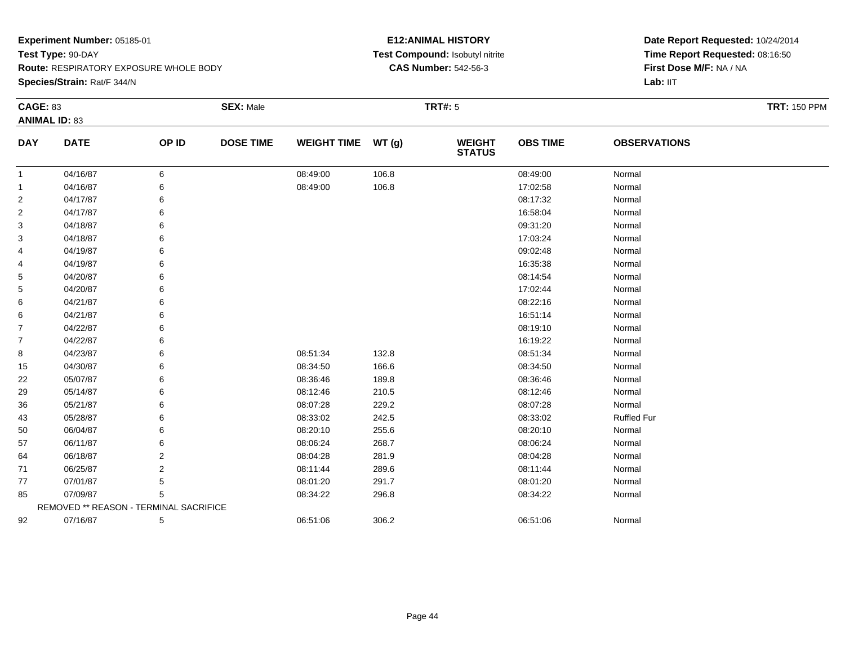**Route:** RESPIRATORY EXPOSURE WHOLE BODY

**Species/Strain:** Rat/F 344/N

# **E12:ANIMAL HISTORY Test Compound:** Isobutyl nitrite**CAS Number:** 542-56-3

| <b>CAGE: 83</b> | <b>ANIMAL ID: 83</b>                   |                | <b>SEX: Male</b> |                    |       | <b>TRT#: 5</b>                 |                 |                     | <b>TRT: 150 PPM</b> |
|-----------------|----------------------------------------|----------------|------------------|--------------------|-------|--------------------------------|-----------------|---------------------|---------------------|
| <b>DAY</b>      | <b>DATE</b>                            | OP ID          | <b>DOSE TIME</b> | <b>WEIGHT TIME</b> | WT(g) | <b>WEIGHT</b><br><b>STATUS</b> | <b>OBS TIME</b> | <b>OBSERVATIONS</b> |                     |
| $\mathbf{1}$    | 04/16/87                               | 6              |                  | 08:49:00           | 106.8 |                                | 08:49:00        | Normal              |                     |
| $\mathbf{1}$    | 04/16/87                               |                |                  | 08:49:00           | 106.8 |                                | 17:02:58        | Normal              |                     |
| $\overline{2}$  | 04/17/87                               |                |                  |                    |       |                                | 08:17:32        | Normal              |                     |
| $\overline{2}$  | 04/17/87                               |                |                  |                    |       |                                | 16:58:04        | Normal              |                     |
| 3               | 04/18/87                               |                |                  |                    |       |                                | 09:31:20        | Normal              |                     |
| 3               | 04/18/87                               |                |                  |                    |       |                                | 17:03:24        | Normal              |                     |
| 4               | 04/19/87                               |                |                  |                    |       |                                | 09:02:48        | Normal              |                     |
| 4               | 04/19/87                               |                |                  |                    |       |                                | 16:35:38        | Normal              |                     |
| 5               | 04/20/87                               |                |                  |                    |       |                                | 08:14:54        | Normal              |                     |
| 5               | 04/20/87                               |                |                  |                    |       |                                | 17:02:44        | Normal              |                     |
| 6               | 04/21/87                               |                |                  |                    |       |                                | 08:22:16        | Normal              |                     |
| 6               | 04/21/87                               |                |                  |                    |       |                                | 16:51:14        | Normal              |                     |
| $\overline{7}$  | 04/22/87                               |                |                  |                    |       |                                | 08:19:10        | Normal              |                     |
| $\overline{7}$  | 04/22/87                               |                |                  |                    |       |                                | 16:19:22        | Normal              |                     |
| 8               | 04/23/87                               |                |                  | 08:51:34           | 132.8 |                                | 08:51:34        | Normal              |                     |
| 15              | 04/30/87                               |                |                  | 08:34:50           | 166.6 |                                | 08:34:50        | Normal              |                     |
| 22              | 05/07/87                               |                |                  | 08:36:46           | 189.8 |                                | 08:36:46        | Normal              |                     |
| 29              | 05/14/87                               |                |                  | 08:12:46           | 210.5 |                                | 08:12:46        | Normal              |                     |
| 36              | 05/21/87                               |                |                  | 08:07:28           | 229.2 |                                | 08:07:28        | Normal              |                     |
| 43              | 05/28/87                               |                |                  | 08:33:02           | 242.5 |                                | 08:33:02        | <b>Ruffled Fur</b>  |                     |
| 50              | 06/04/87                               |                |                  | 08:20:10           | 255.6 |                                | 08:20:10        | Normal              |                     |
| 57              | 06/11/87                               | 6              |                  | 08:06:24           | 268.7 |                                | 08:06:24        | Normal              |                     |
| 64              | 06/18/87                               | 2              |                  | 08:04:28           | 281.9 |                                | 08:04:28        | Normal              |                     |
| 71              | 06/25/87                               | $\overline{2}$ |                  | 08:11:44           | 289.6 |                                | 08:11:44        | Normal              |                     |
| 77              | 07/01/87                               | 5              |                  | 08:01:20           | 291.7 |                                | 08:01:20        | Normal              |                     |
| 85              | 07/09/87                               | 5              |                  | 08:34:22           | 296.8 |                                | 08:34:22        | Normal              |                     |
|                 | REMOVED ** REASON - TERMINAL SACRIFICE |                |                  |                    |       |                                |                 |                     |                     |
| 92              | 07/16/87                               | 5              |                  | 06:51:06           | 306.2 |                                | 06:51:06        | Normal              |                     |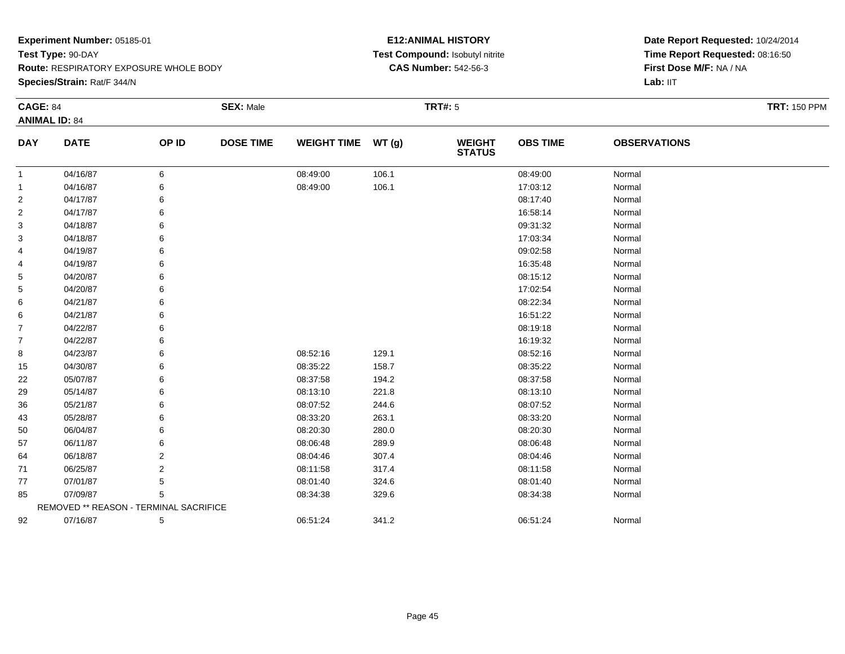**Route:** RESPIRATORY EXPOSURE WHOLE BODY

**Species/Strain:** Rat/F 344/N

# **E12:ANIMAL HISTORY Test Compound:** Isobutyl nitrite**CAS Number:** 542-56-3

| <b>CAGE: 84</b> |                                        |                | <b>SEX: Male</b> |                    |       | <b>TRT#:</b> 5                 |                 |                     | <b>TRT: 150 PPM</b> |
|-----------------|----------------------------------------|----------------|------------------|--------------------|-------|--------------------------------|-----------------|---------------------|---------------------|
|                 | <b>ANIMAL ID: 84</b>                   |                |                  |                    |       |                                |                 |                     |                     |
| <b>DAY</b>      | <b>DATE</b>                            | OP ID          | <b>DOSE TIME</b> | <b>WEIGHT TIME</b> | WT(g) | <b>WEIGHT</b><br><b>STATUS</b> | <b>OBS TIME</b> | <b>OBSERVATIONS</b> |                     |
| 1               | 04/16/87                               | 6              |                  | 08:49:00           | 106.1 |                                | 08:49:00        | Normal              |                     |
| 1               | 04/16/87                               | 6              |                  | 08:49:00           | 106.1 |                                | 17:03:12        | Normal              |                     |
| 2               | 04/17/87                               | 6              |                  |                    |       |                                | 08:17:40        | Normal              |                     |
| 2               | 04/17/87                               | 6              |                  |                    |       |                                | 16:58:14        | Normal              |                     |
| 3               | 04/18/87                               | 6              |                  |                    |       |                                | 09:31:32        | Normal              |                     |
| 3               | 04/18/87                               | 6              |                  |                    |       |                                | 17:03:34        | Normal              |                     |
| 4               | 04/19/87                               | 6              |                  |                    |       |                                | 09:02:58        | Normal              |                     |
| 4               | 04/19/87                               | 6              |                  |                    |       |                                | 16:35:48        | Normal              |                     |
| 5               | 04/20/87                               | 6              |                  |                    |       |                                | 08:15:12        | Normal              |                     |
| 5               | 04/20/87                               | 6              |                  |                    |       |                                | 17:02:54        | Normal              |                     |
| 6               | 04/21/87                               | 6              |                  |                    |       |                                | 08:22:34        | Normal              |                     |
| 6               | 04/21/87                               | 6              |                  |                    |       |                                | 16:51:22        | Normal              |                     |
| $\overline{7}$  | 04/22/87                               | 6              |                  |                    |       |                                | 08:19:18        | Normal              |                     |
| $\overline{7}$  | 04/22/87                               | 6              |                  |                    |       |                                | 16:19:32        | Normal              |                     |
| 8               | 04/23/87                               | 6              |                  | 08:52:16           | 129.1 |                                | 08:52:16        | Normal              |                     |
| 15              | 04/30/87                               | 6              |                  | 08:35:22           | 158.7 |                                | 08:35:22        | Normal              |                     |
| 22              | 05/07/87                               | 6              |                  | 08:37:58           | 194.2 |                                | 08:37:58        | Normal              |                     |
| 29              | 05/14/87                               | 6              |                  | 08:13:10           | 221.8 |                                | 08:13:10        | Normal              |                     |
| 36              | 05/21/87                               | 6              |                  | 08:07:52           | 244.6 |                                | 08:07:52        | Normal              |                     |
| 43              | 05/28/87                               | 6              |                  | 08:33:20           | 263.1 |                                | 08:33:20        | Normal              |                     |
| 50              | 06/04/87                               | 6              |                  | 08:20:30           | 280.0 |                                | 08:20:30        | Normal              |                     |
| 57              | 06/11/87                               | 6              |                  | 08:06:48           | 289.9 |                                | 08:06:48        | Normal              |                     |
| 64              | 06/18/87                               | 2              |                  | 08:04:46           | 307.4 |                                | 08:04:46        | Normal              |                     |
| 71              | 06/25/87                               | $\overline{2}$ |                  | 08:11:58           | 317.4 |                                | 08:11:58        | Normal              |                     |
| 77              | 07/01/87                               | 5              |                  | 08:01:40           | 324.6 |                                | 08:01:40        | Normal              |                     |
| 85              | 07/09/87                               | 5              |                  | 08:34:38           | 329.6 |                                | 08:34:38        | Normal              |                     |
|                 | REMOVED ** REASON - TERMINAL SACRIFICE |                |                  |                    |       |                                |                 |                     |                     |
| 92              | 07/16/87                               | 5              |                  | 06:51:24           | 341.2 |                                | 06:51:24        | Normal              |                     |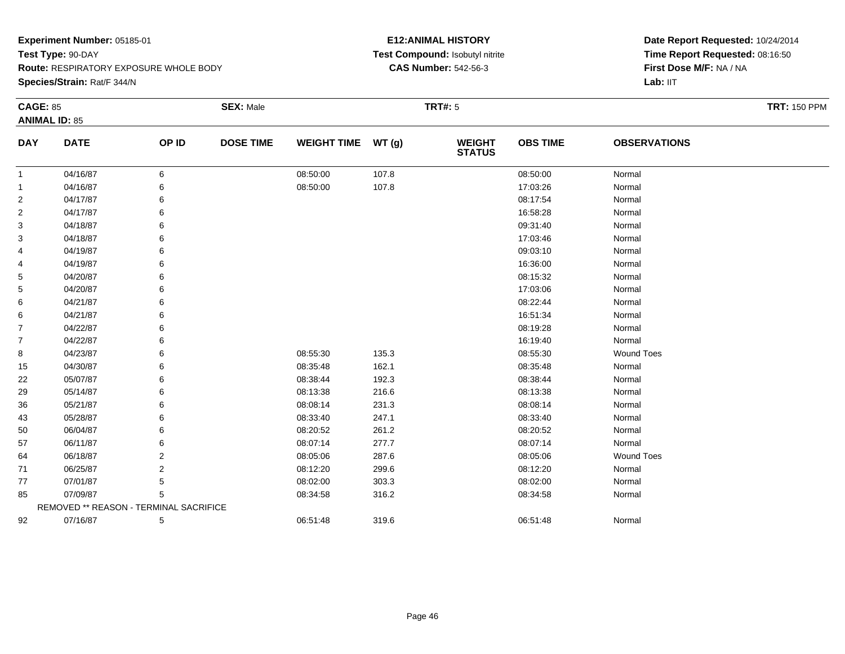**Species/Strain:** Rat/F 344/N

# **E12:ANIMAL HISTORY Test Compound:** Isobutyl nitrite**CAS Number:** 542-56-3

| <b>CAGE: 85</b> |                                        |       | <b>SEX: Male</b> |                    |       | <b>TRT#: 5</b>                 |                 |                     | <b>TRT: 150 PPM</b> |
|-----------------|----------------------------------------|-------|------------------|--------------------|-------|--------------------------------|-----------------|---------------------|---------------------|
|                 | <b>ANIMAL ID: 85</b>                   |       |                  |                    |       |                                |                 |                     |                     |
| <b>DAY</b>      | <b>DATE</b>                            | OP ID | <b>DOSE TIME</b> | <b>WEIGHT TIME</b> | WT(g) | <b>WEIGHT</b><br><b>STATUS</b> | <b>OBS TIME</b> | <b>OBSERVATIONS</b> |                     |
| 1               | 04/16/87                               | 6     |                  | 08:50:00           | 107.8 |                                | 08:50:00        | Normal              |                     |
| 1               | 04/16/87                               | 6     |                  | 08:50:00           | 107.8 |                                | 17:03:26        | Normal              |                     |
| $\overline{c}$  | 04/17/87                               | 6     |                  |                    |       |                                | 08:17:54        | Normal              |                     |
| 2               | 04/17/87                               | 6     |                  |                    |       |                                | 16:58:28        | Normal              |                     |
| 3               | 04/18/87                               | 6     |                  |                    |       |                                | 09:31:40        | Normal              |                     |
| 3               | 04/18/87                               | 6     |                  |                    |       |                                | 17:03:46        | Normal              |                     |
| 4               | 04/19/87                               | 6     |                  |                    |       |                                | 09:03:10        | Normal              |                     |
| 4               | 04/19/87                               | 6     |                  |                    |       |                                | 16:36:00        | Normal              |                     |
| 5               | 04/20/87                               | 6     |                  |                    |       |                                | 08:15:32        | Normal              |                     |
| 5               | 04/20/87                               | 6     |                  |                    |       |                                | 17:03:06        | Normal              |                     |
| 6               | 04/21/87                               | 6     |                  |                    |       |                                | 08:22:44        | Normal              |                     |
| 6               | 04/21/87                               | 6     |                  |                    |       |                                | 16:51:34        | Normal              |                     |
| $\overline{7}$  | 04/22/87                               | 6     |                  |                    |       |                                | 08:19:28        | Normal              |                     |
| $\overline{7}$  | 04/22/87                               | 6     |                  |                    |       |                                | 16:19:40        | Normal              |                     |
| 8               | 04/23/87                               | 6     |                  | 08:55:30           | 135.3 |                                | 08:55:30        | <b>Wound Toes</b>   |                     |
| 15              | 04/30/87                               | 6     |                  | 08:35:48           | 162.1 |                                | 08:35:48        | Normal              |                     |
| 22              | 05/07/87                               | 6     |                  | 08:38:44           | 192.3 |                                | 08:38:44        | Normal              |                     |
| 29              | 05/14/87                               | 6     |                  | 08:13:38           | 216.6 |                                | 08:13:38        | Normal              |                     |
| 36              | 05/21/87                               | 6     |                  | 08:08:14           | 231.3 |                                | 08:08:14        | Normal              |                     |
| 43              | 05/28/87                               | 6     |                  | 08:33:40           | 247.1 |                                | 08:33:40        | Normal              |                     |
| 50              | 06/04/87                               | 6     |                  | 08:20:52           | 261.2 |                                | 08:20:52        | Normal              |                     |
| 57              | 06/11/87                               | 6     |                  | 08:07:14           | 277.7 |                                | 08:07:14        | Normal              |                     |
| 64              | 06/18/87                               | 2     |                  | 08:05:06           | 287.6 |                                | 08:05:06        | <b>Wound Toes</b>   |                     |
| 71              | 06/25/87                               | 2     |                  | 08:12:20           | 299.6 |                                | 08:12:20        | Normal              |                     |
| 77              | 07/01/87                               | 5     |                  | 08:02:00           | 303.3 |                                | 08:02:00        | Normal              |                     |
| 85              | 07/09/87                               | 5     |                  | 08:34:58           | 316.2 |                                | 08:34:58        | Normal              |                     |
|                 | REMOVED ** REASON - TERMINAL SACRIFICE |       |                  |                    |       |                                |                 |                     |                     |
| 92              | 07/16/87                               | 5     |                  | 06:51:48           | 319.6 |                                | 06:51:48        | Normal              |                     |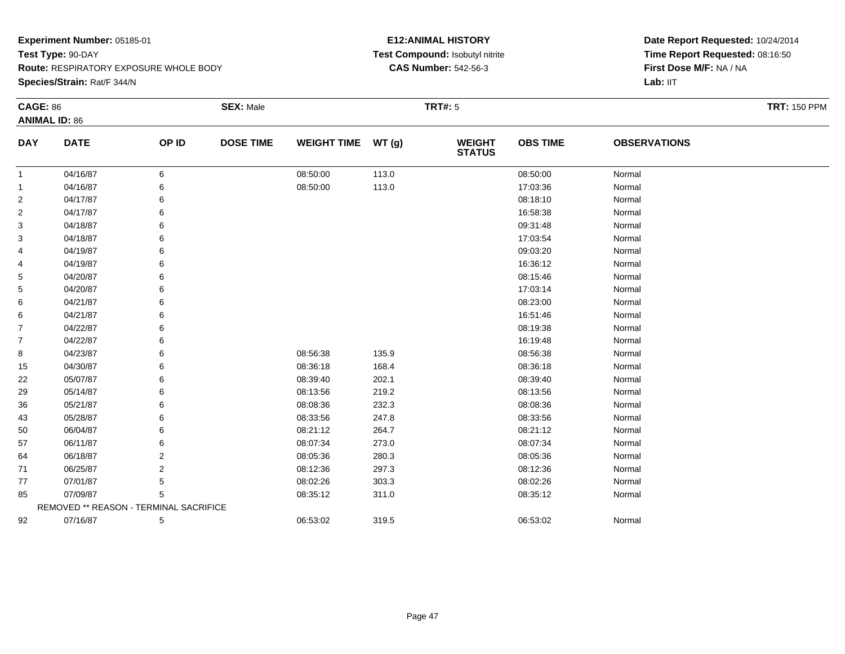**Species/Strain:** Rat/F 344/N

# **E12:ANIMAL HISTORY Test Compound:** Isobutyl nitrite**CAS Number:** 542-56-3

| <b>CAGE: 86</b> | <b>ANIMAL ID: 86</b>                   |                | <b>SEX: Male</b> |                    |       | <b>TRT#: 5</b>                 |                 |                     | <b>TRT: 150 PPM</b> |
|-----------------|----------------------------------------|----------------|------------------|--------------------|-------|--------------------------------|-----------------|---------------------|---------------------|
| <b>DAY</b>      | <b>DATE</b>                            | OP ID          | <b>DOSE TIME</b> | <b>WEIGHT TIME</b> | WT(g) | <b>WEIGHT</b><br><b>STATUS</b> | <b>OBS TIME</b> | <b>OBSERVATIONS</b> |                     |
| -1              | 04/16/87                               | 6              |                  | 08:50:00           | 113.0 |                                | 08:50:00        | Normal              |                     |
|                 | 04/16/87                               | 6              |                  | 08:50:00           | 113.0 |                                | 17:03:36        | Normal              |                     |
| $\overline{2}$  | 04/17/87                               |                |                  |                    |       |                                | 08:18:10        | Normal              |                     |
| $\overline{c}$  | 04/17/87                               |                |                  |                    |       |                                | 16:58:38        | Normal              |                     |
| 3               | 04/18/87                               |                |                  |                    |       |                                | 09:31:48        | Normal              |                     |
| 3               | 04/18/87                               |                |                  |                    |       |                                | 17:03:54        | Normal              |                     |
| 4               | 04/19/87                               |                |                  |                    |       |                                | 09:03:20        | Normal              |                     |
| 4               | 04/19/87                               |                |                  |                    |       |                                | 16:36:12        | Normal              |                     |
| 5               | 04/20/87                               |                |                  |                    |       |                                | 08:15:46        | Normal              |                     |
| 5               | 04/20/87                               |                |                  |                    |       |                                | 17:03:14        | Normal              |                     |
| 6               | 04/21/87                               |                |                  |                    |       |                                | 08:23:00        | Normal              |                     |
| 6               | 04/21/87                               |                |                  |                    |       |                                | 16:51:46        | Normal              |                     |
| $\overline{7}$  | 04/22/87                               |                |                  |                    |       |                                | 08:19:38        | Normal              |                     |
| $\overline{7}$  | 04/22/87                               |                |                  |                    |       |                                | 16:19:48        | Normal              |                     |
| 8               | 04/23/87                               | 6              |                  | 08:56:38           | 135.9 |                                | 08:56:38        | Normal              |                     |
| 15              | 04/30/87                               | 6              |                  | 08:36:18           | 168.4 |                                | 08:36:18        | Normal              |                     |
| 22              | 05/07/87                               |                |                  | 08:39:40           | 202.1 |                                | 08:39:40        | Normal              |                     |
| 29              | 05/14/87                               |                |                  | 08:13:56           | 219.2 |                                | 08:13:56        | Normal              |                     |
| 36              | 05/21/87                               |                |                  | 08:08:36           | 232.3 |                                | 08:08:36        | Normal              |                     |
| 43              | 05/28/87                               | 6              |                  | 08:33:56           | 247.8 |                                | 08:33:56        | Normal              |                     |
| 50              | 06/04/87                               |                |                  | 08:21:12           | 264.7 |                                | 08:21:12        | Normal              |                     |
| 57              | 06/11/87                               | 6              |                  | 08:07:34           | 273.0 |                                | 08:07:34        | Normal              |                     |
| 64              | 06/18/87                               | 2              |                  | 08:05:36           | 280.3 |                                | 08:05:36        | Normal              |                     |
| 71              | 06/25/87                               | $\overline{2}$ |                  | 08:12:36           | 297.3 |                                | 08:12:36        | Normal              |                     |
| 77              | 07/01/87                               | 5              |                  | 08:02:26           | 303.3 |                                | 08:02:26        | Normal              |                     |
| 85              | 07/09/87                               | 5              |                  | 08:35:12           | 311.0 |                                | 08:35:12        | Normal              |                     |
|                 | REMOVED ** REASON - TERMINAL SACRIFICE |                |                  |                    |       |                                |                 |                     |                     |
| 92              | 07/16/87                               | 5              |                  | 06:53:02           | 319.5 |                                | 06:53:02        | Normal              |                     |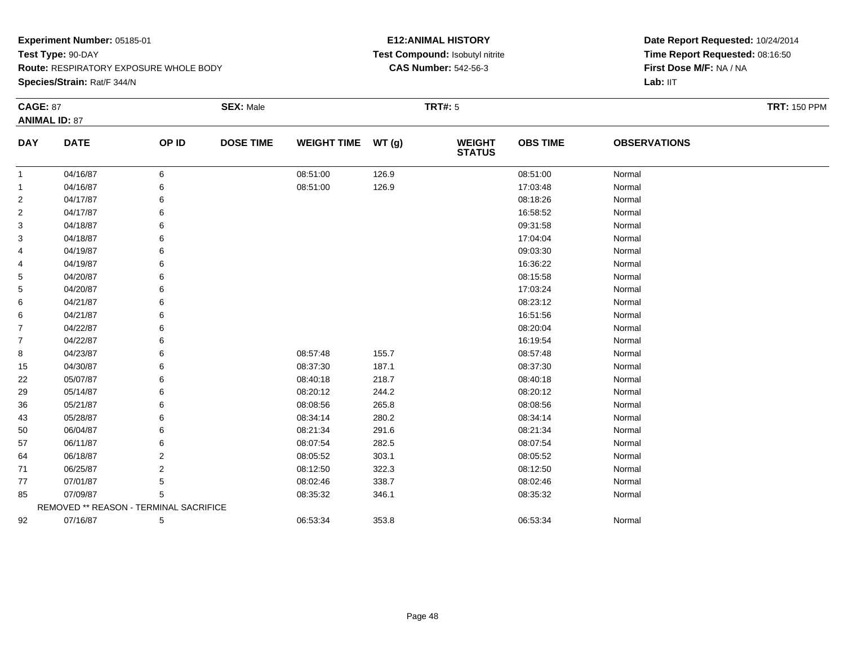**Species/Strain:** Rat/F 344/N

# **E12:ANIMAL HISTORY Test Compound:** Isobutyl nitrite**CAS Number:** 542-56-3

| <b>CAGE: 87</b> |                                        |       | <b>SEX: Male</b> |                    |        | <b>TRT#: 5</b>                 |                 |                     | <b>TRT: 150 PPM</b> |
|-----------------|----------------------------------------|-------|------------------|--------------------|--------|--------------------------------|-----------------|---------------------|---------------------|
|                 | <b>ANIMAL ID: 87</b>                   |       |                  |                    |        |                                |                 |                     |                     |
| <b>DAY</b>      | <b>DATE</b>                            | OP ID | <b>DOSE TIME</b> | <b>WEIGHT TIME</b> | WT (g) | <b>WEIGHT</b><br><b>STATUS</b> | <b>OBS TIME</b> | <b>OBSERVATIONS</b> |                     |
| 1               | 04/16/87                               | 6     |                  | 08:51:00           | 126.9  |                                | 08:51:00        | Normal              |                     |
| 1               | 04/16/87                               | 6     |                  | 08:51:00           | 126.9  |                                | 17:03:48        | Normal              |                     |
| 2               | 04/17/87                               | 6     |                  |                    |        |                                | 08:18:26        | Normal              |                     |
| 2               | 04/17/87                               | 6     |                  |                    |        |                                | 16:58:52        | Normal              |                     |
| 3               | 04/18/87                               | 6     |                  |                    |        |                                | 09:31:58        | Normal              |                     |
| 3               | 04/18/87                               | 6     |                  |                    |        |                                | 17:04:04        | Normal              |                     |
| 4               | 04/19/87                               | 6     |                  |                    |        |                                | 09:03:30        | Normal              |                     |
| 4               | 04/19/87                               | 6     |                  |                    |        |                                | 16:36:22        | Normal              |                     |
| 5               | 04/20/87                               | 6     |                  |                    |        |                                | 08:15:58        | Normal              |                     |
| 5               | 04/20/87                               | 6     |                  |                    |        |                                | 17:03:24        | Normal              |                     |
| 6               | 04/21/87                               | 6     |                  |                    |        |                                | 08:23:12        | Normal              |                     |
| 6               | 04/21/87                               | 6     |                  |                    |        |                                | 16:51:56        | Normal              |                     |
| 7               | 04/22/87                               | 6     |                  |                    |        |                                | 08:20:04        | Normal              |                     |
| $\overline{7}$  | 04/22/87                               | 6     |                  |                    |        |                                | 16:19:54        | Normal              |                     |
| 8               | 04/23/87                               | 6     |                  | 08:57:48           | 155.7  |                                | 08:57:48        | Normal              |                     |
| 15              | 04/30/87                               | 6     |                  | 08:37:30           | 187.1  |                                | 08:37:30        | Normal              |                     |
| 22              | 05/07/87                               | 6     |                  | 08:40:18           | 218.7  |                                | 08:40:18        | Normal              |                     |
| 29              | 05/14/87                               | 6     |                  | 08:20:12           | 244.2  |                                | 08:20:12        | Normal              |                     |
| 36              | 05/21/87                               | 6     |                  | 08:08:56           | 265.8  |                                | 08:08:56        | Normal              |                     |
| 43              | 05/28/87                               | 6     |                  | 08:34:14           | 280.2  |                                | 08:34:14        | Normal              |                     |
| 50              | 06/04/87                               | 6     |                  | 08:21:34           | 291.6  |                                | 08:21:34        | Normal              |                     |
| 57              | 06/11/87                               | 6     |                  | 08:07:54           | 282.5  |                                | 08:07:54        | Normal              |                     |
| 64              | 06/18/87                               | 2     |                  | 08:05:52           | 303.1  |                                | 08:05:52        | Normal              |                     |
| 71              | 06/25/87                               | 2     |                  | 08:12:50           | 322.3  |                                | 08:12:50        | Normal              |                     |
| 77              | 07/01/87                               | 5     |                  | 08:02:46           | 338.7  |                                | 08:02:46        | Normal              |                     |
| 85              | 07/09/87                               | 5     |                  | 08:35:32           | 346.1  |                                | 08:35:32        | Normal              |                     |
|                 | REMOVED ** REASON - TERMINAL SACRIFICE |       |                  |                    |        |                                |                 |                     |                     |
| 92              | 07/16/87                               | 5     |                  | 06:53:34           | 353.8  |                                | 06:53:34        | Normal              |                     |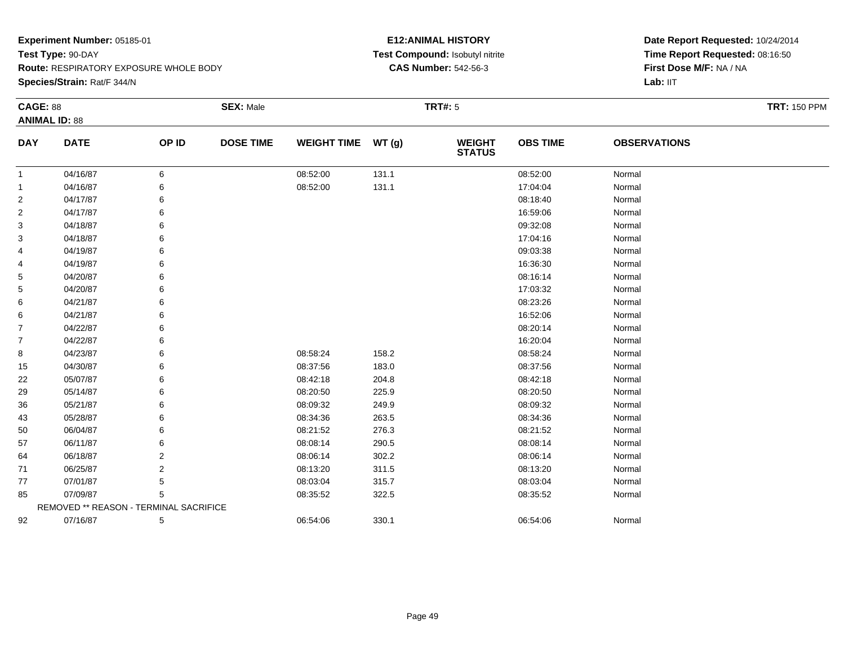**Species/Strain:** Rat/F 344/N

# **E12:ANIMAL HISTORY Test Compound:** Isobutyl nitrite**CAS Number:** 542-56-3

| <b>CAGE: 88</b> |                                        |       | <b>SEX: Male</b> |                    |       | <b>TRT#:</b> 5                 |                 |                     | <b>TRT: 150 PPM</b> |
|-----------------|----------------------------------------|-------|------------------|--------------------|-------|--------------------------------|-----------------|---------------------|---------------------|
|                 | <b>ANIMAL ID: 88</b>                   |       |                  |                    |       |                                |                 |                     |                     |
| <b>DAY</b>      | <b>DATE</b>                            | OP ID | <b>DOSE TIME</b> | <b>WEIGHT TIME</b> | WT(g) | <b>WEIGHT</b><br><b>STATUS</b> | <b>OBS TIME</b> | <b>OBSERVATIONS</b> |                     |
| $\mathbf{1}$    | 04/16/87                               | 6     |                  | 08:52:00           | 131.1 |                                | 08:52:00        | Normal              |                     |
| $\mathbf{1}$    | 04/16/87                               | 6     |                  | 08:52:00           | 131.1 |                                | 17:04:04        | Normal              |                     |
| $\overline{c}$  | 04/17/87                               |       |                  |                    |       |                                | 08:18:40        | Normal              |                     |
| $\overline{2}$  | 04/17/87                               |       |                  |                    |       |                                | 16:59:06        | Normal              |                     |
| 3               | 04/18/87                               |       |                  |                    |       |                                | 09:32:08        | Normal              |                     |
| 3               | 04/18/87                               |       |                  |                    |       |                                | 17:04:16        | Normal              |                     |
| 4               | 04/19/87                               | 6     |                  |                    |       |                                | 09:03:38        | Normal              |                     |
| 4               | 04/19/87                               | 6     |                  |                    |       |                                | 16:36:30        | Normal              |                     |
| 5               | 04/20/87                               |       |                  |                    |       |                                | 08:16:14        | Normal              |                     |
| 5               | 04/20/87                               |       |                  |                    |       |                                | 17:03:32        | Normal              |                     |
| 6               | 04/21/87                               |       |                  |                    |       |                                | 08:23:26        | Normal              |                     |
| 6               | 04/21/87                               | 6     |                  |                    |       |                                | 16:52:06        | Normal              |                     |
| 7               | 04/22/87                               |       |                  |                    |       |                                | 08:20:14        | Normal              |                     |
| $\overline{7}$  | 04/22/87                               |       |                  |                    |       |                                | 16:20:04        | Normal              |                     |
| 8               | 04/23/87                               |       |                  | 08:58:24           | 158.2 |                                | 08:58:24        | Normal              |                     |
| 15              | 04/30/87                               | 6     |                  | 08:37:56           | 183.0 |                                | 08:37:56        | Normal              |                     |
| 22              | 05/07/87                               |       |                  | 08:42:18           | 204.8 |                                | 08:42:18        | Normal              |                     |
| 29              | 05/14/87                               |       |                  | 08:20:50           | 225.9 |                                | 08:20:50        | Normal              |                     |
| 36              | 05/21/87                               |       |                  | 08:09:32           | 249.9 |                                | 08:09:32        | Normal              |                     |
| 43              | 05/28/87                               | 6     |                  | 08:34:36           | 263.5 |                                | 08:34:36        | Normal              |                     |
| 50              | 06/04/87                               |       |                  | 08:21:52           | 276.3 |                                | 08:21:52        | Normal              |                     |
| 57              | 06/11/87                               | 6     |                  | 08:08:14           | 290.5 |                                | 08:08:14        | Normal              |                     |
| 64              | 06/18/87                               | 2     |                  | 08:06:14           | 302.2 |                                | 08:06:14        | Normal              |                     |
| 71              | 06/25/87                               | 2     |                  | 08:13:20           | 311.5 |                                | 08:13:20        | Normal              |                     |
| 77              | 07/01/87                               | 5     |                  | 08:03:04           | 315.7 |                                | 08:03:04        | Normal              |                     |
| 85              | 07/09/87                               | 5     |                  | 08:35:52           | 322.5 |                                | 08:35:52        | Normal              |                     |
|                 | REMOVED ** REASON - TERMINAL SACRIFICE |       |                  |                    |       |                                |                 |                     |                     |
| 92              | 07/16/87                               | 5     |                  | 06:54:06           | 330.1 |                                | 06:54:06        | Normal              |                     |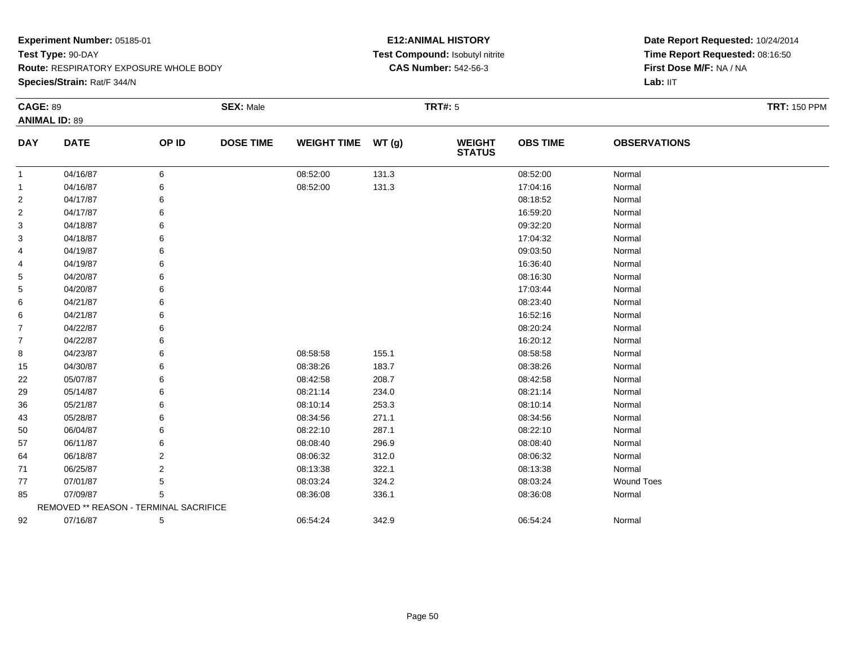**Species/Strain:** Rat/F 344/N

# **E12:ANIMAL HISTORY Test Compound:** Isobutyl nitrite**CAS Number:** 542-56-3

| <b>CAGE: 89</b> |                                        |       | <b>SEX: Male</b> |                    |       | <b>TRT#:</b> 5                 |                 |                     | <b>TRT: 150 PPM</b> |
|-----------------|----------------------------------------|-------|------------------|--------------------|-------|--------------------------------|-----------------|---------------------|---------------------|
|                 | <b>ANIMAL ID: 89</b>                   |       |                  |                    |       |                                |                 |                     |                     |
| <b>DAY</b>      | <b>DATE</b>                            | OP ID | <b>DOSE TIME</b> | <b>WEIGHT TIME</b> | WT(g) | <b>WEIGHT</b><br><b>STATUS</b> | <b>OBS TIME</b> | <b>OBSERVATIONS</b> |                     |
| $\mathbf{1}$    | 04/16/87                               | 6     |                  | 08:52:00           | 131.3 |                                | 08:52:00        | Normal              |                     |
| $\mathbf{1}$    | 04/16/87                               | 6     |                  | 08:52:00           | 131.3 |                                | 17:04:16        | Normal              |                     |
| $\overline{c}$  | 04/17/87                               |       |                  |                    |       |                                | 08:18:52        | Normal              |                     |
| $\overline{2}$  | 04/17/87                               |       |                  |                    |       |                                | 16:59:20        | Normal              |                     |
| 3               | 04/18/87                               |       |                  |                    |       |                                | 09:32:20        | Normal              |                     |
| 3               | 04/18/87                               |       |                  |                    |       |                                | 17:04:32        | Normal              |                     |
| 4               | 04/19/87                               | 6     |                  |                    |       |                                | 09:03:50        | Normal              |                     |
| 4               | 04/19/87                               | 6     |                  |                    |       |                                | 16:36:40        | Normal              |                     |
| 5               | 04/20/87                               |       |                  |                    |       |                                | 08:16:30        | Normal              |                     |
| 5               | 04/20/87                               |       |                  |                    |       |                                | 17:03:44        | Normal              |                     |
| 6               | 04/21/87                               |       |                  |                    |       |                                | 08:23:40        | Normal              |                     |
| 6               | 04/21/87                               |       |                  |                    |       |                                | 16:52:16        | Normal              |                     |
| 7               | 04/22/87                               |       |                  |                    |       |                                | 08:20:24        | Normal              |                     |
| $\overline{7}$  | 04/22/87                               |       |                  |                    |       |                                | 16:20:12        | Normal              |                     |
| 8               | 04/23/87                               |       |                  | 08:58:58           | 155.1 |                                | 08:58:58        | Normal              |                     |
| 15              | 04/30/87                               |       |                  | 08:38:26           | 183.7 |                                | 08:38:26        | Normal              |                     |
| 22              | 05/07/87                               |       |                  | 08:42:58           | 208.7 |                                | 08:42:58        | Normal              |                     |
| 29              | 05/14/87                               |       |                  | 08:21:14           | 234.0 |                                | 08:21:14        | Normal              |                     |
| 36              | 05/21/87                               |       |                  | 08:10:14           | 253.3 |                                | 08:10:14        | Normal              |                     |
| 43              | 05/28/87                               | 6     |                  | 08:34:56           | 271.1 |                                | 08:34:56        | Normal              |                     |
| 50              | 06/04/87                               |       |                  | 08:22:10           | 287.1 |                                | 08:22:10        | Normal              |                     |
| 57              | 06/11/87                               |       |                  | 08:08:40           | 296.9 |                                | 08:08:40        | Normal              |                     |
| 64              | 06/18/87                               | 2     |                  | 08:06:32           | 312.0 |                                | 08:06:32        | Normal              |                     |
| 71              | 06/25/87                               | 2     |                  | 08:13:38           | 322.1 |                                | 08:13:38        | Normal              |                     |
| 77              | 07/01/87                               | 5     |                  | 08:03:24           | 324.2 |                                | 08:03:24        | <b>Wound Toes</b>   |                     |
| 85              | 07/09/87                               | 5     |                  | 08:36:08           | 336.1 |                                | 08:36:08        | Normal              |                     |
|                 | REMOVED ** REASON - TERMINAL SACRIFICE |       |                  |                    |       |                                |                 |                     |                     |
| 92              | 07/16/87                               | 5     |                  | 06:54:24           | 342.9 |                                | 06:54:24        | Normal              |                     |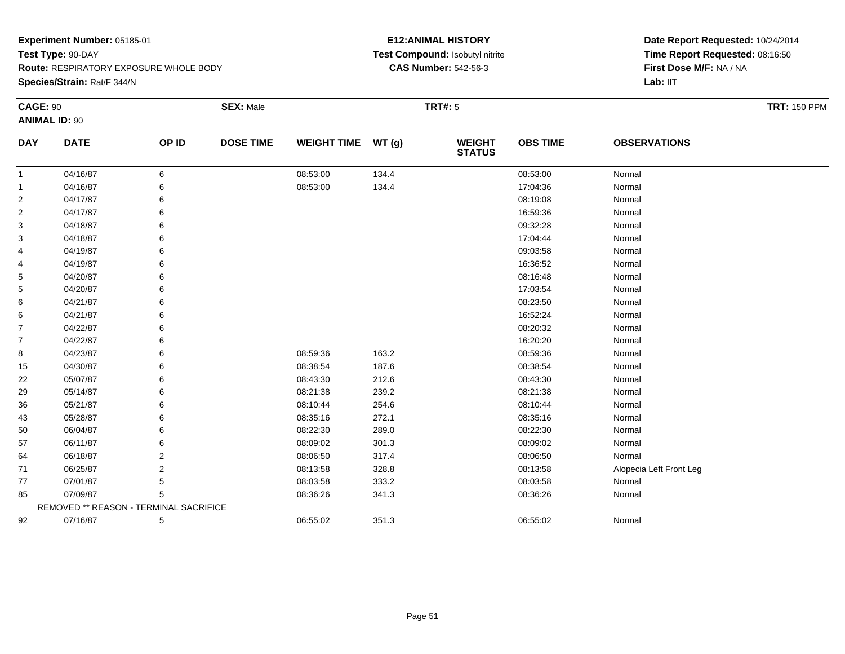**Species/Strain:** Rat/F 344/N

# **E12:ANIMAL HISTORY Test Compound:** Isobutyl nitrite**CAS Number:** 542-56-3

| <b>CAGE: 90</b> |                                        |       | <b>SEX: Male</b> |                    |       | <b>TRT#: 5</b>                 |                 |                         | <b>TRT: 150 PPM</b> |
|-----------------|----------------------------------------|-------|------------------|--------------------|-------|--------------------------------|-----------------|-------------------------|---------------------|
|                 | <b>ANIMAL ID: 90</b>                   |       |                  |                    |       |                                |                 |                         |                     |
| <b>DAY</b>      | <b>DATE</b>                            | OP ID | <b>DOSE TIME</b> | <b>WEIGHT TIME</b> | WT(g) | <b>WEIGHT</b><br><b>STATUS</b> | <b>OBS TIME</b> | <b>OBSERVATIONS</b>     |                     |
| $\mathbf{1}$    | 04/16/87                               | 6     |                  | 08:53:00           | 134.4 |                                | 08:53:00        | Normal                  |                     |
| -1              | 04/16/87                               |       |                  | 08:53:00           | 134.4 |                                | 17:04:36        | Normal                  |                     |
| $\overline{2}$  | 04/17/87                               |       |                  |                    |       |                                | 08:19:08        | Normal                  |                     |
| $\overline{2}$  | 04/17/87                               |       |                  |                    |       |                                | 16:59:36        | Normal                  |                     |
| 3               | 04/18/87                               |       |                  |                    |       |                                | 09:32:28        | Normal                  |                     |
| 3               | 04/18/87                               |       |                  |                    |       |                                | 17:04:44        | Normal                  |                     |
| 4               | 04/19/87                               |       |                  |                    |       |                                | 09:03:58        | Normal                  |                     |
| 4               | 04/19/87                               |       |                  |                    |       |                                | 16:36:52        | Normal                  |                     |
| 5               | 04/20/87                               |       |                  |                    |       |                                | 08:16:48        | Normal                  |                     |
| 5               | 04/20/87                               |       |                  |                    |       |                                | 17:03:54        | Normal                  |                     |
| 6               | 04/21/87                               |       |                  |                    |       |                                | 08:23:50        | Normal                  |                     |
| 6               | 04/21/87                               |       |                  |                    |       |                                | 16:52:24        | Normal                  |                     |
| $\overline{7}$  | 04/22/87                               |       |                  |                    |       |                                | 08:20:32        | Normal                  |                     |
| $\overline{7}$  | 04/22/87                               |       |                  |                    |       |                                | 16:20:20        | Normal                  |                     |
| 8               | 04/23/87                               |       |                  | 08:59:36           | 163.2 |                                | 08:59:36        | Normal                  |                     |
| 15              | 04/30/87                               |       |                  | 08:38:54           | 187.6 |                                | 08:38:54        | Normal                  |                     |
| 22              | 05/07/87                               |       |                  | 08:43:30           | 212.6 |                                | 08:43:30        | Normal                  |                     |
| 29              | 05/14/87                               |       |                  | 08:21:38           | 239.2 |                                | 08:21:38        | Normal                  |                     |
| 36              | 05/21/87                               |       |                  | 08:10:44           | 254.6 |                                | 08:10:44        | Normal                  |                     |
| 43              | 05/28/87                               |       |                  | 08:35:16           | 272.1 |                                | 08:35:16        | Normal                  |                     |
| 50              | 06/04/87                               |       |                  | 08:22:30           | 289.0 |                                | 08:22:30        | Normal                  |                     |
| 57              | 06/11/87                               |       |                  | 08:09:02           | 301.3 |                                | 08:09:02        | Normal                  |                     |
| 64              | 06/18/87                               | 2     |                  | 08:06:50           | 317.4 |                                | 08:06:50        | Normal                  |                     |
| 71              | 06/25/87                               | 2     |                  | 08:13:58           | 328.8 |                                | 08:13:58        | Alopecia Left Front Leg |                     |
| 77              | 07/01/87                               | 5     |                  | 08:03:58           | 333.2 |                                | 08:03:58        | Normal                  |                     |
| 85              | 07/09/87                               | 5     |                  | 08:36:26           | 341.3 |                                | 08:36:26        | Normal                  |                     |
|                 | REMOVED ** REASON - TERMINAL SACRIFICE |       |                  |                    |       |                                |                 |                         |                     |
| 92              | 07/16/87                               | 5     |                  | 06:55:02           | 351.3 |                                | 06:55:02        | Normal                  |                     |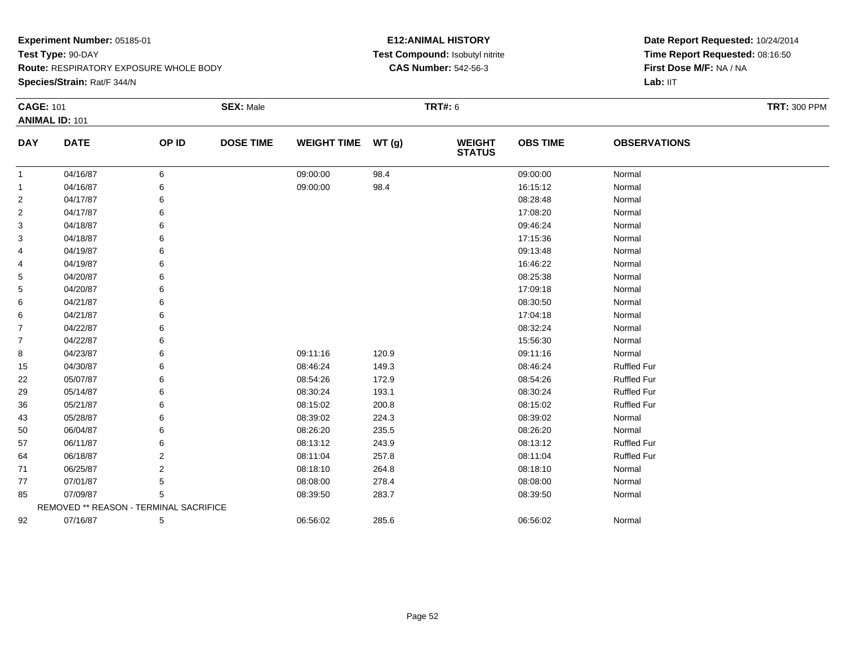**Route:** RESPIRATORY EXPOSURE WHOLE BODY

**Species/Strain:** Rat/F 344/N

# **E12:ANIMAL HISTORY Test Compound:** Isobutyl nitrite**CAS Number:** 542-56-3

| <b>CAGE: 101</b> |                                        |       | <b>SEX: Male</b> |                    |       | <b>TRT#: 6</b>                 |                 |                     | <b>TRT: 300 PPM</b> |
|------------------|----------------------------------------|-------|------------------|--------------------|-------|--------------------------------|-----------------|---------------------|---------------------|
|                  | <b>ANIMAL ID: 101</b>                  |       |                  |                    |       |                                |                 |                     |                     |
| <b>DAY</b>       | <b>DATE</b>                            | OP ID | <b>DOSE TIME</b> | <b>WEIGHT TIME</b> | WT(g) | <b>WEIGHT</b><br><b>STATUS</b> | <b>OBS TIME</b> | <b>OBSERVATIONS</b> |                     |
| -1               | 04/16/87                               | 6     |                  | 09:00:00           | 98.4  |                                | 09:00:00        | Normal              |                     |
|                  | 04/16/87                               | 6     |                  | 09:00:00           | 98.4  |                                | 16:15:12        | Normal              |                     |
| $\overline{c}$   | 04/17/87                               |       |                  |                    |       |                                | 08:28:48        | Normal              |                     |
| $\overline{2}$   | 04/17/87                               |       |                  |                    |       |                                | 17:08:20        | Normal              |                     |
| 3                | 04/18/87                               |       |                  |                    |       |                                | 09:46:24        | Normal              |                     |
| 3                | 04/18/87                               |       |                  |                    |       |                                | 17:15:36        | Normal              |                     |
| 4                | 04/19/87                               |       |                  |                    |       |                                | 09:13:48        | Normal              |                     |
| 4                | 04/19/87                               |       |                  |                    |       |                                | 16:46:22        | Normal              |                     |
| 5                | 04/20/87                               |       |                  |                    |       |                                | 08:25:38        | Normal              |                     |
| 5                | 04/20/87                               |       |                  |                    |       |                                | 17:09:18        | Normal              |                     |
| 6                | 04/21/87                               |       |                  |                    |       |                                | 08:30:50        | Normal              |                     |
| 6                | 04/21/87                               |       |                  |                    |       |                                | 17:04:18        | Normal              |                     |
| $\overline{7}$   | 04/22/87                               |       |                  |                    |       |                                | 08:32:24        | Normal              |                     |
| 7                | 04/22/87                               |       |                  |                    |       |                                | 15:56:30        | Normal              |                     |
| 8                | 04/23/87                               |       |                  | 09:11:16           | 120.9 |                                | 09:11:16        | Normal              |                     |
| 15               | 04/30/87                               |       |                  | 08:46:24           | 149.3 |                                | 08:46:24        | <b>Ruffled Fur</b>  |                     |
| 22               | 05/07/87                               |       |                  | 08:54:26           | 172.9 |                                | 08:54:26        | <b>Ruffled Fur</b>  |                     |
| 29               | 05/14/87                               |       |                  | 08:30:24           | 193.1 |                                | 08:30:24        | <b>Ruffled Fur</b>  |                     |
| 36               | 05/21/87                               |       |                  | 08:15:02           | 200.8 |                                | 08:15:02        | <b>Ruffled Fur</b>  |                     |
| 43               | 05/28/87                               |       |                  | 08:39:02           | 224.3 |                                | 08:39:02        | Normal              |                     |
| 50               | 06/04/87                               |       |                  | 08:26:20           | 235.5 |                                | 08:26:20        | Normal              |                     |
| 57               | 06/11/87                               |       |                  | 08:13:12           | 243.9 |                                | 08:13:12        | <b>Ruffled Fur</b>  |                     |
| 64               | 06/18/87                               | 2     |                  | 08:11:04           | 257.8 |                                | 08:11:04        | <b>Ruffled Fur</b>  |                     |
| 71               | 06/25/87                               | 2     |                  | 08:18:10           | 264.8 |                                | 08:18:10        | Normal              |                     |
| 77               | 07/01/87                               | 5     |                  | 08:08:00           | 278.4 |                                | 08:08:00        | Normal              |                     |
| 85               | 07/09/87                               | 5     |                  | 08:39:50           | 283.7 |                                | 08:39:50        | Normal              |                     |
|                  | REMOVED ** REASON - TERMINAL SACRIFICE |       |                  |                    |       |                                |                 |                     |                     |
| 92               | 07/16/87                               | 5     |                  | 06:56:02           | 285.6 |                                | 06:56:02        | Normal              |                     |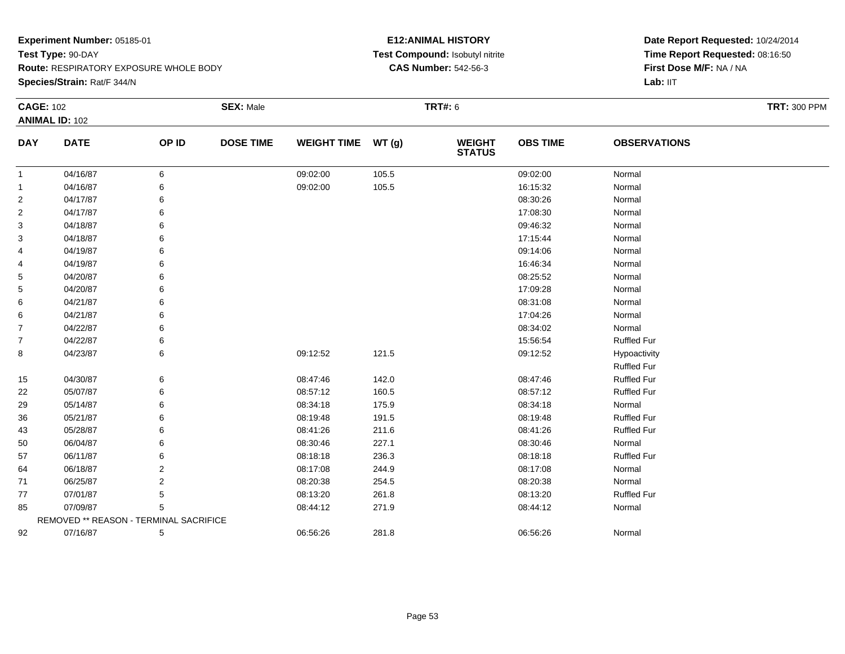**Route:** RESPIRATORY EXPOSURE WHOLE BODY

**Species/Strain:** Rat/F 344/N

# **E12:ANIMAL HISTORY Test Compound:** Isobutyl nitrite**CAS Number:** 542-56-3

|                | <b>CAGE: 102</b>                       |                | <b>SEX: Male</b> |                    |       | <b>TRT#: 6</b>                 |                 |                     | <b>TRT: 300 PPM</b> |
|----------------|----------------------------------------|----------------|------------------|--------------------|-------|--------------------------------|-----------------|---------------------|---------------------|
|                | <b>ANIMAL ID: 102</b>                  |                |                  |                    |       |                                |                 |                     |                     |
| <b>DAY</b>     | <b>DATE</b>                            | OP ID          | <b>DOSE TIME</b> | <b>WEIGHT TIME</b> | WT(g) | <b>WEIGHT</b><br><b>STATUS</b> | <b>OBS TIME</b> | <b>OBSERVATIONS</b> |                     |
| $\mathbf{1}$   | 04/16/87                               | 6              |                  | 09:02:00           | 105.5 |                                | 09:02:00        | Normal              |                     |
| $\mathbf{1}$   | 04/16/87                               | 6              |                  | 09:02:00           | 105.5 |                                | 16:15:32        | Normal              |                     |
| $\overline{2}$ | 04/17/87                               | 6              |                  |                    |       |                                | 08:30:26        | Normal              |                     |
| $\overline{2}$ | 04/17/87                               |                |                  |                    |       |                                | 17:08:30        | Normal              |                     |
| 3              | 04/18/87                               |                |                  |                    |       |                                | 09:46:32        | Normal              |                     |
| 3              | 04/18/87                               |                |                  |                    |       |                                | 17:15:44        | Normal              |                     |
| 4              | 04/19/87                               |                |                  |                    |       |                                | 09:14:06        | Normal              |                     |
| 4              | 04/19/87                               | 6              |                  |                    |       |                                | 16:46:34        | Normal              |                     |
| 5              | 04/20/87                               |                |                  |                    |       |                                | 08:25:52        | Normal              |                     |
| 5              | 04/20/87                               |                |                  |                    |       |                                | 17:09:28        | Normal              |                     |
| 6              | 04/21/87                               |                |                  |                    |       |                                | 08:31:08        | Normal              |                     |
| 6              | 04/21/87                               | ิค             |                  |                    |       |                                | 17:04:26        | Normal              |                     |
| 7              | 04/22/87                               | 6              |                  |                    |       |                                | 08:34:02        | Normal              |                     |
| $\overline{7}$ | 04/22/87                               |                |                  |                    |       |                                | 15:56:54        | <b>Ruffled Fur</b>  |                     |
| 8              | 04/23/87                               | 6              |                  | 09:12:52           | 121.5 |                                | 09:12:52        | Hypoactivity        |                     |
|                |                                        |                |                  |                    |       |                                |                 | <b>Ruffled Fur</b>  |                     |
| 15             | 04/30/87                               | 6              |                  | 08:47:46           | 142.0 |                                | 08:47:46        | <b>Ruffled Fur</b>  |                     |
| 22             | 05/07/87                               | 6              |                  | 08:57:12           | 160.5 |                                | 08:57:12        | <b>Ruffled Fur</b>  |                     |
| 29             | 05/14/87                               |                |                  | 08:34:18           | 175.9 |                                | 08:34:18        | Normal              |                     |
| 36             | 05/21/87                               | 6              |                  | 08:19:48           | 191.5 |                                | 08:19:48        | <b>Ruffled Fur</b>  |                     |
| 43             | 05/28/87                               |                |                  | 08:41:26           | 211.6 |                                | 08:41:26        | <b>Ruffled Fur</b>  |                     |
| 50             | 06/04/87                               |                |                  | 08:30:46           | 227.1 |                                | 08:30:46        | Normal              |                     |
| 57             | 06/11/87                               | 6              |                  | 08:18:18           | 236.3 |                                | 08:18:18        | <b>Ruffled Fur</b>  |                     |
| 64             | 06/18/87                               | $\overline{2}$ |                  | 08:17:08           | 244.9 |                                | 08:17:08        | Normal              |                     |
| 71             | 06/25/87                               | $\overline{2}$ |                  | 08:20:38           | 254.5 |                                | 08:20:38        | Normal              |                     |
| 77             | 07/01/87                               | 5              |                  | 08:13:20           | 261.8 |                                | 08:13:20        | <b>Ruffled Fur</b>  |                     |
| 85             | 07/09/87                               | 5              |                  | 08:44:12           | 271.9 |                                | 08:44:12        | Normal              |                     |
|                | REMOVED ** REASON - TERMINAL SACRIFICE |                |                  |                    |       |                                |                 |                     |                     |
| 92             | 07/16/87                               | 5              |                  | 06:56:26           | 281.8 |                                | 06:56:26        | Normal              |                     |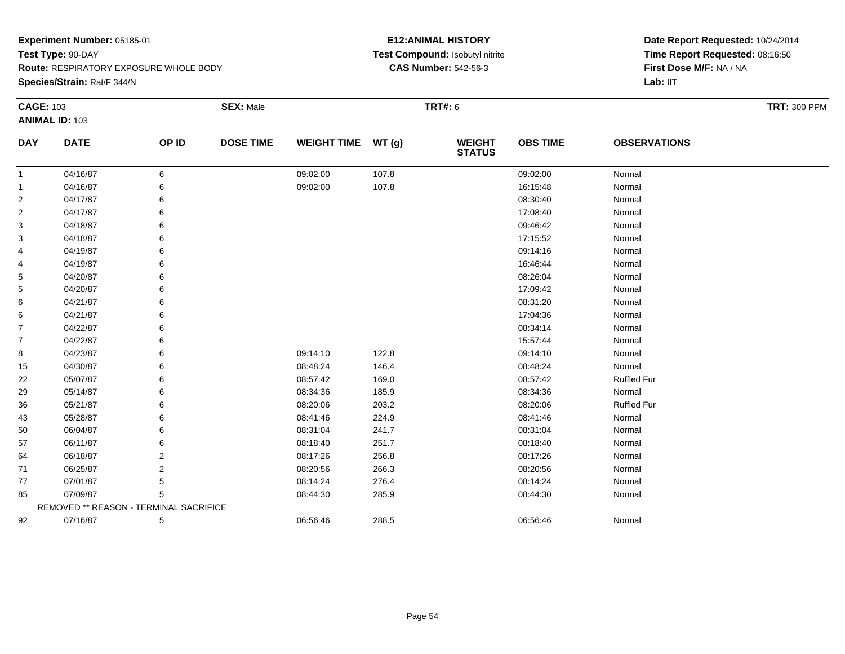**Route:** RESPIRATORY EXPOSURE WHOLE BODY

**Species/Strain:** Rat/F 344/N

# **E12:ANIMAL HISTORY Test Compound:** Isobutyl nitrite**CAS Number:** 542-56-3

| <b>CAGE: 103</b> | <b>ANIMAL ID: 103</b>                  |       | <b>SEX: Male</b> |                    |       | <b>TRT#: 6</b>                 |                 |                     | <b>TRT: 300 PPM</b> |
|------------------|----------------------------------------|-------|------------------|--------------------|-------|--------------------------------|-----------------|---------------------|---------------------|
| <b>DAY</b>       | <b>DATE</b>                            | OP ID | <b>DOSE TIME</b> | WEIGHT TIME WT (g) |       | <b>WEIGHT</b><br><b>STATUS</b> | <b>OBS TIME</b> | <b>OBSERVATIONS</b> |                     |
| -1               | 04/16/87                               | 6     |                  | 09:02:00           | 107.8 |                                | 09:02:00        | Normal              |                     |
| $\mathbf 1$      | 04/16/87                               | 6     |                  | 09:02:00           | 107.8 |                                | 16:15:48        | Normal              |                     |
| $\overline{2}$   | 04/17/87                               |       |                  |                    |       |                                | 08:30:40        | Normal              |                     |
| $\overline{2}$   | 04/17/87                               |       |                  |                    |       |                                | 17:08:40        | Normal              |                     |
| 3                | 04/18/87                               | 6     |                  |                    |       |                                | 09:46:42        | Normal              |                     |
| 3                | 04/18/87                               | 6     |                  |                    |       |                                | 17:15:52        | Normal              |                     |
| 4                | 04/19/87                               | 6     |                  |                    |       |                                | 09:14:16        | Normal              |                     |
| 4                | 04/19/87                               | 6     |                  |                    |       |                                | 16:46:44        | Normal              |                     |
| 5                | 04/20/87                               | 6     |                  |                    |       |                                | 08:26:04        | Normal              |                     |
| 5                | 04/20/87                               |       |                  |                    |       |                                | 17:09:42        | Normal              |                     |
| 6                | 04/21/87                               |       |                  |                    |       |                                | 08:31:20        | Normal              |                     |
| 6                | 04/21/87                               |       |                  |                    |       |                                | 17:04:36        | Normal              |                     |
| $\overline{7}$   | 04/22/87                               |       |                  |                    |       |                                | 08:34:14        | Normal              |                     |
| $\overline{7}$   | 04/22/87                               |       |                  |                    |       |                                | 15:57:44        | Normal              |                     |
| 8                | 04/23/87                               | 6     |                  | 09:14:10           | 122.8 |                                | 09:14:10        | Normal              |                     |
| 15               | 04/30/87                               | 6     |                  | 08:48:24           | 146.4 |                                | 08:48:24        | Normal              |                     |
| 22               | 05/07/87                               |       |                  | 08:57:42           | 169.0 |                                | 08:57:42        | <b>Ruffled Fur</b>  |                     |
| 29               | 05/14/87                               |       |                  | 08:34:36           | 185.9 |                                | 08:34:36        | Normal              |                     |
| 36               | 05/21/87                               |       |                  | 08:20:06           | 203.2 |                                | 08:20:06        | <b>Ruffled Fur</b>  |                     |
| 43               | 05/28/87                               | 6     |                  | 08:41:46           | 224.9 |                                | 08:41:46        | Normal              |                     |
| 50               | 06/04/87                               |       |                  | 08:31:04           | 241.7 |                                | 08:31:04        | Normal              |                     |
| 57               | 06/11/87                               |       |                  | 08:18:40           | 251.7 |                                | 08:18:40        | Normal              |                     |
| 64               | 06/18/87                               | 2     |                  | 08:17:26           | 256.8 |                                | 08:17:26        | Normal              |                     |
| 71               | 06/25/87                               | 2     |                  | 08:20:56           | 266.3 |                                | 08:20:56        | Normal              |                     |
| 77               | 07/01/87                               | 5     |                  | 08:14:24           | 276.4 |                                | 08:14:24        | Normal              |                     |
| 85               | 07/09/87                               | 5     |                  | 08:44:30           | 285.9 |                                | 08:44:30        | Normal              |                     |
|                  | REMOVED ** REASON - TERMINAL SACRIFICE |       |                  |                    |       |                                |                 |                     |                     |
| 92               | 07/16/87                               | 5     |                  | 06:56:46           | 288.5 |                                | 06:56:46        | Normal              |                     |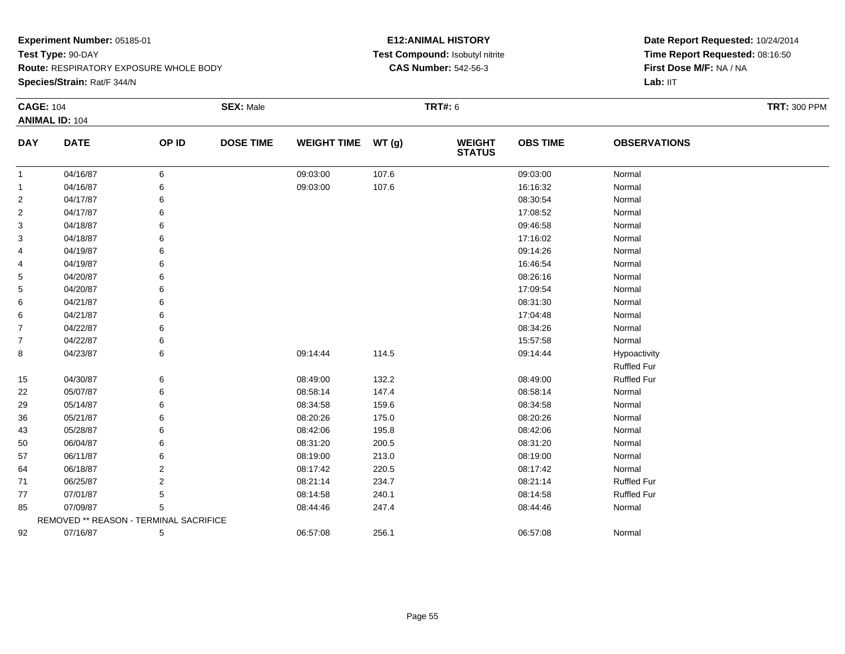**Species/Strain:** Rat/F 344/N

# **E12:ANIMAL HISTORY Test Compound:** Isobutyl nitrite**CAS Number:** 542-56-3

| <b>CAGE: 104</b> |                                        |       | <b>SEX: Male</b> |                    |       | <b>TRT#: 6</b>                 |                 |                     | <b>TRT: 300 PPM</b> |
|------------------|----------------------------------------|-------|------------------|--------------------|-------|--------------------------------|-----------------|---------------------|---------------------|
|                  | <b>ANIMAL ID: 104</b>                  |       |                  |                    |       |                                |                 |                     |                     |
| <b>DAY</b>       | <b>DATE</b>                            | OP ID | <b>DOSE TIME</b> | <b>WEIGHT TIME</b> | WT(g) | <b>WEIGHT</b><br><b>STATUS</b> | <b>OBS TIME</b> | <b>OBSERVATIONS</b> |                     |
| -1               | 04/16/87                               | 6     |                  | 09:03:00           | 107.6 |                                | 09:03:00        | Normal              |                     |
| 1                | 04/16/87                               | 6     |                  | 09:03:00           | 107.6 |                                | 16:16:32        | Normal              |                     |
| 2                | 04/17/87                               | 6     |                  |                    |       |                                | 08:30:54        | Normal              |                     |
| 2                | 04/17/87                               | 6     |                  |                    |       |                                | 17:08:52        | Normal              |                     |
| 3                | 04/18/87                               | 6     |                  |                    |       |                                | 09:46:58        | Normal              |                     |
| 3                | 04/18/87                               | 6     |                  |                    |       |                                | 17:16:02        | Normal              |                     |
| 4                | 04/19/87                               | 6     |                  |                    |       |                                | 09:14:26        | Normal              |                     |
| 4                | 04/19/87                               | 6     |                  |                    |       |                                | 16:46:54        | Normal              |                     |
| 5                | 04/20/87                               | 6     |                  |                    |       |                                | 08:26:16        | Normal              |                     |
| 5                | 04/20/87                               | 6     |                  |                    |       |                                | 17:09:54        | Normal              |                     |
| 6                | 04/21/87                               | 6     |                  |                    |       |                                | 08:31:30        | Normal              |                     |
| 6                | 04/21/87                               | 6     |                  |                    |       |                                | 17:04:48        | Normal              |                     |
| $\overline{7}$   | 04/22/87                               | 6     |                  |                    |       |                                | 08:34:26        | Normal              |                     |
| 7                | 04/22/87                               | 6     |                  |                    |       |                                | 15:57:58        | Normal              |                     |
| 8                | 04/23/87                               | 6     |                  | 09:14:44           | 114.5 |                                | 09:14:44        | Hypoactivity        |                     |
|                  |                                        |       |                  |                    |       |                                |                 | <b>Ruffled Fur</b>  |                     |
| 15               | 04/30/87                               | 6     |                  | 08:49:00           | 132.2 |                                | 08:49:00        | <b>Ruffled Fur</b>  |                     |
| 22               | 05/07/87                               | 6     |                  | 08:58:14           | 147.4 |                                | 08:58:14        | Normal              |                     |
| 29               | 05/14/87                               | 6     |                  | 08:34:58           | 159.6 |                                | 08:34:58        | Normal              |                     |
| 36               | 05/21/87                               | 6     |                  | 08:20:26           | 175.0 |                                | 08:20:26        | Normal              |                     |
| 43               | 05/28/87                               | 6     |                  | 08:42:06           | 195.8 |                                | 08:42:06        | Normal              |                     |
| 50               | 06/04/87                               | 6     |                  | 08:31:20           | 200.5 |                                | 08:31:20        | Normal              |                     |
| 57               | 06/11/87                               | 6     |                  | 08:19:00           | 213.0 |                                | 08:19:00        | Normal              |                     |
| 64               | 06/18/87                               | 2     |                  | 08:17:42           | 220.5 |                                | 08:17:42        | Normal              |                     |
| 71               | 06/25/87                               | 2     |                  | 08:21:14           | 234.7 |                                | 08:21:14        | <b>Ruffled Fur</b>  |                     |
| 77               | 07/01/87                               | 5     |                  | 08:14:58           | 240.1 |                                | 08:14:58        | <b>Ruffled Fur</b>  |                     |
| 85               | 07/09/87                               | 5     |                  | 08:44:46           | 247.4 |                                | 08:44:46        | Normal              |                     |
|                  | REMOVED ** REASON - TERMINAL SACRIFICE |       |                  |                    |       |                                |                 |                     |                     |
| 92               | 07/16/87                               | 5     |                  | 06:57:08           | 256.1 |                                | 06:57:08        | Normal              |                     |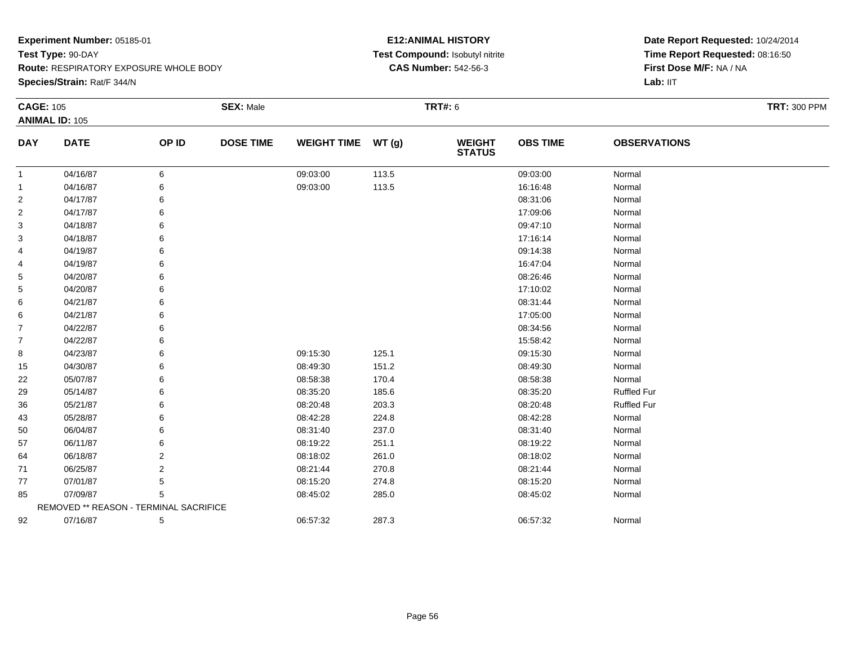**Route:** RESPIRATORY EXPOSURE WHOLE BODY

**Species/Strain:** Rat/F 344/N

# **E12:ANIMAL HISTORY Test Compound:** Isobutyl nitrite**CAS Number:** 542-56-3

| <b>CAGE: 105</b> |                                        |       | <b>SEX: Male</b> |                    |       | <b>TRT#: 6</b>                 |                 |                     | <b>TRT: 300 PPM</b> |
|------------------|----------------------------------------|-------|------------------|--------------------|-------|--------------------------------|-----------------|---------------------|---------------------|
|                  | <b>ANIMAL ID: 105</b>                  |       |                  |                    |       |                                |                 |                     |                     |
| <b>DAY</b>       | <b>DATE</b>                            | OP ID | <b>DOSE TIME</b> | WEIGHT TIME WT (g) |       | <b>WEIGHT</b><br><b>STATUS</b> | <b>OBS TIME</b> | <b>OBSERVATIONS</b> |                     |
| $\mathbf{1}$     | 04/16/87                               | 6     |                  | 09:03:00           | 113.5 |                                | 09:03:00        | Normal              |                     |
| $\mathbf{1}$     | 04/16/87                               | 6     |                  | 09:03:00           | 113.5 |                                | 16:16:48        | Normal              |                     |
| 2                | 04/17/87                               |       |                  |                    |       |                                | 08:31:06        | Normal              |                     |
| $\overline{2}$   | 04/17/87                               |       |                  |                    |       |                                | 17:09:06        | Normal              |                     |
| 3                | 04/18/87                               | 6     |                  |                    |       |                                | 09:47:10        | Normal              |                     |
| 3                | 04/18/87                               |       |                  |                    |       |                                | 17:16:14        | Normal              |                     |
| 4                | 04/19/87                               |       |                  |                    |       |                                | 09:14:38        | Normal              |                     |
| 4                | 04/19/87                               |       |                  |                    |       |                                | 16:47:04        | Normal              |                     |
| 5                | 04/20/87                               | 6     |                  |                    |       |                                | 08:26:46        | Normal              |                     |
| 5                | 04/20/87                               |       |                  |                    |       |                                | 17:10:02        | Normal              |                     |
| 6                | 04/21/87                               |       |                  |                    |       |                                | 08:31:44        | Normal              |                     |
| 6                | 04/21/87                               |       |                  |                    |       |                                | 17:05:00        | Normal              |                     |
| $\overline{7}$   | 04/22/87                               |       |                  |                    |       |                                | 08:34:56        | Normal              |                     |
| $\overline{7}$   | 04/22/87                               |       |                  |                    |       |                                | 15:58:42        | Normal              |                     |
| 8                | 04/23/87                               |       |                  | 09:15:30           | 125.1 |                                | 09:15:30        | Normal              |                     |
| 15               | 04/30/87                               | 6     |                  | 08:49:30           | 151.2 |                                | 08:49:30        | Normal              |                     |
| 22               | 05/07/87                               | 6     |                  | 08:58:38           | 170.4 |                                | 08:58:38        | Normal              |                     |
| 29               | 05/14/87                               |       |                  | 08:35:20           | 185.6 |                                | 08:35:20        | <b>Ruffled Fur</b>  |                     |
| 36               | 05/21/87                               |       |                  | 08:20:48           | 203.3 |                                | 08:20:48        | <b>Ruffled Fur</b>  |                     |
| 43               | 05/28/87                               |       |                  | 08:42:28           | 224.8 |                                | 08:42:28        | Normal              |                     |
| 50               | 06/04/87                               | 6     |                  | 08:31:40           | 237.0 |                                | 08:31:40        | Normal              |                     |
| 57               | 06/11/87                               | 6     |                  | 08:19:22           | 251.1 |                                | 08:19:22        | Normal              |                     |
| 64               | 06/18/87                               | 2     |                  | 08:18:02           | 261.0 |                                | 08:18:02        | Normal              |                     |
| 71               | 06/25/87                               | 2     |                  | 08:21:44           | 270.8 |                                | 08:21:44        | Normal              |                     |
| 77               | 07/01/87                               | 5     |                  | 08:15:20           | 274.8 |                                | 08:15:20        | Normal              |                     |
| 85               | 07/09/87                               | 5     |                  | 08:45:02           | 285.0 |                                | 08:45:02        | Normal              |                     |
|                  | REMOVED ** REASON - TERMINAL SACRIFICE |       |                  |                    |       |                                |                 |                     |                     |
| 92               | 07/16/87                               | 5     |                  | 06:57:32           | 287.3 |                                | 06:57:32        | Normal              |                     |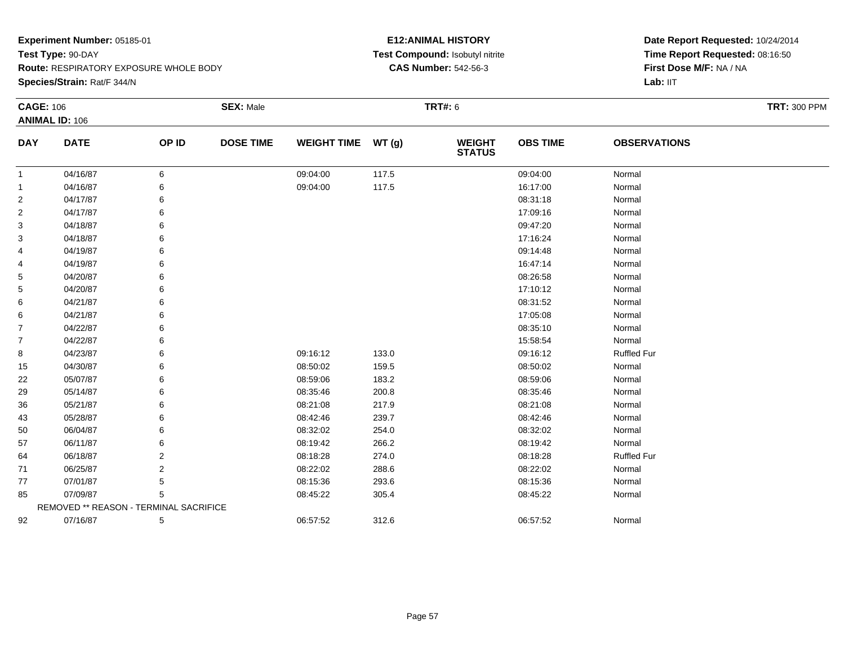**Species/Strain:** Rat/F 344/N

# **E12:ANIMAL HISTORY Test Compound:** Isobutyl nitrite**CAS Number:** 542-56-3

| <b>CAGE: 106</b> |                                        |       | <b>SEX: Male</b> |                    |       | <b>TRT#: 6</b>                 |                 |                     | <b>TRT: 300 PPM</b> |
|------------------|----------------------------------------|-------|------------------|--------------------|-------|--------------------------------|-----------------|---------------------|---------------------|
|                  | <b>ANIMAL ID: 106</b>                  |       |                  |                    |       |                                |                 |                     |                     |
| <b>DAY</b>       | <b>DATE</b>                            | OP ID | <b>DOSE TIME</b> | <b>WEIGHT TIME</b> | WT(g) | <b>WEIGHT</b><br><b>STATUS</b> | <b>OBS TIME</b> | <b>OBSERVATIONS</b> |                     |
| 1                | 04/16/87                               | 6     |                  | 09:04:00           | 117.5 |                                | 09:04:00        | Normal              |                     |
| 1                | 04/16/87                               |       |                  | 09:04:00           | 117.5 |                                | 16:17:00        | Normal              |                     |
| $\overline{c}$   | 04/17/87                               |       |                  |                    |       |                                | 08:31:18        | Normal              |                     |
| $\overline{2}$   | 04/17/87                               | 6     |                  |                    |       |                                | 17:09:16        | Normal              |                     |
| 3                | 04/18/87                               | 6     |                  |                    |       |                                | 09:47:20        | Normal              |                     |
| 3                | 04/18/87                               | 6     |                  |                    |       |                                | 17:16:24        | Normal              |                     |
| 4                | 04/19/87                               |       |                  |                    |       |                                | 09:14:48        | Normal              |                     |
| 4                | 04/19/87                               | 6     |                  |                    |       |                                | 16:47:14        | Normal              |                     |
| 5                | 04/20/87                               | 6     |                  |                    |       |                                | 08:26:58        | Normal              |                     |
| 5                | 04/20/87                               | 6     |                  |                    |       |                                | 17:10:12        | Normal              |                     |
| 6                | 04/21/87                               | 6     |                  |                    |       |                                | 08:31:52        | Normal              |                     |
| 6                | 04/21/87                               | 6     |                  |                    |       |                                | 17:05:08        | Normal              |                     |
| 7                | 04/22/87                               | 6     |                  |                    |       |                                | 08:35:10        | Normal              |                     |
| 7                | 04/22/87                               | 6     |                  |                    |       |                                | 15:58:54        | Normal              |                     |
| 8                | 04/23/87                               | 6     |                  | 09:16:12           | 133.0 |                                | 09:16:12        | <b>Ruffled Fur</b>  |                     |
| 15               | 04/30/87                               | 6     |                  | 08:50:02           | 159.5 |                                | 08:50:02        | Normal              |                     |
| 22               | 05/07/87                               | 6     |                  | 08:59:06           | 183.2 |                                | 08:59:06        | Normal              |                     |
| 29               | 05/14/87                               | 6     |                  | 08:35:46           | 200.8 |                                | 08:35:46        | Normal              |                     |
| 36               | 05/21/87                               |       |                  | 08:21:08           | 217.9 |                                | 08:21:08        | Normal              |                     |
| 43               | 05/28/87                               | 6     |                  | 08:42:46           | 239.7 |                                | 08:42:46        | Normal              |                     |
| 50               | 06/04/87                               |       |                  | 08:32:02           | 254.0 |                                | 08:32:02        | Normal              |                     |
| 57               | 06/11/87                               | 6     |                  | 08:19:42           | 266.2 |                                | 08:19:42        | Normal              |                     |
| 64               | 06/18/87                               | 2     |                  | 08:18:28           | 274.0 |                                | 08:18:28        | <b>Ruffled Fur</b>  |                     |
| 71               | 06/25/87                               | 2     |                  | 08:22:02           | 288.6 |                                | 08:22:02        | Normal              |                     |
| 77               | 07/01/87                               | 5     |                  | 08:15:36           | 293.6 |                                | 08:15:36        | Normal              |                     |
| 85               | 07/09/87                               | 5     |                  | 08:45:22           | 305.4 |                                | 08:45:22        | Normal              |                     |
|                  | REMOVED ** REASON - TERMINAL SACRIFICE |       |                  |                    |       |                                |                 |                     |                     |
| 92               | 07/16/87                               | 5     |                  | 06:57:52           | 312.6 |                                | 06:57:52        | Normal              |                     |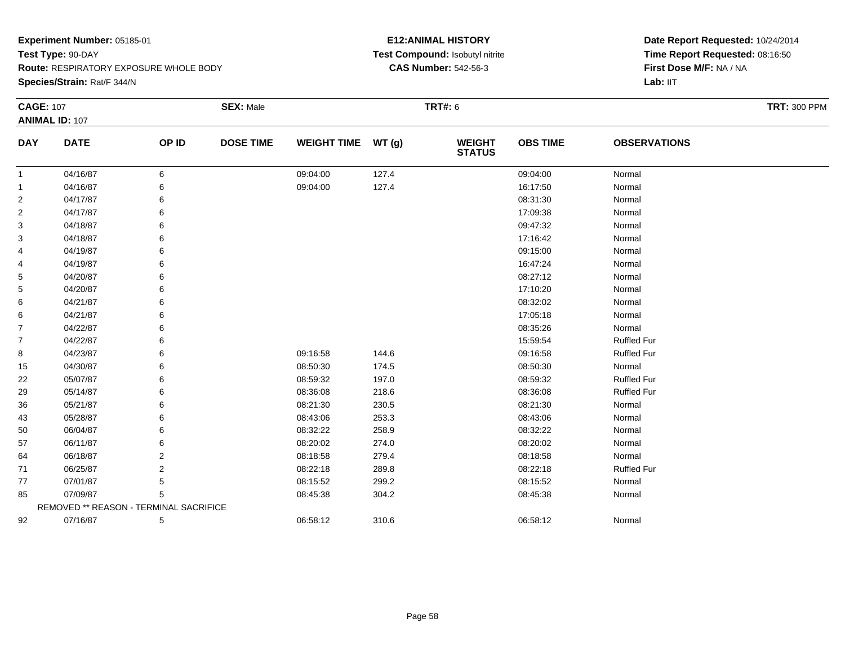**Route:** RESPIRATORY EXPOSURE WHOLE BODY

**Species/Strain:** Rat/F 344/N

# **E12:ANIMAL HISTORY Test Compound:** Isobutyl nitrite**CAS Number:** 542-56-3

| <b>CAGE: 107</b> |                                        |                | <b>SEX: Male</b> |                    |       | <b>TRT#: 6</b>           |                 |                     | <b>TRT: 300 PPM</b> |
|------------------|----------------------------------------|----------------|------------------|--------------------|-------|--------------------------|-----------------|---------------------|---------------------|
|                  | <b>ANIMAL ID: 107</b>                  |                |                  |                    |       |                          |                 |                     |                     |
| <b>DAY</b>       | <b>DATE</b>                            | OP ID          | <b>DOSE TIME</b> | <b>WEIGHT TIME</b> | WT(g) | <b>WEIGHT<br/>STATUS</b> | <b>OBS TIME</b> | <b>OBSERVATIONS</b> |                     |
| $\mathbf{1}$     | 04/16/87                               | 6              |                  | 09:04:00           | 127.4 |                          | 09:04:00        | Normal              |                     |
| 1                | 04/16/87                               | 6              |                  | 09:04:00           | 127.4 |                          | 16:17:50        | Normal              |                     |
| 2                | 04/17/87                               | 6              |                  |                    |       |                          | 08:31:30        | Normal              |                     |
| $\overline{2}$   | 04/17/87                               | 6              |                  |                    |       |                          | 17:09:38        | Normal              |                     |
| 3                | 04/18/87                               | 6              |                  |                    |       |                          | 09:47:32        | Normal              |                     |
| 3                | 04/18/87                               | 6              |                  |                    |       |                          | 17:16:42        | Normal              |                     |
| 4                | 04/19/87                               | 6              |                  |                    |       |                          | 09:15:00        | Normal              |                     |
| 4                | 04/19/87                               |                |                  |                    |       |                          | 16:47:24        | Normal              |                     |
| 5                | 04/20/87                               | 6              |                  |                    |       |                          | 08:27:12        | Normal              |                     |
| 5                | 04/20/87                               | 6              |                  |                    |       |                          | 17:10:20        | Normal              |                     |
| 6                | 04/21/87                               |                |                  |                    |       |                          | 08:32:02        | Normal              |                     |
| 6                | 04/21/87                               | 6              |                  |                    |       |                          | 17:05:18        | Normal              |                     |
| $\overline{7}$   | 04/22/87                               |                |                  |                    |       |                          | 08:35:26        | Normal              |                     |
| $\overline{7}$   | 04/22/87                               | 6              |                  |                    |       |                          | 15:59:54        | <b>Ruffled Fur</b>  |                     |
| 8                | 04/23/87                               | 6              |                  | 09:16:58           | 144.6 |                          | 09:16:58        | <b>Ruffled Fur</b>  |                     |
| 15               | 04/30/87                               | 6              |                  | 08:50:30           | 174.5 |                          | 08:50:30        | Normal              |                     |
| 22               | 05/07/87                               | 6              |                  | 08:59:32           | 197.0 |                          | 08:59:32        | <b>Ruffled Fur</b>  |                     |
| 29               | 05/14/87                               | 6              |                  | 08:36:08           | 218.6 |                          | 08:36:08        | <b>Ruffled Fur</b>  |                     |
| 36               | 05/21/87                               | 6              |                  | 08:21:30           | 230.5 |                          | 08:21:30        | Normal              |                     |
| 43               | 05/28/87                               |                |                  | 08:43:06           | 253.3 |                          | 08:43:06        | Normal              |                     |
| 50               | 06/04/87                               | 6              |                  | 08:32:22           | 258.9 |                          | 08:32:22        | Normal              |                     |
| 57               | 06/11/87                               |                |                  | 08:20:02           | 274.0 |                          | 08:20:02        | Normal              |                     |
| 64               | 06/18/87                               | $\overline{2}$ |                  | 08:18:58           | 279.4 |                          | 08:18:58        | Normal              |                     |
| 71               | 06/25/87                               | 2              |                  | 08:22:18           | 289.8 |                          | 08:22:18        | <b>Ruffled Fur</b>  |                     |
| 77               | 07/01/87                               | 5              |                  | 08:15:52           | 299.2 |                          | 08:15:52        | Normal              |                     |
| 85               | 07/09/87                               | 5              |                  | 08:45:38           | 304.2 |                          | 08:45:38        | Normal              |                     |
|                  | REMOVED ** REASON - TERMINAL SACRIFICE |                |                  |                    |       |                          |                 |                     |                     |
| 92               | 07/16/87                               | 5              |                  | 06:58:12           | 310.6 |                          | 06:58:12        | Normal              |                     |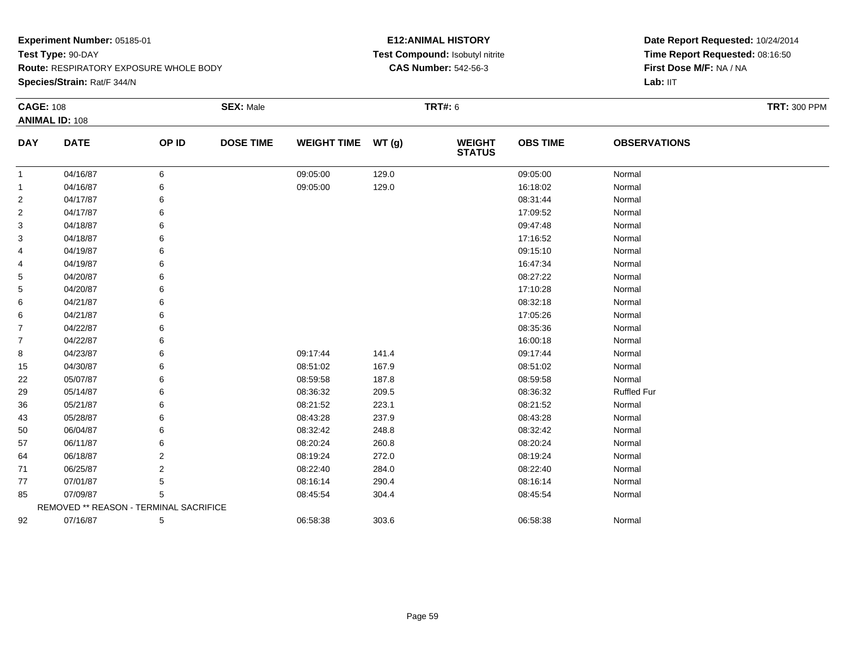**Route:** RESPIRATORY EXPOSURE WHOLE BODY

**Species/Strain:** Rat/F 344/N

# **E12:ANIMAL HISTORY Test Compound:** Isobutyl nitrite**CAS Number:** 542-56-3

| <b>CAGE: 108</b> |                                        |       | <b>SEX: Male</b> |                    |       | <b>TRT#: 6</b>                 |                 |                     | <b>TRT: 300 PPM</b> |
|------------------|----------------------------------------|-------|------------------|--------------------|-------|--------------------------------|-----------------|---------------------|---------------------|
|                  | <b>ANIMAL ID: 108</b>                  |       |                  |                    |       |                                |                 |                     |                     |
| <b>DAY</b>       | <b>DATE</b>                            | OP ID | <b>DOSE TIME</b> | <b>WEIGHT TIME</b> | WT(g) | <b>WEIGHT</b><br><b>STATUS</b> | <b>OBS TIME</b> | <b>OBSERVATIONS</b> |                     |
| -1               | 04/16/87                               | 6     |                  | 09:05:00           | 129.0 |                                | 09:05:00        | Normal              |                     |
| -1               | 04/16/87                               | 6     |                  | 09:05:00           | 129.0 |                                | 16:18:02        | Normal              |                     |
| 2                | 04/17/87                               |       |                  |                    |       |                                | 08:31:44        | Normal              |                     |
| 2                | 04/17/87                               |       |                  |                    |       |                                | 17:09:52        | Normal              |                     |
| 3                | 04/18/87                               | 6     |                  |                    |       |                                | 09:47:48        | Normal              |                     |
| 3                | 04/18/87                               |       |                  |                    |       |                                | 17:16:52        | Normal              |                     |
| 4                | 04/19/87                               | 6     |                  |                    |       |                                | 09:15:10        | Normal              |                     |
| 4                | 04/19/87                               | 6     |                  |                    |       |                                | 16:47:34        | Normal              |                     |
| 5                | 04/20/87                               | 6     |                  |                    |       |                                | 08:27:22        | Normal              |                     |
| 5                | 04/20/87                               |       |                  |                    |       |                                | 17:10:28        | Normal              |                     |
| 6                | 04/21/87                               |       |                  |                    |       |                                | 08:32:18        | Normal              |                     |
| 6                | 04/21/87                               | 6     |                  |                    |       |                                | 17:05:26        | Normal              |                     |
| $\overline{7}$   | 04/22/87                               | 6     |                  |                    |       |                                | 08:35:36        | Normal              |                     |
| $\overline{7}$   | 04/22/87                               |       |                  |                    |       |                                | 16:00:18        | Normal              |                     |
| 8                | 04/23/87                               | 6     |                  | 09:17:44           | 141.4 |                                | 09:17:44        | Normal              |                     |
| 15               | 04/30/87                               | 6     |                  | 08:51:02           | 167.9 |                                | 08:51:02        | Normal              |                     |
| 22               | 05/07/87                               | 6     |                  | 08:59:58           | 187.8 |                                | 08:59:58        | Normal              |                     |
| 29               | 05/14/87                               |       |                  | 08:36:32           | 209.5 |                                | 08:36:32        | <b>Ruffled Fur</b>  |                     |
| 36               | 05/21/87                               |       |                  | 08:21:52           | 223.1 |                                | 08:21:52        | Normal              |                     |
| 43               | 05/28/87                               | 6     |                  | 08:43:28           | 237.9 |                                | 08:43:28        | Normal              |                     |
| 50               | 06/04/87                               | 6     |                  | 08:32:42           | 248.8 |                                | 08:32:42        | Normal              |                     |
| 57               | 06/11/87                               |       |                  | 08:20:24           | 260.8 |                                | 08:20:24        | Normal              |                     |
| 64               | 06/18/87                               | 2     |                  | 08:19:24           | 272.0 |                                | 08:19:24        | Normal              |                     |
| 71               | 06/25/87                               | 2     |                  | 08:22:40           | 284.0 |                                | 08:22:40        | Normal              |                     |
| 77               | 07/01/87                               | 5     |                  | 08:16:14           | 290.4 |                                | 08:16:14        | Normal              |                     |
| 85               | 07/09/87                               | 5     |                  | 08:45:54           | 304.4 |                                | 08:45:54        | Normal              |                     |
|                  | REMOVED ** REASON - TERMINAL SACRIFICE |       |                  |                    |       |                                |                 |                     |                     |
| 92               | 07/16/87                               | 5     |                  | 06:58:38           | 303.6 |                                | 06:58:38        | Normal              |                     |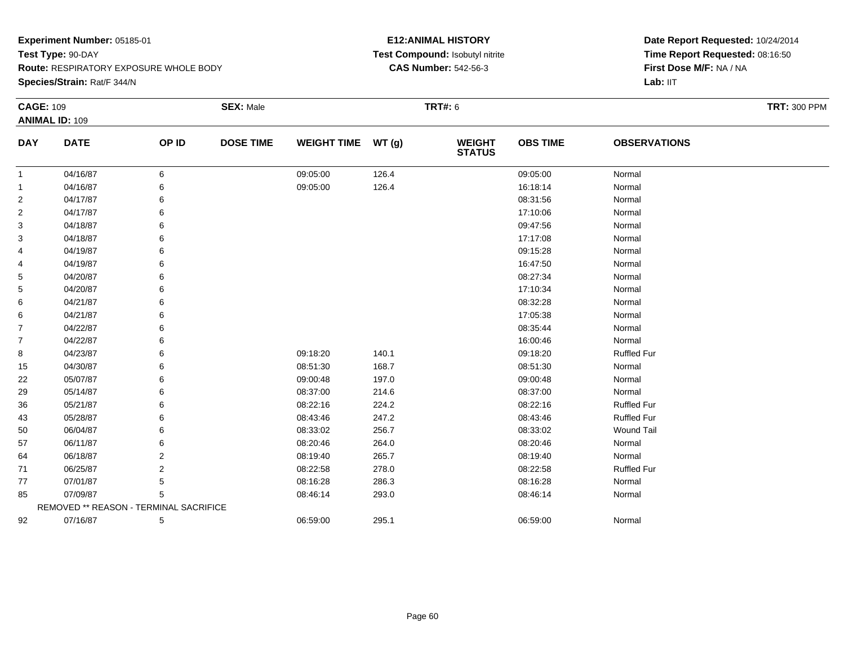**Route:** RESPIRATORY EXPOSURE WHOLE BODY

**Species/Strain:** Rat/F 344/N

# **E12:ANIMAL HISTORY Test Compound:** Isobutyl nitrite**CAS Number:** 542-56-3

| <b>CAGE: 109</b> |                                        |       | <b>SEX: Male</b> |                    |       | <b>TRT#: 6</b>                 |                 |                     | <b>TRT: 300 PPM</b> |
|------------------|----------------------------------------|-------|------------------|--------------------|-------|--------------------------------|-----------------|---------------------|---------------------|
|                  | <b>ANIMAL ID: 109</b>                  |       |                  |                    |       |                                |                 |                     |                     |
| <b>DAY</b>       | <b>DATE</b>                            | OP ID | <b>DOSE TIME</b> | <b>WEIGHT TIME</b> | WT(g) | <b>WEIGHT</b><br><b>STATUS</b> | <b>OBS TIME</b> | <b>OBSERVATIONS</b> |                     |
| 1                | 04/16/87                               | 6     |                  | 09:05:00           | 126.4 |                                | 09:05:00        | Normal              |                     |
| -1               | 04/16/87                               | 6     |                  | 09:05:00           | 126.4 |                                | 16:18:14        | Normal              |                     |
| 2                | 04/17/87                               | 6     |                  |                    |       |                                | 08:31:56        | Normal              |                     |
| 2                | 04/17/87                               | 6     |                  |                    |       |                                | 17:10:06        | Normal              |                     |
| 3                | 04/18/87                               | 6     |                  |                    |       |                                | 09:47:56        | Normal              |                     |
| 3                | 04/18/87                               | 6     |                  |                    |       |                                | 17:17:08        | Normal              |                     |
| 4                | 04/19/87                               | 6     |                  |                    |       |                                | 09:15:28        | Normal              |                     |
| 4                | 04/19/87                               | 6     |                  |                    |       |                                | 16:47:50        | Normal              |                     |
| 5                | 04/20/87                               | 6     |                  |                    |       |                                | 08:27:34        | Normal              |                     |
| 5                | 04/20/87                               |       |                  |                    |       |                                | 17:10:34        | Normal              |                     |
| 6                | 04/21/87                               | 6     |                  |                    |       |                                | 08:32:28        | Normal              |                     |
| 6                | 04/21/87                               | 6     |                  |                    |       |                                | 17:05:38        | Normal              |                     |
| $\overline{7}$   | 04/22/87                               | 6     |                  |                    |       |                                | 08:35:44        | Normal              |                     |
| 7                | 04/22/87                               | 6     |                  |                    |       |                                | 16:00:46        | Normal              |                     |
| 8                | 04/23/87                               | 6     |                  | 09:18:20           | 140.1 |                                | 09:18:20        | <b>Ruffled Fur</b>  |                     |
| 15               | 04/30/87                               | 6     |                  | 08:51:30           | 168.7 |                                | 08:51:30        | Normal              |                     |
| 22               | 05/07/87                               | 6     |                  | 09:00:48           | 197.0 |                                | 09:00:48        | Normal              |                     |
| 29               | 05/14/87                               | 6     |                  | 08:37:00           | 214.6 |                                | 08:37:00        | Normal              |                     |
| 36               | 05/21/87                               | 6     |                  | 08:22:16           | 224.2 |                                | 08:22:16        | <b>Ruffled Fur</b>  |                     |
| 43               | 05/28/87                               | 6     |                  | 08:43:46           | 247.2 |                                | 08:43:46        | <b>Ruffled Fur</b>  |                     |
| 50               | 06/04/87                               | 6     |                  | 08:33:02           | 256.7 |                                | 08:33:02        | <b>Wound Tail</b>   |                     |
| 57               | 06/11/87                               | 6     |                  | 08:20:46           | 264.0 |                                | 08:20:46        | Normal              |                     |
| 64               | 06/18/87                               | 2     |                  | 08:19:40           | 265.7 |                                | 08:19:40        | Normal              |                     |
| 71               | 06/25/87                               | 2     |                  | 08:22:58           | 278.0 |                                | 08:22:58        | <b>Ruffled Fur</b>  |                     |
| 77               | 07/01/87                               | 5     |                  | 08:16:28           | 286.3 |                                | 08:16:28        | Normal              |                     |
| 85               | 07/09/87                               | 5     |                  | 08:46:14           | 293.0 |                                | 08:46:14        | Normal              |                     |
|                  | REMOVED ** REASON - TERMINAL SACRIFICE |       |                  |                    |       |                                |                 |                     |                     |
| 92               | 07/16/87                               | 5     |                  | 06:59:00           | 295.1 |                                | 06:59:00        | Normal              |                     |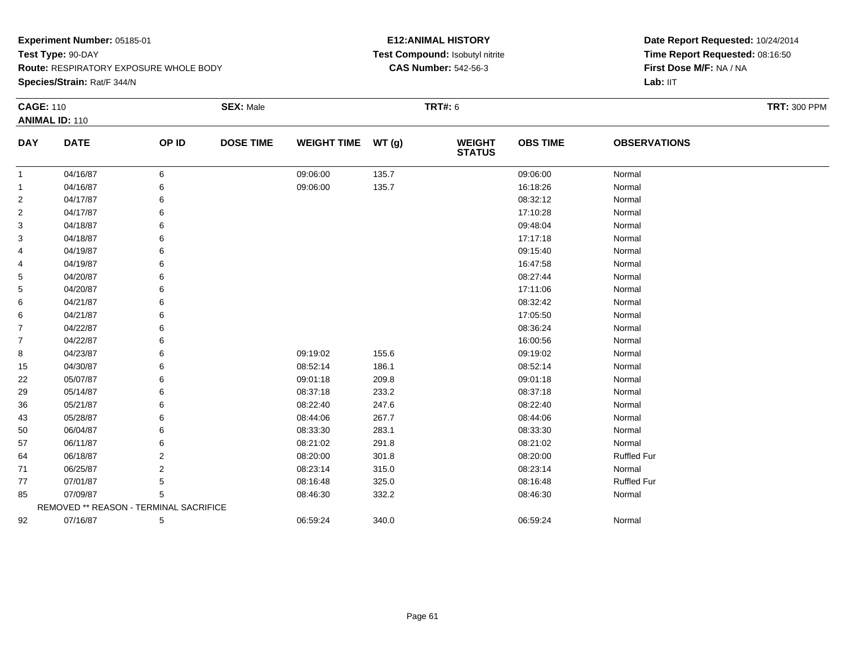**Route:** RESPIRATORY EXPOSURE WHOLE BODY

**Species/Strain:** Rat/F 344/N

# **E12:ANIMAL HISTORY Test Compound:** Isobutyl nitrite**CAS Number:** 542-56-3

| <b>CAGE: 110</b> |                                        |       | <b>SEX: Male</b> |                    |       | <b>TRT#: 6</b>                 |                 |                     | <b>TRT: 300 PPM</b> |
|------------------|----------------------------------------|-------|------------------|--------------------|-------|--------------------------------|-----------------|---------------------|---------------------|
|                  | <b>ANIMAL ID: 110</b>                  |       |                  |                    |       |                                |                 |                     |                     |
| <b>DAY</b>       | <b>DATE</b>                            | OP ID | <b>DOSE TIME</b> | <b>WEIGHT TIME</b> | WT(g) | <b>WEIGHT</b><br><b>STATUS</b> | <b>OBS TIME</b> | <b>OBSERVATIONS</b> |                     |
| $\mathbf{1}$     | 04/16/87                               | 6     |                  | 09:06:00           | 135.7 |                                | 09:06:00        | Normal              |                     |
| $\mathbf{1}$     | 04/16/87                               | 6     |                  | 09:06:00           | 135.7 |                                | 16:18:26        | Normal              |                     |
| 2                | 04/17/87                               | 6     |                  |                    |       |                                | 08:32:12        | Normal              |                     |
| 2                | 04/17/87                               |       |                  |                    |       |                                | 17:10:28        | Normal              |                     |
| 3                | 04/18/87                               |       |                  |                    |       |                                | 09:48:04        | Normal              |                     |
| 3                | 04/18/87                               |       |                  |                    |       |                                | 17:17:18        | Normal              |                     |
| 4                | 04/19/87                               |       |                  |                    |       |                                | 09:15:40        | Normal              |                     |
| 4                | 04/19/87                               |       |                  |                    |       |                                | 16:47:58        | Normal              |                     |
| 5                | 04/20/87                               |       |                  |                    |       |                                | 08:27:44        | Normal              |                     |
| 5                | 04/20/87                               |       |                  |                    |       |                                | 17:11:06        | Normal              |                     |
| 6                | 04/21/87                               |       |                  |                    |       |                                | 08:32:42        | Normal              |                     |
| 6                | 04/21/87                               |       |                  |                    |       |                                | 17:05:50        | Normal              |                     |
| 7                | 04/22/87                               |       |                  |                    |       |                                | 08:36:24        | Normal              |                     |
| $\overline{7}$   | 04/22/87                               |       |                  |                    |       |                                | 16:00:56        | Normal              |                     |
| 8                | 04/23/87                               |       |                  | 09:19:02           | 155.6 |                                | 09:19:02        | Normal              |                     |
| 15               | 04/30/87                               |       |                  | 08:52:14           | 186.1 |                                | 08:52:14        | Normal              |                     |
| 22               | 05/07/87                               |       |                  | 09:01:18           | 209.8 |                                | 09:01:18        | Normal              |                     |
| 29               | 05/14/87                               |       |                  | 08:37:18           | 233.2 |                                | 08:37:18        | Normal              |                     |
| 36               | 05/21/87                               |       |                  | 08:22:40           | 247.6 |                                | 08:22:40        | Normal              |                     |
| 43               | 05/28/87                               |       |                  | 08:44:06           | 267.7 |                                | 08:44:06        | Normal              |                     |
| 50               | 06/04/87                               |       |                  | 08:33:30           | 283.1 |                                | 08:33:30        | Normal              |                     |
| 57               | 06/11/87                               |       |                  | 08:21:02           | 291.8 |                                | 08:21:02        | Normal              |                     |
| 64               | 06/18/87                               | 2     |                  | 08:20:00           | 301.8 |                                | 08:20:00        | <b>Ruffled Fur</b>  |                     |
| 71               | 06/25/87                               | 2     |                  | 08:23:14           | 315.0 |                                | 08:23:14        | Normal              |                     |
| 77               | 07/01/87                               | 5     |                  | 08:16:48           | 325.0 |                                | 08:16:48        | Ruffled Fur         |                     |
| 85               | 07/09/87                               | 5     |                  | 08:46:30           | 332.2 |                                | 08:46:30        | Normal              |                     |
|                  | REMOVED ** REASON - TERMINAL SACRIFICE |       |                  |                    |       |                                |                 |                     |                     |
| 92               | 07/16/87                               | 5     |                  | 06:59:24           | 340.0 |                                | 06:59:24        | Normal              |                     |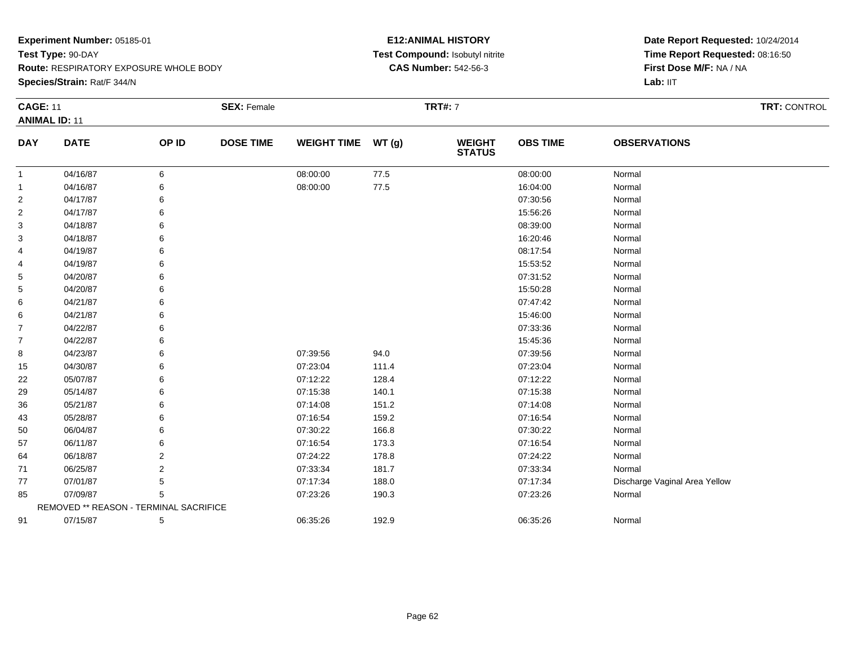**Route:** RESPIRATORY EXPOSURE WHOLE BODY

**Species/Strain:** Rat/F 344/N

# **E12:ANIMAL HISTORY Test Compound:** Isobutyl nitrite**CAS Number:** 542-56-3

| <b>CAGE: 11</b> |                                        |       | <b>SEX: Female</b> |                    |          | <b>TRT#: 7</b>                 |                 |                               | <b>TRT: CONTROL</b> |
|-----------------|----------------------------------------|-------|--------------------|--------------------|----------|--------------------------------|-----------------|-------------------------------|---------------------|
|                 | <b>ANIMAL ID: 11</b>                   |       |                    |                    |          |                                |                 |                               |                     |
| <b>DAY</b>      | <b>DATE</b>                            | OP ID | <b>DOSE TIME</b>   | WEIGHT TIME WT (g) |          | <b>WEIGHT</b><br><b>STATUS</b> | <b>OBS TIME</b> | <b>OBSERVATIONS</b>           |                     |
| $\mathbf{1}$    | 04/16/87                               | 6     |                    | 08:00:00           | 77.5     |                                | 08:00:00        | Normal                        |                     |
| $\overline{1}$  | 04/16/87                               | 6     |                    | 08:00:00           | $77.5\,$ |                                | 16:04:00        | Normal                        |                     |
| $\overline{2}$  | 04/17/87                               | 6     |                    |                    |          |                                | 07:30:56        | Normal                        |                     |
| 2               | 04/17/87                               | 6     |                    |                    |          |                                | 15:56:26        | Normal                        |                     |
| 3               | 04/18/87                               |       |                    |                    |          |                                | 08:39:00        | Normal                        |                     |
| 3               | 04/18/87                               |       |                    |                    |          |                                | 16:20:46        | Normal                        |                     |
| 4               | 04/19/87                               | 6     |                    |                    |          |                                | 08:17:54        | Normal                        |                     |
| 4               | 04/19/87                               | 6     |                    |                    |          |                                | 15:53:52        | Normal                        |                     |
| 5               | 04/20/87                               |       |                    |                    |          |                                | 07:31:52        | Normal                        |                     |
| 5               | 04/20/87                               |       |                    |                    |          |                                | 15:50:28        | Normal                        |                     |
| 6               | 04/21/87                               | 6     |                    |                    |          |                                | 07:47:42        | Normal                        |                     |
| 6               | 04/21/87                               | 6     |                    |                    |          |                                | 15:46:00        | Normal                        |                     |
| 7               | 04/22/87                               | 6     |                    |                    |          |                                | 07:33:36        | Normal                        |                     |
| 7               | 04/22/87                               | 6     |                    |                    |          |                                | 15:45:36        | Normal                        |                     |
| 8               | 04/23/87                               | 6     |                    | 07:39:56           | 94.0     |                                | 07:39:56        | Normal                        |                     |
| 15              | 04/30/87                               | 6     |                    | 07:23:04           | 111.4    |                                | 07:23:04        | Normal                        |                     |
| 22              | 05/07/87                               | 6     |                    | 07:12:22           | 128.4    |                                | 07:12:22        | Normal                        |                     |
| 29              | 05/14/87                               | 6     |                    | 07:15:38           | 140.1    |                                | 07:15:38        | Normal                        |                     |
| 36              | 05/21/87                               | 6     |                    | 07:14:08           | 151.2    |                                | 07:14:08        | Normal                        |                     |
| 43              | 05/28/87                               | 6     |                    | 07:16:54           | 159.2    |                                | 07:16:54        | Normal                        |                     |
| 50              | 06/04/87                               | 6     |                    | 07:30:22           | 166.8    |                                | 07:30:22        | Normal                        |                     |
| 57              | 06/11/87                               | 6     |                    | 07:16:54           | 173.3    |                                | 07:16:54        | Normal                        |                     |
| 64              | 06/18/87                               | 2     |                    | 07:24:22           | 178.8    |                                | 07:24:22        | Normal                        |                     |
| 71              | 06/25/87                               | 2     |                    | 07:33:34           | 181.7    |                                | 07:33:34        | Normal                        |                     |
| 77              | 07/01/87                               | 5     |                    | 07:17:34           | 188.0    |                                | 07:17:34        | Discharge Vaginal Area Yellow |                     |
| 85              | 07/09/87                               | 5     |                    | 07:23:26           | 190.3    |                                | 07:23:26        | Normal                        |                     |
|                 | REMOVED ** REASON - TERMINAL SACRIFICE |       |                    |                    |          |                                |                 |                               |                     |
| 91              | 07/15/87                               | 5     |                    | 06:35:26           | 192.9    |                                | 06:35:26        | Normal                        |                     |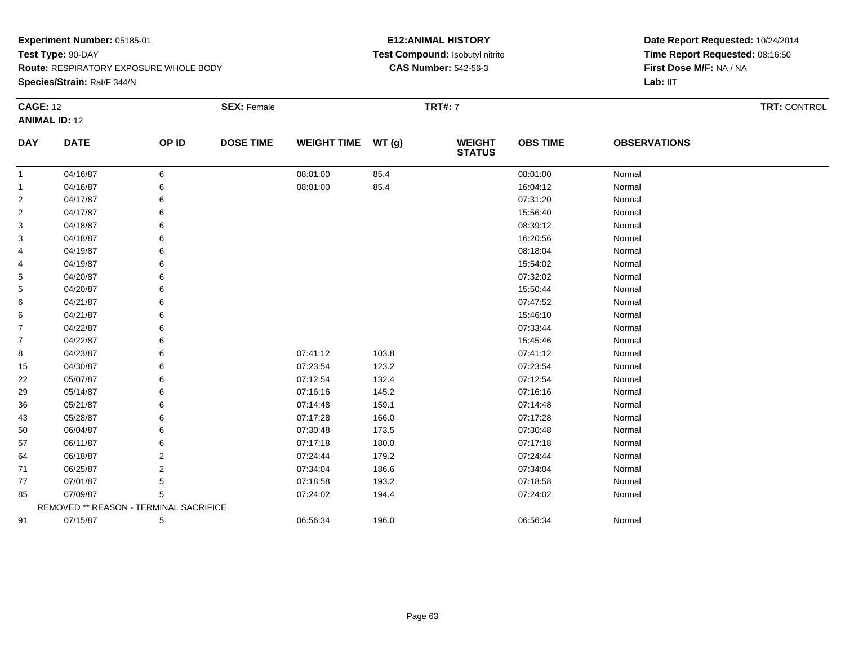**Species/Strain:** Rat/F 344/N

# **E12:ANIMAL HISTORY Test Compound:** Isobutyl nitrite**CAS Number:** 542-56-3

| <b>CAGE: 12</b>         | <b>ANIMAL ID: 12</b>                   |                | <b>SEX: Female</b> |                    |       | <b>TRT#: 7</b>                 |                 |                     | <b>TRT: CONTROL</b> |
|-------------------------|----------------------------------------|----------------|--------------------|--------------------|-------|--------------------------------|-----------------|---------------------|---------------------|
| <b>DAY</b>              | <b>DATE</b>                            | OP ID          | <b>DOSE TIME</b>   | <b>WEIGHT TIME</b> | WT(g) | <b>WEIGHT</b><br><b>STATUS</b> | <b>OBS TIME</b> | <b>OBSERVATIONS</b> |                     |
| 1                       | 04/16/87                               | 6              |                    | 08:01:00           | 85.4  |                                | 08:01:00        | Normal              |                     |
| 1                       | 04/16/87                               | 6              |                    | 08:01:00           | 85.4  |                                | 16:04:12        | Normal              |                     |
| $\overline{c}$          | 04/17/87                               | 6              |                    |                    |       |                                | 07:31:20        | Normal              |                     |
| $\overline{\mathbf{c}}$ | 04/17/87                               | 6              |                    |                    |       |                                | 15:56:40        | Normal              |                     |
| 3                       | 04/18/87                               | 6              |                    |                    |       |                                | 08:39:12        | Normal              |                     |
| 3                       | 04/18/87                               | 6              |                    |                    |       |                                | 16:20:56        | Normal              |                     |
| 4                       | 04/19/87                               | 6              |                    |                    |       |                                | 08:18:04        | Normal              |                     |
| 4                       | 04/19/87                               | 6              |                    |                    |       |                                | 15:54:02        | Normal              |                     |
| 5                       | 04/20/87                               | 6              |                    |                    |       |                                | 07:32:02        | Normal              |                     |
| 5                       | 04/20/87                               | 6              |                    |                    |       |                                | 15:50:44        | Normal              |                     |
| 6                       | 04/21/87                               |                |                    |                    |       |                                | 07:47:52        | Normal              |                     |
| 6                       | 04/21/87                               | 6              |                    |                    |       |                                | 15:46:10        | Normal              |                     |
| 7                       | 04/22/87                               | 6              |                    |                    |       |                                | 07:33:44        | Normal              |                     |
| $\overline{7}$          | 04/22/87                               | 6              |                    |                    |       |                                | 15:45:46        | Normal              |                     |
| 8                       | 04/23/87                               | 6              |                    | 07:41:12           | 103.8 |                                | 07:41:12        | Normal              |                     |
| 15                      | 04/30/87                               | 6              |                    | 07:23:54           | 123.2 |                                | 07:23:54        | Normal              |                     |
| 22                      | 05/07/87                               | 6              |                    | 07:12:54           | 132.4 |                                | 07:12:54        | Normal              |                     |
| 29                      | 05/14/87                               | 6              |                    | 07:16:16           | 145.2 |                                | 07:16:16        | Normal              |                     |
| 36                      | 05/21/87                               | 6              |                    | 07:14:48           | 159.1 |                                | 07:14:48        | Normal              |                     |
| 43                      | 05/28/87                               | 6              |                    | 07:17:28           | 166.0 |                                | 07:17:28        | Normal              |                     |
| 50                      | 06/04/87                               | 6              |                    | 07:30:48           | 173.5 |                                | 07:30:48        | Normal              |                     |
| 57                      | 06/11/87                               | 6              |                    | 07:17:18           | 180.0 |                                | 07:17:18        | Normal              |                     |
| 64                      | 06/18/87                               | 2              |                    | 07:24:44           | 179.2 |                                | 07:24:44        | Normal              |                     |
| 71                      | 06/25/87                               | $\overline{2}$ |                    | 07:34:04           | 186.6 |                                | 07:34:04        | Normal              |                     |
| 77                      | 07/01/87                               | 5              |                    | 07:18:58           | 193.2 |                                | 07:18:58        | Normal              |                     |
| 85                      | 07/09/87                               | 5              |                    | 07:24:02           | 194.4 |                                | 07:24:02        | Normal              |                     |
|                         | REMOVED ** REASON - TERMINAL SACRIFICE |                |                    |                    |       |                                |                 |                     |                     |
| 91                      | 07/15/87                               | 5              |                    | 06:56:34           | 196.0 |                                | 06:56:34        | Normal              |                     |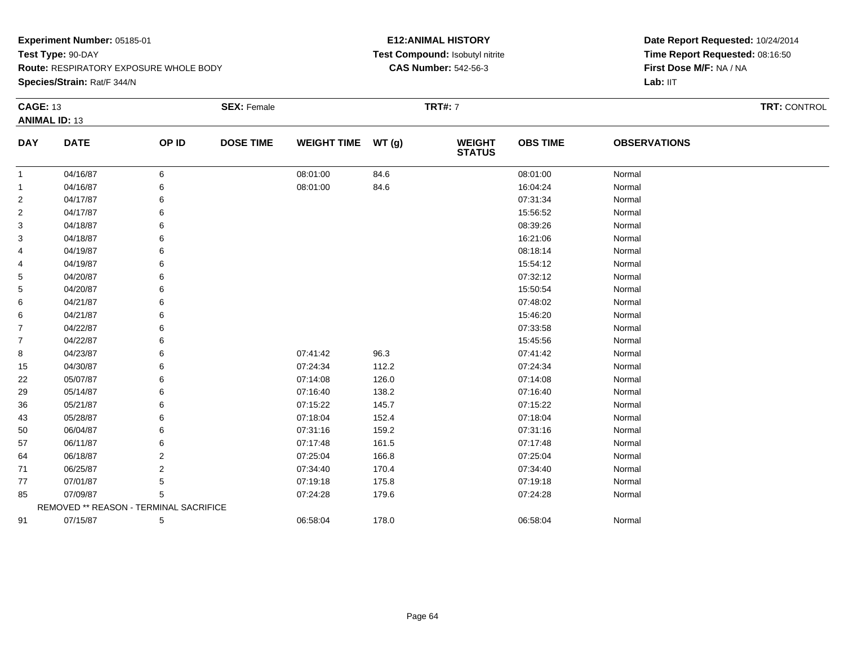**Species/Strain:** Rat/F 344/N

# **E12:ANIMAL HISTORY Test Compound:** Isobutyl nitrite**CAS Number:** 542-56-3

| <b>CAGE: 13</b> |                                        |       | <b>SEX: Female</b> |                    |       | <b>TRT#:</b> 7                 |                 |                     | <b>TRT: CONTROL</b> |  |
|-----------------|----------------------------------------|-------|--------------------|--------------------|-------|--------------------------------|-----------------|---------------------|---------------------|--|
|                 | <b>ANIMAL ID: 13</b>                   |       |                    |                    |       |                                |                 |                     |                     |  |
| <b>DAY</b>      | <b>DATE</b>                            | OP ID | <b>DOSE TIME</b>   | <b>WEIGHT TIME</b> | WT(g) | <b>WEIGHT</b><br><b>STATUS</b> | <b>OBS TIME</b> | <b>OBSERVATIONS</b> |                     |  |
| 1               | 04/16/87                               | 6     |                    | 08:01:00           | 84.6  |                                | 08:01:00        | Normal              |                     |  |
| 1               | 04/16/87                               | 6     |                    | 08:01:00           | 84.6  |                                | 16:04:24        | Normal              |                     |  |
| $\overline{c}$  | 04/17/87                               | 6     |                    |                    |       |                                | 07:31:34        | Normal              |                     |  |
| 2               | 04/17/87                               | 6     |                    |                    |       |                                | 15:56:52        | Normal              |                     |  |
| 3               | 04/18/87                               | 6     |                    |                    |       |                                | 08:39:26        | Normal              |                     |  |
| 3               | 04/18/87                               |       |                    |                    |       |                                | 16:21:06        | Normal              |                     |  |
| 4               | 04/19/87                               | 6     |                    |                    |       |                                | 08:18:14        | Normal              |                     |  |
| 4               | 04/19/87                               | 6     |                    |                    |       |                                | 15:54:12        | Normal              |                     |  |
| 5               | 04/20/87                               | 6     |                    |                    |       |                                | 07:32:12        | Normal              |                     |  |
| 5               | 04/20/87                               | 6     |                    |                    |       |                                | 15:50:54        | Normal              |                     |  |
| 6               | 04/21/87                               | 6     |                    |                    |       |                                | 07:48:02        | Normal              |                     |  |
| 6               | 04/21/87                               | 6     |                    |                    |       |                                | 15:46:20        | Normal              |                     |  |
| 7               | 04/22/87                               | 6     |                    |                    |       |                                | 07:33:58        | Normal              |                     |  |
| 7               | 04/22/87                               | 6     |                    |                    |       |                                | 15:45:56        | Normal              |                     |  |
| 8               | 04/23/87                               | 6     |                    | 07:41:42           | 96.3  |                                | 07:41:42        | Normal              |                     |  |
| 15              | 04/30/87                               | 6     |                    | 07:24:34           | 112.2 |                                | 07:24:34        | Normal              |                     |  |
| 22              | 05/07/87                               | 6     |                    | 07:14:08           | 126.0 |                                | 07:14:08        | Normal              |                     |  |
| 29              | 05/14/87                               | 6     |                    | 07:16:40           | 138.2 |                                | 07:16:40        | Normal              |                     |  |
| 36              | 05/21/87                               | 6     |                    | 07:15:22           | 145.7 |                                | 07:15:22        | Normal              |                     |  |
| 43              | 05/28/87                               | 6     |                    | 07:18:04           | 152.4 |                                | 07:18:04        | Normal              |                     |  |
| 50              | 06/04/87                               | 6     |                    | 07:31:16           | 159.2 |                                | 07:31:16        | Normal              |                     |  |
| 57              | 06/11/87                               | 6     |                    | 07:17:48           | 161.5 |                                | 07:17:48        | Normal              |                     |  |
| 64              | 06/18/87                               | 2     |                    | 07:25:04           | 166.8 |                                | 07:25:04        | Normal              |                     |  |
| 71              | 06/25/87                               | 2     |                    | 07:34:40           | 170.4 |                                | 07:34:40        | Normal              |                     |  |
| 77              | 07/01/87                               | 5     |                    | 07:19:18           | 175.8 |                                | 07:19:18        | Normal              |                     |  |
| 85              | 07/09/87                               | 5     |                    | 07:24:28           | 179.6 |                                | 07:24:28        | Normal              |                     |  |
|                 | REMOVED ** REASON - TERMINAL SACRIFICE |       |                    |                    |       |                                |                 |                     |                     |  |
| 91              | 07/15/87                               | 5     |                    | 06:58:04           | 178.0 |                                | 06:58:04        | Normal              |                     |  |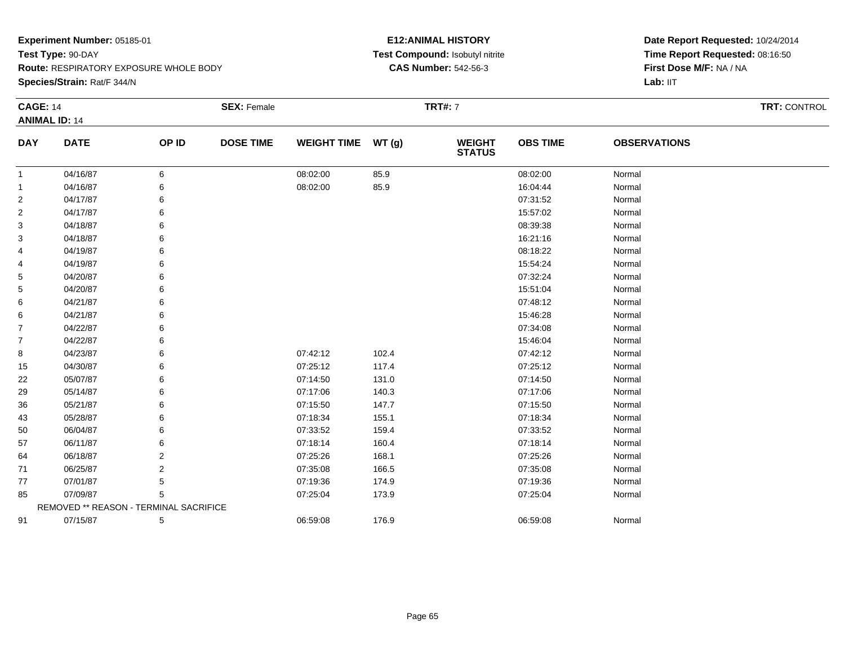**Species/Strain:** Rat/F 344/N

# **E12:ANIMAL HISTORY Test Compound:** Isobutyl nitrite**CAS Number:** 542-56-3

|                | <b>CAGE: 14</b>                        |       | <b>SEX: Female</b> |                    |       | <b>TRT#: 7</b>           | TRT: CONTROL    |                     |  |
|----------------|----------------------------------------|-------|--------------------|--------------------|-------|--------------------------|-----------------|---------------------|--|
|                | <b>ANIMAL ID: 14</b>                   |       |                    |                    |       |                          |                 |                     |  |
| <b>DAY</b>     | <b>DATE</b>                            | OP ID | <b>DOSE TIME</b>   | <b>WEIGHT TIME</b> | WT(g) | <b>WEIGHT<br/>STATUS</b> | <b>OBS TIME</b> | <b>OBSERVATIONS</b> |  |
| $\mathbf{1}$   | 04/16/87                               | 6     |                    | 08:02:00           | 85.9  |                          | 08:02:00        | Normal              |  |
| 1              | 04/16/87                               |       |                    | 08:02:00           | 85.9  |                          | 16:04:44        | Normal              |  |
| $\overline{2}$ | 04/17/87                               | 6     |                    |                    |       |                          | 07:31:52        | Normal              |  |
| $\overline{2}$ | 04/17/87                               |       |                    |                    |       |                          | 15:57:02        | Normal              |  |
| 3              | 04/18/87                               |       |                    |                    |       |                          | 08:39:38        | Normal              |  |
| 3              | 04/18/87                               |       |                    |                    |       |                          | 16:21:16        | Normal              |  |
| 4              | 04/19/87                               |       |                    |                    |       |                          | 08:18:22        | Normal              |  |
| 4              | 04/19/87                               |       |                    |                    |       |                          | 15:54:24        | Normal              |  |
| 5              | 04/20/87                               |       |                    |                    |       |                          | 07:32:24        | Normal              |  |
| 5              | 04/20/87                               |       |                    |                    |       |                          | 15:51:04        | Normal              |  |
| 6              | 04/21/87                               |       |                    |                    |       |                          | 07:48:12        | Normal              |  |
| 6              | 04/21/87                               |       |                    |                    |       |                          | 15:46:28        | Normal              |  |
| $\overline{7}$ | 04/22/87                               |       |                    |                    |       |                          | 07:34:08        | Normal              |  |
| $\overline{7}$ | 04/22/87                               | 6     |                    |                    |       |                          | 15:46:04        | Normal              |  |
| 8              | 04/23/87                               |       |                    | 07:42:12           | 102.4 |                          | 07:42:12        | Normal              |  |
| 15             | 04/30/87                               |       |                    | 07:25:12           | 117.4 |                          | 07:25:12        | Normal              |  |
| 22             | 05/07/87                               |       |                    | 07:14:50           | 131.0 |                          | 07:14:50        | Normal              |  |
| 29             | 05/14/87                               |       |                    | 07:17:06           | 140.3 |                          | 07:17:06        | Normal              |  |
| 36             | 05/21/87                               | 6     |                    | 07:15:50           | 147.7 |                          | 07:15:50        | Normal              |  |
| 43             | 05/28/87                               |       |                    | 07:18:34           | 155.1 |                          | 07:18:34        | Normal              |  |
| 50             | 06/04/87                               |       |                    | 07:33:52           | 159.4 |                          | 07:33:52        | Normal              |  |
| 57             | 06/11/87                               |       |                    | 07:18:14           | 160.4 |                          | 07:18:14        | Normal              |  |
| 64             | 06/18/87                               | 2     |                    | 07:25:26           | 168.1 |                          | 07:25:26        | Normal              |  |
| 71             | 06/25/87                               | 2     |                    | 07:35:08           | 166.5 |                          | 07:35:08        | Normal              |  |
| 77             | 07/01/87                               | 5     |                    | 07:19:36           | 174.9 |                          | 07:19:36        | Normal              |  |
| 85             | 07/09/87                               | 5     |                    | 07:25:04           | 173.9 |                          | 07:25:04        | Normal              |  |
|                | REMOVED ** REASON - TERMINAL SACRIFICE |       |                    |                    |       |                          |                 |                     |  |
| 91             | 07/15/87                               | 5     |                    | 06:59:08           | 176.9 |                          | 06:59:08        | Normal              |  |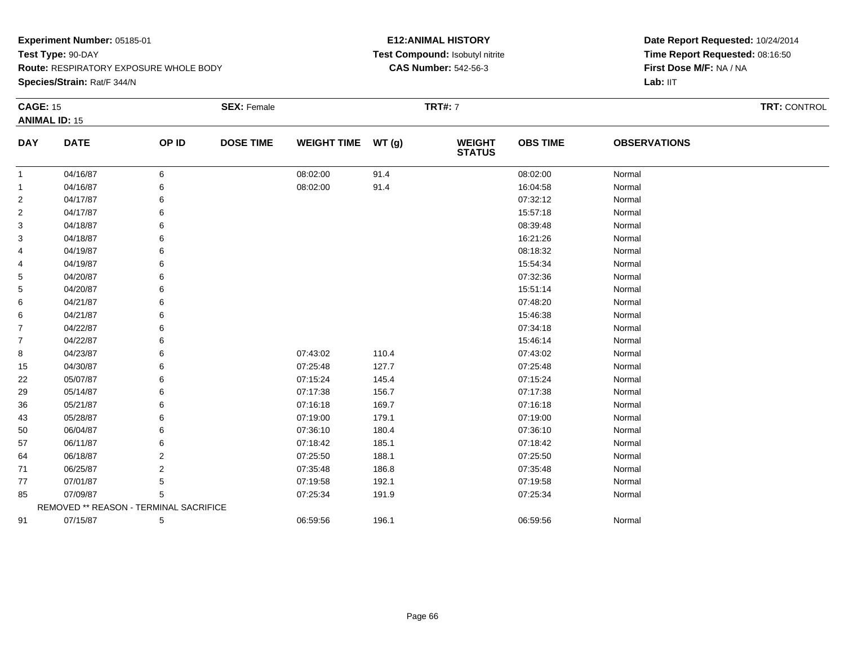**Species/Strain:** Rat/F 344/N

# **E12:ANIMAL HISTORY Test Compound:** Isobutyl nitrite**CAS Number:** 542-56-3

| <b>CAGE: 15</b> |                                        |       | <b>SEX: Female</b> |                    |       | <b>TRT#:</b> 7                 |                 |                     | <b>TRT: CONTROL</b> |
|-----------------|----------------------------------------|-------|--------------------|--------------------|-------|--------------------------------|-----------------|---------------------|---------------------|
|                 | <b>ANIMAL ID: 15</b>                   |       |                    |                    |       |                                |                 |                     |                     |
| <b>DAY</b>      | <b>DATE</b>                            | OP ID | <b>DOSE TIME</b>   | <b>WEIGHT TIME</b> | WT(g) | <b>WEIGHT</b><br><b>STATUS</b> | <b>OBS TIME</b> | <b>OBSERVATIONS</b> |                     |
| $\mathbf{1}$    | 04/16/87                               | 6     |                    | 08:02:00           | 91.4  |                                | 08:02:00        | Normal              |                     |
| 1               | 04/16/87                               | 6     |                    | 08:02:00           | 91.4  |                                | 16:04:58        | Normal              |                     |
| 2               | 04/17/87                               |       |                    |                    |       |                                | 07:32:12        | Normal              |                     |
| 2               | 04/17/87                               | 6     |                    |                    |       |                                | 15:57:18        | Normal              |                     |
| 3               | 04/18/87                               | 6     |                    |                    |       |                                | 08:39:48        | Normal              |                     |
| 3               | 04/18/87                               |       |                    |                    |       |                                | 16:21:26        | Normal              |                     |
| 4               | 04/19/87                               | 6     |                    |                    |       |                                | 08:18:32        | Normal              |                     |
| 4               | 04/19/87                               | 6     |                    |                    |       |                                | 15:54:34        | Normal              |                     |
| 5               | 04/20/87                               | 6     |                    |                    |       |                                | 07:32:36        | Normal              |                     |
| 5               | 04/20/87                               |       |                    |                    |       |                                | 15:51:14        | Normal              |                     |
| 6               | 04/21/87                               |       |                    |                    |       |                                | 07:48:20        | Normal              |                     |
| 6               | 04/21/87                               | 6     |                    |                    |       |                                | 15:46:38        | Normal              |                     |
| 7               | 04/22/87                               | 6     |                    |                    |       |                                | 07:34:18        | Normal              |                     |
| 7               | 04/22/87                               | 6     |                    |                    |       |                                | 15:46:14        | Normal              |                     |
| 8               | 04/23/87                               | 6     |                    | 07:43:02           | 110.4 |                                | 07:43:02        | Normal              |                     |
| 15              | 04/30/87                               | 6     |                    | 07:25:48           | 127.7 |                                | 07:25:48        | Normal              |                     |
| 22              | 05/07/87                               | 6     |                    | 07:15:24           | 145.4 |                                | 07:15:24        | Normal              |                     |
| 29              | 05/14/87                               |       |                    | 07:17:38           | 156.7 |                                | 07:17:38        | Normal              |                     |
| 36              | 05/21/87                               |       |                    | 07:16:18           | 169.7 |                                | 07:16:18        | Normal              |                     |
| 43              | 05/28/87                               | 6     |                    | 07:19:00           | 179.1 |                                | 07:19:00        | Normal              |                     |
| 50              | 06/04/87                               |       |                    | 07:36:10           | 180.4 |                                | 07:36:10        | Normal              |                     |
| 57              | 06/11/87                               |       |                    | 07:18:42           | 185.1 |                                | 07:18:42        | Normal              |                     |
| 64              | 06/18/87                               | 2     |                    | 07:25:50           | 188.1 |                                | 07:25:50        | Normal              |                     |
| 71              | 06/25/87                               | 2     |                    | 07:35:48           | 186.8 |                                | 07:35:48        | Normal              |                     |
| 77              | 07/01/87                               | 5     |                    | 07:19:58           | 192.1 |                                | 07:19:58        | Normal              |                     |
| 85              | 07/09/87                               | 5     |                    | 07:25:34           | 191.9 |                                | 07:25:34        | Normal              |                     |
|                 | REMOVED ** REASON - TERMINAL SACRIFICE |       |                    |                    |       |                                |                 |                     |                     |
| 91              | 07/15/87                               | 5     |                    | 06:59:56           | 196.1 |                                | 06:59:56        | Normal              |                     |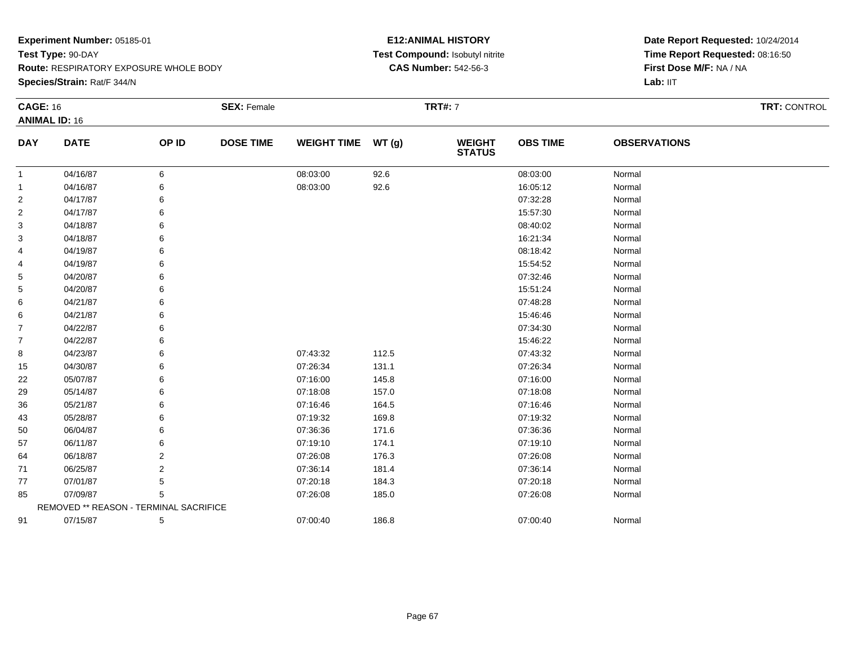**Species/Strain:** Rat/F 344/N

# **E12:ANIMAL HISTORY Test Compound:** Isobutyl nitrite**CAS Number:** 542-56-3

| <b>CAGE: 16</b> |                                        |       | <b>SEX: Female</b> |                    |       | <b>TRT#:</b> 7                 |                 |                     | <b>TRT: CONTROL</b> |
|-----------------|----------------------------------------|-------|--------------------|--------------------|-------|--------------------------------|-----------------|---------------------|---------------------|
|                 | <b>ANIMAL ID: 16</b>                   |       |                    |                    |       |                                |                 |                     |                     |
| <b>DAY</b>      | <b>DATE</b>                            | OP ID | <b>DOSE TIME</b>   | <b>WEIGHT TIME</b> | WT(g) | <b>WEIGHT</b><br><b>STATUS</b> | <b>OBS TIME</b> | <b>OBSERVATIONS</b> |                     |
| $\mathbf{1}$    | 04/16/87                               | 6     |                    | 08:03:00           | 92.6  |                                | 08:03:00        | Normal              |                     |
| 1               | 04/16/87                               | 6     |                    | 08:03:00           | 92.6  |                                | 16:05:12        | Normal              |                     |
| 2               | 04/17/87                               |       |                    |                    |       |                                | 07:32:28        | Normal              |                     |
| 2               | 04/17/87                               |       |                    |                    |       |                                | 15:57:30        | Normal              |                     |
| 3               | 04/18/87                               |       |                    |                    |       |                                | 08:40:02        | Normal              |                     |
| 3               | 04/18/87                               |       |                    |                    |       |                                | 16:21:34        | Normal              |                     |
| 4               | 04/19/87                               | 6     |                    |                    |       |                                | 08:18:42        | Normal              |                     |
| 4               | 04/19/87                               | 6     |                    |                    |       |                                | 15:54:52        | Normal              |                     |
| 5               | 04/20/87                               | 6     |                    |                    |       |                                | 07:32:46        | Normal              |                     |
| 5               | 04/20/87                               |       |                    |                    |       |                                | 15:51:24        | Normal              |                     |
| 6               | 04/21/87                               |       |                    |                    |       |                                | 07:48:28        | Normal              |                     |
| 6               | 04/21/87                               | 6     |                    |                    |       |                                | 15:46:46        | Normal              |                     |
| 7               | 04/22/87                               | 6     |                    |                    |       |                                | 07:34:30        | Normal              |                     |
| 7               | 04/22/87                               | 6     |                    |                    |       |                                | 15:46:22        | Normal              |                     |
| 8               | 04/23/87                               | 6     |                    | 07:43:32           | 112.5 |                                | 07:43:32        | Normal              |                     |
| 15              | 04/30/87                               | 6     |                    | 07:26:34           | 131.1 |                                | 07:26:34        | Normal              |                     |
| 22              | 05/07/87                               | 6     |                    | 07:16:00           | 145.8 |                                | 07:16:00        | Normal              |                     |
| 29              | 05/14/87                               |       |                    | 07:18:08           | 157.0 |                                | 07:18:08        | Normal              |                     |
| 36              | 05/21/87                               |       |                    | 07:16:46           | 164.5 |                                | 07:16:46        | Normal              |                     |
| 43              | 05/28/87                               | 6     |                    | 07:19:32           | 169.8 |                                | 07:19:32        | Normal              |                     |
| 50              | 06/04/87                               |       |                    | 07:36:36           | 171.6 |                                | 07:36:36        | Normal              |                     |
| 57              | 06/11/87                               |       |                    | 07:19:10           | 174.1 |                                | 07:19:10        | Normal              |                     |
| 64              | 06/18/87                               | 2     |                    | 07:26:08           | 176.3 |                                | 07:26:08        | Normal              |                     |
| 71              | 06/25/87                               | 2     |                    | 07:36:14           | 181.4 |                                | 07:36:14        | Normal              |                     |
| 77              | 07/01/87                               | 5     |                    | 07:20:18           | 184.3 |                                | 07:20:18        | Normal              |                     |
| 85              | 07/09/87                               | 5     |                    | 07:26:08           | 185.0 |                                | 07:26:08        | Normal              |                     |
|                 | REMOVED ** REASON - TERMINAL SACRIFICE |       |                    |                    |       |                                |                 |                     |                     |
| 91              | 07/15/87                               | 5     |                    | 07:00:40           | 186.8 |                                | 07:00:40        | Normal              |                     |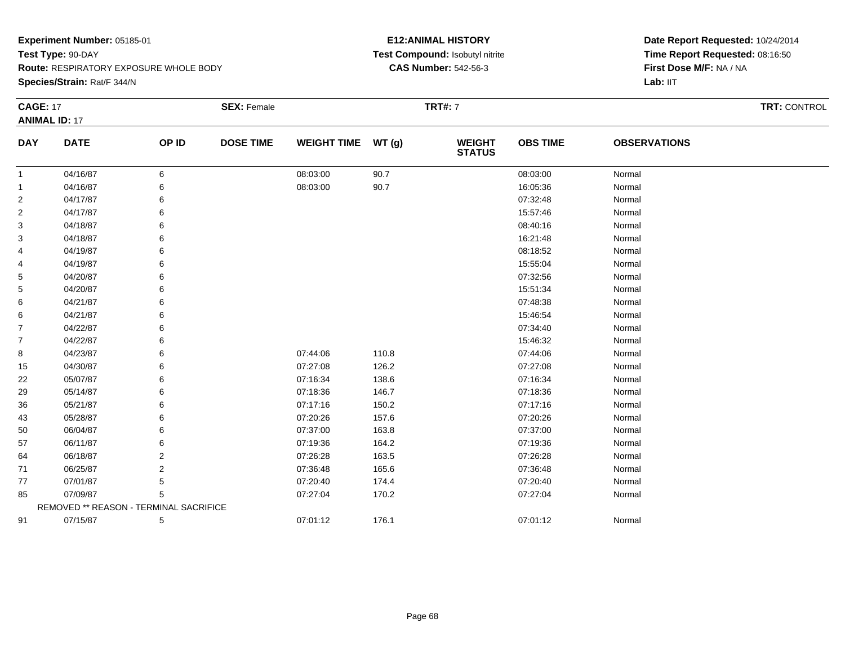**Species/Strain:** Rat/F 344/N

# **E12:ANIMAL HISTORY Test Compound:** Isobutyl nitrite**CAS Number:** 542-56-3

| <b>CAGE: 17</b> |                                        |       | <b>SEX: Female</b> |                    |       | <b>TRT#: 7</b>                 |                 |                     | <b>TRT: CONTROL</b> |
|-----------------|----------------------------------------|-------|--------------------|--------------------|-------|--------------------------------|-----------------|---------------------|---------------------|
|                 | <b>ANIMAL ID: 17</b>                   |       |                    |                    |       |                                |                 |                     |                     |
| <b>DAY</b>      | <b>DATE</b>                            | OP ID | <b>DOSE TIME</b>   | <b>WEIGHT TIME</b> | WT(g) | <b>WEIGHT</b><br><b>STATUS</b> | <b>OBS TIME</b> | <b>OBSERVATIONS</b> |                     |
| $\mathbf 1$     | 04/16/87                               | 6     |                    | 08:03:00           | 90.7  |                                | 08:03:00        | Normal              |                     |
| 1               | 04/16/87                               |       |                    | 08:03:00           | 90.7  |                                | 16:05:36        | Normal              |                     |
| 2               | 04/17/87                               |       |                    |                    |       |                                | 07:32:48        | Normal              |                     |
| 2               | 04/17/87                               |       |                    |                    |       |                                | 15:57:46        | Normal              |                     |
| 3               | 04/18/87                               |       |                    |                    |       |                                | 08:40:16        | Normal              |                     |
| 3               | 04/18/87                               |       |                    |                    |       |                                | 16:21:48        | Normal              |                     |
| 4               | 04/19/87                               |       |                    |                    |       |                                | 08:18:52        | Normal              |                     |
| 4               | 04/19/87                               |       |                    |                    |       |                                | 15:55:04        | Normal              |                     |
| 5               | 04/20/87                               |       |                    |                    |       |                                | 07:32:56        | Normal              |                     |
| 5               | 04/20/87                               |       |                    |                    |       |                                | 15:51:34        | Normal              |                     |
| 6               | 04/21/87                               |       |                    |                    |       |                                | 07:48:38        | Normal              |                     |
| 6               | 04/21/87                               |       |                    |                    |       |                                | 15:46:54        | Normal              |                     |
| 7               | 04/22/87                               |       |                    |                    |       |                                | 07:34:40        | Normal              |                     |
| 7               | 04/22/87                               |       |                    |                    |       |                                | 15:46:32        | Normal              |                     |
| 8               | 04/23/87                               |       |                    | 07:44:06           | 110.8 |                                | 07:44:06        | Normal              |                     |
| 15              | 04/30/87                               |       |                    | 07:27:08           | 126.2 |                                | 07:27:08        | Normal              |                     |
| 22              | 05/07/87                               |       |                    | 07:16:34           | 138.6 |                                | 07:16:34        | Normal              |                     |
| 29              | 05/14/87                               |       |                    | 07:18:36           | 146.7 |                                | 07:18:36        | Normal              |                     |
| 36              | 05/21/87                               |       |                    | 07:17:16           | 150.2 |                                | 07:17:16        | Normal              |                     |
| 43              | 05/28/87                               |       |                    | 07:20:26           | 157.6 |                                | 07:20:26        | Normal              |                     |
| 50              | 06/04/87                               |       |                    | 07:37:00           | 163.8 |                                | 07:37:00        | Normal              |                     |
| 57              | 06/11/87                               |       |                    | 07:19:36           | 164.2 |                                | 07:19:36        | Normal              |                     |
| 64              | 06/18/87                               | 2     |                    | 07:26:28           | 163.5 |                                | 07:26:28        | Normal              |                     |
| 71              | 06/25/87                               | 2     |                    | 07:36:48           | 165.6 |                                | 07:36:48        | Normal              |                     |
| 77              | 07/01/87                               | 5     |                    | 07:20:40           | 174.4 |                                | 07:20:40        | Normal              |                     |
| 85              | 07/09/87                               | 5     |                    | 07:27:04           | 170.2 |                                | 07:27:04        | Normal              |                     |
|                 | REMOVED ** REASON - TERMINAL SACRIFICE |       |                    |                    |       |                                |                 |                     |                     |
| 91              | 07/15/87                               | 5     |                    | 07:01:12           | 176.1 |                                | 07:01:12        | Normal              |                     |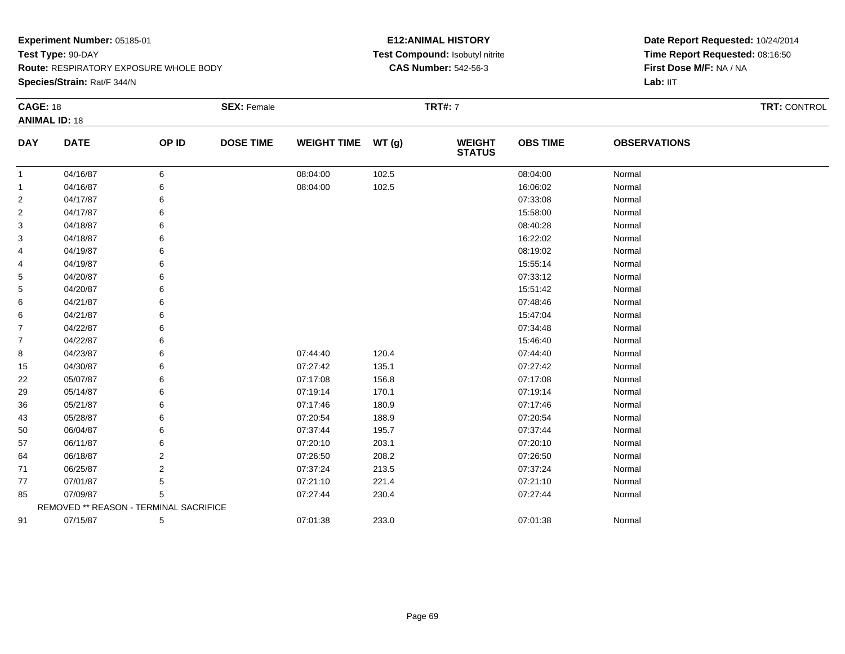**Species/Strain:** Rat/F 344/N

# **E12:ANIMAL HISTORY Test Compound:** Isobutyl nitrite**CAS Number:** 542-56-3

| <b>CAGE: 18</b> |                                        |       | <b>SEX: Female</b> |                    |       | <b>TRT#:</b> 7                 |                 |                     | <b>TRT: CONTROL</b> |
|-----------------|----------------------------------------|-------|--------------------|--------------------|-------|--------------------------------|-----------------|---------------------|---------------------|
|                 | <b>ANIMAL ID: 18</b>                   |       |                    |                    |       |                                |                 |                     |                     |
| <b>DAY</b>      | <b>DATE</b>                            | OP ID | <b>DOSE TIME</b>   | <b>WEIGHT TIME</b> | WT(g) | <b>WEIGHT</b><br><b>STATUS</b> | <b>OBS TIME</b> | <b>OBSERVATIONS</b> |                     |
| $\mathbf{1}$    | 04/16/87                               | 6     |                    | 08:04:00           | 102.5 |                                | 08:04:00        | Normal              |                     |
| 1               | 04/16/87                               | 6     |                    | 08:04:00           | 102.5 |                                | 16:06:02        | Normal              |                     |
| 2               | 04/17/87                               |       |                    |                    |       |                                | 07:33:08        | Normal              |                     |
| 2               | 04/17/87                               |       |                    |                    |       |                                | 15:58:00        | Normal              |                     |
| 3               | 04/18/87                               |       |                    |                    |       |                                | 08:40:28        | Normal              |                     |
| 3               | 04/18/87                               |       |                    |                    |       |                                | 16:22:02        | Normal              |                     |
| 4               | 04/19/87                               | 6     |                    |                    |       |                                | 08:19:02        | Normal              |                     |
| 4               | 04/19/87                               | 6     |                    |                    |       |                                | 15:55:14        | Normal              |                     |
| 5               | 04/20/87                               | 6     |                    |                    |       |                                | 07:33:12        | Normal              |                     |
| 5               | 04/20/87                               |       |                    |                    |       |                                | 15:51:42        | Normal              |                     |
| 6               | 04/21/87                               |       |                    |                    |       |                                | 07:48:46        | Normal              |                     |
| 6               | 04/21/87                               | 6     |                    |                    |       |                                | 15:47:04        | Normal              |                     |
| 7               | 04/22/87                               | 6     |                    |                    |       |                                | 07:34:48        | Normal              |                     |
| 7               | 04/22/87                               | 6     |                    |                    |       |                                | 15:46:40        | Normal              |                     |
| 8               | 04/23/87                               | 6     |                    | 07:44:40           | 120.4 |                                | 07:44:40        | Normal              |                     |
| 15              | 04/30/87                               | 6     |                    | 07:27:42           | 135.1 |                                | 07:27:42        | Normal              |                     |
| 22              | 05/07/87                               | 6     |                    | 07:17:08           | 156.8 |                                | 07:17:08        | Normal              |                     |
| 29              | 05/14/87                               |       |                    | 07:19:14           | 170.1 |                                | 07:19:14        | Normal              |                     |
| 36              | 05/21/87                               |       |                    | 07:17:46           | 180.9 |                                | 07:17:46        | Normal              |                     |
| 43              | 05/28/87                               | 6     |                    | 07:20:54           | 188.9 |                                | 07:20:54        | Normal              |                     |
| 50              | 06/04/87                               |       |                    | 07:37:44           | 195.7 |                                | 07:37:44        | Normal              |                     |
| 57              | 06/11/87                               |       |                    | 07:20:10           | 203.1 |                                | 07:20:10        | Normal              |                     |
| 64              | 06/18/87                               | 2     |                    | 07:26:50           | 208.2 |                                | 07:26:50        | Normal              |                     |
| 71              | 06/25/87                               | 2     |                    | 07:37:24           | 213.5 |                                | 07:37:24        | Normal              |                     |
| 77              | 07/01/87                               | 5     |                    | 07:21:10           | 221.4 |                                | 07:21:10        | Normal              |                     |
| 85              | 07/09/87                               | 5     |                    | 07:27:44           | 230.4 |                                | 07:27:44        | Normal              |                     |
|                 | REMOVED ** REASON - TERMINAL SACRIFICE |       |                    |                    |       |                                |                 |                     |                     |
| 91              | 07/15/87                               | 5     |                    | 07:01:38           | 233.0 |                                | 07:01:38        | Normal              |                     |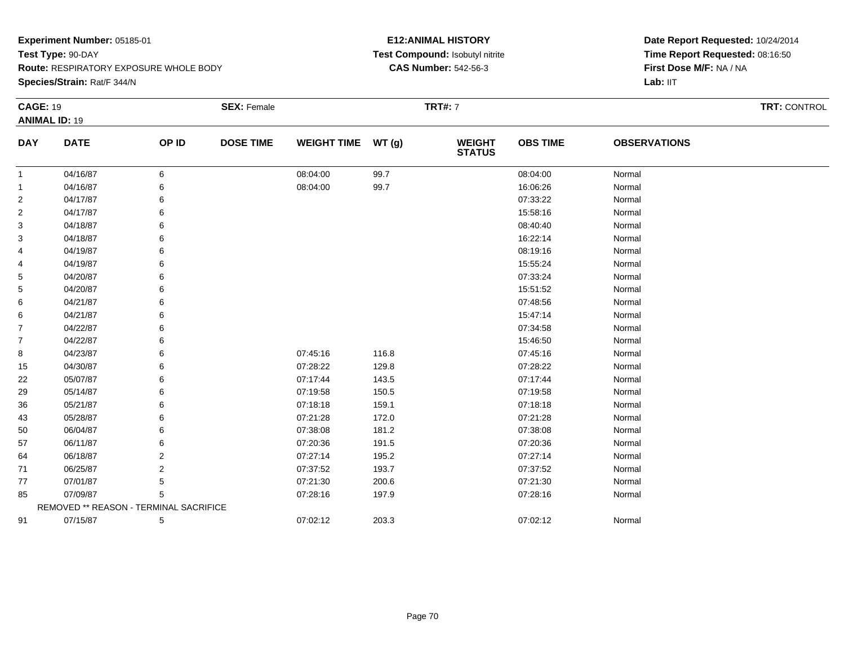**Species/Strain:** Rat/F 344/N

# **E12:ANIMAL HISTORY Test Compound:** Isobutyl nitrite**CAS Number:** 542-56-3

|                | <b>CAGE: 19</b>                        |                | <b>SEX: Female</b> |                    |       | <b>TRT#: 7</b>           | TRT: CONTROL    |                     |  |
|----------------|----------------------------------------|----------------|--------------------|--------------------|-------|--------------------------|-----------------|---------------------|--|
|                | <b>ANIMAL ID: 19</b>                   |                |                    |                    |       |                          |                 |                     |  |
| <b>DAY</b>     | <b>DATE</b>                            | OP ID          | <b>DOSE TIME</b>   | <b>WEIGHT TIME</b> | WT(g) | <b>WEIGHT<br/>STATUS</b> | <b>OBS TIME</b> | <b>OBSERVATIONS</b> |  |
| $\mathbf{1}$   | 04/16/87                               | 6              |                    | 08:04:00           | 99.7  |                          | 08:04:00        | Normal              |  |
| -1             | 04/16/87                               | 6              |                    | 08:04:00           | 99.7  |                          | 16:06:26        | Normal              |  |
| 2              | 04/17/87                               | 6              |                    |                    |       |                          | 07:33:22        | Normal              |  |
| $\overline{2}$ | 04/17/87                               |                |                    |                    |       |                          | 15:58:16        | Normal              |  |
| 3              | 04/18/87                               |                |                    |                    |       |                          | 08:40:40        | Normal              |  |
| 3              | 04/18/87                               |                |                    |                    |       |                          | 16:22:14        | Normal              |  |
| 4              | 04/19/87                               |                |                    |                    |       |                          | 08:19:16        | Normal              |  |
| 4              | 04/19/87                               |                |                    |                    |       |                          | 15:55:24        | Normal              |  |
| 5              | 04/20/87                               |                |                    |                    |       |                          | 07:33:24        | Normal              |  |
| 5              | 04/20/87                               |                |                    |                    |       |                          | 15:51:52        | Normal              |  |
| 6              | 04/21/87                               |                |                    |                    |       |                          | 07:48:56        | Normal              |  |
| 6              | 04/21/87                               |                |                    |                    |       |                          | 15:47:14        | Normal              |  |
| $\overline{7}$ | 04/22/87                               |                |                    |                    |       |                          | 07:34:58        | Normal              |  |
| $\overline{7}$ | 04/22/87                               |                |                    |                    |       |                          | 15:46:50        | Normal              |  |
| 8              | 04/23/87                               |                |                    | 07:45:16           | 116.8 |                          | 07:45:16        | Normal              |  |
| 15             | 04/30/87                               |                |                    | 07:28:22           | 129.8 |                          | 07:28:22        | Normal              |  |
| 22             | 05/07/87                               |                |                    | 07:17:44           | 143.5 |                          | 07:17:44        | Normal              |  |
| 29             | 05/14/87                               |                |                    | 07:19:58           | 150.5 |                          | 07:19:58        | Normal              |  |
| 36             | 05/21/87                               |                |                    | 07:18:18           | 159.1 |                          | 07:18:18        | Normal              |  |
| 43             | 05/28/87                               |                |                    | 07:21:28           | 172.0 |                          | 07:21:28        | Normal              |  |
| 50             | 06/04/87                               |                |                    | 07:38:08           | 181.2 |                          | 07:38:08        | Normal              |  |
| 57             | 06/11/87                               |                |                    | 07:20:36           | 191.5 |                          | 07:20:36        | Normal              |  |
| 64             | 06/18/87                               | 2              |                    | 07:27:14           | 195.2 |                          | 07:27:14        | Normal              |  |
| 71             | 06/25/87                               | $\overline{2}$ |                    | 07:37:52           | 193.7 |                          | 07:37:52        | Normal              |  |
| 77             | 07/01/87                               | 5              |                    | 07:21:30           | 200.6 |                          | 07:21:30        | Normal              |  |
| 85             | 07/09/87                               | 5              |                    | 07:28:16           | 197.9 |                          | 07:28:16        | Normal              |  |
|                | REMOVED ** REASON - TERMINAL SACRIFICE |                |                    |                    |       |                          |                 |                     |  |
| 91             | 07/15/87                               | 5              |                    | 07:02:12           | 203.3 |                          | 07:02:12        | Normal              |  |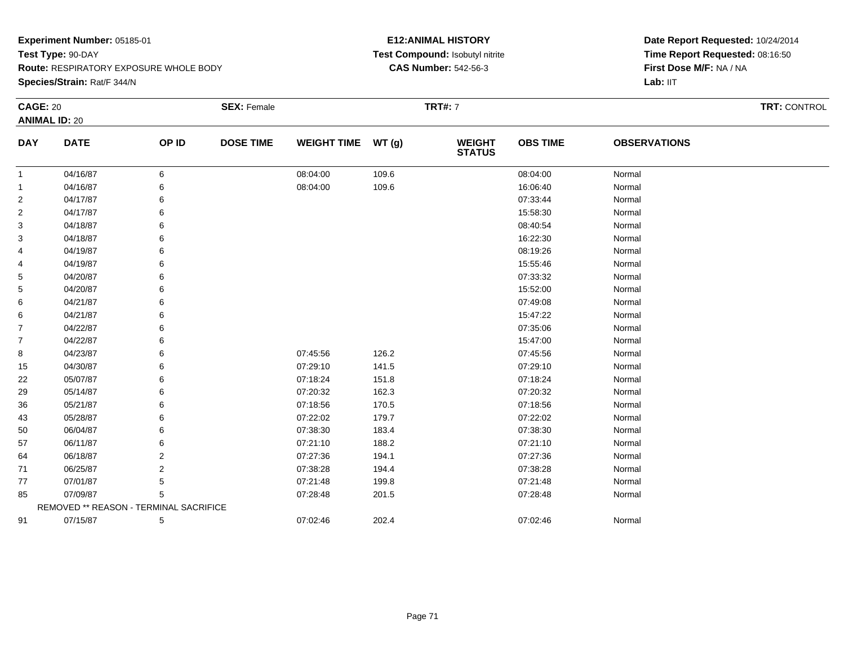**Species/Strain:** Rat/F 344/N

# **E12:ANIMAL HISTORY Test Compound:** Isobutyl nitrite**CAS Number:** 542-56-3

| <b>CAGE: 20</b> |                                        |       | <b>SEX: Female</b> |                    |               | <b>TRT#:</b> 7                 |                 |                     | <b>TRT: CONTROL</b> |
|-----------------|----------------------------------------|-------|--------------------|--------------------|---------------|--------------------------------|-----------------|---------------------|---------------------|
|                 | <b>ANIMAL ID: 20</b>                   |       |                    |                    |               |                                |                 |                     |                     |
| <b>DAY</b>      | <b>DATE</b>                            | OP ID | <b>DOSE TIME</b>   | <b>WEIGHT TIME</b> | <b>WT (g)</b> | <b>WEIGHT</b><br><b>STATUS</b> | <b>OBS TIME</b> | <b>OBSERVATIONS</b> |                     |
| 1               | 04/16/87                               | 6     |                    | 08:04:00           | 109.6         |                                | 08:04:00        | Normal              |                     |
| 1               | 04/16/87                               | 6     |                    | 08:04:00           | 109.6         |                                | 16:06:40        | Normal              |                     |
| $\overline{c}$  | 04/17/87                               | 6     |                    |                    |               |                                | 07:33:44        | Normal              |                     |
| 2               | 04/17/87                               | 6     |                    |                    |               |                                | 15:58:30        | Normal              |                     |
| 3               | 04/18/87                               | 6     |                    |                    |               |                                | 08:40:54        | Normal              |                     |
| 3               | 04/18/87                               | 6     |                    |                    |               |                                | 16:22:30        | Normal              |                     |
| 4               | 04/19/87                               | 6     |                    |                    |               |                                | 08:19:26        | Normal              |                     |
| 4               | 04/19/87                               | 6     |                    |                    |               |                                | 15:55:46        | Normal              |                     |
| 5               | 04/20/87                               | 6     |                    |                    |               |                                | 07:33:32        | Normal              |                     |
| 5               | 04/20/87                               | 6     |                    |                    |               |                                | 15:52:00        | Normal              |                     |
| 6               | 04/21/87                               | 6     |                    |                    |               |                                | 07:49:08        | Normal              |                     |
| 6               | 04/21/87                               | 6     |                    |                    |               |                                | 15:47:22        | Normal              |                     |
| 7               | 04/22/87                               | 6     |                    |                    |               |                                | 07:35:06        | Normal              |                     |
| 7               | 04/22/87                               | 6     |                    |                    |               |                                | 15:47:00        | Normal              |                     |
| 8               | 04/23/87                               | 6     |                    | 07:45:56           | 126.2         |                                | 07:45:56        | Normal              |                     |
| 15              | 04/30/87                               | 6     |                    | 07:29:10           | 141.5         |                                | 07:29:10        | Normal              |                     |
| 22              | 05/07/87                               | 6     |                    | 07:18:24           | 151.8         |                                | 07:18:24        | Normal              |                     |
| 29              | 05/14/87                               | 6     |                    | 07:20:32           | 162.3         |                                | 07:20:32        | Normal              |                     |
| 36              | 05/21/87                               | 6     |                    | 07:18:56           | 170.5         |                                | 07:18:56        | Normal              |                     |
| 43              | 05/28/87                               | 6     |                    | 07:22:02           | 179.7         |                                | 07:22:02        | Normal              |                     |
| 50              | 06/04/87                               | 6     |                    | 07:38:30           | 183.4         |                                | 07:38:30        | Normal              |                     |
| 57              | 06/11/87                               | 6     |                    | 07:21:10           | 188.2         |                                | 07:21:10        | Normal              |                     |
| 64              | 06/18/87                               | 2     |                    | 07:27:36           | 194.1         |                                | 07:27:36        | Normal              |                     |
| 71              | 06/25/87                               | 2     |                    | 07:38:28           | 194.4         |                                | 07:38:28        | Normal              |                     |
| 77              | 07/01/87                               | 5     |                    | 07:21:48           | 199.8         |                                | 07:21:48        | Normal              |                     |
| 85              | 07/09/87                               | 5     |                    | 07:28:48           | 201.5         |                                | 07:28:48        | Normal              |                     |
|                 | REMOVED ** REASON - TERMINAL SACRIFICE |       |                    |                    |               |                                |                 |                     |                     |
| 91              | 07/15/87                               | 5     |                    | 07:02:46           | 202.4         |                                | 07:02:46        | Normal              |                     |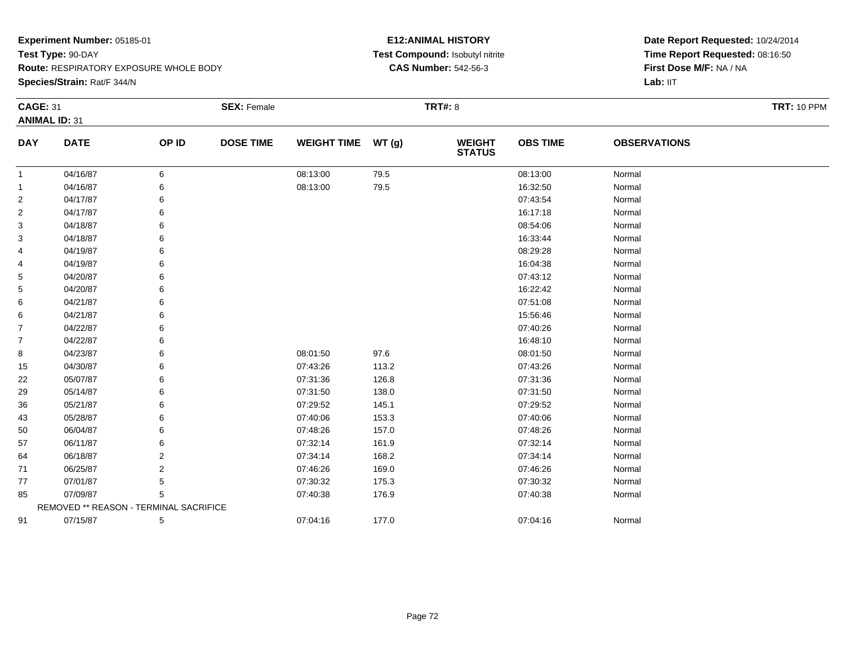**Species/Strain:** Rat/F 344/N

# **E12:ANIMAL HISTORY Test Compound:** Isobutyl nitrite**CAS Number:** 542-56-3

| <b>CAGE: 31</b> |                                        |                | <b>SEX: Female</b> |                    |       | <b>TRT#: 8</b>                 |                 |                     | <b>TRT: 10 PPM</b> |
|-----------------|----------------------------------------|----------------|--------------------|--------------------|-------|--------------------------------|-----------------|---------------------|--------------------|
|                 | <b>ANIMAL ID: 31</b>                   |                |                    |                    |       |                                |                 |                     |                    |
| <b>DAY</b>      | <b>DATE</b>                            | OP ID          | <b>DOSE TIME</b>   | <b>WEIGHT TIME</b> | WT(g) | <b>WEIGHT</b><br><b>STATUS</b> | <b>OBS TIME</b> | <b>OBSERVATIONS</b> |                    |
| 1               | 04/16/87                               | 6              |                    | 08:13:00           | 79.5  |                                | 08:13:00        | Normal              |                    |
| 1               | 04/16/87                               | 6              |                    | 08:13:00           | 79.5  |                                | 16:32:50        | Normal              |                    |
| 2               | 04/17/87                               | 6              |                    |                    |       |                                | 07:43:54        | Normal              |                    |
| 2               | 04/17/87                               | 6              |                    |                    |       |                                | 16:17:18        | Normal              |                    |
| 3               | 04/18/87                               | 6              |                    |                    |       |                                | 08:54:06        | Normal              |                    |
| 3               | 04/18/87                               | 6              |                    |                    |       |                                | 16:33:44        | Normal              |                    |
| 4               | 04/19/87                               | 6              |                    |                    |       |                                | 08:29:28        | Normal              |                    |
| 4               | 04/19/87                               | 6              |                    |                    |       |                                | 16:04:38        | Normal              |                    |
| 5               | 04/20/87                               | 6              |                    |                    |       |                                | 07:43:12        | Normal              |                    |
| 5               | 04/20/87                               | 6              |                    |                    |       |                                | 16:22:42        | Normal              |                    |
| 6               | 04/21/87                               | 6              |                    |                    |       |                                | 07:51:08        | Normal              |                    |
| 6               | 04/21/87                               | 6              |                    |                    |       |                                | 15:56:46        | Normal              |                    |
| $\overline{7}$  | 04/22/87                               | 6              |                    |                    |       |                                | 07:40:26        | Normal              |                    |
| $\overline{7}$  | 04/22/87                               | 6              |                    |                    |       |                                | 16:48:10        | Normal              |                    |
| 8               | 04/23/87                               | 6              |                    | 08:01:50           | 97.6  |                                | 08:01:50        | Normal              |                    |
| 15              | 04/30/87                               | 6              |                    | 07:43:26           | 113.2 |                                | 07:43:26        | Normal              |                    |
| 22              | 05/07/87                               | 6              |                    | 07:31:36           | 126.8 |                                | 07:31:36        | Normal              |                    |
| 29              | 05/14/87                               | 6              |                    | 07:31:50           | 138.0 |                                | 07:31:50        | Normal              |                    |
| 36              | 05/21/87                               | 6              |                    | 07:29:52           | 145.1 |                                | 07:29:52        | Normal              |                    |
| 43              | 05/28/87                               | 6              |                    | 07:40:06           | 153.3 |                                | 07:40:06        | Normal              |                    |
| 50              | 06/04/87                               | 6              |                    | 07:48:26           | 157.0 |                                | 07:48:26        | Normal              |                    |
| 57              | 06/11/87                               | 6              |                    | 07:32:14           | 161.9 |                                | 07:32:14        | Normal              |                    |
| 64              | 06/18/87                               | 2              |                    | 07:34:14           | 168.2 |                                | 07:34:14        | Normal              |                    |
| 71              | 06/25/87                               | $\overline{2}$ |                    | 07:46:26           | 169.0 |                                | 07:46:26        | Normal              |                    |
| 77              | 07/01/87                               | 5              |                    | 07:30:32           | 175.3 |                                | 07:30:32        | Normal              |                    |
| 85              | 07/09/87                               | 5              |                    | 07:40:38           | 176.9 |                                | 07:40:38        | Normal              |                    |
|                 | REMOVED ** REASON - TERMINAL SACRIFICE |                |                    |                    |       |                                |                 |                     |                    |
| 91              | 07/15/87                               | 5              |                    | 07:04:16           | 177.0 |                                | 07:04:16        | Normal              |                    |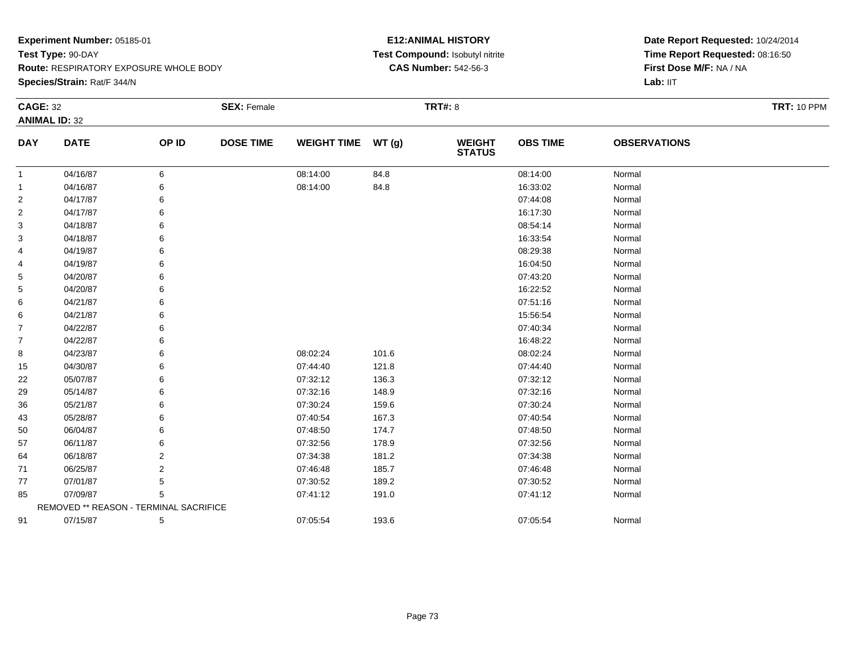**Species/Strain:** Rat/F 344/N

### **E12:ANIMAL HISTORY Test Compound:** Isobutyl nitrite**CAS Number:** 542-56-3

| <b>CAGE: 32</b> |                                        |       | <b>SEX: Female</b> |                    |       | <b>TRT#: 8</b>                 |                 |                     | <b>TRT: 10 PPM</b> |
|-----------------|----------------------------------------|-------|--------------------|--------------------|-------|--------------------------------|-----------------|---------------------|--------------------|
|                 | <b>ANIMAL ID: 32</b>                   |       |                    |                    |       |                                |                 |                     |                    |
| <b>DAY</b>      | <b>DATE</b>                            | OP ID | <b>DOSE TIME</b>   | <b>WEIGHT TIME</b> | WT(g) | <b>WEIGHT</b><br><b>STATUS</b> | <b>OBS TIME</b> | <b>OBSERVATIONS</b> |                    |
| $\mathbf{1}$    | 04/16/87                               | 6     |                    | 08:14:00           | 84.8  |                                | 08:14:00        | Normal              |                    |
| 1               | 04/16/87                               | 6     |                    | 08:14:00           | 84.8  |                                | 16:33:02        | Normal              |                    |
| 2               | 04/17/87                               |       |                    |                    |       |                                | 07:44:08        | Normal              |                    |
| 2               | 04/17/87                               | 6     |                    |                    |       |                                | 16:17:30        | Normal              |                    |
| 3               | 04/18/87                               |       |                    |                    |       |                                | 08:54:14        | Normal              |                    |
| 3               | 04/18/87                               |       |                    |                    |       |                                | 16:33:54        | Normal              |                    |
| 4               | 04/19/87                               | 6     |                    |                    |       |                                | 08:29:38        | Normal              |                    |
| 4               | 04/19/87                               | 6     |                    |                    |       |                                | 16:04:50        | Normal              |                    |
| 5               | 04/20/87                               | 6     |                    |                    |       |                                | 07:43:20        | Normal              |                    |
| 5               | 04/20/87                               |       |                    |                    |       |                                | 16:22:52        | Normal              |                    |
| 6               | 04/21/87                               |       |                    |                    |       |                                | 07:51:16        | Normal              |                    |
| 6               | 04/21/87                               | 6     |                    |                    |       |                                | 15:56:54        | Normal              |                    |
| 7               | 04/22/87                               | 6     |                    |                    |       |                                | 07:40:34        | Normal              |                    |
| 7               | 04/22/87                               | 6     |                    |                    |       |                                | 16:48:22        | Normal              |                    |
| 8               | 04/23/87                               | 6     |                    | 08:02:24           | 101.6 |                                | 08:02:24        | Normal              |                    |
| 15              | 04/30/87                               | 6     |                    | 07:44:40           | 121.8 |                                | 07:44:40        | Normal              |                    |
| 22              | 05/07/87                               | 6     |                    | 07:32:12           | 136.3 |                                | 07:32:12        | Normal              |                    |
| 29              | 05/14/87                               |       |                    | 07:32:16           | 148.9 |                                | 07:32:16        | Normal              |                    |
| 36              | 05/21/87                               |       |                    | 07:30:24           | 159.6 |                                | 07:30:24        | Normal              |                    |
| 43              | 05/28/87                               | 6     |                    | 07:40:54           | 167.3 |                                | 07:40:54        | Normal              |                    |
| 50              | 06/04/87                               |       |                    | 07:48:50           | 174.7 |                                | 07:48:50        | Normal              |                    |
| 57              | 06/11/87                               |       |                    | 07:32:56           | 178.9 |                                | 07:32:56        | Normal              |                    |
| 64              | 06/18/87                               | 2     |                    | 07:34:38           | 181.2 |                                | 07:34:38        | Normal              |                    |
| 71              | 06/25/87                               | 2     |                    | 07:46:48           | 185.7 |                                | 07:46:48        | Normal              |                    |
| 77              | 07/01/87                               | 5     |                    | 07:30:52           | 189.2 |                                | 07:30:52        | Normal              |                    |
| 85              | 07/09/87                               | 5     |                    | 07:41:12           | 191.0 |                                | 07:41:12        | Normal              |                    |
|                 | REMOVED ** REASON - TERMINAL SACRIFICE |       |                    |                    |       |                                |                 |                     |                    |
| 91              | 07/15/87                               | 5     |                    | 07:05:54           | 193.6 |                                | 07:05:54        | Normal              |                    |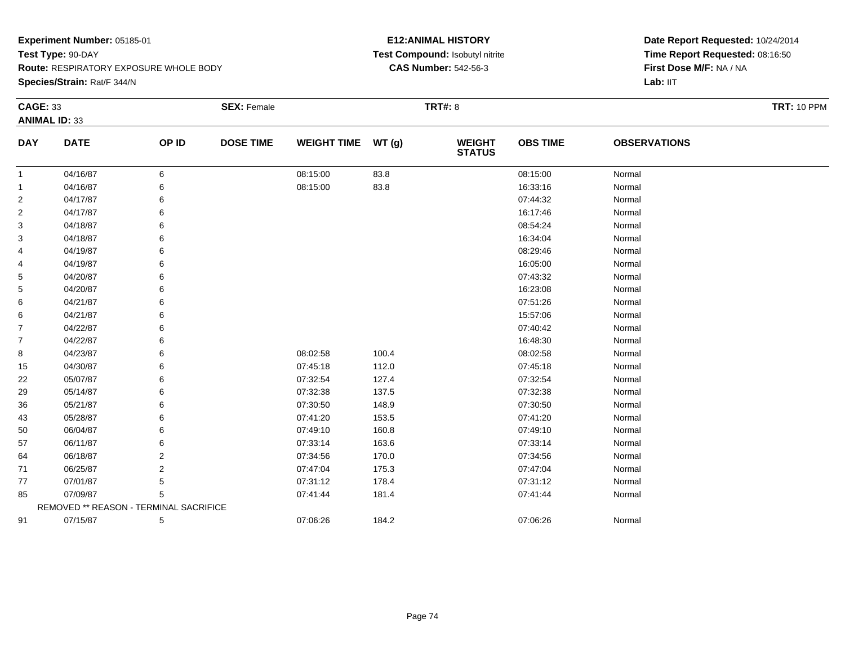**Species/Strain:** Rat/F 344/N

### **E12:ANIMAL HISTORY Test Compound:** Isobutyl nitrite**CAS Number:** 542-56-3

| <b>CAGE: 33</b> |                                        |                | <b>SEX: Female</b> |                    |       | <b>TRT#: 8</b>                 |                 |                     | <b>TRT: 10 PPM</b> |
|-----------------|----------------------------------------|----------------|--------------------|--------------------|-------|--------------------------------|-----------------|---------------------|--------------------|
|                 | <b>ANIMAL ID: 33</b>                   |                |                    |                    |       |                                |                 |                     |                    |
| <b>DAY</b>      | <b>DATE</b>                            | OP ID          | <b>DOSE TIME</b>   | <b>WEIGHT TIME</b> | WT(g) | <b>WEIGHT</b><br><b>STATUS</b> | <b>OBS TIME</b> | <b>OBSERVATIONS</b> |                    |
| 1               | 04/16/87                               | 6              |                    | 08:15:00           | 83.8  |                                | 08:15:00        | Normal              |                    |
| 1               | 04/16/87                               | 6              |                    | 08:15:00           | 83.8  |                                | 16:33:16        | Normal              |                    |
| 2               | 04/17/87                               | 6              |                    |                    |       |                                | 07:44:32        | Normal              |                    |
| 2               | 04/17/87                               | 6              |                    |                    |       |                                | 16:17:46        | Normal              |                    |
| 3               | 04/18/87                               | 6              |                    |                    |       |                                | 08:54:24        | Normal              |                    |
| 3               | 04/18/87                               | 6              |                    |                    |       |                                | 16:34:04        | Normal              |                    |
| 4               | 04/19/87                               | 6              |                    |                    |       |                                | 08:29:46        | Normal              |                    |
| 4               | 04/19/87                               | 6              |                    |                    |       |                                | 16:05:00        | Normal              |                    |
| 5               | 04/20/87                               | 6              |                    |                    |       |                                | 07:43:32        | Normal              |                    |
| 5               | 04/20/87                               | 6              |                    |                    |       |                                | 16:23:08        | Normal              |                    |
| 6               | 04/21/87                               | 6              |                    |                    |       |                                | 07:51:26        | Normal              |                    |
| 6               | 04/21/87                               | 6              |                    |                    |       |                                | 15:57:06        | Normal              |                    |
| $\overline{7}$  | 04/22/87                               | 6              |                    |                    |       |                                | 07:40:42        | Normal              |                    |
| $\overline{7}$  | 04/22/87                               | 6              |                    |                    |       |                                | 16:48:30        | Normal              |                    |
| 8               | 04/23/87                               | 6              |                    | 08:02:58           | 100.4 |                                | 08:02:58        | Normal              |                    |
| 15              | 04/30/87                               | 6              |                    | 07:45:18           | 112.0 |                                | 07:45:18        | Normal              |                    |
| 22              | 05/07/87                               | 6              |                    | 07:32:54           | 127.4 |                                | 07:32:54        | Normal              |                    |
| 29              | 05/14/87                               | 6              |                    | 07:32:38           | 137.5 |                                | 07:32:38        | Normal              |                    |
| 36              | 05/21/87                               | 6              |                    | 07:30:50           | 148.9 |                                | 07:30:50        | Normal              |                    |
| 43              | 05/28/87                               | 6              |                    | 07:41:20           | 153.5 |                                | 07:41:20        | Normal              |                    |
| 50              | 06/04/87                               | 6              |                    | 07:49:10           | 160.8 |                                | 07:49:10        | Normal              |                    |
| 57              | 06/11/87                               | 6              |                    | 07:33:14           | 163.6 |                                | 07:33:14        | Normal              |                    |
| 64              | 06/18/87                               | 2              |                    | 07:34:56           | 170.0 |                                | 07:34:56        | Normal              |                    |
| 71              | 06/25/87                               | $\overline{2}$ |                    | 07:47:04           | 175.3 |                                | 07:47:04        | Normal              |                    |
| 77              | 07/01/87                               | 5              |                    | 07:31:12           | 178.4 |                                | 07:31:12        | Normal              |                    |
| 85              | 07/09/87                               | 5              |                    | 07:41:44           | 181.4 |                                | 07:41:44        | Normal              |                    |
|                 | REMOVED ** REASON - TERMINAL SACRIFICE |                |                    |                    |       |                                |                 |                     |                    |
| 91              | 07/15/87                               | 5              |                    | 07:06:26           | 184.2 |                                | 07:06:26        | Normal              |                    |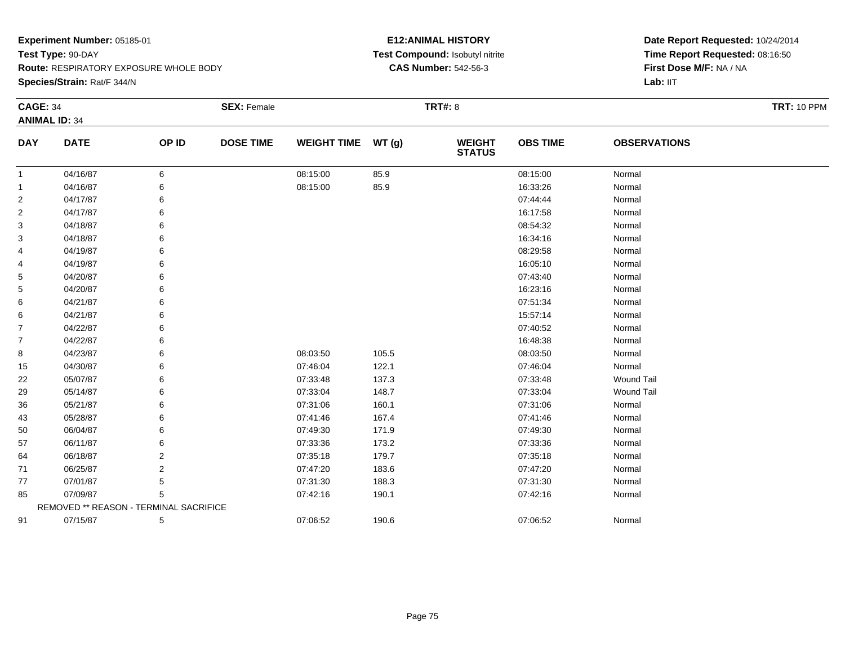**Species/Strain:** Rat/F 344/N

### **E12:ANIMAL HISTORY Test Compound:** Isobutyl nitrite**CAS Number:** 542-56-3

| <b>CAGE: 34</b> |                                        |                | <b>SEX: Female</b> |                    |       | <b>TRT#: 8</b>                 |                 |                     | <b>TRT: 10 PPM</b> |
|-----------------|----------------------------------------|----------------|--------------------|--------------------|-------|--------------------------------|-----------------|---------------------|--------------------|
|                 | <b>ANIMAL ID: 34</b>                   |                |                    |                    |       |                                |                 |                     |                    |
| <b>DAY</b>      | <b>DATE</b>                            | OP ID          | <b>DOSE TIME</b>   | <b>WEIGHT TIME</b> | WT(g) | <b>WEIGHT</b><br><b>STATUS</b> | <b>OBS TIME</b> | <b>OBSERVATIONS</b> |                    |
| 1               | 04/16/87                               | 6              |                    | 08:15:00           | 85.9  |                                | 08:15:00        | Normal              |                    |
| 1               | 04/16/87                               | 6              |                    | 08:15:00           | 85.9  |                                | 16:33:26        | Normal              |                    |
| 2               | 04/17/87                               | 6              |                    |                    |       |                                | 07:44:44        | Normal              |                    |
| 2               | 04/17/87                               | 6              |                    |                    |       |                                | 16:17:58        | Normal              |                    |
| 3               | 04/18/87                               | 6              |                    |                    |       |                                | 08:54:32        | Normal              |                    |
| 3               | 04/18/87                               | 6              |                    |                    |       |                                | 16:34:16        | Normal              |                    |
| 4               | 04/19/87                               | 6              |                    |                    |       |                                | 08:29:58        | Normal              |                    |
| 4               | 04/19/87                               | 6              |                    |                    |       |                                | 16:05:10        | Normal              |                    |
| 5               | 04/20/87                               | 6              |                    |                    |       |                                | 07:43:40        | Normal              |                    |
| 5               | 04/20/87                               | 6              |                    |                    |       |                                | 16:23:16        | Normal              |                    |
| 6               | 04/21/87                               | 6              |                    |                    |       |                                | 07:51:34        | Normal              |                    |
| 6               | 04/21/87                               | 6              |                    |                    |       |                                | 15:57:14        | Normal              |                    |
| $\overline{7}$  | 04/22/87                               | 6              |                    |                    |       |                                | 07:40:52        | Normal              |                    |
| $\overline{7}$  | 04/22/87                               | 6              |                    |                    |       |                                | 16:48:38        | Normal              |                    |
| 8               | 04/23/87                               | 6              |                    | 08:03:50           | 105.5 |                                | 08:03:50        | Normal              |                    |
| 15              | 04/30/87                               | 6              |                    | 07:46:04           | 122.1 |                                | 07:46:04        | Normal              |                    |
| 22              | 05/07/87                               | 6              |                    | 07:33:48           | 137.3 |                                | 07:33:48        | <b>Wound Tail</b>   |                    |
| 29              | 05/14/87                               | 6              |                    | 07:33:04           | 148.7 |                                | 07:33:04        | <b>Wound Tail</b>   |                    |
| 36              | 05/21/87                               | 6              |                    | 07:31:06           | 160.1 |                                | 07:31:06        | Normal              |                    |
| 43              | 05/28/87                               | 6              |                    | 07:41:46           | 167.4 |                                | 07:41:46        | Normal              |                    |
| 50              | 06/04/87                               | 6              |                    | 07:49:30           | 171.9 |                                | 07:49:30        | Normal              |                    |
| 57              | 06/11/87                               | 6              |                    | 07:33:36           | 173.2 |                                | 07:33:36        | Normal              |                    |
| 64              | 06/18/87                               | 2              |                    | 07:35:18           | 179.7 |                                | 07:35:18        | Normal              |                    |
| 71              | 06/25/87                               | $\overline{2}$ |                    | 07:47:20           | 183.6 |                                | 07:47:20        | Normal              |                    |
| 77              | 07/01/87                               | 5              |                    | 07:31:30           | 188.3 |                                | 07:31:30        | Normal              |                    |
| 85              | 07/09/87                               | 5              |                    | 07:42:16           | 190.1 |                                | 07:42:16        | Normal              |                    |
|                 | REMOVED ** REASON - TERMINAL SACRIFICE |                |                    |                    |       |                                |                 |                     |                    |
| 91              | 07/15/87                               | 5              |                    | 07:06:52           | 190.6 |                                | 07:06:52        | Normal              |                    |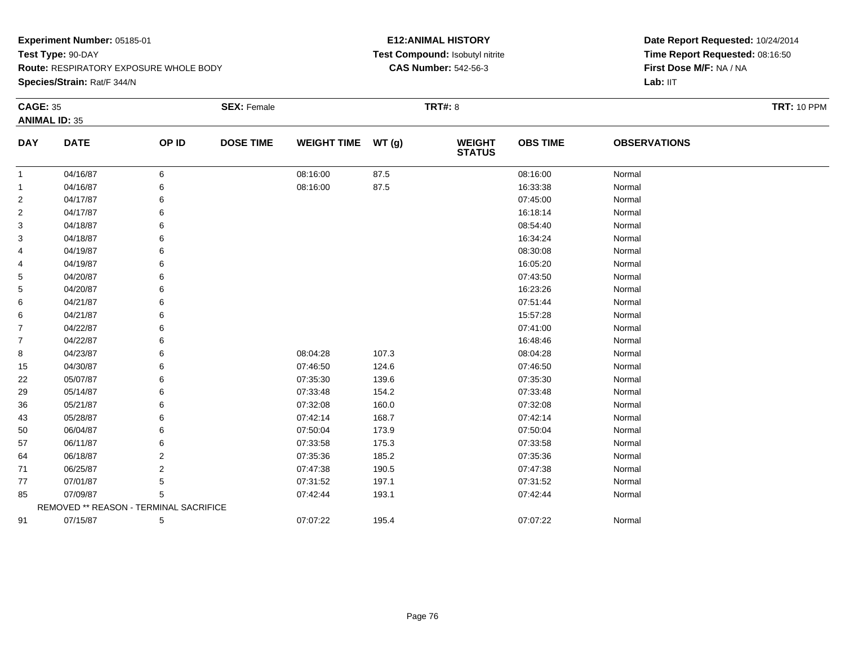**Species/Strain:** Rat/F 344/N

### **E12:ANIMAL HISTORY Test Compound:** Isobutyl nitrite**CAS Number:** 542-56-3

| <b>CAGE: 35</b> |                                        |                | <b>SEX: Female</b> |                    |       | <b>TRT#: 8</b>                 |                 |                     | <b>TRT: 10 PPM</b> |
|-----------------|----------------------------------------|----------------|--------------------|--------------------|-------|--------------------------------|-----------------|---------------------|--------------------|
|                 | <b>ANIMAL ID: 35</b>                   |                |                    |                    |       |                                |                 |                     |                    |
| <b>DAY</b>      | <b>DATE</b>                            | OP ID          | <b>DOSE TIME</b>   | <b>WEIGHT TIME</b> | WT(g) | <b>WEIGHT</b><br><b>STATUS</b> | <b>OBS TIME</b> | <b>OBSERVATIONS</b> |                    |
| 1               | 04/16/87                               | 6              |                    | 08:16:00           | 87.5  |                                | 08:16:00        | Normal              |                    |
| 1               | 04/16/87                               | 6              |                    | 08:16:00           | 87.5  |                                | 16:33:38        | Normal              |                    |
| 2               | 04/17/87                               | 6              |                    |                    |       |                                | 07:45:00        | Normal              |                    |
| 2               | 04/17/87                               | 6              |                    |                    |       |                                | 16:18:14        | Normal              |                    |
| 3               | 04/18/87                               | 6              |                    |                    |       |                                | 08:54:40        | Normal              |                    |
| 3               | 04/18/87                               | 6              |                    |                    |       |                                | 16:34:24        | Normal              |                    |
| 4               | 04/19/87                               | 6              |                    |                    |       |                                | 08:30:08        | Normal              |                    |
| 4               | 04/19/87                               | 6              |                    |                    |       |                                | 16:05:20        | Normal              |                    |
| 5               | 04/20/87                               | 6              |                    |                    |       |                                | 07:43:50        | Normal              |                    |
| 5               | 04/20/87                               | 6              |                    |                    |       |                                | 16:23:26        | Normal              |                    |
| 6               | 04/21/87                               | 6              |                    |                    |       |                                | 07:51:44        | Normal              |                    |
| 6               | 04/21/87                               | 6              |                    |                    |       |                                | 15:57:28        | Normal              |                    |
| $\overline{7}$  | 04/22/87                               | 6              |                    |                    |       |                                | 07:41:00        | Normal              |                    |
| $\overline{7}$  | 04/22/87                               | 6              |                    |                    |       |                                | 16:48:46        | Normal              |                    |
| 8               | 04/23/87                               | 6              |                    | 08:04:28           | 107.3 |                                | 08:04:28        | Normal              |                    |
| 15              | 04/30/87                               | 6              |                    | 07:46:50           | 124.6 |                                | 07:46:50        | Normal              |                    |
| 22              | 05/07/87                               | 6              |                    | 07:35:30           | 139.6 |                                | 07:35:30        | Normal              |                    |
| 29              | 05/14/87                               | 6              |                    | 07:33:48           | 154.2 |                                | 07:33:48        | Normal              |                    |
| 36              | 05/21/87                               | 6              |                    | 07:32:08           | 160.0 |                                | 07:32:08        | Normal              |                    |
| 43              | 05/28/87                               | 6              |                    | 07:42:14           | 168.7 |                                | 07:42:14        | Normal              |                    |
| 50              | 06/04/87                               | 6              |                    | 07:50:04           | 173.9 |                                | 07:50:04        | Normal              |                    |
| 57              | 06/11/87                               | 6              |                    | 07:33:58           | 175.3 |                                | 07:33:58        | Normal              |                    |
| 64              | 06/18/87                               | 2              |                    | 07:35:36           | 185.2 |                                | 07:35:36        | Normal              |                    |
| 71              | 06/25/87                               | $\overline{2}$ |                    | 07:47:38           | 190.5 |                                | 07:47:38        | Normal              |                    |
| 77              | 07/01/87                               | 5              |                    | 07:31:52           | 197.1 |                                | 07:31:52        | Normal              |                    |
| 85              | 07/09/87                               | 5              |                    | 07:42:44           | 193.1 |                                | 07:42:44        | Normal              |                    |
|                 | REMOVED ** REASON - TERMINAL SACRIFICE |                |                    |                    |       |                                |                 |                     |                    |
| 91              | 07/15/87                               | 5              |                    | 07:07:22           | 195.4 |                                | 07:07:22        | Normal              |                    |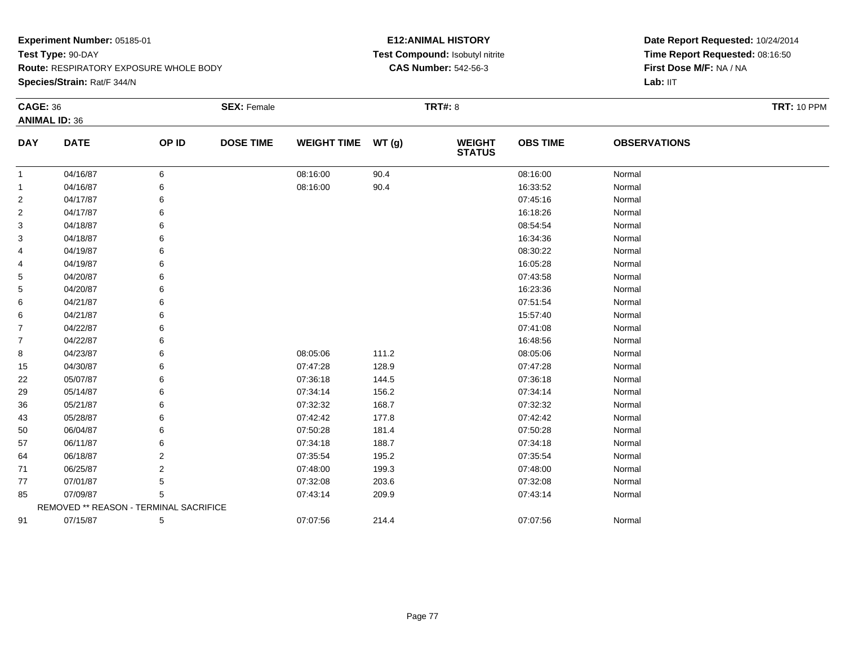**Species/Strain:** Rat/F 344/N

### **E12:ANIMAL HISTORY Test Compound:** Isobutyl nitrite**CAS Number:** 542-56-3

| <b>CAGE: 36</b> |                                        |                | <b>SEX: Female</b> |                    |       | <b>TRT#: 8</b>           |                 |                     | <b>TRT: 10 PPM</b> |
|-----------------|----------------------------------------|----------------|--------------------|--------------------|-------|--------------------------|-----------------|---------------------|--------------------|
|                 | <b>ANIMAL ID: 36</b>                   |                |                    |                    |       |                          |                 |                     |                    |
| <b>DAY</b>      | <b>DATE</b>                            | OP ID          | <b>DOSE TIME</b>   | <b>WEIGHT TIME</b> | WT(g) | <b>WEIGHT<br/>STATUS</b> | <b>OBS TIME</b> | <b>OBSERVATIONS</b> |                    |
| $\mathbf{1}$    | 04/16/87                               | 6              |                    | 08:16:00           | 90.4  |                          | 08:16:00        | Normal              |                    |
| -1              | 04/16/87                               | 6              |                    | 08:16:00           | 90.4  |                          | 16:33:52        | Normal              |                    |
| 2               | 04/17/87                               | 6              |                    |                    |       |                          | 07:45:16        | Normal              |                    |
| $\overline{2}$  | 04/17/87                               | 6              |                    |                    |       |                          | 16:18:26        | Normal              |                    |
| 3               | 04/18/87                               | 6              |                    |                    |       |                          | 08:54:54        | Normal              |                    |
| 3               | 04/18/87                               | 6              |                    |                    |       |                          | 16:34:36        | Normal              |                    |
| 4               | 04/19/87                               | 6              |                    |                    |       |                          | 08:30:22        | Normal              |                    |
| 4               | 04/19/87                               | 6              |                    |                    |       |                          | 16:05:28        | Normal              |                    |
| 5               | 04/20/87                               | 6              |                    |                    |       |                          | 07:43:58        | Normal              |                    |
| 5               | 04/20/87                               | 6              |                    |                    |       |                          | 16:23:36        | Normal              |                    |
| 6               | 04/21/87                               |                |                    |                    |       |                          | 07:51:54        | Normal              |                    |
| 6               | 04/21/87                               | 6              |                    |                    |       |                          | 15:57:40        | Normal              |                    |
| $\overline{7}$  | 04/22/87                               |                |                    |                    |       |                          | 07:41:08        | Normal              |                    |
| $\overline{7}$  | 04/22/87                               | 6              |                    |                    |       |                          | 16:48:56        | Normal              |                    |
| 8               | 04/23/87                               | 6              |                    | 08:05:06           | 111.2 |                          | 08:05:06        | Normal              |                    |
| 15              | 04/30/87                               | 6              |                    | 07:47:28           | 128.9 |                          | 07:47:28        | Normal              |                    |
| 22              | 05/07/87                               | 6              |                    | 07:36:18           | 144.5 |                          | 07:36:18        | Normal              |                    |
| 29              | 05/14/87                               | 6              |                    | 07:34:14           | 156.2 |                          | 07:34:14        | Normal              |                    |
| 36              | 05/21/87                               | 6              |                    | 07:32:32           | 168.7 |                          | 07:32:32        | Normal              |                    |
| 43              | 05/28/87                               | 6              |                    | 07:42:42           | 177.8 |                          | 07:42:42        | Normal              |                    |
| 50              | 06/04/87                               | 6              |                    | 07:50:28           | 181.4 |                          | 07:50:28        | Normal              |                    |
| 57              | 06/11/87                               |                |                    | 07:34:18           | 188.7 |                          | 07:34:18        | Normal              |                    |
| 64              | 06/18/87                               | $\overline{2}$ |                    | 07:35:54           | 195.2 |                          | 07:35:54        | Normal              |                    |
| 71              | 06/25/87                               | 2              |                    | 07:48:00           | 199.3 |                          | 07:48:00        | Normal              |                    |
| 77              | 07/01/87                               | 5              |                    | 07:32:08           | 203.6 |                          | 07:32:08        | Normal              |                    |
| 85              | 07/09/87                               | 5              |                    | 07:43:14           | 209.9 |                          | 07:43:14        | Normal              |                    |
|                 | REMOVED ** REASON - TERMINAL SACRIFICE |                |                    |                    |       |                          |                 |                     |                    |
| 91              | 07/15/87                               | 5              |                    | 07:07:56           | 214.4 |                          | 07:07:56        | Normal              |                    |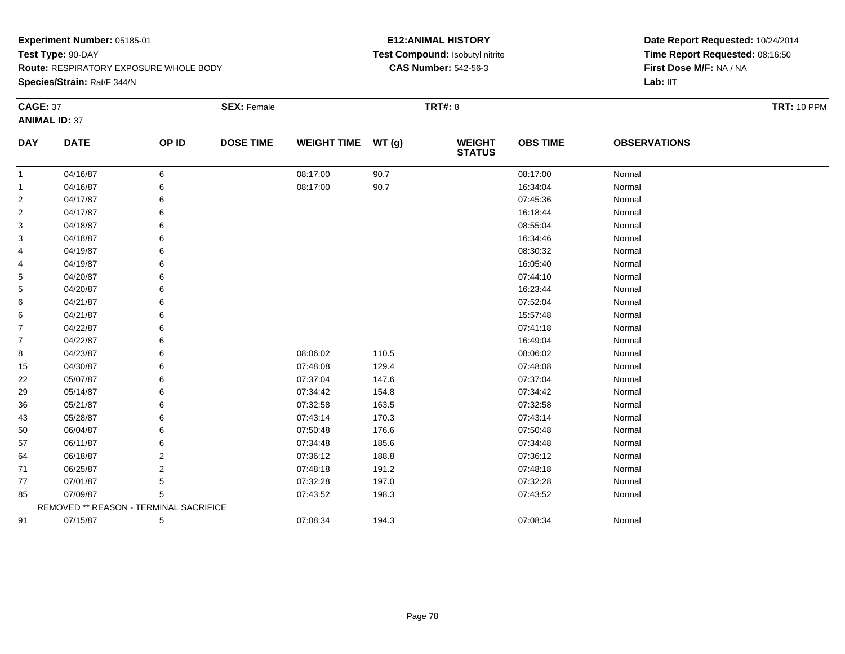**Species/Strain:** Rat/F 344/N

### **E12:ANIMAL HISTORY Test Compound:** Isobutyl nitrite**CAS Number:** 542-56-3

| <b>CAGE: 37</b> |                                        |       | <b>SEX: Female</b> |                    |       | <b>TRT#: 8</b>                 |                 |                     | <b>TRT: 10 PPM</b> |
|-----------------|----------------------------------------|-------|--------------------|--------------------|-------|--------------------------------|-----------------|---------------------|--------------------|
|                 | <b>ANIMAL ID: 37</b>                   |       |                    |                    |       |                                |                 |                     |                    |
| <b>DAY</b>      | <b>DATE</b>                            | OP ID | <b>DOSE TIME</b>   | <b>WEIGHT TIME</b> | WT(g) | <b>WEIGHT</b><br><b>STATUS</b> | <b>OBS TIME</b> | <b>OBSERVATIONS</b> |                    |
| $\mathbf{1}$    | 04/16/87                               | 6     |                    | 08:17:00           | 90.7  |                                | 08:17:00        | Normal              |                    |
| -1              | 04/16/87                               | 6     |                    | 08:17:00           | 90.7  |                                | 16:34:04        | Normal              |                    |
| 2               | 04/17/87                               | 6     |                    |                    |       |                                | 07:45:36        | Normal              |                    |
| $\overline{2}$  | 04/17/87                               | 6     |                    |                    |       |                                | 16:18:44        | Normal              |                    |
| 3               | 04/18/87                               | 6     |                    |                    |       |                                | 08:55:04        | Normal              |                    |
| 3               | 04/18/87                               | 6     |                    |                    |       |                                | 16:34:46        | Normal              |                    |
| 4               | 04/19/87                               | 6     |                    |                    |       |                                | 08:30:32        | Normal              |                    |
| 4               | 04/19/87                               | 6     |                    |                    |       |                                | 16:05:40        | Normal              |                    |
| 5               | 04/20/87                               | 6     |                    |                    |       |                                | 07:44:10        | Normal              |                    |
| 5               | 04/20/87                               | 6     |                    |                    |       |                                | 16:23:44        | Normal              |                    |
| 6               | 04/21/87                               | 6     |                    |                    |       |                                | 07:52:04        | Normal              |                    |
| 6               | 04/21/87                               | 6     |                    |                    |       |                                | 15:57:48        | Normal              |                    |
| $\overline{7}$  | 04/22/87                               | 6     |                    |                    |       |                                | 07:41:18        | Normal              |                    |
| $\overline{7}$  | 04/22/87                               | 6     |                    |                    |       |                                | 16:49:04        | Normal              |                    |
| 8               | 04/23/87                               | 6     |                    | 08:06:02           | 110.5 |                                | 08:06:02        | Normal              |                    |
| 15              | 04/30/87                               | 6     |                    | 07:48:08           | 129.4 |                                | 07:48:08        | Normal              |                    |
| 22              | 05/07/87                               | 6     |                    | 07:37:04           | 147.6 |                                | 07:37:04        | Normal              |                    |
| 29              | 05/14/87                               | 6     |                    | 07:34:42           | 154.8 |                                | 07:34:42        | Normal              |                    |
| 36              | 05/21/87                               | 6     |                    | 07:32:58           | 163.5 |                                | 07:32:58        | Normal              |                    |
| 43              | 05/28/87                               | 6     |                    | 07:43:14           | 170.3 |                                | 07:43:14        | Normal              |                    |
| 50              | 06/04/87                               | 6     |                    | 07:50:48           | 176.6 |                                | 07:50:48        | Normal              |                    |
| 57              | 06/11/87                               | 6     |                    | 07:34:48           | 185.6 |                                | 07:34:48        | Normal              |                    |
| 64              | 06/18/87                               | 2     |                    | 07:36:12           | 188.8 |                                | 07:36:12        | Normal              |                    |
| 71              | 06/25/87                               | 2     |                    | 07:48:18           | 191.2 |                                | 07:48:18        | Normal              |                    |
| 77              | 07/01/87                               | 5     |                    | 07:32:28           | 197.0 |                                | 07:32:28        | Normal              |                    |
| 85              | 07/09/87                               | 5     |                    | 07:43:52           | 198.3 |                                | 07:43:52        | Normal              |                    |
|                 | REMOVED ** REASON - TERMINAL SACRIFICE |       |                    |                    |       |                                |                 |                     |                    |
| 91              | 07/15/87                               | 5     |                    | 07:08:34           | 194.3 |                                | 07:08:34        | Normal              |                    |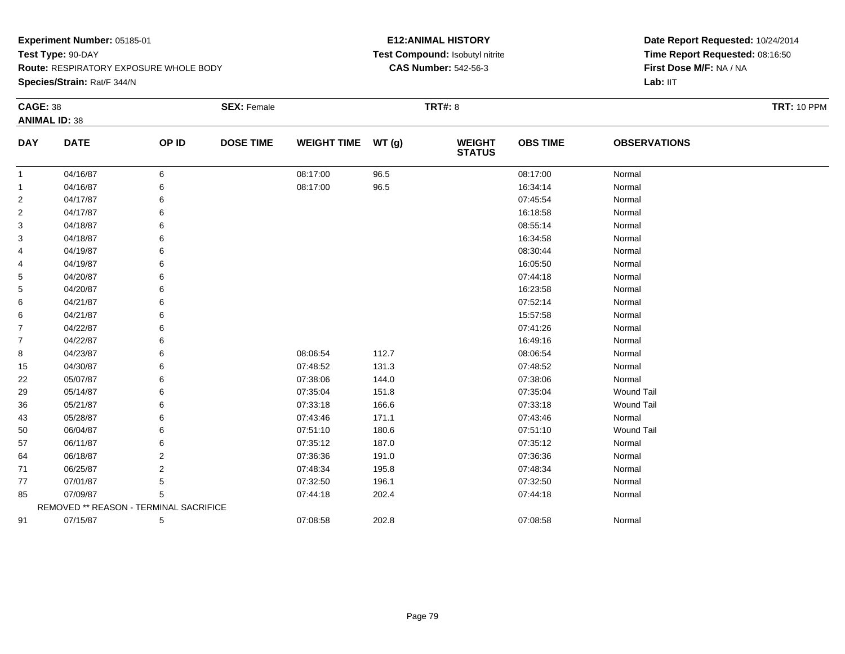**Species/Strain:** Rat/F 344/N

### **E12:ANIMAL HISTORY Test Compound:** Isobutyl nitrite**CAS Number:** 542-56-3

| <b>CAGE: 38</b> |                                        |       | <b>SEX: Female</b> |                    |       | <b>TRT#: 8</b>                 |                 |                     | <b>TRT: 10 PPM</b> |
|-----------------|----------------------------------------|-------|--------------------|--------------------|-------|--------------------------------|-----------------|---------------------|--------------------|
|                 | <b>ANIMAL ID: 38</b>                   |       |                    |                    |       |                                |                 |                     |                    |
| <b>DAY</b>      | <b>DATE</b>                            | OP ID | <b>DOSE TIME</b>   | <b>WEIGHT TIME</b> | WT(g) | <b>WEIGHT</b><br><b>STATUS</b> | <b>OBS TIME</b> | <b>OBSERVATIONS</b> |                    |
| $\mathbf{1}$    | 04/16/87                               | 6     |                    | 08:17:00           | 96.5  |                                | 08:17:00        | Normal              |                    |
| 1               | 04/16/87                               | 6     |                    | 08:17:00           | 96.5  |                                | 16:34:14        | Normal              |                    |
| 2               | 04/17/87                               |       |                    |                    |       |                                | 07:45:54        | Normal              |                    |
| 2               | 04/17/87                               | 6     |                    |                    |       |                                | 16:18:58        | Normal              |                    |
| 3               | 04/18/87                               | 6     |                    |                    |       |                                | 08:55:14        | Normal              |                    |
| 3               | 04/18/87                               | 6     |                    |                    |       |                                | 16:34:58        | Normal              |                    |
| 4               | 04/19/87                               | 6     |                    |                    |       |                                | 08:30:44        | Normal              |                    |
| 4               | 04/19/87                               | 6     |                    |                    |       |                                | 16:05:50        | Normal              |                    |
| 5               | 04/20/87                               | 6     |                    |                    |       |                                | 07:44:18        | Normal              |                    |
| 5               | 04/20/87                               |       |                    |                    |       |                                | 16:23:58        | Normal              |                    |
| 6               | 04/21/87                               | 6     |                    |                    |       |                                | 07:52:14        | Normal              |                    |
| 6               | 04/21/87                               | 6     |                    |                    |       |                                | 15:57:58        | Normal              |                    |
| 7               | 04/22/87                               | 6     |                    |                    |       |                                | 07:41:26        | Normal              |                    |
| 7               | 04/22/87                               | 6     |                    |                    |       |                                | 16:49:16        | Normal              |                    |
| 8               | 04/23/87                               | 6     |                    | 08:06:54           | 112.7 |                                | 08:06:54        | Normal              |                    |
| 15              | 04/30/87                               | 6     |                    | 07:48:52           | 131.3 |                                | 07:48:52        | Normal              |                    |
| 22              | 05/07/87                               | 6     |                    | 07:38:06           | 144.0 |                                | 07:38:06        | Normal              |                    |
| 29              | 05/14/87                               |       |                    | 07:35:04           | 151.8 |                                | 07:35:04        | <b>Wound Tail</b>   |                    |
| 36              | 05/21/87                               |       |                    | 07:33:18           | 166.6 |                                | 07:33:18        | <b>Wound Tail</b>   |                    |
| 43              | 05/28/87                               | 6     |                    | 07:43:46           | 171.1 |                                | 07:43:46        | Normal              |                    |
| 50              | 06/04/87                               |       |                    | 07:51:10           | 180.6 |                                | 07:51:10        | Wound Tail          |                    |
| 57              | 06/11/87                               |       |                    | 07:35:12           | 187.0 |                                | 07:35:12        | Normal              |                    |
| 64              | 06/18/87                               | 2     |                    | 07:36:36           | 191.0 |                                | 07:36:36        | Normal              |                    |
| 71              | 06/25/87                               | 2     |                    | 07:48:34           | 195.8 |                                | 07:48:34        | Normal              |                    |
| 77              | 07/01/87                               | 5     |                    | 07:32:50           | 196.1 |                                | 07:32:50        | Normal              |                    |
| 85              | 07/09/87                               | 5     |                    | 07:44:18           | 202.4 |                                | 07:44:18        | Normal              |                    |
|                 | REMOVED ** REASON - TERMINAL SACRIFICE |       |                    |                    |       |                                |                 |                     |                    |
| 91              | 07/15/87                               | 5     |                    | 07:08:58           | 202.8 |                                | 07:08:58        | Normal              |                    |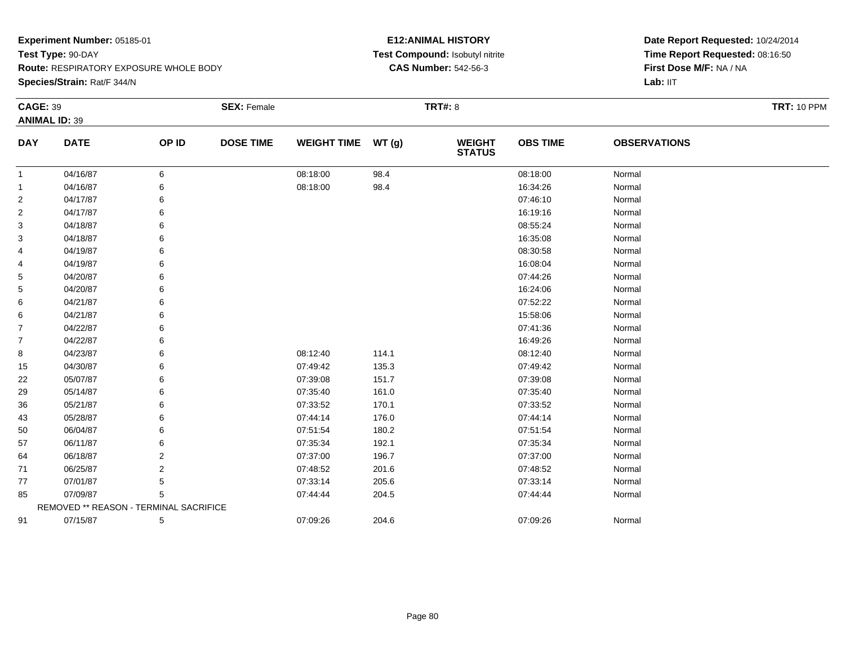**Species/Strain:** Rat/F 344/N

### **E12:ANIMAL HISTORY Test Compound:** Isobutyl nitrite**CAS Number:** 542-56-3

| <b>CAGE: 39</b> |                                        |                | <b>SEX: Female</b> |                    |       | <b>TRT#: 8</b>           |                 |                     | <b>TRT: 10 PPM</b> |
|-----------------|----------------------------------------|----------------|--------------------|--------------------|-------|--------------------------|-----------------|---------------------|--------------------|
|                 | <b>ANIMAL ID: 39</b>                   |                |                    |                    |       |                          |                 |                     |                    |
| <b>DAY</b>      | <b>DATE</b>                            | OP ID          | <b>DOSE TIME</b>   | <b>WEIGHT TIME</b> | WT(g) | <b>WEIGHT<br/>STATUS</b> | <b>OBS TIME</b> | <b>OBSERVATIONS</b> |                    |
| $\mathbf{1}$    | 04/16/87                               | 6              |                    | 08:18:00           | 98.4  |                          | 08:18:00        | Normal              |                    |
| -1              | 04/16/87                               | 6              |                    | 08:18:00           | 98.4  |                          | 16:34:26        | Normal              |                    |
| 2               | 04/17/87                               | 6              |                    |                    |       |                          | 07:46:10        | Normal              |                    |
| $\overline{2}$  | 04/17/87                               | 6              |                    |                    |       |                          | 16:19:16        | Normal              |                    |
| 3               | 04/18/87                               | 6              |                    |                    |       |                          | 08:55:24        | Normal              |                    |
| 3               | 04/18/87                               | 6              |                    |                    |       |                          | 16:35:08        | Normal              |                    |
| 4               | 04/19/87                               | 6              |                    |                    |       |                          | 08:30:58        | Normal              |                    |
| 4               | 04/19/87                               | 6              |                    |                    |       |                          | 16:08:04        | Normal              |                    |
| 5               | 04/20/87                               | 6              |                    |                    |       |                          | 07:44:26        | Normal              |                    |
| 5               | 04/20/87                               | 6              |                    |                    |       |                          | 16:24:06        | Normal              |                    |
| 6               | 04/21/87                               | 6              |                    |                    |       |                          | 07:52:22        | Normal              |                    |
| 6               | 04/21/87                               | 6              |                    |                    |       |                          | 15:58:06        | Normal              |                    |
| $\overline{7}$  | 04/22/87                               |                |                    |                    |       |                          | 07:41:36        | Normal              |                    |
| $\overline{7}$  | 04/22/87                               | 6              |                    |                    |       |                          | 16:49:26        | Normal              |                    |
| 8               | 04/23/87                               | 6              |                    | 08:12:40           | 114.1 |                          | 08:12:40        | Normal              |                    |
| 15              | 04/30/87                               | 6              |                    | 07:49:42           | 135.3 |                          | 07:49:42        | Normal              |                    |
| 22              | 05/07/87                               | 6              |                    | 07:39:08           | 151.7 |                          | 07:39:08        | Normal              |                    |
| 29              | 05/14/87                               | 6              |                    | 07:35:40           | 161.0 |                          | 07:35:40        | Normal              |                    |
| 36              | 05/21/87                               | 6              |                    | 07:33:52           | 170.1 |                          | 07:33:52        | Normal              |                    |
| 43              | 05/28/87                               | 6              |                    | 07:44:14           | 176.0 |                          | 07:44:14        | Normal              |                    |
| 50              | 06/04/87                               | 6              |                    | 07:51:54           | 180.2 |                          | 07:51:54        | Normal              |                    |
| 57              | 06/11/87                               |                |                    | 07:35:34           | 192.1 |                          | 07:35:34        | Normal              |                    |
| 64              | 06/18/87                               | $\overline{2}$ |                    | 07:37:00           | 196.7 |                          | 07:37:00        | Normal              |                    |
| 71              | 06/25/87                               | 2              |                    | 07:48:52           | 201.6 |                          | 07:48:52        | Normal              |                    |
| 77              | 07/01/87                               | 5              |                    | 07:33:14           | 205.6 |                          | 07:33:14        | Normal              |                    |
| 85              | 07/09/87                               | 5              |                    | 07:44:44           | 204.5 |                          | 07:44:44        | Normal              |                    |
|                 | REMOVED ** REASON - TERMINAL SACRIFICE |                |                    |                    |       |                          |                 |                     |                    |
| 91              | 07/15/87                               | 5              |                    | 07:09:26           | 204.6 |                          | 07:09:26        | Normal              |                    |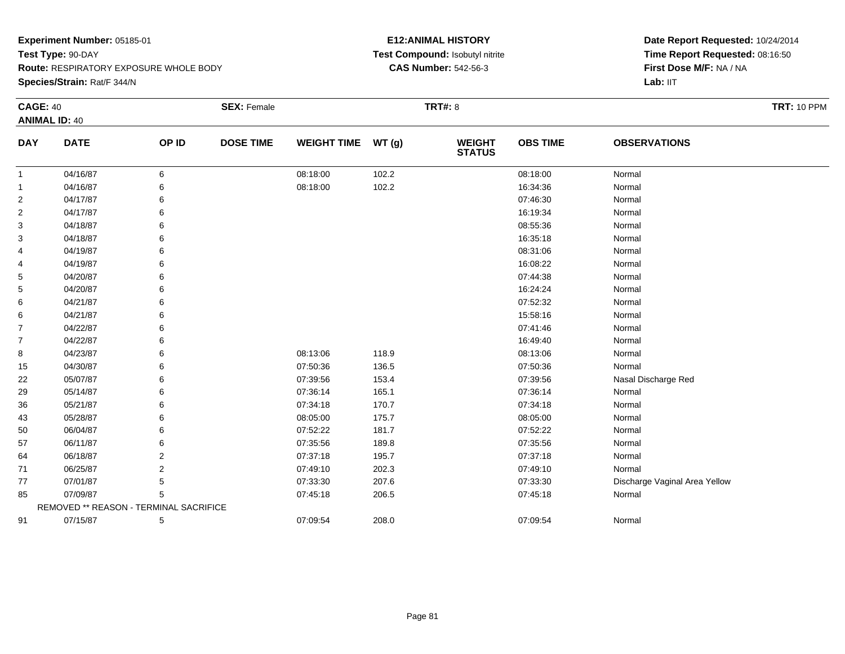**Species/Strain:** Rat/F 344/N

### **E12:ANIMAL HISTORY Test Compound:** Isobutyl nitrite**CAS Number:** 542-56-3

| <b>CAGE: 40</b> |                                        |       | <b>SEX: Female</b> |                    |       | <b>TRT#: 8</b>                 |                 |                               | <b>TRT: 10 PPM</b> |
|-----------------|----------------------------------------|-------|--------------------|--------------------|-------|--------------------------------|-----------------|-------------------------------|--------------------|
|                 | <b>ANIMAL ID: 40</b>                   |       |                    |                    |       |                                |                 |                               |                    |
| <b>DAY</b>      | <b>DATE</b>                            | OP ID | <b>DOSE TIME</b>   | <b>WEIGHT TIME</b> | WT(g) | <b>WEIGHT</b><br><b>STATUS</b> | <b>OBS TIME</b> | <b>OBSERVATIONS</b>           |                    |
| -1              | 04/16/87                               | 6     |                    | 08:18:00           | 102.2 |                                | 08:18:00        | Normal                        |                    |
| -1              | 04/16/87                               |       |                    | 08:18:00           | 102.2 |                                | 16:34:36        | Normal                        |                    |
| $\overline{2}$  | 04/17/87                               |       |                    |                    |       |                                | 07:46:30        | Normal                        |                    |
| 2               | 04/17/87                               | 6     |                    |                    |       |                                | 16:19:34        | Normal                        |                    |
| 3               | 04/18/87                               |       |                    |                    |       |                                | 08:55:36        | Normal                        |                    |
| 3               | 04/18/87                               |       |                    |                    |       |                                | 16:35:18        | Normal                        |                    |
| 4               | 04/19/87                               |       |                    |                    |       |                                | 08:31:06        | Normal                        |                    |
| 4               | 04/19/87                               | 6     |                    |                    |       |                                | 16:08:22        | Normal                        |                    |
| 5               | 04/20/87                               | 6     |                    |                    |       |                                | 07:44:38        | Normal                        |                    |
| 5               | 04/20/87                               |       |                    |                    |       |                                | 16:24:24        | Normal                        |                    |
| 6               | 04/21/87                               |       |                    |                    |       |                                | 07:52:32        | Normal                        |                    |
| 6               | 04/21/87                               |       |                    |                    |       |                                | 15:58:16        | Normal                        |                    |
| $\overline{7}$  | 04/22/87                               |       |                    |                    |       |                                | 07:41:46        | Normal                        |                    |
| $\overline{7}$  | 04/22/87                               |       |                    |                    |       |                                | 16:49:40        | Normal                        |                    |
| 8               | 04/23/87                               |       |                    | 08:13:06           | 118.9 |                                | 08:13:06        | Normal                        |                    |
| 15              | 04/30/87                               |       |                    | 07:50:36           | 136.5 |                                | 07:50:36        | Normal                        |                    |
| 22              | 05/07/87                               |       |                    | 07:39:56           | 153.4 |                                | 07:39:56        | Nasal Discharge Red           |                    |
| 29              | 05/14/87                               |       |                    | 07:36:14           | 165.1 |                                | 07:36:14        | Normal                        |                    |
| 36              | 05/21/87                               |       |                    | 07:34:18           | 170.7 |                                | 07:34:18        | Normal                        |                    |
| 43              | 05/28/87                               |       |                    | 08:05:00           | 175.7 |                                | 08:05:00        | Normal                        |                    |
| 50              | 06/04/87                               |       |                    | 07:52:22           | 181.7 |                                | 07:52:22        | Normal                        |                    |
| 57              | 06/11/87                               |       |                    | 07:35:56           | 189.8 |                                | 07:35:56        | Normal                        |                    |
| 64              | 06/18/87                               | 2     |                    | 07:37:18           | 195.7 |                                | 07:37:18        | Normal                        |                    |
| 71              | 06/25/87                               | 2     |                    | 07:49:10           | 202.3 |                                | 07:49:10        | Normal                        |                    |
| 77              | 07/01/87                               | 5     |                    | 07:33:30           | 207.6 |                                | 07:33:30        | Discharge Vaginal Area Yellow |                    |
| 85              | 07/09/87                               | 5     |                    | 07:45:18           | 206.5 |                                | 07:45:18        | Normal                        |                    |
|                 | REMOVED ** REASON - TERMINAL SACRIFICE |       |                    |                    |       |                                |                 |                               |                    |
| 91              | 07/15/87                               | 5     |                    | 07:09:54           | 208.0 |                                | 07:09:54        | Normal                        |                    |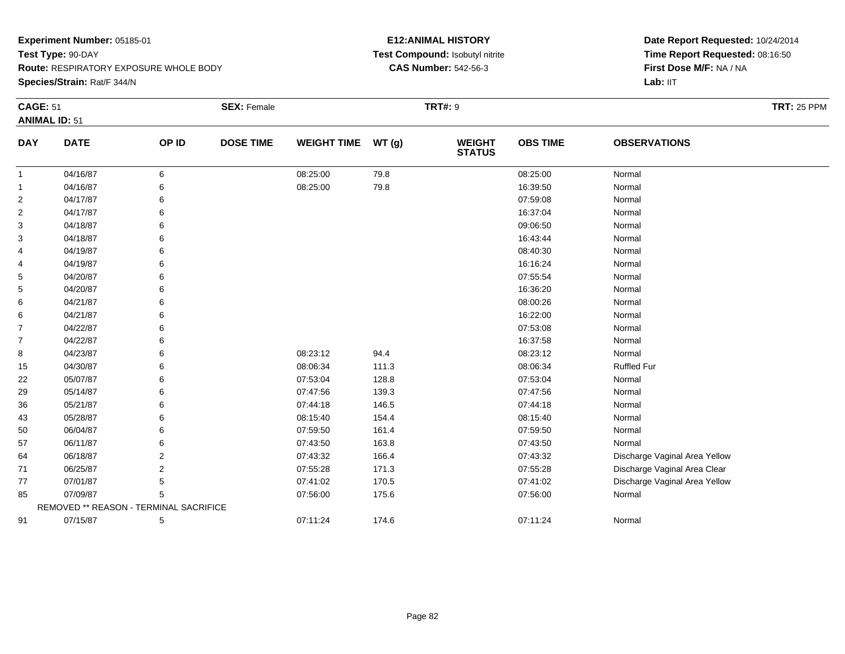**Species/Strain:** Rat/F 344/N

### **E12:ANIMAL HISTORY Test Compound:** Isobutyl nitrite**CAS Number:** 542-56-3

|                | <b>CAGE: 51</b>                        |       | <b>SEX: Female</b> |                    |       | <b>TRT#: 9</b>                 |                 | <b>TRT: 25 PPM</b>            |  |
|----------------|----------------------------------------|-------|--------------------|--------------------|-------|--------------------------------|-----------------|-------------------------------|--|
|                | <b>ANIMAL ID: 51</b>                   |       |                    |                    |       |                                |                 |                               |  |
| <b>DAY</b>     | <b>DATE</b>                            | OP ID | <b>DOSE TIME</b>   | <b>WEIGHT TIME</b> | WT(g) | <b>WEIGHT</b><br><b>STATUS</b> | <b>OBS TIME</b> | <b>OBSERVATIONS</b>           |  |
| $\mathbf{1}$   | 04/16/87                               | 6     |                    | 08:25:00           | 79.8  |                                | 08:25:00        | Normal                        |  |
| -1             | 04/16/87                               | 6     |                    | 08:25:00           | 79.8  |                                | 16:39:50        | Normal                        |  |
| 2              | 04/17/87                               | 6     |                    |                    |       |                                | 07:59:08        | Normal                        |  |
| $\overline{2}$ | 04/17/87                               |       |                    |                    |       |                                | 16:37:04        | Normal                        |  |
| 3              | 04/18/87                               | 6     |                    |                    |       |                                | 09:06:50        | Normal                        |  |
| 3              | 04/18/87                               |       |                    |                    |       |                                | 16:43:44        | Normal                        |  |
| 4              | 04/19/87                               |       |                    |                    |       |                                | 08:40:30        | Normal                        |  |
| 4              | 04/19/87                               |       |                    |                    |       |                                | 16:16:24        | Normal                        |  |
| 5              | 04/20/87                               |       |                    |                    |       |                                | 07:55:54        | Normal                        |  |
| 5              | 04/20/87                               |       |                    |                    |       |                                | 16:36:20        | Normal                        |  |
| 6              | 04/21/87                               |       |                    |                    |       |                                | 08:00:26        | Normal                        |  |
| 6              | 04/21/87                               | 6     |                    |                    |       |                                | 16:22:00        | Normal                        |  |
| $\overline{7}$ | 04/22/87                               |       |                    |                    |       |                                | 07:53:08        | Normal                        |  |
| $\overline{7}$ | 04/22/87                               |       |                    |                    |       |                                | 16:37:58        | Normal                        |  |
| 8              | 04/23/87                               |       |                    | 08:23:12           | 94.4  |                                | 08:23:12        | Normal                        |  |
| 15             | 04/30/87                               |       |                    | 08:06:34           | 111.3 |                                | 08:06:34        | <b>Ruffled Fur</b>            |  |
| 22             | 05/07/87                               |       |                    | 07:53:04           | 128.8 |                                | 07:53:04        | Normal                        |  |
| 29             | 05/14/87                               | ิค    |                    | 07:47:56           | 139.3 |                                | 07:47:56        | Normal                        |  |
| 36             | 05/21/87                               |       |                    | 07:44:18           | 146.5 |                                | 07:44:18        | Normal                        |  |
| 43             | 05/28/87                               |       |                    | 08:15:40           | 154.4 |                                | 08:15:40        | Normal                        |  |
| 50             | 06/04/87                               |       |                    | 07:59:50           | 161.4 |                                | 07:59:50        | Normal                        |  |
| 57             | 06/11/87                               | 6     |                    | 07:43:50           | 163.8 |                                | 07:43:50        | Normal                        |  |
| 64             | 06/18/87                               | 2     |                    | 07:43:32           | 166.4 |                                | 07:43:32        | Discharge Vaginal Area Yellow |  |
| 71             | 06/25/87                               | 2     |                    | 07:55:28           | 171.3 |                                | 07:55:28        | Discharge Vaginal Area Clear  |  |
| 77             | 07/01/87                               | 5     |                    | 07:41:02           | 170.5 |                                | 07:41:02        | Discharge Vaginal Area Yellow |  |
| 85             | 07/09/87                               | 5     |                    | 07:56:00           | 175.6 |                                | 07:56:00        | Normal                        |  |
|                | REMOVED ** REASON - TERMINAL SACRIFICE |       |                    |                    |       |                                |                 |                               |  |
| 91             | 07/15/87                               | 5     |                    | 07:11:24           | 174.6 |                                | 07:11:24        | Normal                        |  |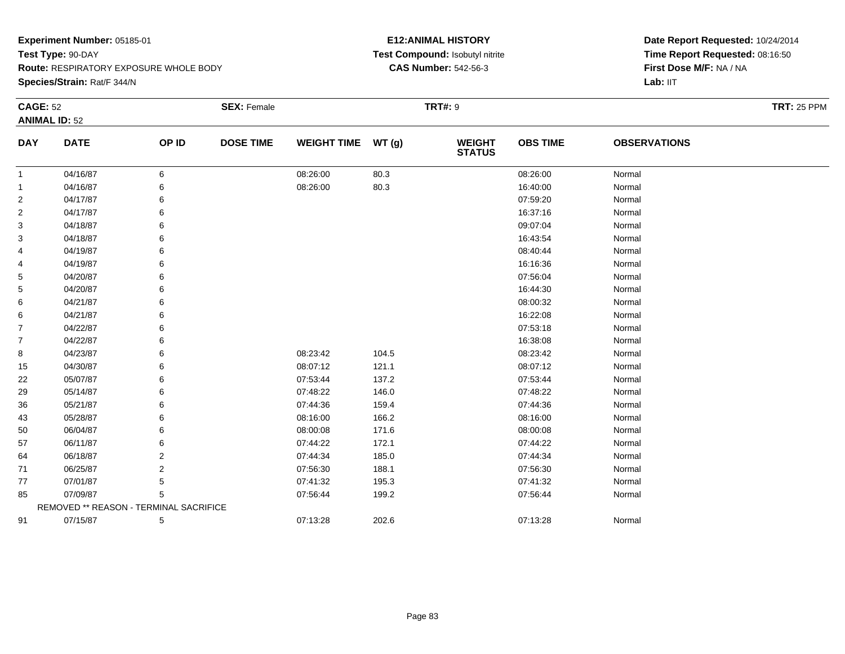**Species/Strain:** Rat/F 344/N

### **E12:ANIMAL HISTORY Test Compound:** Isobutyl nitrite**CAS Number:** 542-56-3

| <b>CAGE: 52</b> |                                        |       | <b>SEX: Female</b> |                    |       | <b>TRT#: 9</b>                 |                 |                     | <b>TRT: 25 PPM</b> |
|-----------------|----------------------------------------|-------|--------------------|--------------------|-------|--------------------------------|-----------------|---------------------|--------------------|
|                 | <b>ANIMAL ID: 52</b>                   |       |                    |                    |       |                                |                 |                     |                    |
| <b>DAY</b>      | <b>DATE</b>                            | OP ID | <b>DOSE TIME</b>   | <b>WEIGHT TIME</b> | WT(g) | <b>WEIGHT</b><br><b>STATUS</b> | <b>OBS TIME</b> | <b>OBSERVATIONS</b> |                    |
| 1               | 04/16/87                               | 6     |                    | 08:26:00           | 80.3  |                                | 08:26:00        | Normal              |                    |
| 1               | 04/16/87                               | 6     |                    | 08:26:00           | 80.3  |                                | 16:40:00        | Normal              |                    |
| $\overline{c}$  | 04/17/87                               | 6     |                    |                    |       |                                | 07:59:20        | Normal              |                    |
| 2               | 04/17/87                               | 6     |                    |                    |       |                                | 16:37:16        | Normal              |                    |
| 3               | 04/18/87                               | 6     |                    |                    |       |                                | 09:07:04        | Normal              |                    |
| 3               | 04/18/87                               | 6     |                    |                    |       |                                | 16:43:54        | Normal              |                    |
| 4               | 04/19/87                               | 6     |                    |                    |       |                                | 08:40:44        | Normal              |                    |
| 4               | 04/19/87                               | 6     |                    |                    |       |                                | 16:16:36        | Normal              |                    |
| 5               | 04/20/87                               | 6     |                    |                    |       |                                | 07:56:04        | Normal              |                    |
| 5               | 04/20/87                               | 6     |                    |                    |       |                                | 16:44:30        | Normal              |                    |
| 6               | 04/21/87                               | 6     |                    |                    |       |                                | 08:00:32        | Normal              |                    |
| 6               | 04/21/87                               | 6     |                    |                    |       |                                | 16:22:08        | Normal              |                    |
| 7               | 04/22/87                               | 6     |                    |                    |       |                                | 07:53:18        | Normal              |                    |
| 7               | 04/22/87                               | 6     |                    |                    |       |                                | 16:38:08        | Normal              |                    |
| 8               | 04/23/87                               | 6     |                    | 08:23:42           | 104.5 |                                | 08:23:42        | Normal              |                    |
| 15              | 04/30/87                               | 6     |                    | 08:07:12           | 121.1 |                                | 08:07:12        | Normal              |                    |
| 22              | 05/07/87                               | 6     |                    | 07:53:44           | 137.2 |                                | 07:53:44        | Normal              |                    |
| 29              | 05/14/87                               | 6     |                    | 07:48:22           | 146.0 |                                | 07:48:22        | Normal              |                    |
| 36              | 05/21/87                               | 6     |                    | 07:44:36           | 159.4 |                                | 07:44:36        | Normal              |                    |
| 43              | 05/28/87                               | 6     |                    | 08:16:00           | 166.2 |                                | 08:16:00        | Normal              |                    |
| 50              | 06/04/87                               | 6     |                    | 08:00:08           | 171.6 |                                | 08:00:08        | Normal              |                    |
| 57              | 06/11/87                               | 6     |                    | 07:44:22           | 172.1 |                                | 07:44:22        | Normal              |                    |
| 64              | 06/18/87                               | 2     |                    | 07:44:34           | 185.0 |                                | 07:44:34        | Normal              |                    |
| 71              | 06/25/87                               | 2     |                    | 07:56:30           | 188.1 |                                | 07:56:30        | Normal              |                    |
| 77              | 07/01/87                               | 5     |                    | 07:41:32           | 195.3 |                                | 07:41:32        | Normal              |                    |
| 85              | 07/09/87                               | 5     |                    | 07:56:44           | 199.2 |                                | 07:56:44        | Normal              |                    |
|                 | REMOVED ** REASON - TERMINAL SACRIFICE |       |                    |                    |       |                                |                 |                     |                    |
| 91              | 07/15/87                               | 5     |                    | 07:13:28           | 202.6 |                                | 07:13:28        | Normal              |                    |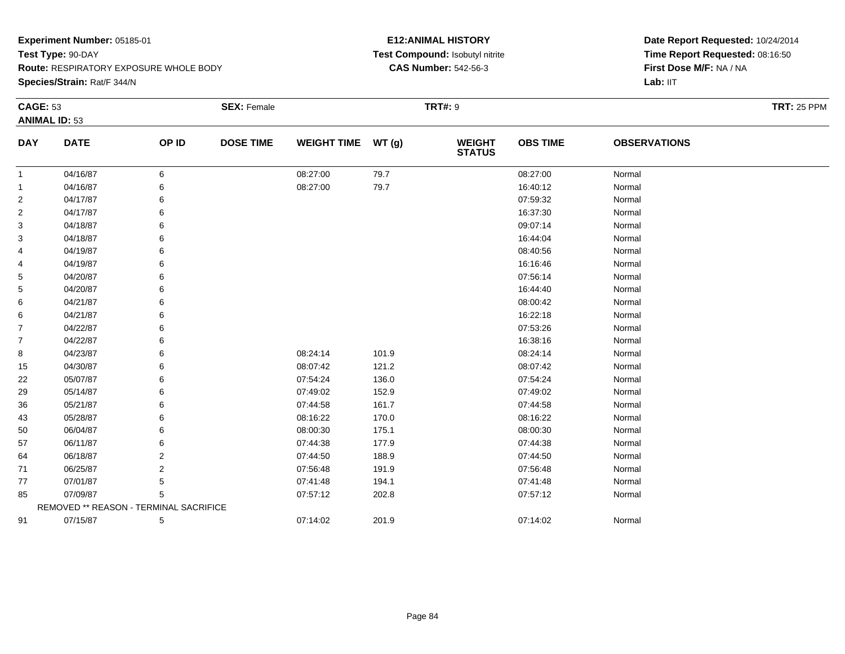**Species/Strain:** Rat/F 344/N

### **E12:ANIMAL HISTORY Test Compound:** Isobutyl nitrite**CAS Number:** 542-56-3

| <b>CAGE: 53</b> |                                        |       | <b>SEX: Female</b> |                    |       | <b>TRT#: 9</b>                 |                 |                     | <b>TRT: 25 PPM</b> |
|-----------------|----------------------------------------|-------|--------------------|--------------------|-------|--------------------------------|-----------------|---------------------|--------------------|
|                 | <b>ANIMAL ID: 53</b>                   |       |                    |                    |       |                                |                 |                     |                    |
| <b>DAY</b>      | <b>DATE</b>                            | OP ID | <b>DOSE TIME</b>   | WEIGHT TIME WT (g) |       | <b>WEIGHT</b><br><b>STATUS</b> | <b>OBS TIME</b> | <b>OBSERVATIONS</b> |                    |
| $\mathbf{1}$    | 04/16/87                               | 6     |                    | 08:27:00           | 79.7  |                                | 08:27:00        | Normal              |                    |
| 1               | 04/16/87                               | 6     |                    | 08:27:00           | 79.7  |                                | 16:40:12        | Normal              |                    |
| 2               | 04/17/87                               |       |                    |                    |       |                                | 07:59:32        | Normal              |                    |
| 2               | 04/17/87                               | 6     |                    |                    |       |                                | 16:37:30        | Normal              |                    |
| 3               | 04/18/87                               |       |                    |                    |       |                                | 09:07:14        | Normal              |                    |
| 3               | 04/18/87                               |       |                    |                    |       |                                | 16:44:04        | Normal              |                    |
| 4               | 04/19/87                               | 6     |                    |                    |       |                                | 08:40:56        | Normal              |                    |
| 4               | 04/19/87                               | 6     |                    |                    |       |                                | 16:16:46        | Normal              |                    |
| 5               | 04/20/87                               | 6     |                    |                    |       |                                | 07:56:14        | Normal              |                    |
| 5               | 04/20/87                               | 6     |                    |                    |       |                                | 16:44:40        | Normal              |                    |
| 6               | 04/21/87                               | 6     |                    |                    |       |                                | 08:00:42        | Normal              |                    |
| 6               | 04/21/87                               | 6     |                    |                    |       |                                | 16:22:18        | Normal              |                    |
| 7               | 04/22/87                               | 6     |                    |                    |       |                                | 07:53:26        | Normal              |                    |
| 7               | 04/22/87                               | 6     |                    |                    |       |                                | 16:38:16        | Normal              |                    |
| 8               | 04/23/87                               | 6     |                    | 08:24:14           | 101.9 |                                | 08:24:14        | Normal              |                    |
| 15              | 04/30/87                               | 6     |                    | 08:07:42           | 121.2 |                                | 08:07:42        | Normal              |                    |
| 22              | 05/07/87                               | 6     |                    | 07:54:24           | 136.0 |                                | 07:54:24        | Normal              |                    |
| 29              | 05/14/87                               | 6     |                    | 07:49:02           | 152.9 |                                | 07:49:02        | Normal              |                    |
| 36              | 05/21/87                               | 6     |                    | 07:44:58           | 161.7 |                                | 07:44:58        | Normal              |                    |
| 43              | 05/28/87                               | 6     |                    | 08:16:22           | 170.0 |                                | 08:16:22        | Normal              |                    |
| 50              | 06/04/87                               | 6     |                    | 08:00:30           | 175.1 |                                | 08:00:30        | Normal              |                    |
| 57              | 06/11/87                               | 6     |                    | 07:44:38           | 177.9 |                                | 07:44:38        | Normal              |                    |
| 64              | 06/18/87                               | 2     |                    | 07:44:50           | 188.9 |                                | 07:44:50        | Normal              |                    |
| 71              | 06/25/87                               | 2     |                    | 07:56:48           | 191.9 |                                | 07:56:48        | Normal              |                    |
| 77              | 07/01/87                               | 5     |                    | 07:41:48           | 194.1 |                                | 07:41:48        | Normal              |                    |
| 85              | 07/09/87                               | 5     |                    | 07:57:12           | 202.8 |                                | 07:57:12        | Normal              |                    |
|                 | REMOVED ** REASON - TERMINAL SACRIFICE |       |                    |                    |       |                                |                 |                     |                    |
| 91              | 07/15/87                               | 5     |                    | 07:14:02           | 201.9 |                                | 07:14:02        | Normal              |                    |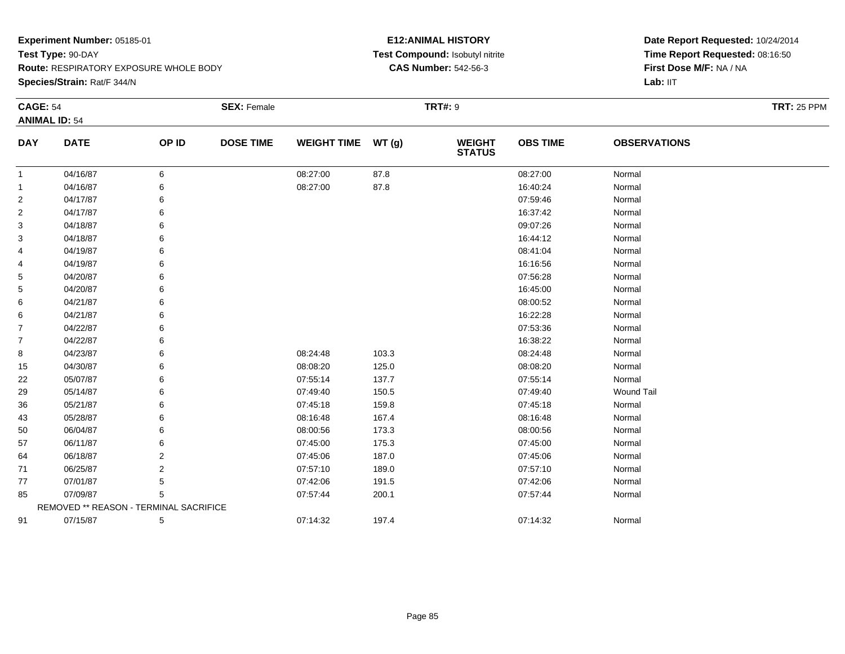**Species/Strain:** Rat/F 344/N

### **E12:ANIMAL HISTORY Test Compound:** Isobutyl nitrite**CAS Number:** 542-56-3

| <b>CAGE: 54</b> |                                        |       | <b>SEX: Female</b> |                    |       | <b>TRT#:</b> 9                 |                 |                     | <b>TRT: 25 PPM</b> |
|-----------------|----------------------------------------|-------|--------------------|--------------------|-------|--------------------------------|-----------------|---------------------|--------------------|
|                 | <b>ANIMAL ID: 54</b>                   |       |                    |                    |       |                                |                 |                     |                    |
| <b>DAY</b>      | <b>DATE</b>                            | OP ID | <b>DOSE TIME</b>   | <b>WEIGHT TIME</b> | WT(g) | <b>WEIGHT</b><br><b>STATUS</b> | <b>OBS TIME</b> | <b>OBSERVATIONS</b> |                    |
| $\mathbf{1}$    | 04/16/87                               | 6     |                    | 08:27:00           | 87.8  |                                | 08:27:00        | Normal              |                    |
| 1               | 04/16/87                               | 6     |                    | 08:27:00           | 87.8  |                                | 16:40:24        | Normal              |                    |
| 2               | 04/17/87                               |       |                    |                    |       |                                | 07:59:46        | Normal              |                    |
| 2               | 04/17/87                               | 6     |                    |                    |       |                                | 16:37:42        | Normal              |                    |
| 3               | 04/18/87                               |       |                    |                    |       |                                | 09:07:26        | Normal              |                    |
| 3               | 04/18/87                               |       |                    |                    |       |                                | 16:44:12        | Normal              |                    |
| 4               | 04/19/87                               | 6     |                    |                    |       |                                | 08:41:04        | Normal              |                    |
| 4               | 04/19/87                               | 6     |                    |                    |       |                                | 16:16:56        | Normal              |                    |
| 5               | 04/20/87                               | 6     |                    |                    |       |                                | 07:56:28        | Normal              |                    |
| 5               | 04/20/87                               |       |                    |                    |       |                                | 16:45:00        | Normal              |                    |
| 6               | 04/21/87                               | 6     |                    |                    |       |                                | 08:00:52        | Normal              |                    |
| 6               | 04/21/87                               | 6     |                    |                    |       |                                | 16:22:28        | Normal              |                    |
| 7               | 04/22/87                               | 6     |                    |                    |       |                                | 07:53:36        | Normal              |                    |
| 7               | 04/22/87                               | 6     |                    |                    |       |                                | 16:38:22        | Normal              |                    |
| 8               | 04/23/87                               | 6     |                    | 08:24:48           | 103.3 |                                | 08:24:48        | Normal              |                    |
| 15              | 04/30/87                               | 6     |                    | 08:08:20           | 125.0 |                                | 08:08:20        | Normal              |                    |
| 22              | 05/07/87                               | 6     |                    | 07:55:14           | 137.7 |                                | 07:55:14        | Normal              |                    |
| 29              | 05/14/87                               |       |                    | 07:49:40           | 150.5 |                                | 07:49:40        | <b>Wound Tail</b>   |                    |
| 36              | 05/21/87                               |       |                    | 07:45:18           | 159.8 |                                | 07:45:18        | Normal              |                    |
| 43              | 05/28/87                               | 6     |                    | 08:16:48           | 167.4 |                                | 08:16:48        | Normal              |                    |
| 50              | 06/04/87                               |       |                    | 08:00:56           | 173.3 |                                | 08:00:56        | Normal              |                    |
| 57              | 06/11/87                               |       |                    | 07:45:00           | 175.3 |                                | 07:45:00        | Normal              |                    |
| 64              | 06/18/87                               | 2     |                    | 07:45:06           | 187.0 |                                | 07:45:06        | Normal              |                    |
| 71              | 06/25/87                               | 2     |                    | 07:57:10           | 189.0 |                                | 07:57:10        | Normal              |                    |
| 77              | 07/01/87                               | 5     |                    | 07:42:06           | 191.5 |                                | 07:42:06        | Normal              |                    |
| 85              | 07/09/87                               | 5     |                    | 07:57:44           | 200.1 |                                | 07:57:44        | Normal              |                    |
|                 | REMOVED ** REASON - TERMINAL SACRIFICE |       |                    |                    |       |                                |                 |                     |                    |
| 91              | 07/15/87                               | 5     |                    | 07:14:32           | 197.4 |                                | 07:14:32        | Normal              |                    |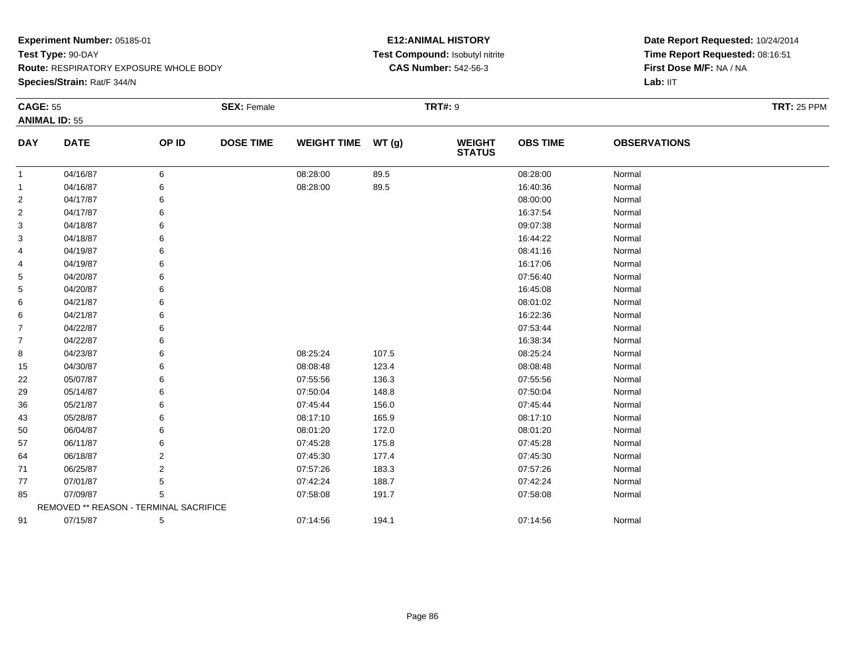**Species/Strain:** Rat/F 344/N

### **E12:ANIMAL HISTORY Test Compound:** Isobutyl nitrite**CAS Number:** 542-56-3

| <b>CAGE: 55</b> |                                        |       | <b>SEX: Female</b> |                    |       | <b>TRT#: 9</b>                 |                 |                     | <b>TRT: 25 PPM</b> |
|-----------------|----------------------------------------|-------|--------------------|--------------------|-------|--------------------------------|-----------------|---------------------|--------------------|
|                 | <b>ANIMAL ID: 55</b>                   |       |                    |                    |       |                                |                 |                     |                    |
| <b>DAY</b>      | <b>DATE</b>                            | OP ID | <b>DOSE TIME</b>   | <b>WEIGHT TIME</b> | WT(g) | <b>WEIGHT</b><br><b>STATUS</b> | <b>OBS TIME</b> | <b>OBSERVATIONS</b> |                    |
| $\mathbf{1}$    | 04/16/87                               | 6     |                    | 08:28:00           | 89.5  |                                | 08:28:00        | Normal              |                    |
| -1              | 04/16/87                               | 6     |                    | 08:28:00           | 89.5  |                                | 16:40:36        | Normal              |                    |
| 2               | 04/17/87                               | 6     |                    |                    |       |                                | 08:00:00        | Normal              |                    |
| $\overline{2}$  | 04/17/87                               | 6     |                    |                    |       |                                | 16:37:54        | Normal              |                    |
| 3               | 04/18/87                               | 6     |                    |                    |       |                                | 09:07:38        | Normal              |                    |
| 3               | 04/18/87                               | 6     |                    |                    |       |                                | 16:44:22        | Normal              |                    |
| 4               | 04/19/87                               | 6     |                    |                    |       |                                | 08:41:16        | Normal              |                    |
| 4               | 04/19/87                               | 6     |                    |                    |       |                                | 16:17:06        | Normal              |                    |
| 5               | 04/20/87                               | 6     |                    |                    |       |                                | 07:56:40        | Normal              |                    |
| 5               | 04/20/87                               | 6     |                    |                    |       |                                | 16:45:08        | Normal              |                    |
| 6               | 04/21/87                               | 6     |                    |                    |       |                                | 08:01:02        | Normal              |                    |
| 6               | 04/21/87                               | 6     |                    |                    |       |                                | 16:22:36        | Normal              |                    |
| $\overline{7}$  | 04/22/87                               | 6     |                    |                    |       |                                | 07:53:44        | Normal              |                    |
| $\overline{7}$  | 04/22/87                               | 6     |                    |                    |       |                                | 16:38:34        | Normal              |                    |
| 8               | 04/23/87                               | 6     |                    | 08:25:24           | 107.5 |                                | 08:25:24        | Normal              |                    |
| 15              | 04/30/87                               | 6     |                    | 08:08:48           | 123.4 |                                | 08:08:48        | Normal              |                    |
| 22              | 05/07/87                               | 6     |                    | 07:55:56           | 136.3 |                                | 07:55:56        | Normal              |                    |
| 29              | 05/14/87                               | 6     |                    | 07:50:04           | 148.8 |                                | 07:50:04        | Normal              |                    |
| 36              | 05/21/87                               | 6     |                    | 07:45:44           | 156.0 |                                | 07:45:44        | Normal              |                    |
| 43              | 05/28/87                               | 6     |                    | 08:17:10           | 165.9 |                                | 08:17:10        | Normal              |                    |
| 50              | 06/04/87                               | 6     |                    | 08:01:20           | 172.0 |                                | 08:01:20        | Normal              |                    |
| 57              | 06/11/87                               | 6     |                    | 07:45:28           | 175.8 |                                | 07:45:28        | Normal              |                    |
| 64              | 06/18/87                               | 2     |                    | 07:45:30           | 177.4 |                                | 07:45:30        | Normal              |                    |
| 71              | 06/25/87                               | 2     |                    | 07:57:26           | 183.3 |                                | 07:57:26        | Normal              |                    |
| 77              | 07/01/87                               | 5     |                    | 07:42:24           | 188.7 |                                | 07:42:24        | Normal              |                    |
| 85              | 07/09/87                               | 5     |                    | 07:58:08           | 191.7 |                                | 07:58:08        | Normal              |                    |
|                 | REMOVED ** REASON - TERMINAL SACRIFICE |       |                    |                    |       |                                |                 |                     |                    |
| 91              | 07/15/87                               | 5     |                    | 07:14:56           | 194.1 |                                | 07:14:56        | Normal              |                    |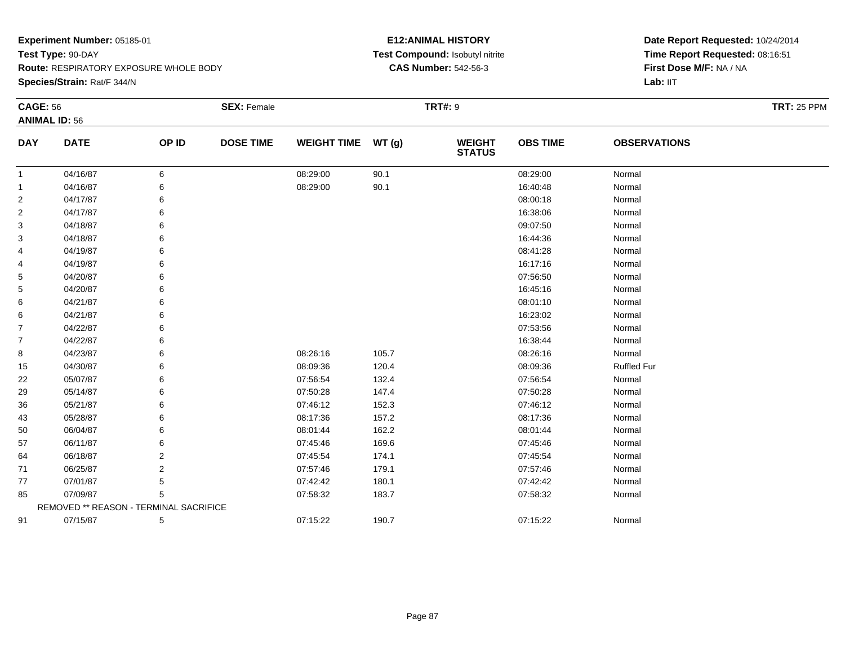**Species/Strain:** Rat/F 344/N

### **E12:ANIMAL HISTORY Test Compound:** Isobutyl nitrite**CAS Number:** 542-56-3

| <b>CAGE: 56</b> |                                        |                | <b>SEX: Female</b> |                    |       | <b>TRT#:</b> 9                 |                 |                     | <b>TRT: 25 PPM</b> |  |
|-----------------|----------------------------------------|----------------|--------------------|--------------------|-------|--------------------------------|-----------------|---------------------|--------------------|--|
|                 | <b>ANIMAL ID: 56</b>                   |                |                    |                    |       |                                |                 |                     |                    |  |
| <b>DAY</b>      | <b>DATE</b>                            | OP ID          | <b>DOSE TIME</b>   | <b>WEIGHT TIME</b> | WT(g) | <b>WEIGHT</b><br><b>STATUS</b> | <b>OBS TIME</b> | <b>OBSERVATIONS</b> |                    |  |
| 1               | 04/16/87                               | 6              |                    | 08:29:00           | 90.1  |                                | 08:29:00        | Normal              |                    |  |
| 1               | 04/16/87                               | 6              |                    | 08:29:00           | 90.1  |                                | 16:40:48        | Normal              |                    |  |
| 2               | 04/17/87                               | 6              |                    |                    |       |                                | 08:00:18        | Normal              |                    |  |
| 2               | 04/17/87                               | 6              |                    |                    |       |                                | 16:38:06        | Normal              |                    |  |
| 3               | 04/18/87                               | 6              |                    |                    |       |                                | 09:07:50        | Normal              |                    |  |
| 3               | 04/18/87                               | 6              |                    |                    |       |                                | 16:44:36        | Normal              |                    |  |
| 4               | 04/19/87                               | 6              |                    |                    |       |                                | 08:41:28        | Normal              |                    |  |
| 4               | 04/19/87                               | 6              |                    |                    |       |                                | 16:17:16        | Normal              |                    |  |
| 5               | 04/20/87                               | 6              |                    |                    |       |                                | 07:56:50        | Normal              |                    |  |
| 5               | 04/20/87                               | 6              |                    |                    |       |                                | 16:45:16        | Normal              |                    |  |
| 6               | 04/21/87                               | 6              |                    |                    |       |                                | 08:01:10        | Normal              |                    |  |
| 6               | 04/21/87                               | 6              |                    |                    |       |                                | 16:23:02        | Normal              |                    |  |
| $\overline{7}$  | 04/22/87                               | 6              |                    |                    |       |                                | 07:53:56        | Normal              |                    |  |
| $\overline{7}$  | 04/22/87                               | 6              |                    |                    |       |                                | 16:38:44        | Normal              |                    |  |
| 8               | 04/23/87                               | 6              |                    | 08:26:16           | 105.7 |                                | 08:26:16        | Normal              |                    |  |
| 15              | 04/30/87                               | 6              |                    | 08:09:36           | 120.4 |                                | 08:09:36        | <b>Ruffled Fur</b>  |                    |  |
| 22              | 05/07/87                               | 6              |                    | 07:56:54           | 132.4 |                                | 07:56:54        | Normal              |                    |  |
| 29              | 05/14/87                               | 6              |                    | 07:50:28           | 147.4 |                                | 07:50:28        | Normal              |                    |  |
| 36              | 05/21/87                               | 6              |                    | 07:46:12           | 152.3 |                                | 07:46:12        | Normal              |                    |  |
| 43              | 05/28/87                               | 6              |                    | 08:17:36           | 157.2 |                                | 08:17:36        | Normal              |                    |  |
| 50              | 06/04/87                               | 6              |                    | 08:01:44           | 162.2 |                                | 08:01:44        | Normal              |                    |  |
| 57              | 06/11/87                               | 6              |                    | 07:45:46           | 169.6 |                                | 07:45:46        | Normal              |                    |  |
| 64              | 06/18/87                               | 2              |                    | 07:45:54           | 174.1 |                                | 07:45:54        | Normal              |                    |  |
| 71              | 06/25/87                               | $\overline{2}$ |                    | 07:57:46           | 179.1 |                                | 07:57:46        | Normal              |                    |  |
| 77              | 07/01/87                               | 5              |                    | 07:42:42           | 180.1 |                                | 07:42:42        | Normal              |                    |  |
| 85              | 07/09/87                               | 5              |                    | 07:58:32           | 183.7 |                                | 07:58:32        | Normal              |                    |  |
|                 | REMOVED ** REASON - TERMINAL SACRIFICE |                |                    |                    |       |                                |                 |                     |                    |  |
| 91              | 07/15/87                               | 5              |                    | 07:15:22           | 190.7 |                                | 07:15:22        | Normal              |                    |  |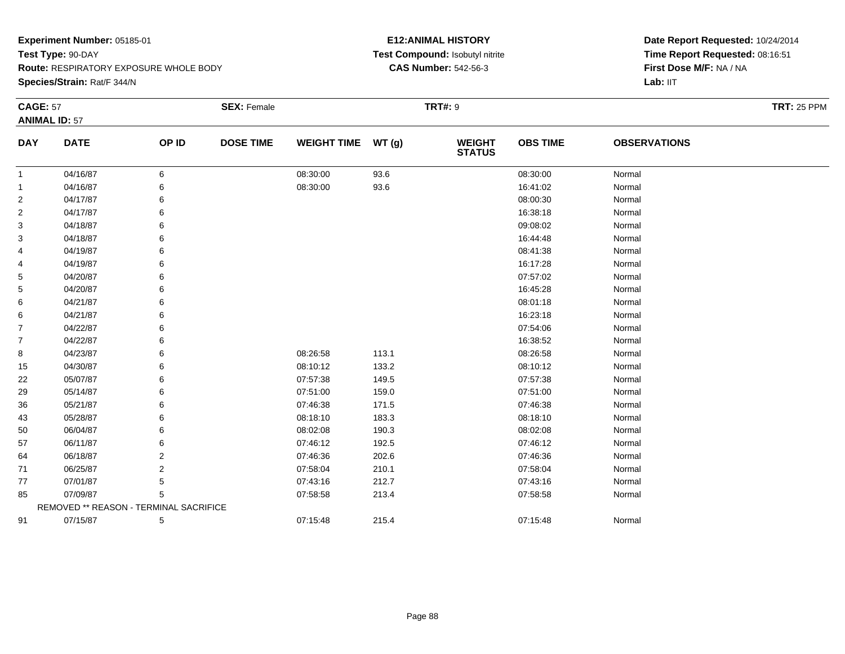**Species/Strain:** Rat/F 344/N

### **E12:ANIMAL HISTORY Test Compound:** Isobutyl nitrite**CAS Number:** 542-56-3

| <b>CAGE: 57</b> |                                        |       | <b>SEX: Female</b> |                    |       | <b>TRT#: 9</b>                 |                 |                     | <b>TRT: 25 PPM</b> |
|-----------------|----------------------------------------|-------|--------------------|--------------------|-------|--------------------------------|-----------------|---------------------|--------------------|
|                 | <b>ANIMAL ID: 57</b>                   |       |                    |                    |       |                                |                 |                     |                    |
| <b>DAY</b>      | <b>DATE</b>                            | OP ID | <b>DOSE TIME</b>   | WEIGHT TIME WT (g) |       | <b>WEIGHT</b><br><b>STATUS</b> | <b>OBS TIME</b> | <b>OBSERVATIONS</b> |                    |
| $\mathbf 1$     | 04/16/87                               | 6     |                    | 08:30:00           | 93.6  |                                | 08:30:00        | Normal              |                    |
| 1               | 04/16/87                               | 6     |                    | 08:30:00           | 93.6  |                                | 16:41:02        | Normal              |                    |
| $\overline{c}$  | 04/17/87                               | 6     |                    |                    |       |                                | 08:00:30        | Normal              |                    |
| 2               | 04/17/87                               | 6     |                    |                    |       |                                | 16:38:18        | Normal              |                    |
| 3               | 04/18/87                               | 6     |                    |                    |       |                                | 09:08:02        | Normal              |                    |
| 3               | 04/18/87                               | 6     |                    |                    |       |                                | 16:44:48        | Normal              |                    |
| 4               | 04/19/87                               | 6     |                    |                    |       |                                | 08:41:38        | Normal              |                    |
| 4               | 04/19/87                               | 6     |                    |                    |       |                                | 16:17:28        | Normal              |                    |
| 5               | 04/20/87                               | 6     |                    |                    |       |                                | 07:57:02        | Normal              |                    |
| 5               | 04/20/87                               | 6     |                    |                    |       |                                | 16:45:28        | Normal              |                    |
| 6               | 04/21/87                               | 6     |                    |                    |       |                                | 08:01:18        | Normal              |                    |
| 6               | 04/21/87                               | 6     |                    |                    |       |                                | 16:23:18        | Normal              |                    |
| 7               | 04/22/87                               | 6     |                    |                    |       |                                | 07:54:06        | Normal              |                    |
| 7               | 04/22/87                               | 6     |                    |                    |       |                                | 16:38:52        | Normal              |                    |
| 8               | 04/23/87                               | 6     |                    | 08:26:58           | 113.1 |                                | 08:26:58        | Normal              |                    |
| 15              | 04/30/87                               | 6     |                    | 08:10:12           | 133.2 |                                | 08:10:12        | Normal              |                    |
| 22              | 05/07/87                               | 6     |                    | 07:57:38           | 149.5 |                                | 07:57:38        | Normal              |                    |
| 29              | 05/14/87                               | 6     |                    | 07:51:00           | 159.0 |                                | 07:51:00        | Normal              |                    |
| 36              | 05/21/87                               | 6     |                    | 07:46:38           | 171.5 |                                | 07:46:38        | Normal              |                    |
| 43              | 05/28/87                               | 6     |                    | 08:18:10           | 183.3 |                                | 08:18:10        | Normal              |                    |
| 50              | 06/04/87                               | 6     |                    | 08:02:08           | 190.3 |                                | 08:02:08        | Normal              |                    |
| 57              | 06/11/87                               | 6     |                    | 07:46:12           | 192.5 |                                | 07:46:12        | Normal              |                    |
| 64              | 06/18/87                               | 2     |                    | 07:46:36           | 202.6 |                                | 07:46:36        | Normal              |                    |
| 71              | 06/25/87                               | 2     |                    | 07:58:04           | 210.1 |                                | 07:58:04        | Normal              |                    |
| 77              | 07/01/87                               | 5     |                    | 07:43:16           | 212.7 |                                | 07:43:16        | Normal              |                    |
| 85              | 07/09/87                               | 5     |                    | 07:58:58           | 213.4 |                                | 07:58:58        | Normal              |                    |
|                 | REMOVED ** REASON - TERMINAL SACRIFICE |       |                    |                    |       |                                |                 |                     |                    |
| 91              | 07/15/87                               | 5     |                    | 07:15:48           | 215.4 |                                | 07:15:48        | Normal              |                    |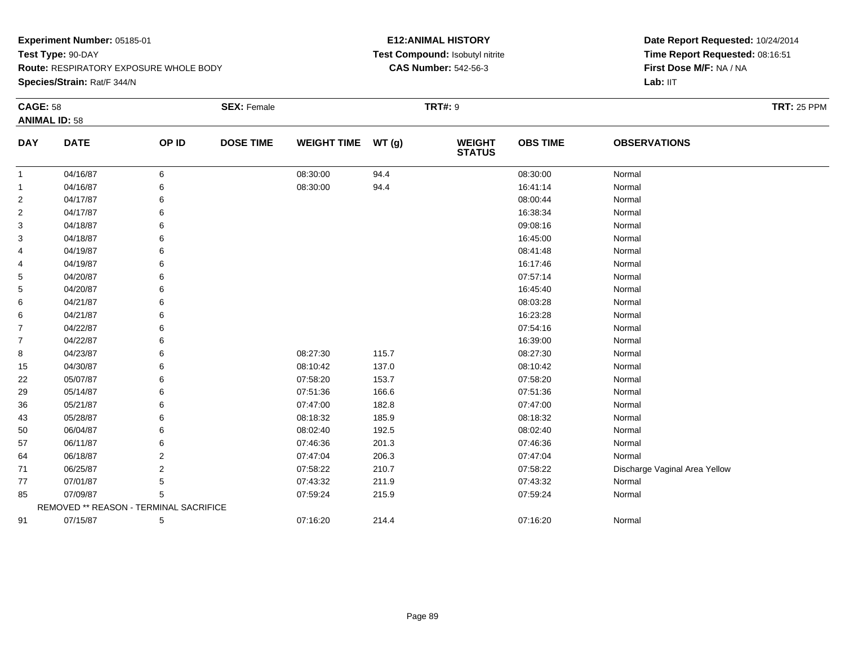**Species/Strain:** Rat/F 344/N

#### **E12:ANIMAL HISTORY Test Compound:** Isobutyl nitrite**CAS Number:** 542-56-3

| <b>CAGE: 58</b> |                                        |                | <b>SEX: Female</b> |                    |       | <b>TRT#:</b> 9                 |                 |                               | <b>TRT: 25 PPM</b> |
|-----------------|----------------------------------------|----------------|--------------------|--------------------|-------|--------------------------------|-----------------|-------------------------------|--------------------|
|                 | <b>ANIMAL ID: 58</b>                   |                |                    |                    |       |                                |                 |                               |                    |
| <b>DAY</b>      | <b>DATE</b>                            | OP ID          | <b>DOSE TIME</b>   | <b>WEIGHT TIME</b> | WT(g) | <b>WEIGHT</b><br><b>STATUS</b> | <b>OBS TIME</b> | <b>OBSERVATIONS</b>           |                    |
| $\mathbf{1}$    | 04/16/87                               | 6              |                    | 08:30:00           | 94.4  |                                | 08:30:00        | Normal                        |                    |
| $\mathbf{1}$    | 04/16/87                               |                |                    | 08:30:00           | 94.4  |                                | 16:41:14        | Normal                        |                    |
| 2               | 04/17/87                               |                |                    |                    |       |                                | 08:00:44        | Normal                        |                    |
| $\overline{2}$  | 04/17/87                               |                |                    |                    |       |                                | 16:38:34        | Normal                        |                    |
| 3               | 04/18/87                               |                |                    |                    |       |                                | 09:08:16        | Normal                        |                    |
| 3               | 04/18/87                               |                |                    |                    |       |                                | 16:45:00        | Normal                        |                    |
| 4               | 04/19/87                               |                |                    |                    |       |                                | 08:41:48        | Normal                        |                    |
| 4               | 04/19/87                               |                |                    |                    |       |                                | 16:17:46        | Normal                        |                    |
| 5               | 04/20/87                               |                |                    |                    |       |                                | 07:57:14        | Normal                        |                    |
| 5               | 04/20/87                               |                |                    |                    |       |                                | 16:45:40        | Normal                        |                    |
| 6               | 04/21/87                               |                |                    |                    |       |                                | 08:03:28        | Normal                        |                    |
| 6               | 04/21/87                               |                |                    |                    |       |                                | 16:23:28        | Normal                        |                    |
| $\overline{7}$  | 04/22/87                               |                |                    |                    |       |                                | 07:54:16        | Normal                        |                    |
| $\overline{7}$  | 04/22/87                               |                |                    |                    |       |                                | 16:39:00        | Normal                        |                    |
| 8               | 04/23/87                               |                |                    | 08:27:30           | 115.7 |                                | 08:27:30        | Normal                        |                    |
| 15              | 04/30/87                               |                |                    | 08:10:42           | 137.0 |                                | 08:10:42        | Normal                        |                    |
| 22              | 05/07/87                               |                |                    | 07:58:20           | 153.7 |                                | 07:58:20        | Normal                        |                    |
| 29              | 05/14/87                               |                |                    | 07:51:36           | 166.6 |                                | 07:51:36        | Normal                        |                    |
| 36              | 05/21/87                               |                |                    | 07:47:00           | 182.8 |                                | 07:47:00        | Normal                        |                    |
| 43              | 05/28/87                               |                |                    | 08:18:32           | 185.9 |                                | 08:18:32        | Normal                        |                    |
| 50              | 06/04/87                               |                |                    | 08:02:40           | 192.5 |                                | 08:02:40        | Normal                        |                    |
| 57              | 06/11/87                               |                |                    | 07:46:36           | 201.3 |                                | 07:46:36        | Normal                        |                    |
| 64              | 06/18/87                               | $\overline{2}$ |                    | 07:47:04           | 206.3 |                                | 07:47:04        | Normal                        |                    |
| 71              | 06/25/87                               | $\overline{2}$ |                    | 07:58:22           | 210.7 |                                | 07:58:22        | Discharge Vaginal Area Yellow |                    |
| 77              | 07/01/87                               | 5              |                    | 07:43:32           | 211.9 |                                | 07:43:32        | Normal                        |                    |
| 85              | 07/09/87                               | 5              |                    | 07:59:24           | 215.9 |                                | 07:59:24        | Normal                        |                    |
|                 | REMOVED ** REASON - TERMINAL SACRIFICE |                |                    |                    |       |                                |                 |                               |                    |
| 91              | 07/15/87                               | 5              |                    | 07:16:20           | 214.4 |                                | 07:16:20        | Normal                        |                    |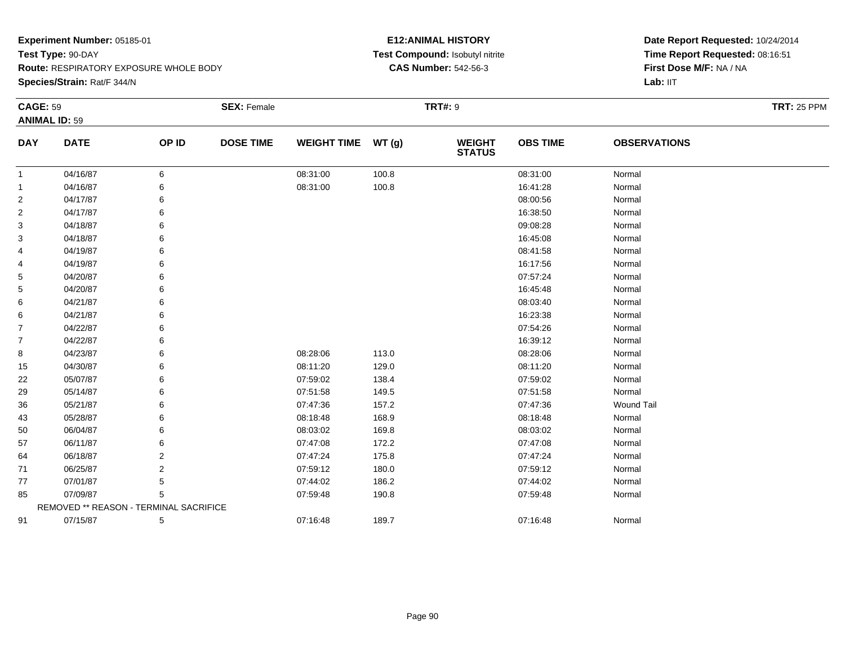**Species/Strain:** Rat/F 344/N

### **E12:ANIMAL HISTORY Test Compound:** Isobutyl nitrite**CAS Number:** 542-56-3

| <b>CAGE: 59</b> |                                        |       | <b>SEX: Female</b> |                    |       | <b>TRT#: 9</b>                 |                 |                     | <b>TRT: 25 PPM</b> |
|-----------------|----------------------------------------|-------|--------------------|--------------------|-------|--------------------------------|-----------------|---------------------|--------------------|
|                 | <b>ANIMAL ID: 59</b>                   |       |                    |                    |       |                                |                 |                     |                    |
| <b>DAY</b>      | <b>DATE</b>                            | OP ID | <b>DOSE TIME</b>   | <b>WEIGHT TIME</b> | WT(g) | <b>WEIGHT</b><br><b>STATUS</b> | <b>OBS TIME</b> | <b>OBSERVATIONS</b> |                    |
| 1               | 04/16/87                               | 6     |                    | 08:31:00           | 100.8 |                                | 08:31:00        | Normal              |                    |
| 1               | 04/16/87                               | 6     |                    | 08:31:00           | 100.8 |                                | 16:41:28        | Normal              |                    |
| $\overline{c}$  | 04/17/87                               | 6     |                    |                    |       |                                | 08:00:56        | Normal              |                    |
| 2               | 04/17/87                               | 6     |                    |                    |       |                                | 16:38:50        | Normal              |                    |
| 3               | 04/18/87                               | 6     |                    |                    |       |                                | 09:08:28        | Normal              |                    |
| 3               | 04/18/87                               |       |                    |                    |       |                                | 16:45:08        | Normal              |                    |
| 4               | 04/19/87                               | 6     |                    |                    |       |                                | 08:41:58        | Normal              |                    |
| 4               | 04/19/87                               | 6     |                    |                    |       |                                | 16:17:56        | Normal              |                    |
| 5               | 04/20/87                               | 6     |                    |                    |       |                                | 07:57:24        | Normal              |                    |
| 5               | 04/20/87                               | 6     |                    |                    |       |                                | 16:45:48        | Normal              |                    |
| 6               | 04/21/87                               | 6     |                    |                    |       |                                | 08:03:40        | Normal              |                    |
| 6               | 04/21/87                               | 6     |                    |                    |       |                                | 16:23:38        | Normal              |                    |
| 7               | 04/22/87                               | 6     |                    |                    |       |                                | 07:54:26        | Normal              |                    |
| 7               | 04/22/87                               | 6     |                    |                    |       |                                | 16:39:12        | Normal              |                    |
| 8               | 04/23/87                               | 6     |                    | 08:28:06           | 113.0 |                                | 08:28:06        | Normal              |                    |
| 15              | 04/30/87                               | 6     |                    | 08:11:20           | 129.0 |                                | 08:11:20        | Normal              |                    |
| 22              | 05/07/87                               | 6     |                    | 07:59:02           | 138.4 |                                | 07:59:02        | Normal              |                    |
| 29              | 05/14/87                               | 6     |                    | 07:51:58           | 149.5 |                                | 07:51:58        | Normal              |                    |
| 36              | 05/21/87                               | 6     |                    | 07:47:36           | 157.2 |                                | 07:47:36        | <b>Wound Tail</b>   |                    |
| 43              | 05/28/87                               | 6     |                    | 08:18:48           | 168.9 |                                | 08:18:48        | Normal              |                    |
| 50              | 06/04/87                               | 6     |                    | 08:03:02           | 169.8 |                                | 08:03:02        | Normal              |                    |
| 57              | 06/11/87                               | 6     |                    | 07:47:08           | 172.2 |                                | 07:47:08        | Normal              |                    |
| 64              | 06/18/87                               | 2     |                    | 07:47:24           | 175.8 |                                | 07:47:24        | Normal              |                    |
| 71              | 06/25/87                               | 2     |                    | 07:59:12           | 180.0 |                                | 07:59:12        | Normal              |                    |
| 77              | 07/01/87                               | 5     |                    | 07:44:02           | 186.2 |                                | 07:44:02        | Normal              |                    |
| 85              | 07/09/87                               | 5     |                    | 07:59:48           | 190.8 |                                | 07:59:48        | Normal              |                    |
|                 | REMOVED ** REASON - TERMINAL SACRIFICE |       |                    |                    |       |                                |                 |                     |                    |
| 91              | 07/15/87                               | 5     |                    | 07:16:48           | 189.7 |                                | 07:16:48        | Normal              |                    |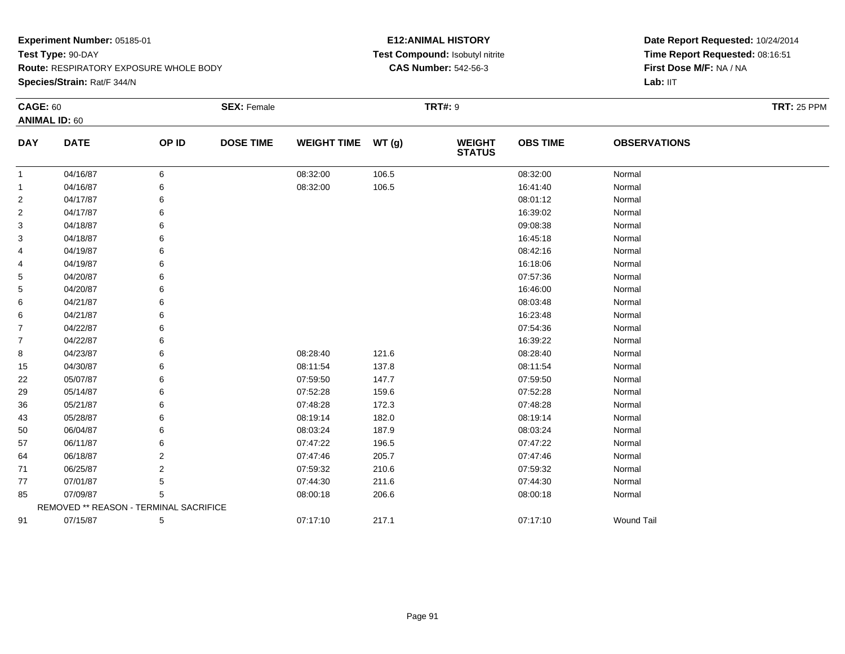**Species/Strain:** Rat/F 344/N

### **E12:ANIMAL HISTORY Test Compound:** Isobutyl nitrite**CAS Number:** 542-56-3

| <b>CAGE: 60</b> |                                        |       | <b>SEX: Female</b> |                    |       | <b>TRT#: 9</b>                 |                 |                     | <b>TRT: 25 PPM</b> |
|-----------------|----------------------------------------|-------|--------------------|--------------------|-------|--------------------------------|-----------------|---------------------|--------------------|
|                 | <b>ANIMAL ID: 60</b>                   |       |                    |                    |       |                                |                 |                     |                    |
| <b>DAY</b>      | <b>DATE</b>                            | OP ID | <b>DOSE TIME</b>   | <b>WEIGHT TIME</b> | WT(g) | <b>WEIGHT</b><br><b>STATUS</b> | <b>OBS TIME</b> | <b>OBSERVATIONS</b> |                    |
| $\mathbf{1}$    | 04/16/87                               | 6     |                    | 08:32:00           | 106.5 |                                | 08:32:00        | Normal              |                    |
| 1               | 04/16/87                               | 6     |                    | 08:32:00           | 106.5 |                                | 16:41:40        | Normal              |                    |
| 2               | 04/17/87                               | 6     |                    |                    |       |                                | 08:01:12        | Normal              |                    |
| 2               | 04/17/87                               | 6     |                    |                    |       |                                | 16:39:02        | Normal              |                    |
| 3               | 04/18/87                               | 6     |                    |                    |       |                                | 09:08:38        | Normal              |                    |
| 3               | 04/18/87                               | 6     |                    |                    |       |                                | 16:45:18        | Normal              |                    |
| 4               | 04/19/87                               | 6     |                    |                    |       |                                | 08:42:16        | Normal              |                    |
| 4               | 04/19/87                               | 6     |                    |                    |       |                                | 16:18:06        | Normal              |                    |
| 5               | 04/20/87                               | 6     |                    |                    |       |                                | 07:57:36        | Normal              |                    |
| 5               | 04/20/87                               | 6     |                    |                    |       |                                | 16:46:00        | Normal              |                    |
| 6               | 04/21/87                               |       |                    |                    |       |                                | 08:03:48        | Normal              |                    |
| 6               | 04/21/87                               | 6     |                    |                    |       |                                | 16:23:48        | Normal              |                    |
| 7               | 04/22/87                               | 6     |                    |                    |       |                                | 07:54:36        | Normal              |                    |
| 7               | 04/22/87                               | 6     |                    |                    |       |                                | 16:39:22        | Normal              |                    |
| 8               | 04/23/87                               | 6     |                    | 08:28:40           | 121.6 |                                | 08:28:40        | Normal              |                    |
| 15              | 04/30/87                               | 6     |                    | 08:11:54           | 137.8 |                                | 08:11:54        | Normal              |                    |
| 22              | 05/07/87                               | 6     |                    | 07:59:50           | 147.7 |                                | 07:59:50        | Normal              |                    |
| 29              | 05/14/87                               | 6     |                    | 07:52:28           | 159.6 |                                | 07:52:28        | Normal              |                    |
| 36              | 05/21/87                               | 6     |                    | 07:48:28           | 172.3 |                                | 07:48:28        | Normal              |                    |
| 43              | 05/28/87                               | 6     |                    | 08:19:14           | 182.0 |                                | 08:19:14        | Normal              |                    |
| 50              | 06/04/87                               |       |                    | 08:03:24           | 187.9 |                                | 08:03:24        | Normal              |                    |
| 57              | 06/11/87                               | 6     |                    | 07:47:22           | 196.5 |                                | 07:47:22        | Normal              |                    |
| 64              | 06/18/87                               | 2     |                    | 07:47:46           | 205.7 |                                | 07:47:46        | Normal              |                    |
| 71              | 06/25/87                               | 2     |                    | 07:59:32           | 210.6 |                                | 07:59:32        | Normal              |                    |
| 77              | 07/01/87                               | 5     |                    | 07:44:30           | 211.6 |                                | 07:44:30        | Normal              |                    |
| 85              | 07/09/87                               | 5     |                    | 08:00:18           | 206.6 |                                | 08:00:18        | Normal              |                    |
|                 | REMOVED ** REASON - TERMINAL SACRIFICE |       |                    |                    |       |                                |                 |                     |                    |
| 91              | 07/15/87                               | 5     |                    | 07:17:10           | 217.1 |                                | 07:17:10        | <b>Wound Tail</b>   |                    |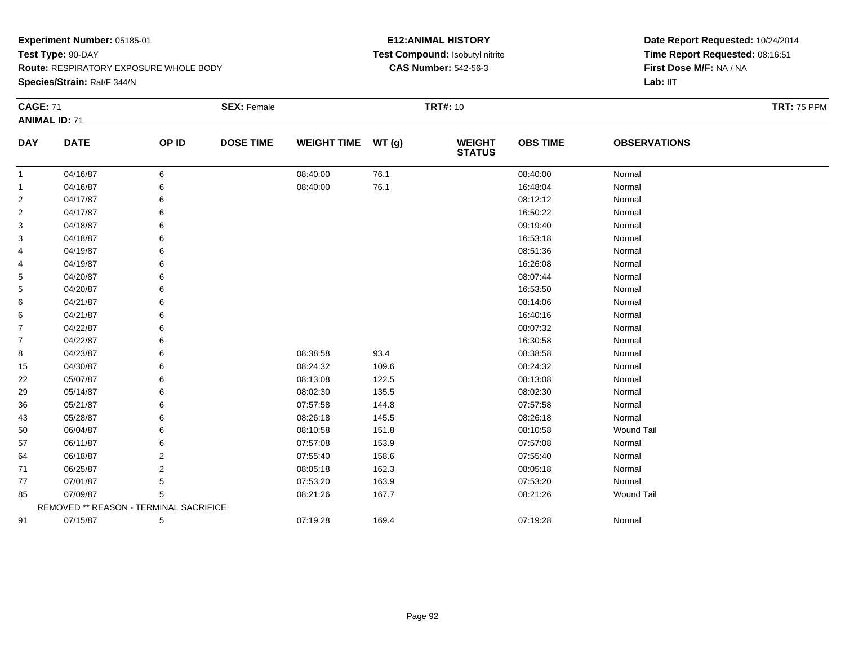**Species/Strain:** Rat/F 344/N

### **E12:ANIMAL HISTORY Test Compound:** Isobutyl nitrite**CAS Number:** 542-56-3

| <b>CAGE: 71</b> | <b>ANIMAL ID: 71</b>                   |       | <b>SEX: Female</b> |                    |       | <b>TRT#: 10</b>                |                 |                     | <b>TRT: 75 PPM</b> |
|-----------------|----------------------------------------|-------|--------------------|--------------------|-------|--------------------------------|-----------------|---------------------|--------------------|
| <b>DAY</b>      | <b>DATE</b>                            | OP ID | <b>DOSE TIME</b>   | <b>WEIGHT TIME</b> | WT(g) | <b>WEIGHT</b><br><b>STATUS</b> | <b>OBS TIME</b> | <b>OBSERVATIONS</b> |                    |
| $\mathbf{1}$    | 04/16/87                               | 6     |                    | 08:40:00           | 76.1  |                                | 08:40:00        | Normal              |                    |
| 1               | 04/16/87                               | 6     |                    | 08:40:00           | 76.1  |                                | 16:48:04        | Normal              |                    |
| 2               | 04/17/87                               |       |                    |                    |       |                                | 08:12:12        | Normal              |                    |
| 2               | 04/17/87                               | 6     |                    |                    |       |                                | 16:50:22        | Normal              |                    |
| 3               | 04/18/87                               |       |                    |                    |       |                                | 09:19:40        | Normal              |                    |
| 3               | 04/18/87                               |       |                    |                    |       |                                | 16:53:18        | Normal              |                    |
| 4               | 04/19/87                               |       |                    |                    |       |                                | 08:51:36        | Normal              |                    |
| 4               | 04/19/87                               |       |                    |                    |       |                                | 16:26:08        | Normal              |                    |
| 5               | 04/20/87                               |       |                    |                    |       |                                | 08:07:44        | Normal              |                    |
| 5               | 04/20/87                               |       |                    |                    |       |                                | 16:53:50        | Normal              |                    |
| 6               | 04/21/87                               |       |                    |                    |       |                                | 08:14:06        | Normal              |                    |
| 6               | 04/21/87                               |       |                    |                    |       |                                | 16:40:16        | Normal              |                    |
| 7               | 04/22/87                               |       |                    |                    |       |                                | 08:07:32        | Normal              |                    |
| 7               | 04/22/87                               |       |                    |                    |       |                                | 16:30:58        | Normal              |                    |
| 8               | 04/23/87                               |       |                    | 08:38:58           | 93.4  |                                | 08:38:58        | Normal              |                    |
| 15              | 04/30/87                               | 6     |                    | 08:24:32           | 109.6 |                                | 08:24:32        | Normal              |                    |
| 22              | 05/07/87                               |       |                    | 08:13:08           | 122.5 |                                | 08:13:08        | Normal              |                    |
| 29              | 05/14/87                               |       |                    | 08:02:30           | 135.5 |                                | 08:02:30        | Normal              |                    |
| 36              | 05/21/87                               |       |                    | 07:57:58           | 144.8 |                                | 07:57:58        | Normal              |                    |
| 43              | 05/28/87                               | 6     |                    | 08:26:18           | 145.5 |                                | 08:26:18        | Normal              |                    |
| 50              | 06/04/87                               |       |                    | 08:10:58           | 151.8 |                                | 08:10:58        | <b>Wound Tail</b>   |                    |
| 57              | 06/11/87                               |       |                    | 07:57:08           | 153.9 |                                | 07:57:08        | Normal              |                    |
| 64              | 06/18/87                               | 2     |                    | 07:55:40           | 158.6 |                                | 07:55:40        | Normal              |                    |
| 71              | 06/25/87                               | 2     |                    | 08:05:18           | 162.3 |                                | 08:05:18        | Normal              |                    |
| 77              | 07/01/87                               | 5     |                    | 07:53:20           | 163.9 |                                | 07:53:20        | Normal              |                    |
| 85              | 07/09/87                               | 5     |                    | 08:21:26           | 167.7 |                                | 08:21:26        | <b>Wound Tail</b>   |                    |
|                 | REMOVED ** REASON - TERMINAL SACRIFICE |       |                    |                    |       |                                |                 |                     |                    |
| 91              | 07/15/87                               | 5     |                    | 07:19:28           | 169.4 |                                | 07:19:28        | Normal              |                    |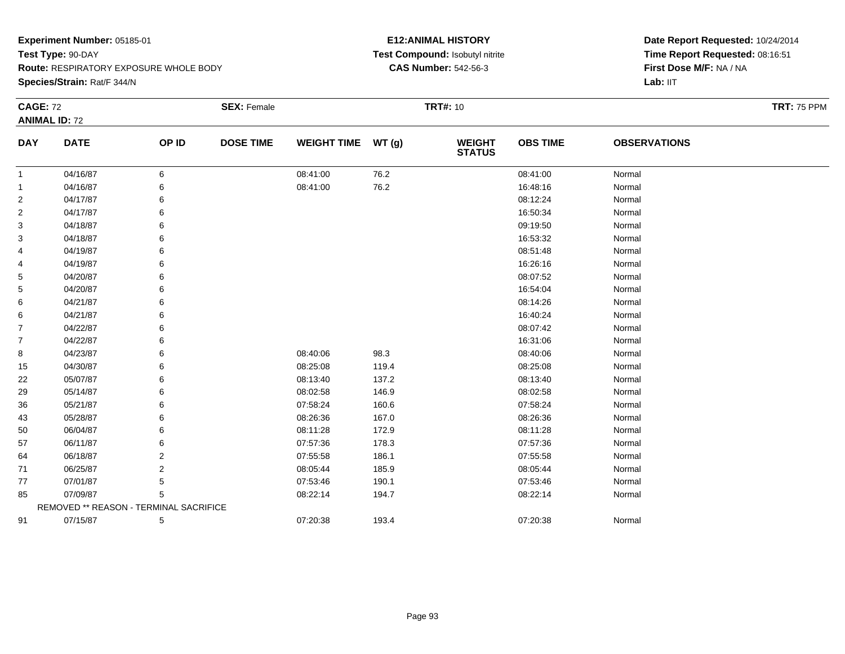**Species/Strain:** Rat/F 344/N

### **E12:ANIMAL HISTORY Test Compound:** Isobutyl nitrite**CAS Number:** 542-56-3

| <b>CAGE: 72</b> |                                        |       | <b>SEX: Female</b> |                    |       | <b>TRT#: 10</b>                |                 |                     | <b>TRT: 75 PPM</b> |
|-----------------|----------------------------------------|-------|--------------------|--------------------|-------|--------------------------------|-----------------|---------------------|--------------------|
|                 | <b>ANIMAL ID: 72</b>                   |       |                    |                    |       |                                |                 |                     |                    |
| <b>DAY</b>      | <b>DATE</b>                            | OP ID | <b>DOSE TIME</b>   | <b>WEIGHT TIME</b> | WT(g) | <b>WEIGHT</b><br><b>STATUS</b> | <b>OBS TIME</b> | <b>OBSERVATIONS</b> |                    |
| 1               | 04/16/87                               | 6     |                    | 08:41:00           | 76.2  |                                | 08:41:00        | Normal              |                    |
| 1               | 04/16/87                               | 6     |                    | 08:41:00           | 76.2  |                                | 16:48:16        | Normal              |                    |
| 2               | 04/17/87                               |       |                    |                    |       |                                | 08:12:24        | Normal              |                    |
| 2               | 04/17/87                               | 6     |                    |                    |       |                                | 16:50:34        | Normal              |                    |
| 3               | 04/18/87                               | 6     |                    |                    |       |                                | 09:19:50        | Normal              |                    |
| 3               | 04/18/87                               | 6     |                    |                    |       |                                | 16:53:32        | Normal              |                    |
| 4               | 04/19/87                               | 6     |                    |                    |       |                                | 08:51:48        | Normal              |                    |
| 4               | 04/19/87                               | 6     |                    |                    |       |                                | 16:26:16        | Normal              |                    |
| 5               | 04/20/87                               | 6     |                    |                    |       |                                | 08:07:52        | Normal              |                    |
| 5               | 04/20/87                               | 6     |                    |                    |       |                                | 16:54:04        | Normal              |                    |
| 6               | 04/21/87                               |       |                    |                    |       |                                | 08:14:26        | Normal              |                    |
| 6               | 04/21/87                               | 6     |                    |                    |       |                                | 16:40:24        | Normal              |                    |
| $\overline{7}$  | 04/22/87                               | 6     |                    |                    |       |                                | 08:07:42        | Normal              |                    |
| $\overline{7}$  | 04/22/87                               | 6     |                    |                    |       |                                | 16:31:06        | Normal              |                    |
| 8               | 04/23/87                               | 6     |                    | 08:40:06           | 98.3  |                                | 08:40:06        | Normal              |                    |
| 15              | 04/30/87                               | 6     |                    | 08:25:08           | 119.4 |                                | 08:25:08        | Normal              |                    |
| 22              | 05/07/87                               | 6     |                    | 08:13:40           | 137.2 |                                | 08:13:40        | Normal              |                    |
| 29              | 05/14/87                               | 6     |                    | 08:02:58           | 146.9 |                                | 08:02:58        | Normal              |                    |
| 36              | 05/21/87                               |       |                    | 07:58:24           | 160.6 |                                | 07:58:24        | Normal              |                    |
| 43              | 05/28/87                               | 6     |                    | 08:26:36           | 167.0 |                                | 08:26:36        | Normal              |                    |
| 50              | 06/04/87                               | 6     |                    | 08:11:28           | 172.9 |                                | 08:11:28        | Normal              |                    |
| 57              | 06/11/87                               | 6     |                    | 07:57:36           | 178.3 |                                | 07:57:36        | Normal              |                    |
| 64              | 06/18/87                               | 2     |                    | 07:55:58           | 186.1 |                                | 07:55:58        | Normal              |                    |
| 71              | 06/25/87                               | 2     |                    | 08:05:44           | 185.9 |                                | 08:05:44        | Normal              |                    |
| 77              | 07/01/87                               | 5     |                    | 07:53:46           | 190.1 |                                | 07:53:46        | Normal              |                    |
| 85              | 07/09/87                               | 5     |                    | 08:22:14           | 194.7 |                                | 08:22:14        | Normal              |                    |
|                 | REMOVED ** REASON - TERMINAL SACRIFICE |       |                    |                    |       |                                |                 |                     |                    |
| 91              | 07/15/87                               | 5     |                    | 07:20:38           | 193.4 |                                | 07:20:38        | Normal              |                    |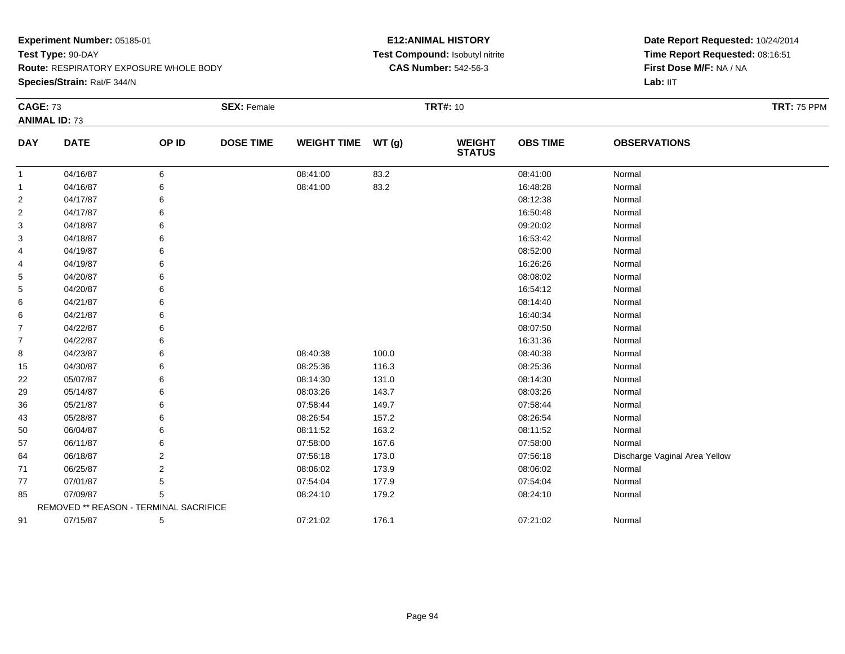**Species/Strain:** Rat/F 344/N

### **E12:ANIMAL HISTORY Test Compound:** Isobutyl nitrite**CAS Number:** 542-56-3

| <b>CAGE: 73</b> | <b>ANIMAL ID: 73</b>                   |       | <b>SEX: Female</b> |                    |       | <b>TRT#: 10</b>                |                 |                               | <b>TRT: 75 PPM</b> |
|-----------------|----------------------------------------|-------|--------------------|--------------------|-------|--------------------------------|-----------------|-------------------------------|--------------------|
| <b>DAY</b>      | <b>DATE</b>                            | OP ID | <b>DOSE TIME</b>   | <b>WEIGHT TIME</b> | WT(g) | <b>WEIGHT</b><br><b>STATUS</b> | <b>OBS TIME</b> | <b>OBSERVATIONS</b>           |                    |
| -1              | 04/16/87                               | 6     |                    | 08:41:00           | 83.2  |                                | 08:41:00        | Normal                        |                    |
| $\mathbf 1$     | 04/16/87                               | 6     |                    | 08:41:00           | 83.2  |                                | 16:48:28        | Normal                        |                    |
| $\overline{2}$  | 04/17/87                               |       |                    |                    |       |                                | 08:12:38        | Normal                        |                    |
| $\overline{2}$  | 04/17/87                               |       |                    |                    |       |                                | 16:50:48        | Normal                        |                    |
| 3               | 04/18/87                               |       |                    |                    |       |                                | 09:20:02        | Normal                        |                    |
| 3               | 04/18/87                               |       |                    |                    |       |                                | 16:53:42        | Normal                        |                    |
| 4               | 04/19/87                               |       |                    |                    |       |                                | 08:52:00        | Normal                        |                    |
| 4               | 04/19/87                               |       |                    |                    |       |                                | 16:26:26        | Normal                        |                    |
| 5               | 04/20/87                               |       |                    |                    |       |                                | 08:08:02        | Normal                        |                    |
| 5               | 04/20/87                               |       |                    |                    |       |                                | 16:54:12        | Normal                        |                    |
| 6               | 04/21/87                               |       |                    |                    |       |                                | 08:14:40        | Normal                        |                    |
| 6               | 04/21/87                               |       |                    |                    |       |                                | 16:40:34        | Normal                        |                    |
| $\overline{7}$  | 04/22/87                               |       |                    |                    |       |                                | 08:07:50        | Normal                        |                    |
| $\overline{7}$  | 04/22/87                               |       |                    |                    |       |                                | 16:31:36        | Normal                        |                    |
| 8               | 04/23/87                               |       |                    | 08:40:38           | 100.0 |                                | 08:40:38        | Normal                        |                    |
| 15              | 04/30/87                               |       |                    | 08:25:36           | 116.3 |                                | 08:25:36        | Normal                        |                    |
| 22              | 05/07/87                               |       |                    | 08:14:30           | 131.0 |                                | 08:14:30        | Normal                        |                    |
| 29              | 05/14/87                               |       |                    | 08:03:26           | 143.7 |                                | 08:03:26        | Normal                        |                    |
| 36              | 05/21/87                               |       |                    | 07:58:44           | 149.7 |                                | 07:58:44        | Normal                        |                    |
| 43              | 05/28/87                               |       |                    | 08:26:54           | 157.2 |                                | 08:26:54        | Normal                        |                    |
| 50              | 06/04/87                               |       |                    | 08:11:52           | 163.2 |                                | 08:11:52        | Normal                        |                    |
| 57              | 06/11/87                               |       |                    | 07:58:00           | 167.6 |                                | 07:58:00        | Normal                        |                    |
| 64              | 06/18/87                               | 2     |                    | 07:56:18           | 173.0 |                                | 07:56:18        | Discharge Vaginal Area Yellow |                    |
| 71              | 06/25/87                               | 2     |                    | 08:06:02           | 173.9 |                                | 08:06:02        | Normal                        |                    |
| 77              | 07/01/87                               | 5     |                    | 07:54:04           | 177.9 |                                | 07:54:04        | Normal                        |                    |
| 85              | 07/09/87                               | 5     |                    | 08:24:10           | 179.2 |                                | 08:24:10        | Normal                        |                    |
|                 | REMOVED ** REASON - TERMINAL SACRIFICE |       |                    |                    |       |                                |                 |                               |                    |
| 91              | 07/15/87                               | 5     |                    | 07:21:02           | 176.1 |                                | 07:21:02        | Normal                        |                    |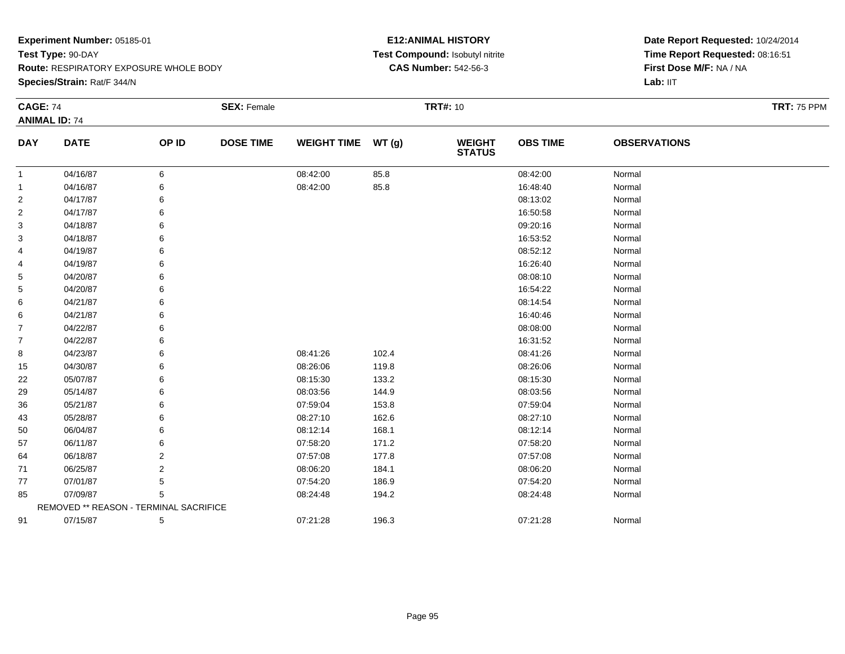**Species/Strain:** Rat/F 344/N

### **E12:ANIMAL HISTORY Test Compound:** Isobutyl nitrite**CAS Number:** 542-56-3

| <b>CAGE: 74</b> |                                        |       | <b>SEX: Female</b> |                    |       | <b>TRT#: 10</b>                |                 |                     | <b>TRT: 75 PPM</b> |
|-----------------|----------------------------------------|-------|--------------------|--------------------|-------|--------------------------------|-----------------|---------------------|--------------------|
|                 | <b>ANIMAL ID: 74</b>                   |       |                    |                    |       |                                |                 |                     |                    |
| <b>DAY</b>      | <b>DATE</b>                            | OP ID | <b>DOSE TIME</b>   | <b>WEIGHT TIME</b> | WT(g) | <b>WEIGHT</b><br><b>STATUS</b> | <b>OBS TIME</b> | <b>OBSERVATIONS</b> |                    |
| -1              | 04/16/87                               | 6     |                    | 08:42:00           | 85.8  |                                | 08:42:00        | Normal              |                    |
| -1              | 04/16/87                               | 6     |                    | 08:42:00           | 85.8  |                                | 16:48:40        | Normal              |                    |
| 2               | 04/17/87                               | 6     |                    |                    |       |                                | 08:13:02        | Normal              |                    |
| $\overline{2}$  | 04/17/87                               | 6     |                    |                    |       |                                | 16:50:58        | Normal              |                    |
| 3               | 04/18/87                               | 6     |                    |                    |       |                                | 09:20:16        | Normal              |                    |
| 3               | 04/18/87                               | 6     |                    |                    |       |                                | 16:53:52        | Normal              |                    |
| 4               | 04/19/87                               | 6     |                    |                    |       |                                | 08:52:12        | Normal              |                    |
| 4               | 04/19/87                               | 6     |                    |                    |       |                                | 16:26:40        | Normal              |                    |
| 5               | 04/20/87                               | 6     |                    |                    |       |                                | 08:08:10        | Normal              |                    |
| 5               | 04/20/87                               | 6     |                    |                    |       |                                | 16:54:22        | Normal              |                    |
| 6               | 04/21/87                               | 6     |                    |                    |       |                                | 08:14:54        | Normal              |                    |
| 6               | 04/21/87                               | 6     |                    |                    |       |                                | 16:40:46        | Normal              |                    |
| $\overline{7}$  | 04/22/87                               | 6     |                    |                    |       |                                | 08:08:00        | Normal              |                    |
| $\overline{7}$  | 04/22/87                               | 6     |                    |                    |       |                                | 16:31:52        | Normal              |                    |
| 8               | 04/23/87                               | 6     |                    | 08:41:26           | 102.4 |                                | 08:41:26        | Normal              |                    |
| 15              | 04/30/87                               | 6     |                    | 08:26:06           | 119.8 |                                | 08:26:06        | Normal              |                    |
| 22              | 05/07/87                               | 6     |                    | 08:15:30           | 133.2 |                                | 08:15:30        | Normal              |                    |
| 29              | 05/14/87                               | 6     |                    | 08:03:56           | 144.9 |                                | 08:03:56        | Normal              |                    |
| 36              | 05/21/87                               | 6     |                    | 07:59:04           | 153.8 |                                | 07:59:04        | Normal              |                    |
| 43              | 05/28/87                               | 6     |                    | 08:27:10           | 162.6 |                                | 08:27:10        | Normal              |                    |
| 50              | 06/04/87                               | 6     |                    | 08:12:14           | 168.1 |                                | 08:12:14        | Normal              |                    |
| 57              | 06/11/87                               | 6     |                    | 07:58:20           | 171.2 |                                | 07:58:20        | Normal              |                    |
| 64              | 06/18/87                               | 2     |                    | 07:57:08           | 177.8 |                                | 07:57:08        | Normal              |                    |
| 71              | 06/25/87                               | 2     |                    | 08:06:20           | 184.1 |                                | 08:06:20        | Normal              |                    |
| 77              | 07/01/87                               | 5     |                    | 07:54:20           | 186.9 |                                | 07:54:20        | Normal              |                    |
| 85              | 07/09/87                               | 5     |                    | 08:24:48           | 194.2 |                                | 08:24:48        | Normal              |                    |
|                 | REMOVED ** REASON - TERMINAL SACRIFICE |       |                    |                    |       |                                |                 |                     |                    |
| 91              | 07/15/87                               | 5     |                    | 07:21:28           | 196.3 |                                | 07:21:28        | Normal              |                    |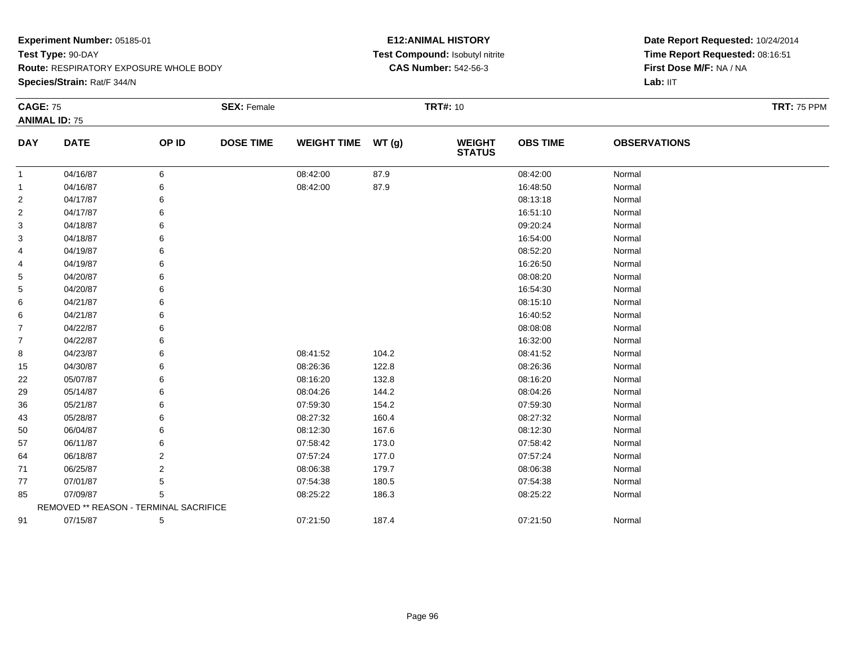**Species/Strain:** Rat/F 344/N

### **E12:ANIMAL HISTORY Test Compound:** Isobutyl nitrite**CAS Number:** 542-56-3

| <b>CAGE: 75</b> |                                        |       | <b>SEX: Female</b> |                    |       | <b>TRT#: 10</b>                |                 |                     | <b>TRT: 75 PPM</b> |
|-----------------|----------------------------------------|-------|--------------------|--------------------|-------|--------------------------------|-----------------|---------------------|--------------------|
|                 | <b>ANIMAL ID: 75</b>                   |       |                    |                    |       |                                |                 |                     |                    |
| <b>DAY</b>      | <b>DATE</b>                            | OP ID | <b>DOSE TIME</b>   | <b>WEIGHT TIME</b> | WT(g) | <b>WEIGHT</b><br><b>STATUS</b> | <b>OBS TIME</b> | <b>OBSERVATIONS</b> |                    |
| -1              | 04/16/87                               | 6     |                    | 08:42:00           | 87.9  |                                | 08:42:00        | Normal              |                    |
| -1              | 04/16/87                               | 6     |                    | 08:42:00           | 87.9  |                                | 16:48:50        | Normal              |                    |
| 2               | 04/17/87                               | 6     |                    |                    |       |                                | 08:13:18        | Normal              |                    |
| $\overline{2}$  | 04/17/87                               | 6     |                    |                    |       |                                | 16:51:10        | Normal              |                    |
| 3               | 04/18/87                               | 6     |                    |                    |       |                                | 09:20:24        | Normal              |                    |
| 3               | 04/18/87                               | 6     |                    |                    |       |                                | 16:54:00        | Normal              |                    |
| 4               | 04/19/87                               | 6     |                    |                    |       |                                | 08:52:20        | Normal              |                    |
| 4               | 04/19/87                               | 6     |                    |                    |       |                                | 16:26:50        | Normal              |                    |
| 5               | 04/20/87                               | 6     |                    |                    |       |                                | 08:08:20        | Normal              |                    |
| 5               | 04/20/87                               | 6     |                    |                    |       |                                | 16:54:30        | Normal              |                    |
| 6               | 04/21/87                               | 6     |                    |                    |       |                                | 08:15:10        | Normal              |                    |
| 6               | 04/21/87                               | 6     |                    |                    |       |                                | 16:40:52        | Normal              |                    |
| $\overline{7}$  | 04/22/87                               | 6     |                    |                    |       |                                | 08:08:08        | Normal              |                    |
| $\overline{7}$  | 04/22/87                               | 6     |                    |                    |       |                                | 16:32:00        | Normal              |                    |
| 8               | 04/23/87                               | 6     |                    | 08:41:52           | 104.2 |                                | 08:41:52        | Normal              |                    |
| 15              | 04/30/87                               | 6     |                    | 08:26:36           | 122.8 |                                | 08:26:36        | Normal              |                    |
| 22              | 05/07/87                               | 6     |                    | 08:16:20           | 132.8 |                                | 08:16:20        | Normal              |                    |
| 29              | 05/14/87                               | 6     |                    | 08:04:26           | 144.2 |                                | 08:04:26        | Normal              |                    |
| 36              | 05/21/87                               | 6     |                    | 07:59:30           | 154.2 |                                | 07:59:30        | Normal              |                    |
| 43              | 05/28/87                               | 6     |                    | 08:27:32           | 160.4 |                                | 08:27:32        | Normal              |                    |
| 50              | 06/04/87                               | 6     |                    | 08:12:30           | 167.6 |                                | 08:12:30        | Normal              |                    |
| 57              | 06/11/87                               | 6     |                    | 07:58:42           | 173.0 |                                | 07:58:42        | Normal              |                    |
| 64              | 06/18/87                               | 2     |                    | 07:57:24           | 177.0 |                                | 07:57:24        | Normal              |                    |
| 71              | 06/25/87                               | 2     |                    | 08:06:38           | 179.7 |                                | 08:06:38        | Normal              |                    |
| 77              | 07/01/87                               | 5     |                    | 07:54:38           | 180.5 |                                | 07:54:38        | Normal              |                    |
| 85              | 07/09/87                               | 5     |                    | 08:25:22           | 186.3 |                                | 08:25:22        | Normal              |                    |
|                 | REMOVED ** REASON - TERMINAL SACRIFICE |       |                    |                    |       |                                |                 |                     |                    |
| 91              | 07/15/87                               | 5     |                    | 07:21:50           | 187.4 |                                | 07:21:50        | Normal              |                    |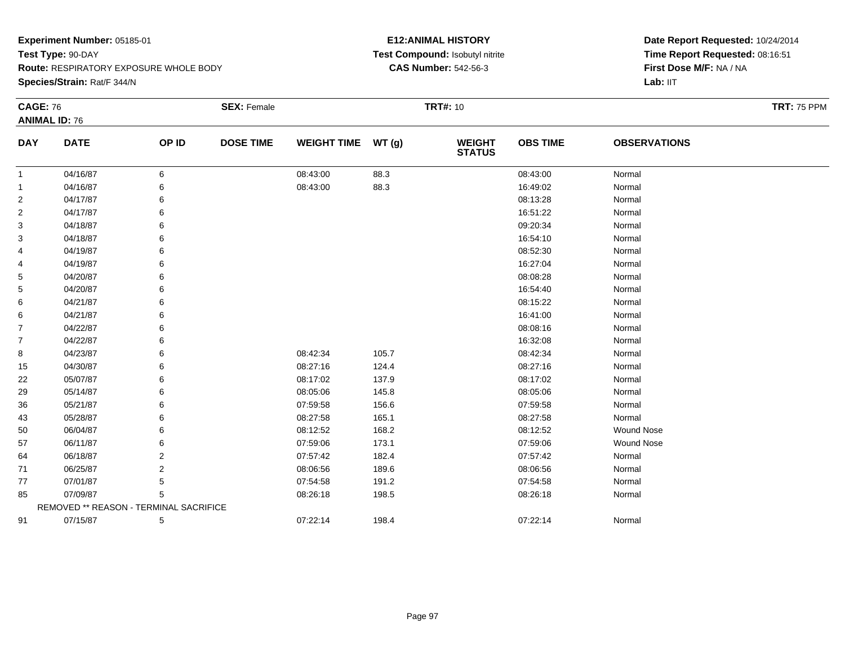**Species/Strain:** Rat/F 344/N

#### **E12:ANIMAL HISTORY Test Compound:** Isobutyl nitrite**CAS Number:** 542-56-3

| <b>CAGE: 76</b> |                                        |       | <b>SEX: Female</b> |                    |       | <b>TRT#: 10</b>                |                 |                     | <b>TRT: 75 PPM</b> |
|-----------------|----------------------------------------|-------|--------------------|--------------------|-------|--------------------------------|-----------------|---------------------|--------------------|
|                 | <b>ANIMAL ID: 76</b>                   |       |                    |                    |       |                                |                 |                     |                    |
| <b>DAY</b>      | <b>DATE</b>                            | OP ID | <b>DOSE TIME</b>   | WEIGHT TIME WT (g) |       | <b>WEIGHT</b><br><b>STATUS</b> | <b>OBS TIME</b> | <b>OBSERVATIONS</b> |                    |
| -1              | 04/16/87                               | 6     |                    | 08:43:00           | 88.3  |                                | 08:43:00        | Normal              |                    |
| 1               | 04/16/87                               | 6     |                    | 08:43:00           | 88.3  |                                | 16:49:02        | Normal              |                    |
| 2               | 04/17/87                               | 6     |                    |                    |       |                                | 08:13:28        | Normal              |                    |
| $\overline{2}$  | 04/17/87                               | 6     |                    |                    |       |                                | 16:51:22        | Normal              |                    |
| 3               | 04/18/87                               | 6     |                    |                    |       |                                | 09:20:34        | Normal              |                    |
| 3               | 04/18/87                               | 6     |                    |                    |       |                                | 16:54:10        | Normal              |                    |
| 4               | 04/19/87                               | 6     |                    |                    |       |                                | 08:52:30        | Normal              |                    |
| 4               | 04/19/87                               | 6     |                    |                    |       |                                | 16:27:04        | Normal              |                    |
| 5               | 04/20/87                               | 6     |                    |                    |       |                                | 08:08:28        | Normal              |                    |
| 5               | 04/20/87                               | 6     |                    |                    |       |                                | 16:54:40        | Normal              |                    |
| 6               | 04/21/87                               | 6     |                    |                    |       |                                | 08:15:22        | Normal              |                    |
| 6               | 04/21/87                               | 6     |                    |                    |       |                                | 16:41:00        | Normal              |                    |
| 7               | 04/22/87                               | 6     |                    |                    |       |                                | 08:08:16        | Normal              |                    |
| 7               | 04/22/87                               | 6     |                    |                    |       |                                | 16:32:08        | Normal              |                    |
| 8               | 04/23/87                               | 6     |                    | 08:42:34           | 105.7 |                                | 08:42:34        | Normal              |                    |
| 15              | 04/30/87                               | 6     |                    | 08:27:16           | 124.4 |                                | 08:27:16        | Normal              |                    |
| 22              | 05/07/87                               | 6     |                    | 08:17:02           | 137.9 |                                | 08:17:02        | Normal              |                    |
| 29              | 05/14/87                               |       |                    | 08:05:06           | 145.8 |                                | 08:05:06        | Normal              |                    |
| 36              | 05/21/87                               | 6     |                    | 07:59:58           | 156.6 |                                | 07:59:58        | Normal              |                    |
| 43              | 05/28/87                               | 6     |                    | 08:27:58           | 165.1 |                                | 08:27:58        | Normal              |                    |
| 50              | 06/04/87                               | 6     |                    | 08:12:52           | 168.2 |                                | 08:12:52        | Wound Nose          |                    |
| 57              | 06/11/87                               | 6     |                    | 07:59:06           | 173.1 |                                | 07:59:06        | <b>Wound Nose</b>   |                    |
| 64              | 06/18/87                               | 2     |                    | 07:57:42           | 182.4 |                                | 07:57:42        | Normal              |                    |
| 71              | 06/25/87                               | 2     |                    | 08:06:56           | 189.6 |                                | 08:06:56        | Normal              |                    |
| 77              | 07/01/87                               | 5     |                    | 07:54:58           | 191.2 |                                | 07:54:58        | Normal              |                    |
| 85              | 07/09/87                               | 5     |                    | 08:26:18           | 198.5 |                                | 08:26:18        | Normal              |                    |
|                 | REMOVED ** REASON - TERMINAL SACRIFICE |       |                    |                    |       |                                |                 |                     |                    |
| 91              | 07/15/87                               | 5     |                    | 07:22:14           | 198.4 |                                | 07:22:14        | Normal              |                    |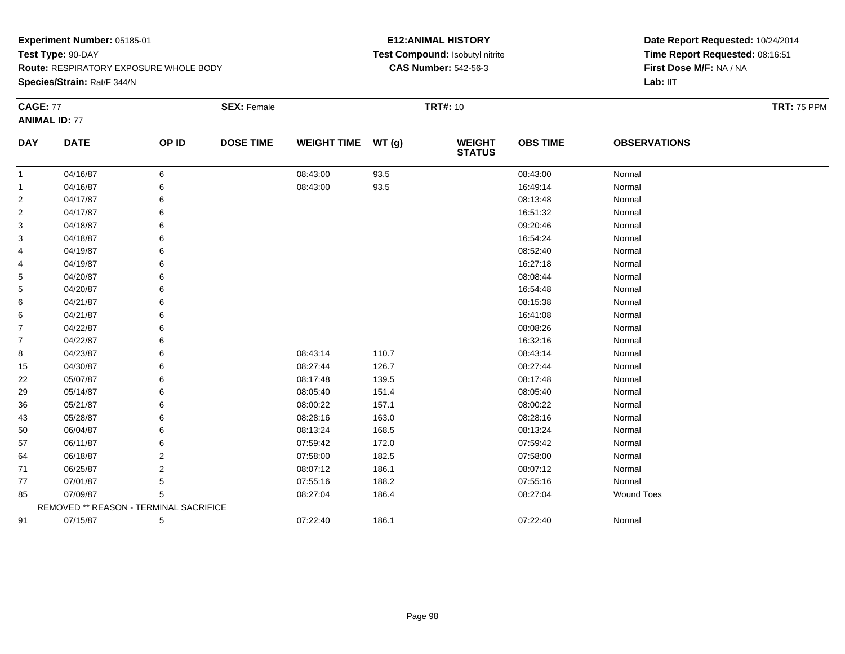**Species/Strain:** Rat/F 344/N

### **E12:ANIMAL HISTORY Test Compound:** Isobutyl nitrite**CAS Number:** 542-56-3

| <b>CAGE: 77</b> | <b>ANIMAL ID: 77</b>                   |       | <b>SEX: Female</b> |                    |       | <b>TRT#: 10</b>                |                 |                     | <b>TRT: 75 PPM</b> |
|-----------------|----------------------------------------|-------|--------------------|--------------------|-------|--------------------------------|-----------------|---------------------|--------------------|
| <b>DAY</b>      | <b>DATE</b>                            | OP ID | <b>DOSE TIME</b>   | <b>WEIGHT TIME</b> | WT(g) | <b>WEIGHT</b><br><b>STATUS</b> | <b>OBS TIME</b> | <b>OBSERVATIONS</b> |                    |
| $\mathbf{1}$    | 04/16/87                               | 6     |                    | 08:43:00           | 93.5  |                                | 08:43:00        | Normal              |                    |
| 1               | 04/16/87                               | 6     |                    | 08:43:00           | 93.5  |                                | 16:49:14        | Normal              |                    |
| 2               | 04/17/87                               | 6     |                    |                    |       |                                | 08:13:48        | Normal              |                    |
| 2               | 04/17/87                               | 6     |                    |                    |       |                                | 16:51:32        | Normal              |                    |
| 3               | 04/18/87                               | 6     |                    |                    |       |                                | 09:20:46        | Normal              |                    |
| 3               | 04/18/87                               | 6     |                    |                    |       |                                | 16:54:24        | Normal              |                    |
| 4               | 04/19/87                               | 6     |                    |                    |       |                                | 08:52:40        | Normal              |                    |
| 4               | 04/19/87                               | 6     |                    |                    |       |                                | 16:27:18        | Normal              |                    |
| 5               | 04/20/87                               |       |                    |                    |       |                                | 08:08:44        | Normal              |                    |
| 5               | 04/20/87                               |       |                    |                    |       |                                | 16:54:48        | Normal              |                    |
| 6               | 04/21/87                               |       |                    |                    |       |                                | 08:15:38        | Normal              |                    |
| 6               | 04/21/87                               | 6     |                    |                    |       |                                | 16:41:08        | Normal              |                    |
| 7               | 04/22/87                               |       |                    |                    |       |                                | 08:08:26        | Normal              |                    |
| $\overline{7}$  | 04/22/87                               |       |                    |                    |       |                                | 16:32:16        | Normal              |                    |
| 8               | 04/23/87                               |       |                    | 08:43:14           | 110.7 |                                | 08:43:14        | Normal              |                    |
| 15              | 04/30/87                               | 6     |                    | 08:27:44           | 126.7 |                                | 08:27:44        | Normal              |                    |
| 22              | 05/07/87                               |       |                    | 08:17:48           | 139.5 |                                | 08:17:48        | Normal              |                    |
| 29              | 05/14/87                               |       |                    | 08:05:40           | 151.4 |                                | 08:05:40        | Normal              |                    |
| 36              | 05/21/87                               |       |                    | 08:00:22           | 157.1 |                                | 08:00:22        | Normal              |                    |
| 43              | 05/28/87                               | 6     |                    | 08:28:16           | 163.0 |                                | 08:28:16        | Normal              |                    |
| 50              | 06/04/87                               |       |                    | 08:13:24           | 168.5 |                                | 08:13:24        | Normal              |                    |
| 57              | 06/11/87                               |       |                    | 07:59:42           | 172.0 |                                | 07:59:42        | Normal              |                    |
| 64              | 06/18/87                               | 2     |                    | 07:58:00           | 182.5 |                                | 07:58:00        | Normal              |                    |
| 71              | 06/25/87                               | 2     |                    | 08:07:12           | 186.1 |                                | 08:07:12        | Normal              |                    |
| 77              | 07/01/87                               | 5     |                    | 07:55:16           | 188.2 |                                | 07:55:16        | Normal              |                    |
| 85              | 07/09/87                               | 5     |                    | 08:27:04           | 186.4 |                                | 08:27:04        | <b>Wound Toes</b>   |                    |
|                 | REMOVED ** REASON - TERMINAL SACRIFICE |       |                    |                    |       |                                |                 |                     |                    |
| 91              | 07/15/87                               | 5     |                    | 07:22:40           | 186.1 |                                | 07:22:40        | Normal              |                    |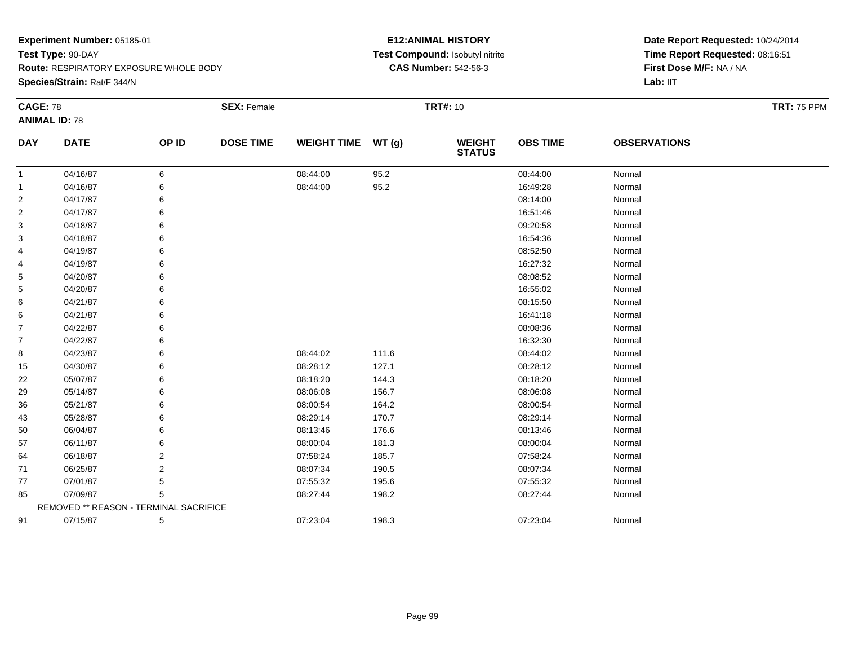**Species/Strain:** Rat/F 344/N

### **E12:ANIMAL HISTORY Test Compound:** Isobutyl nitrite**CAS Number:** 542-56-3

| <b>CAGE: 78</b> |                                        |       | <b>SEX: Female</b> |                    |       | <b>TRT#: 10</b>                |                 |                     | <b>TRT: 75 PPM</b> |
|-----------------|----------------------------------------|-------|--------------------|--------------------|-------|--------------------------------|-----------------|---------------------|--------------------|
|                 | <b>ANIMAL ID: 78</b>                   |       |                    |                    |       |                                |                 |                     |                    |
| <b>DAY</b>      | <b>DATE</b>                            | OP ID | <b>DOSE TIME</b>   | <b>WEIGHT TIME</b> | WT(g) | <b>WEIGHT</b><br><b>STATUS</b> | <b>OBS TIME</b> | <b>OBSERVATIONS</b> |                    |
| -1              | 04/16/87                               | 6     |                    | 08:44:00           | 95.2  |                                | 08:44:00        | Normal              |                    |
| -1              | 04/16/87                               | 6     |                    | 08:44:00           | 95.2  |                                | 16:49:28        | Normal              |                    |
| 2               | 04/17/87                               | 6     |                    |                    |       |                                | 08:14:00        | Normal              |                    |
| $\overline{2}$  | 04/17/87                               | 6     |                    |                    |       |                                | 16:51:46        | Normal              |                    |
| 3               | 04/18/87                               | 6     |                    |                    |       |                                | 09:20:58        | Normal              |                    |
| 3               | 04/18/87                               | 6     |                    |                    |       |                                | 16:54:36        | Normal              |                    |
| 4               | 04/19/87                               | 6     |                    |                    |       |                                | 08:52:50        | Normal              |                    |
| 4               | 04/19/87                               | 6     |                    |                    |       |                                | 16:27:32        | Normal              |                    |
| 5               | 04/20/87                               | 6     |                    |                    |       |                                | 08:08:52        | Normal              |                    |
| 5               | 04/20/87                               | 6     |                    |                    |       |                                | 16:55:02        | Normal              |                    |
| 6               | 04/21/87                               | 6     |                    |                    |       |                                | 08:15:50        | Normal              |                    |
| 6               | 04/21/87                               | 6     |                    |                    |       |                                | 16:41:18        | Normal              |                    |
| $\overline{7}$  | 04/22/87                               | 6     |                    |                    |       |                                | 08:08:36        | Normal              |                    |
| $\overline{7}$  | 04/22/87                               | 6     |                    |                    |       |                                | 16:32:30        | Normal              |                    |
| 8               | 04/23/87                               | 6     |                    | 08:44:02           | 111.6 |                                | 08:44:02        | Normal              |                    |
| 15              | 04/30/87                               | 6     |                    | 08:28:12           | 127.1 |                                | 08:28:12        | Normal              |                    |
| 22              | 05/07/87                               | 6     |                    | 08:18:20           | 144.3 |                                | 08:18:20        | Normal              |                    |
| 29              | 05/14/87                               | 6     |                    | 08:06:08           | 156.7 |                                | 08:06:08        | Normal              |                    |
| 36              | 05/21/87                               | 6     |                    | 08:00:54           | 164.2 |                                | 08:00:54        | Normal              |                    |
| 43              | 05/28/87                               | 6     |                    | 08:29:14           | 170.7 |                                | 08:29:14        | Normal              |                    |
| 50              | 06/04/87                               | 6     |                    | 08:13:46           | 176.6 |                                | 08:13:46        | Normal              |                    |
| 57              | 06/11/87                               | 6     |                    | 08:00:04           | 181.3 |                                | 08:00:04        | Normal              |                    |
| 64              | 06/18/87                               | 2     |                    | 07:58:24           | 185.7 |                                | 07:58:24        | Normal              |                    |
| 71              | 06/25/87                               | 2     |                    | 08:07:34           | 190.5 |                                | 08:07:34        | Normal              |                    |
| 77              | 07/01/87                               | 5     |                    | 07:55:32           | 195.6 |                                | 07:55:32        | Normal              |                    |
| 85              | 07/09/87                               | 5     |                    | 08:27:44           | 198.2 |                                | 08:27:44        | Normal              |                    |
|                 | REMOVED ** REASON - TERMINAL SACRIFICE |       |                    |                    |       |                                |                 |                     |                    |
| 91              | 07/15/87                               | 5     |                    | 07:23:04           | 198.3 |                                | 07:23:04        | Normal              |                    |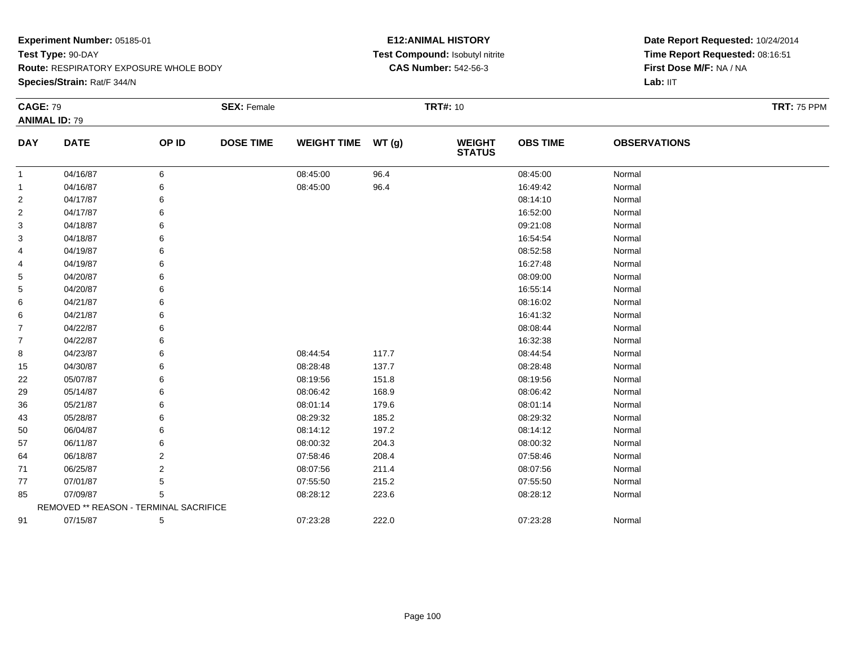**Species/Strain:** Rat/F 344/N

### **E12:ANIMAL HISTORY Test Compound:** Isobutyl nitrite**CAS Number:** 542-56-3

| <b>CAGE: 79</b> |                                        |                | <b>SEX: Female</b> |                    |       | <b>TRT#: 10</b>          |                 |                     | <b>TRT: 75 PPM</b> |
|-----------------|----------------------------------------|----------------|--------------------|--------------------|-------|--------------------------|-----------------|---------------------|--------------------|
|                 | <b>ANIMAL ID: 79</b>                   |                |                    |                    |       |                          |                 |                     |                    |
| <b>DAY</b>      | <b>DATE</b>                            | OP ID          | <b>DOSE TIME</b>   | WEIGHT TIME WT (g) |       | <b>WEIGHT<br/>STATUS</b> | <b>OBS TIME</b> | <b>OBSERVATIONS</b> |                    |
| $\mathbf{1}$    | 04/16/87                               | 6              |                    | 08:45:00           | 96.4  |                          | 08:45:00        | Normal              |                    |
| 1               | 04/16/87                               | 6              |                    | 08:45:00           | 96.4  |                          | 16:49:42        | Normal              |                    |
| 2               | 04/17/87                               |                |                    |                    |       |                          | 08:14:10        | Normal              |                    |
| 2               | 04/17/87                               |                |                    |                    |       |                          | 16:52:00        | Normal              |                    |
| 3               | 04/18/87                               |                |                    |                    |       |                          | 09:21:08        | Normal              |                    |
| 3               | 04/18/87                               | 6              |                    |                    |       |                          | 16:54:54        | Normal              |                    |
| 4               | 04/19/87                               | 6              |                    |                    |       |                          | 08:52:58        | Normal              |                    |
| 4               | 04/19/87                               | 6              |                    |                    |       |                          | 16:27:48        | Normal              |                    |
| 5               | 04/20/87                               |                |                    |                    |       |                          | 08:09:00        | Normal              |                    |
| 5               | 04/20/87                               | 6              |                    |                    |       |                          | 16:55:14        | Normal              |                    |
| 6               | 04/21/87                               | 6              |                    |                    |       |                          | 08:16:02        | Normal              |                    |
| 6               | 04/21/87                               |                |                    |                    |       |                          | 16:41:32        | Normal              |                    |
| 7               | 04/22/87                               |                |                    |                    |       |                          | 08:08:44        | Normal              |                    |
| 7               | 04/22/87                               | 6              |                    |                    |       |                          | 16:32:38        | Normal              |                    |
| 8               | 04/23/87                               | 6              |                    | 08:44:54           | 117.7 |                          | 08:44:54        | Normal              |                    |
| 15              | 04/30/87                               |                |                    | 08:28:48           | 137.7 |                          | 08:28:48        | Normal              |                    |
| 22              | 05/07/87                               |                |                    | 08:19:56           | 151.8 |                          | 08:19:56        | Normal              |                    |
| 29              | 05/14/87                               |                |                    | 08:06:42           | 168.9 |                          | 08:06:42        | Normal              |                    |
| 36              | 05/21/87                               | 6              |                    | 08:01:14           | 179.6 |                          | 08:01:14        | Normal              |                    |
| 43              | 05/28/87                               |                |                    | 08:29:32           | 185.2 |                          | 08:29:32        | Normal              |                    |
| 50              | 06/04/87                               | 6              |                    | 08:14:12           | 197.2 |                          | 08:14:12        | Normal              |                    |
| 57              | 06/11/87                               | 6              |                    | 08:00:32           | 204.3 |                          | 08:00:32        | Normal              |                    |
| 64              | 06/18/87                               | 2              |                    | 07:58:46           | 208.4 |                          | 07:58:46        | Normal              |                    |
| 71              | 06/25/87                               | $\overline{2}$ |                    | 08:07:56           | 211.4 |                          | 08:07:56        | Normal              |                    |
| 77              | 07/01/87                               | 5              |                    | 07:55:50           | 215.2 |                          | 07:55:50        | Normal              |                    |
| 85              | 07/09/87                               | 5              |                    | 08:28:12           | 223.6 |                          | 08:28:12        | Normal              |                    |
|                 | REMOVED ** REASON - TERMINAL SACRIFICE |                |                    |                    |       |                          |                 |                     |                    |
| 91              | 07/15/87                               | 5              |                    | 07:23:28           | 222.0 |                          | 07:23:28        | Normal              |                    |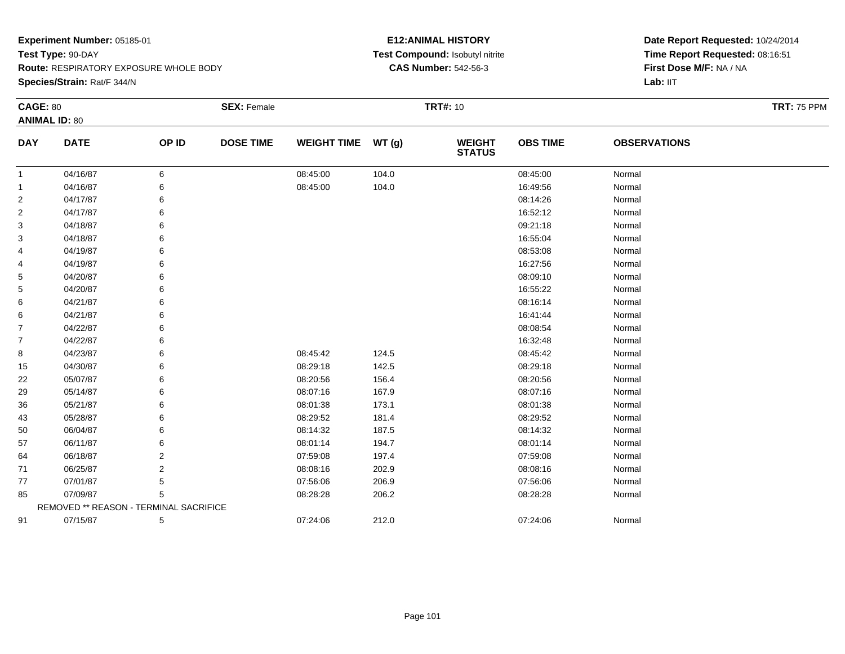**Species/Strain:** Rat/F 344/N

### **E12:ANIMAL HISTORY Test Compound:** Isobutyl nitrite**CAS Number:** 542-56-3

| <b>CAGE: 80</b> |                                        |                | <b>SEX: Female</b> |                    |       | <b>TRT#: 10</b>                |                 |                     | <b>TRT: 75 PPM</b> |
|-----------------|----------------------------------------|----------------|--------------------|--------------------|-------|--------------------------------|-----------------|---------------------|--------------------|
|                 | <b>ANIMAL ID: 80</b>                   |                |                    |                    |       |                                |                 |                     |                    |
| <b>DAY</b>      | <b>DATE</b>                            | OP ID          | <b>DOSE TIME</b>   | <b>WEIGHT TIME</b> | WT(g) | <b>WEIGHT</b><br><b>STATUS</b> | <b>OBS TIME</b> | <b>OBSERVATIONS</b> |                    |
| 1               | 04/16/87                               | 6              |                    | 08:45:00           | 104.0 |                                | 08:45:00        | Normal              |                    |
| 1               | 04/16/87                               | 6              |                    | 08:45:00           | 104.0 |                                | 16:49:56        | Normal              |                    |
| 2               | 04/17/87                               | 6              |                    |                    |       |                                | 08:14:26        | Normal              |                    |
| 2               | 04/17/87                               | 6              |                    |                    |       |                                | 16:52:12        | Normal              |                    |
| 3               | 04/18/87                               | 6              |                    |                    |       |                                | 09:21:18        | Normal              |                    |
| 3               | 04/18/87                               | 6              |                    |                    |       |                                | 16:55:04        | Normal              |                    |
| 4               | 04/19/87                               | 6              |                    |                    |       |                                | 08:53:08        | Normal              |                    |
| 4               | 04/19/87                               | 6              |                    |                    |       |                                | 16:27:56        | Normal              |                    |
| 5               | 04/20/87                               | 6              |                    |                    |       |                                | 08:09:10        | Normal              |                    |
| 5               | 04/20/87                               | 6              |                    |                    |       |                                | 16:55:22        | Normal              |                    |
| 6               | 04/21/87                               | 6              |                    |                    |       |                                | 08:16:14        | Normal              |                    |
| 6               | 04/21/87                               | 6              |                    |                    |       |                                | 16:41:44        | Normal              |                    |
| $\overline{7}$  | 04/22/87                               | 6              |                    |                    |       |                                | 08:08:54        | Normal              |                    |
| $\overline{7}$  | 04/22/87                               | 6              |                    |                    |       |                                | 16:32:48        | Normal              |                    |
| 8               | 04/23/87                               | 6              |                    | 08:45:42           | 124.5 |                                | 08:45:42        | Normal              |                    |
| 15              | 04/30/87                               | 6              |                    | 08:29:18           | 142.5 |                                | 08:29:18        | Normal              |                    |
| 22              | 05/07/87                               | 6              |                    | 08:20:56           | 156.4 |                                | 08:20:56        | Normal              |                    |
| 29              | 05/14/87                               | 6              |                    | 08:07:16           | 167.9 |                                | 08:07:16        | Normal              |                    |
| 36              | 05/21/87                               | 6              |                    | 08:01:38           | 173.1 |                                | 08:01:38        | Normal              |                    |
| 43              | 05/28/87                               | 6              |                    | 08:29:52           | 181.4 |                                | 08:29:52        | Normal              |                    |
| 50              | 06/04/87                               | 6              |                    | 08:14:32           | 187.5 |                                | 08:14:32        | Normal              |                    |
| 57              | 06/11/87                               | 6              |                    | 08:01:14           | 194.7 |                                | 08:01:14        | Normal              |                    |
| 64              | 06/18/87                               | 2              |                    | 07:59:08           | 197.4 |                                | 07:59:08        | Normal              |                    |
| 71              | 06/25/87                               | $\overline{2}$ |                    | 08:08:16           | 202.9 |                                | 08:08:16        | Normal              |                    |
| 77              | 07/01/87                               | 5              |                    | 07:56:06           | 206.9 |                                | 07:56:06        | Normal              |                    |
| 85              | 07/09/87                               | 5              |                    | 08:28:28           | 206.2 |                                | 08:28:28        | Normal              |                    |
|                 | REMOVED ** REASON - TERMINAL SACRIFICE |                |                    |                    |       |                                |                 |                     |                    |
| 91              | 07/15/87                               | 5              |                    | 07:24:06           | 212.0 |                                | 07:24:06        | Normal              |                    |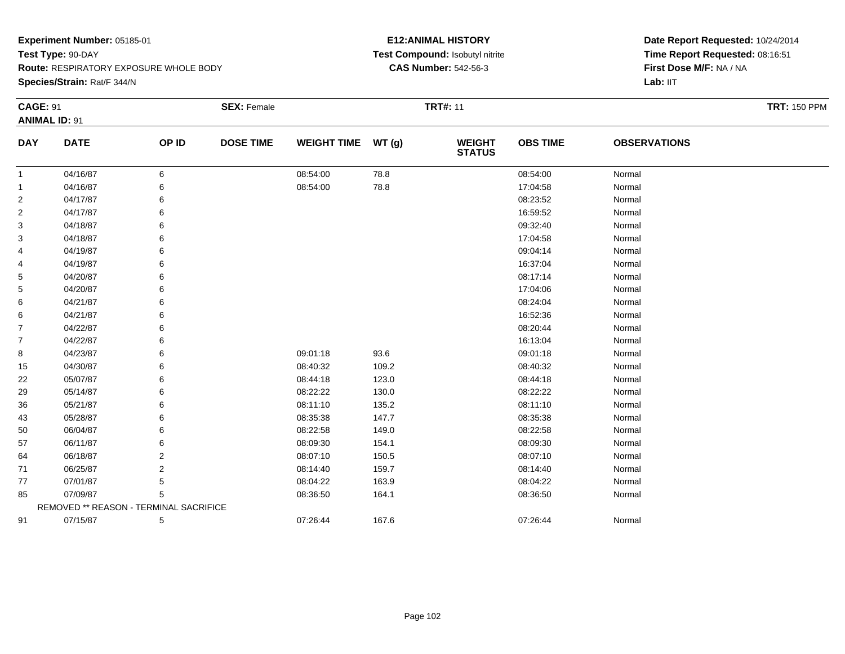**Species/Strain:** Rat/F 344/N

### **E12:ANIMAL HISTORY Test Compound:** Isobutyl nitrite**CAS Number:** 542-56-3

| <b>CAGE: 91</b> |                                        |       | <b>SEX: Female</b> |                    |       | <b>TRT#: 11</b>                |                 |                     | <b>TRT: 150 PPM</b> |
|-----------------|----------------------------------------|-------|--------------------|--------------------|-------|--------------------------------|-----------------|---------------------|---------------------|
|                 | <b>ANIMAL ID: 91</b>                   |       |                    |                    |       |                                |                 |                     |                     |
| <b>DAY</b>      | <b>DATE</b>                            | OP ID | <b>DOSE TIME</b>   | <b>WEIGHT TIME</b> | WT(g) | <b>WEIGHT</b><br><b>STATUS</b> | <b>OBS TIME</b> | <b>OBSERVATIONS</b> |                     |
| -1              | 04/16/87                               | 6     |                    | 08:54:00           | 78.8  |                                | 08:54:00        | Normal              |                     |
| -1              | 04/16/87                               | 6     |                    | 08:54:00           | 78.8  |                                | 17:04:58        | Normal              |                     |
| 2               | 04/17/87                               | 6     |                    |                    |       |                                | 08:23:52        | Normal              |                     |
| 2               | 04/17/87                               | 6     |                    |                    |       |                                | 16:59:52        | Normal              |                     |
| 3               | 04/18/87                               | 6     |                    |                    |       |                                | 09:32:40        | Normal              |                     |
| 3               | 04/18/87                               |       |                    |                    |       |                                | 17:04:58        | Normal              |                     |
| 4               | 04/19/87                               | 6     |                    |                    |       |                                | 09:04:14        | Normal              |                     |
| 4               | 04/19/87                               | 6     |                    |                    |       |                                | 16:37:04        | Normal              |                     |
| 5               | 04/20/87                               | 6     |                    |                    |       |                                | 08:17:14        | Normal              |                     |
| 5               | 04/20/87                               |       |                    |                    |       |                                | 17:04:06        | Normal              |                     |
| 6               | 04/21/87                               | 6     |                    |                    |       |                                | 08:24:04        | Normal              |                     |
| 6               | 04/21/87                               | 6     |                    |                    |       |                                | 16:52:36        | Normal              |                     |
| $\overline{7}$  | 04/22/87                               | 6     |                    |                    |       |                                | 08:20:44        | Normal              |                     |
| 7               | 04/22/87                               | 6     |                    |                    |       |                                | 16:13:04        | Normal              |                     |
| 8               | 04/23/87                               | 6     |                    | 09:01:18           | 93.6  |                                | 09:01:18        | Normal              |                     |
| 15              | 04/30/87                               | 6     |                    | 08:40:32           | 109.2 |                                | 08:40:32        | Normal              |                     |
| 22              | 05/07/87                               | 6     |                    | 08:44:18           | 123.0 |                                | 08:44:18        | Normal              |                     |
| 29              | 05/14/87                               |       |                    | 08:22:22           | 130.0 |                                | 08:22:22        | Normal              |                     |
| 36              | 05/21/87                               | 6     |                    | 08:11:10           | 135.2 |                                | 08:11:10        | Normal              |                     |
| 43              | 05/28/87                               | 6     |                    | 08:35:38           | 147.7 |                                | 08:35:38        | Normal              |                     |
| 50              | 06/04/87                               | 6     |                    | 08:22:58           | 149.0 |                                | 08:22:58        | Normal              |                     |
| 57              | 06/11/87                               | 6     |                    | 08:09:30           | 154.1 |                                | 08:09:30        | Normal              |                     |
| 64              | 06/18/87                               | 2     |                    | 08:07:10           | 150.5 |                                | 08:07:10        | Normal              |                     |
| 71              | 06/25/87                               | 2     |                    | 08:14:40           | 159.7 |                                | 08:14:40        | Normal              |                     |
| 77              | 07/01/87                               | 5     |                    | 08:04:22           | 163.9 |                                | 08:04:22        | Normal              |                     |
| 85              | 07/09/87                               | 5     |                    | 08:36:50           | 164.1 |                                | 08:36:50        | Normal              |                     |
|                 | REMOVED ** REASON - TERMINAL SACRIFICE |       |                    |                    |       |                                |                 |                     |                     |
| 91              | 07/15/87                               | 5     |                    | 07:26:44           | 167.6 |                                | 07:26:44        | Normal              |                     |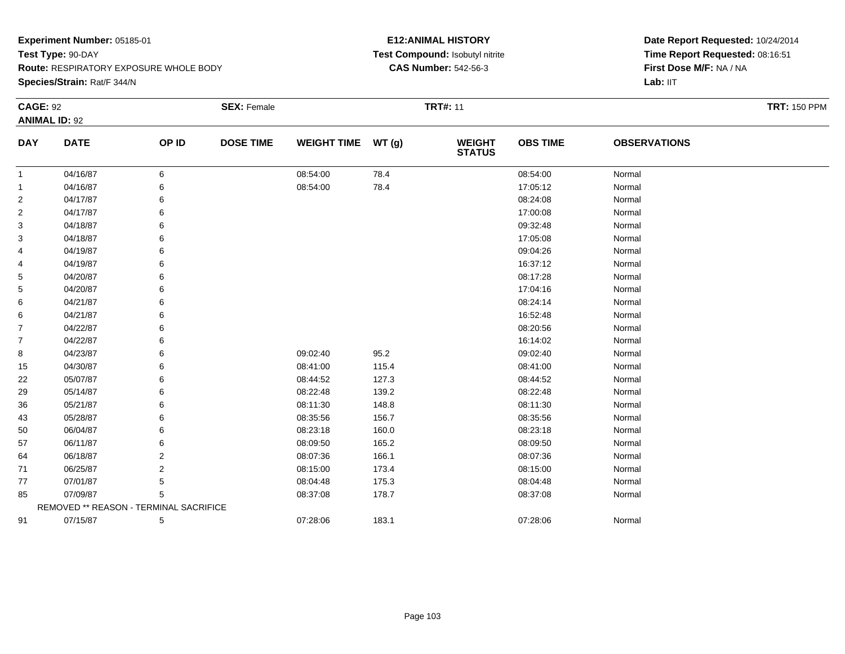**Species/Strain:** Rat/F 344/N

### **E12:ANIMAL HISTORY Test Compound:** Isobutyl nitrite**CAS Number:** 542-56-3

| <b>CAGE: 92</b> |                                        |       | <b>SEX: Female</b> |                    |       | <b>TRT#: 11</b>                |                 |                     | <b>TRT: 150 PPM</b> |
|-----------------|----------------------------------------|-------|--------------------|--------------------|-------|--------------------------------|-----------------|---------------------|---------------------|
|                 | <b>ANIMAL ID: 92</b>                   |       |                    |                    |       |                                |                 |                     |                     |
| <b>DAY</b>      | <b>DATE</b>                            | OP ID | <b>DOSE TIME</b>   | <b>WEIGHT TIME</b> | WT(g) | <b>WEIGHT</b><br><b>STATUS</b> | <b>OBS TIME</b> | <b>OBSERVATIONS</b> |                     |
| -1              | 04/16/87                               | 6     |                    | 08:54:00           | 78.4  |                                | 08:54:00        | Normal              |                     |
| -1              | 04/16/87                               | 6     |                    | 08:54:00           | 78.4  |                                | 17:05:12        | Normal              |                     |
| 2               | 04/17/87                               | 6     |                    |                    |       |                                | 08:24:08        | Normal              |                     |
| 2               | 04/17/87                               | 6     |                    |                    |       |                                | 17:00:08        | Normal              |                     |
| 3               | 04/18/87                               | 6     |                    |                    |       |                                | 09:32:48        | Normal              |                     |
| 3               | 04/18/87                               |       |                    |                    |       |                                | 17:05:08        | Normal              |                     |
| 4               | 04/19/87                               | 6     |                    |                    |       |                                | 09:04:26        | Normal              |                     |
| 4               | 04/19/87                               | 6     |                    |                    |       |                                | 16:37:12        | Normal              |                     |
| 5               | 04/20/87                               | 6     |                    |                    |       |                                | 08:17:28        | Normal              |                     |
| 5               | 04/20/87                               |       |                    |                    |       |                                | 17:04:16        | Normal              |                     |
| 6               | 04/21/87                               | 6     |                    |                    |       |                                | 08:24:14        | Normal              |                     |
| 6               | 04/21/87                               | 6     |                    |                    |       |                                | 16:52:48        | Normal              |                     |
| $\overline{7}$  | 04/22/87                               | 6     |                    |                    |       |                                | 08:20:56        | Normal              |                     |
| 7               | 04/22/87                               | 6     |                    |                    |       |                                | 16:14:02        | Normal              |                     |
| 8               | 04/23/87                               | 6     |                    | 09:02:40           | 95.2  |                                | 09:02:40        | Normal              |                     |
| 15              | 04/30/87                               | 6     |                    | 08:41:00           | 115.4 |                                | 08:41:00        | Normal              |                     |
| 22              | 05/07/87                               | 6     |                    | 08:44:52           | 127.3 |                                | 08:44:52        | Normal              |                     |
| 29              | 05/14/87                               |       |                    | 08:22:48           | 139.2 |                                | 08:22:48        | Normal              |                     |
| 36              | 05/21/87                               |       |                    | 08:11:30           | 148.8 |                                | 08:11:30        | Normal              |                     |
| 43              | 05/28/87                               | 6     |                    | 08:35:56           | 156.7 |                                | 08:35:56        | Normal              |                     |
| 50              | 06/04/87                               | 6     |                    | 08:23:18           | 160.0 |                                | 08:23:18        | Normal              |                     |
| 57              | 06/11/87                               | 6     |                    | 08:09:50           | 165.2 |                                | 08:09:50        | Normal              |                     |
| 64              | 06/18/87                               | 2     |                    | 08:07:36           | 166.1 |                                | 08:07:36        | Normal              |                     |
| 71              | 06/25/87                               | 2     |                    | 08:15:00           | 173.4 |                                | 08:15:00        | Normal              |                     |
| 77              | 07/01/87                               | 5     |                    | 08:04:48           | 175.3 |                                | 08:04:48        | Normal              |                     |
| 85              | 07/09/87                               | 5     |                    | 08:37:08           | 178.7 |                                | 08:37:08        | Normal              |                     |
|                 | REMOVED ** REASON - TERMINAL SACRIFICE |       |                    |                    |       |                                |                 |                     |                     |
| 91              | 07/15/87                               | 5     |                    | 07:28:06           | 183.1 |                                | 07:28:06        | Normal              |                     |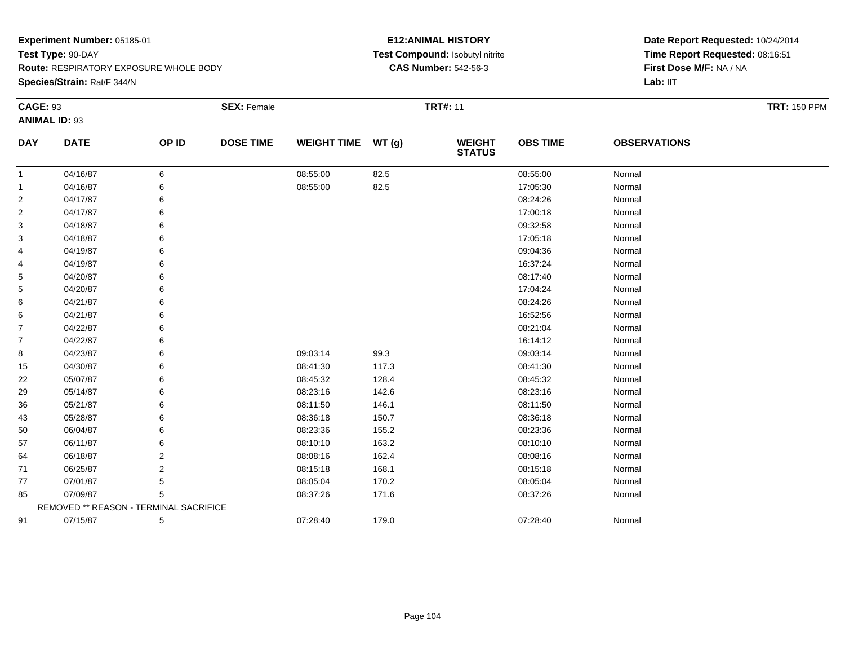**Species/Strain:** Rat/F 344/N

### **E12:ANIMAL HISTORY Test Compound:** Isobutyl nitrite**CAS Number:** 542-56-3

| <b>CAGE: 93</b> | <b>ANIMAL ID: 93</b>                   |       | <b>SEX: Female</b> |                    |       | <b>TRT#: 11</b>                |                 |                     | <b>TRT: 150 PPM</b> |
|-----------------|----------------------------------------|-------|--------------------|--------------------|-------|--------------------------------|-----------------|---------------------|---------------------|
| <b>DAY</b>      | <b>DATE</b>                            | OP ID | <b>DOSE TIME</b>   | WEIGHT TIME WT (g) |       | <b>WEIGHT</b><br><b>STATUS</b> | <b>OBS TIME</b> | <b>OBSERVATIONS</b> |                     |
| $\mathbf{1}$    | 04/16/87                               | 6     |                    | 08:55:00           | 82.5  |                                | 08:55:00        | Normal              |                     |
| 1               | 04/16/87                               | 6     |                    | 08:55:00           | 82.5  |                                | 17:05:30        | Normal              |                     |
| $\overline{c}$  | 04/17/87                               | 6     |                    |                    |       |                                | 08:24:26        | Normal              |                     |
| $\overline{c}$  | 04/17/87                               | 6     |                    |                    |       |                                | 17:00:18        | Normal              |                     |
| 3               | 04/18/87                               | 6     |                    |                    |       |                                | 09:32:58        | Normal              |                     |
| 3               | 04/18/87                               | 6     |                    |                    |       |                                | 17:05:18        | Normal              |                     |
| 4               | 04/19/87                               | 6     |                    |                    |       |                                | 09:04:36        | Normal              |                     |
| 4               | 04/19/87                               | 6     |                    |                    |       |                                | 16:37:24        | Normal              |                     |
| 5               | 04/20/87                               | 6     |                    |                    |       |                                | 08:17:40        | Normal              |                     |
| 5               | 04/20/87                               | 6     |                    |                    |       |                                | 17:04:24        | Normal              |                     |
| 6               | 04/21/87                               | 6     |                    |                    |       |                                | 08:24:26        | Normal              |                     |
| 6               | 04/21/87                               | 6     |                    |                    |       |                                | 16:52:56        | Normal              |                     |
| 7               | 04/22/87                               | 6     |                    |                    |       |                                | 08:21:04        | Normal              |                     |
| $\overline{7}$  | 04/22/87                               | 6     |                    |                    |       |                                | 16:14:12        | Normal              |                     |
| 8               | 04/23/87                               | 6     |                    | 09:03:14           | 99.3  |                                | 09:03:14        | Normal              |                     |
| 15              | 04/30/87                               | 6     |                    | 08:41:30           | 117.3 |                                | 08:41:30        | Normal              |                     |
| 22              | 05/07/87                               | 6     |                    | 08:45:32           | 128.4 |                                | 08:45:32        | Normal              |                     |
| 29              | 05/14/87                               | 6     |                    | 08:23:16           | 142.6 |                                | 08:23:16        | Normal              |                     |
| 36              | 05/21/87                               | 6     |                    | 08:11:50           | 146.1 |                                | 08:11:50        | Normal              |                     |
| 43              | 05/28/87                               | 6     |                    | 08:36:18           | 150.7 |                                | 08:36:18        | Normal              |                     |
| 50              | 06/04/87                               | 6     |                    | 08:23:36           | 155.2 |                                | 08:23:36        | Normal              |                     |
| 57              | 06/11/87                               | 6     |                    | 08:10:10           | 163.2 |                                | 08:10:10        | Normal              |                     |
| 64              | 06/18/87                               | 2     |                    | 08:08:16           | 162.4 |                                | 08:08:16        | Normal              |                     |
| 71              | 06/25/87                               | 2     |                    | 08:15:18           | 168.1 |                                | 08:15:18        | Normal              |                     |
| 77              | 07/01/87                               | 5     |                    | 08:05:04           | 170.2 |                                | 08:05:04        | Normal              |                     |
| 85              | 07/09/87                               | 5     |                    | 08:37:26           | 171.6 |                                | 08:37:26        | Normal              |                     |
|                 | REMOVED ** REASON - TERMINAL SACRIFICE |       |                    |                    |       |                                |                 |                     |                     |
| 91              | 07/15/87                               | 5     |                    | 07:28:40           | 179.0 |                                | 07:28:40        | Normal              |                     |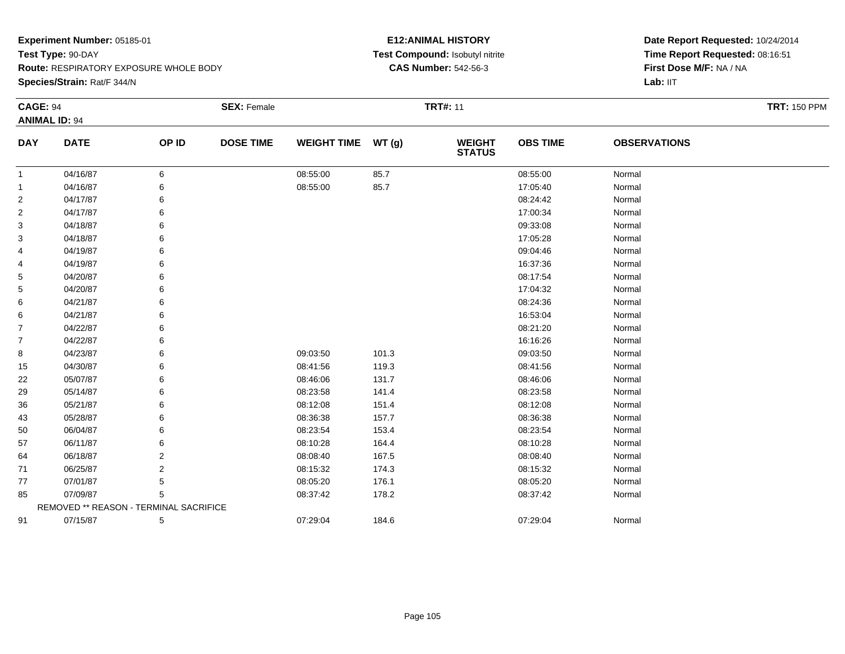**Species/Strain:** Rat/F 344/N

### **E12:ANIMAL HISTORY Test Compound:** Isobutyl nitrite**CAS Number:** 542-56-3

| <b>CAGE: 94</b> | <b>ANIMAL ID: 94</b>                   |       | <b>SEX: Female</b> |                    |       | <b>TRT#: 11</b>                |                 |                     | <b>TRT: 150 PPM</b> |
|-----------------|----------------------------------------|-------|--------------------|--------------------|-------|--------------------------------|-----------------|---------------------|---------------------|
| <b>DAY</b>      | <b>DATE</b>                            | OP ID | <b>DOSE TIME</b>   | <b>WEIGHT TIME</b> | WT(g) | <b>WEIGHT</b><br><b>STATUS</b> | <b>OBS TIME</b> | <b>OBSERVATIONS</b> |                     |
| 1               | 04/16/87                               | 6     |                    | 08:55:00           | 85.7  |                                | 08:55:00        | Normal              |                     |
| $\mathbf 1$     | 04/16/87                               | 6     |                    | 08:55:00           | 85.7  |                                | 17:05:40        | Normal              |                     |
| $\overline{2}$  | 04/17/87                               | 6     |                    |                    |       |                                | 08:24:42        | Normal              |                     |
| $\overline{2}$  | 04/17/87                               | 6     |                    |                    |       |                                | 17:00:34        | Normal              |                     |
| 3               | 04/18/87                               | 6     |                    |                    |       |                                | 09:33:08        | Normal              |                     |
| 3               | 04/18/87                               | 6     |                    |                    |       |                                | 17:05:28        | Normal              |                     |
| 4               | 04/19/87                               | 6     |                    |                    |       |                                | 09:04:46        | Normal              |                     |
| 4               | 04/19/87                               | 6     |                    |                    |       |                                | 16:37:36        | Normal              |                     |
| 5               | 04/20/87                               | 6     |                    |                    |       |                                | 08:17:54        | Normal              |                     |
| 5               | 04/20/87                               | 6     |                    |                    |       |                                | 17:04:32        | Normal              |                     |
| 6               | 04/21/87                               | 6     |                    |                    |       |                                | 08:24:36        | Normal              |                     |
| 6               | 04/21/87                               | 6     |                    |                    |       |                                | 16:53:04        | Normal              |                     |
| $\overline{7}$  | 04/22/87                               | 6     |                    |                    |       |                                | 08:21:20        | Normal              |                     |
| $\overline{7}$  | 04/22/87                               | 6     |                    |                    |       |                                | 16:16:26        | Normal              |                     |
| 8               | 04/23/87                               | 6     |                    | 09:03:50           | 101.3 |                                | 09:03:50        | Normal              |                     |
| 15              | 04/30/87                               | 6     |                    | 08:41:56           | 119.3 |                                | 08:41:56        | Normal              |                     |
| 22              | 05/07/87                               | 6     |                    | 08:46:06           | 131.7 |                                | 08:46:06        | Normal              |                     |
| 29              | 05/14/87                               | 6     |                    | 08:23:58           | 141.4 |                                | 08:23:58        | Normal              |                     |
| 36              | 05/21/87                               | 6     |                    | 08:12:08           | 151.4 |                                | 08:12:08        | Normal              |                     |
| 43              | 05/28/87                               | 6     |                    | 08:36:38           | 157.7 |                                | 08:36:38        | Normal              |                     |
| 50              | 06/04/87                               | 6     |                    | 08:23:54           | 153.4 |                                | 08:23:54        | Normal              |                     |
| 57              | 06/11/87                               | 6     |                    | 08:10:28           | 164.4 |                                | 08:10:28        | Normal              |                     |
| 64              | 06/18/87                               | 2     |                    | 08:08:40           | 167.5 |                                | 08:08:40        | Normal              |                     |
| 71              | 06/25/87                               | 2     |                    | 08:15:32           | 174.3 |                                | 08:15:32        | Normal              |                     |
| 77              | 07/01/87                               | 5     |                    | 08:05:20           | 176.1 |                                | 08:05:20        | Normal              |                     |
| 85              | 07/09/87                               | 5     |                    | 08:37:42           | 178.2 |                                | 08:37:42        | Normal              |                     |
|                 | REMOVED ** REASON - TERMINAL SACRIFICE |       |                    |                    |       |                                |                 |                     |                     |
| 91              | 07/15/87                               | 5     |                    | 07:29:04           | 184.6 |                                | 07:29:04        | Normal              |                     |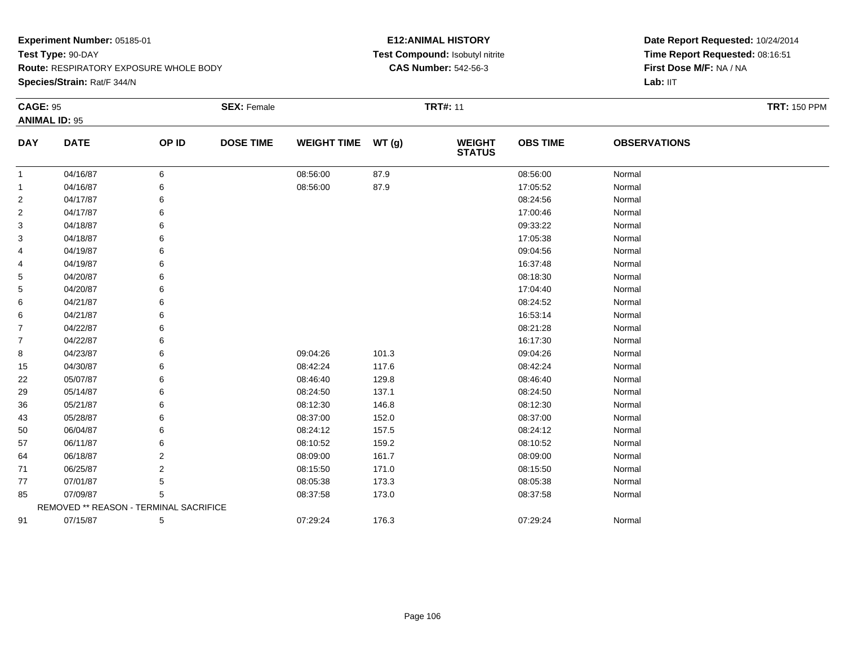**Species/Strain:** Rat/F 344/N

### **E12:ANIMAL HISTORY Test Compound:** Isobutyl nitrite**CAS Number:** 542-56-3

| <b>CAGE: 95</b> |                                        |       | <b>SEX: Female</b> |                    |       | <b>TRT#: 11</b>                |                 |                     | <b>TRT: 150 PPM</b> |
|-----------------|----------------------------------------|-------|--------------------|--------------------|-------|--------------------------------|-----------------|---------------------|---------------------|
|                 | <b>ANIMAL ID: 95</b>                   |       |                    |                    |       |                                |                 |                     |                     |
| <b>DAY</b>      | <b>DATE</b>                            | OP ID | <b>DOSE TIME</b>   | <b>WEIGHT TIME</b> | WT(g) | <b>WEIGHT</b><br><b>STATUS</b> | <b>OBS TIME</b> | <b>OBSERVATIONS</b> |                     |
| 1               | 04/16/87                               | 6     |                    | 08:56:00           | 87.9  |                                | 08:56:00        | Normal              |                     |
| -1              | 04/16/87                               | 6     |                    | 08:56:00           | 87.9  |                                | 17:05:52        | Normal              |                     |
| 2               | 04/17/87                               | 6     |                    |                    |       |                                | 08:24:56        | Normal              |                     |
| 2               | 04/17/87                               | 6     |                    |                    |       |                                | 17:00:46        | Normal              |                     |
| 3               | 04/18/87                               | 6     |                    |                    |       |                                | 09:33:22        | Normal              |                     |
| 3               | 04/18/87                               | 6     |                    |                    |       |                                | 17:05:38        | Normal              |                     |
| 4               | 04/19/87                               | 6     |                    |                    |       |                                | 09:04:56        | Normal              |                     |
| 4               | 04/19/87                               | 6     |                    |                    |       |                                | 16:37:48        | Normal              |                     |
| 5               | 04/20/87                               | 6     |                    |                    |       |                                | 08:18:30        | Normal              |                     |
| 5               | 04/20/87                               |       |                    |                    |       |                                | 17:04:40        | Normal              |                     |
| 6               | 04/21/87                               | 6     |                    |                    |       |                                | 08:24:52        | Normal              |                     |
| 6               | 04/21/87                               | 6     |                    |                    |       |                                | 16:53:14        | Normal              |                     |
| $\overline{7}$  | 04/22/87                               | 6     |                    |                    |       |                                | 08:21:28        | Normal              |                     |
| 7               | 04/22/87                               | 6     |                    |                    |       |                                | 16:17:30        | Normal              |                     |
| 8               | 04/23/87                               | 6     |                    | 09:04:26           | 101.3 |                                | 09:04:26        | Normal              |                     |
| 15              | 04/30/87                               | 6     |                    | 08:42:24           | 117.6 |                                | 08:42:24        | Normal              |                     |
| 22              | 05/07/87                               | 6     |                    | 08:46:40           | 129.8 |                                | 08:46:40        | Normal              |                     |
| 29              | 05/14/87                               | 6     |                    | 08:24:50           | 137.1 |                                | 08:24:50        | Normal              |                     |
| 36              | 05/21/87                               | 6     |                    | 08:12:30           | 146.8 |                                | 08:12:30        | Normal              |                     |
| 43              | 05/28/87                               | 6     |                    | 08:37:00           | 152.0 |                                | 08:37:00        | Normal              |                     |
| 50              | 06/04/87                               | 6     |                    | 08:24:12           | 157.5 |                                | 08:24:12        | Normal              |                     |
| 57              | 06/11/87                               | 6     |                    | 08:10:52           | 159.2 |                                | 08:10:52        | Normal              |                     |
| 64              | 06/18/87                               | 2     |                    | 08:09:00           | 161.7 |                                | 08:09:00        | Normal              |                     |
| 71              | 06/25/87                               | 2     |                    | 08:15:50           | 171.0 |                                | 08:15:50        | Normal              |                     |
| 77              | 07/01/87                               | 5     |                    | 08:05:38           | 173.3 |                                | 08:05:38        | Normal              |                     |
| 85              | 07/09/87                               | 5     |                    | 08:37:58           | 173.0 |                                | 08:37:58        | Normal              |                     |
|                 | REMOVED ** REASON - TERMINAL SACRIFICE |       |                    |                    |       |                                |                 |                     |                     |
| 91              | 07/15/87                               | 5     |                    | 07:29:24           | 176.3 |                                | 07:29:24        | Normal              |                     |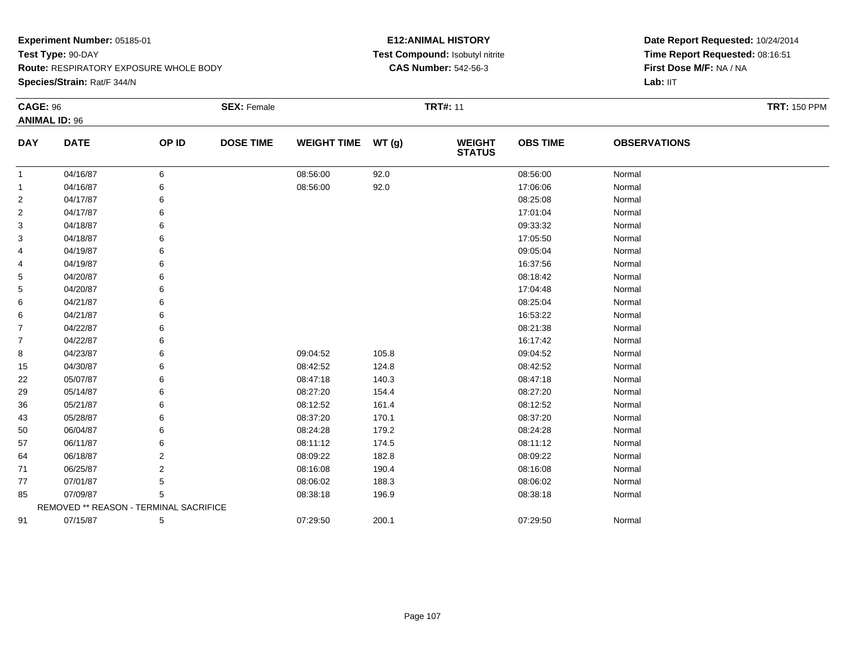**Species/Strain:** Rat/F 344/N

### **E12:ANIMAL HISTORY Test Compound:** Isobutyl nitrite**CAS Number:** 542-56-3

| <b>CAGE: 96</b> |                                        |       | <b>SEX: Female</b> |                    |       | <b>TRT#: 11</b>                |                 |                     | <b>TRT: 150 PPM</b> |
|-----------------|----------------------------------------|-------|--------------------|--------------------|-------|--------------------------------|-----------------|---------------------|---------------------|
|                 | <b>ANIMAL ID: 96</b>                   |       |                    |                    |       |                                |                 |                     |                     |
| <b>DAY</b>      | <b>DATE</b>                            | OP ID | <b>DOSE TIME</b>   | WEIGHT TIME WT (g) |       | <b>WEIGHT</b><br><b>STATUS</b> | <b>OBS TIME</b> | <b>OBSERVATIONS</b> |                     |
| $\mathbf{1}$    | 04/16/87                               | 6     |                    | 08:56:00           | 92.0  |                                | 08:56:00        | Normal              |                     |
| $\mathbf{1}$    | 04/16/87                               | 6     |                    | 08:56:00           | 92.0  |                                | 17:06:06        | Normal              |                     |
| 2               | 04/17/87                               |       |                    |                    |       |                                | 08:25:08        | Normal              |                     |
| $\overline{2}$  | 04/17/87                               |       |                    |                    |       |                                | 17:01:04        | Normal              |                     |
| 3               | 04/18/87                               | 6     |                    |                    |       |                                | 09:33:32        | Normal              |                     |
| 3               | 04/18/87                               |       |                    |                    |       |                                | 17:05:50        | Normal              |                     |
| 4               | 04/19/87                               | 6     |                    |                    |       |                                | 09:05:04        | Normal              |                     |
| 4               | 04/19/87                               |       |                    |                    |       |                                | 16:37:56        | Normal              |                     |
| 5               | 04/20/87                               | 6     |                    |                    |       |                                | 08:18:42        | Normal              |                     |
| 5               | 04/20/87                               |       |                    |                    |       |                                | 17:04:48        | Normal              |                     |
| 6               | 04/21/87                               |       |                    |                    |       |                                | 08:25:04        | Normal              |                     |
| 6               | 04/21/87                               |       |                    |                    |       |                                | 16:53:22        | Normal              |                     |
| $\overline{7}$  | 04/22/87                               | 6     |                    |                    |       |                                | 08:21:38        | Normal              |                     |
| $\overline{7}$  | 04/22/87                               |       |                    |                    |       |                                | 16:17:42        | Normal              |                     |
| 8               | 04/23/87                               |       |                    | 09:04:52           | 105.8 |                                | 09:04:52        | Normal              |                     |
| 15              | 04/30/87                               | 6     |                    | 08:42:52           | 124.8 |                                | 08:42:52        | Normal              |                     |
| 22              | 05/07/87                               | 6     |                    | 08:47:18           | 140.3 |                                | 08:47:18        | Normal              |                     |
| 29              | 05/14/87                               |       |                    | 08:27:20           | 154.4 |                                | 08:27:20        | Normal              |                     |
| 36              | 05/21/87                               |       |                    | 08:12:52           | 161.4 |                                | 08:12:52        | Normal              |                     |
| 43              | 05/28/87                               |       |                    | 08:37:20           | 170.1 |                                | 08:37:20        | Normal              |                     |
| 50              | 06/04/87                               | 6     |                    | 08:24:28           | 179.2 |                                | 08:24:28        | Normal              |                     |
| 57              | 06/11/87                               | 6     |                    | 08:11:12           | 174.5 |                                | 08:11:12        | Normal              |                     |
| 64              | 06/18/87                               | 2     |                    | 08:09:22           | 182.8 |                                | 08:09:22        | Normal              |                     |
| 71              | 06/25/87                               | 2     |                    | 08:16:08           | 190.4 |                                | 08:16:08        | Normal              |                     |
| 77              | 07/01/87                               | 5     |                    | 08:06:02           | 188.3 |                                | 08:06:02        | Normal              |                     |
| 85              | 07/09/87                               | 5     |                    | 08:38:18           | 196.9 |                                | 08:38:18        | Normal              |                     |
|                 | REMOVED ** REASON - TERMINAL SACRIFICE |       |                    |                    |       |                                |                 |                     |                     |
| 91              | 07/15/87                               | 5     |                    | 07:29:50           | 200.1 |                                | 07:29:50        | Normal              |                     |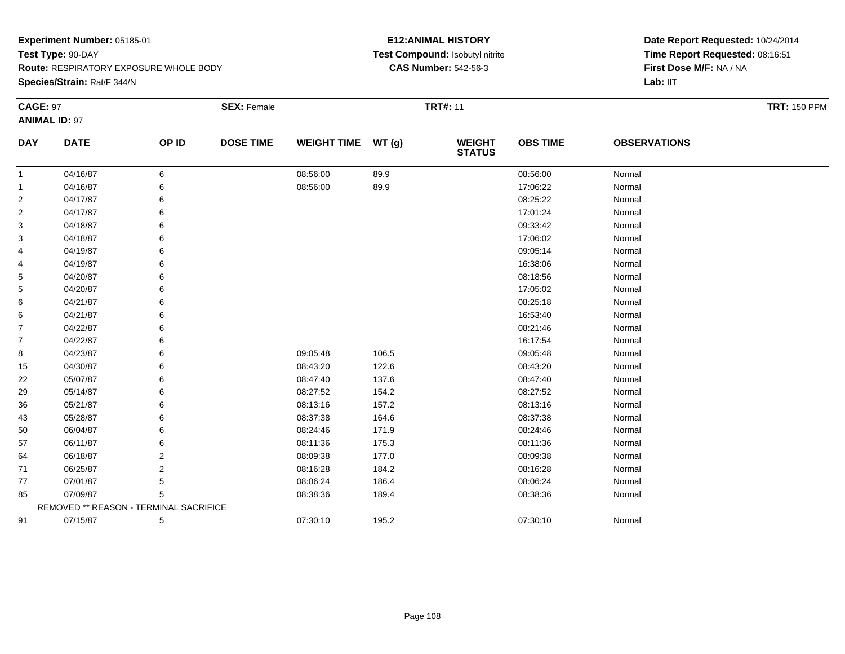**Species/Strain:** Rat/F 344/N

### **E12:ANIMAL HISTORY Test Compound:** Isobutyl nitrite**CAS Number:** 542-56-3

| <b>CAGE: 97</b> |                                        |       | <b>SEX: Female</b> |                    |       | <b>TRT#: 11</b>                |                 |                     | <b>TRT: 150 PPM</b> |
|-----------------|----------------------------------------|-------|--------------------|--------------------|-------|--------------------------------|-----------------|---------------------|---------------------|
|                 | <b>ANIMAL ID: 97</b>                   |       |                    |                    |       |                                |                 |                     |                     |
| <b>DAY</b>      | <b>DATE</b>                            | OP ID | <b>DOSE TIME</b>   | <b>WEIGHT TIME</b> | WT(g) | <b>WEIGHT</b><br><b>STATUS</b> | <b>OBS TIME</b> | <b>OBSERVATIONS</b> |                     |
| -1              | 04/16/87                               | 6     |                    | 08:56:00           | 89.9  |                                | 08:56:00        | Normal              |                     |
| -1              | 04/16/87                               | 6     |                    | 08:56:00           | 89.9  |                                | 17:06:22        | Normal              |                     |
| 2               | 04/17/87                               | 6     |                    |                    |       |                                | 08:25:22        | Normal              |                     |
| 2               | 04/17/87                               | 6     |                    |                    |       |                                | 17:01:24        | Normal              |                     |
| 3               | 04/18/87                               | 6     |                    |                    |       |                                | 09:33:42        | Normal              |                     |
| 3               | 04/18/87                               |       |                    |                    |       |                                | 17:06:02        | Normal              |                     |
| 4               | 04/19/87                               | 6     |                    |                    |       |                                | 09:05:14        | Normal              |                     |
| 4               | 04/19/87                               | 6     |                    |                    |       |                                | 16:38:06        | Normal              |                     |
| 5               | 04/20/87                               | 6     |                    |                    |       |                                | 08:18:56        | Normal              |                     |
| 5               | 04/20/87                               |       |                    |                    |       |                                | 17:05:02        | Normal              |                     |
| 6               | 04/21/87                               | 6     |                    |                    |       |                                | 08:25:18        | Normal              |                     |
| 6               | 04/21/87                               | 6     |                    |                    |       |                                | 16:53:40        | Normal              |                     |
| $\overline{7}$  | 04/22/87                               | 6     |                    |                    |       |                                | 08:21:46        | Normal              |                     |
| 7               | 04/22/87                               | 6     |                    |                    |       |                                | 16:17:54        | Normal              |                     |
| 8               | 04/23/87                               | 6     |                    | 09:05:48           | 106.5 |                                | 09:05:48        | Normal              |                     |
| 15              | 04/30/87                               | 6     |                    | 08:43:20           | 122.6 |                                | 08:43:20        | Normal              |                     |
| 22              | 05/07/87                               | 6     |                    | 08:47:40           | 137.6 |                                | 08:47:40        | Normal              |                     |
| 29              | 05/14/87                               |       |                    | 08:27:52           | 154.2 |                                | 08:27:52        | Normal              |                     |
| 36              | 05/21/87                               | 6     |                    | 08:13:16           | 157.2 |                                | 08:13:16        | Normal              |                     |
| 43              | 05/28/87                               | 6     |                    | 08:37:38           | 164.6 |                                | 08:37:38        | Normal              |                     |
| 50              | 06/04/87                               | 6     |                    | 08:24:46           | 171.9 |                                | 08:24:46        | Normal              |                     |
| 57              | 06/11/87                               | 6     |                    | 08:11:36           | 175.3 |                                | 08:11:36        | Normal              |                     |
| 64              | 06/18/87                               | 2     |                    | 08:09:38           | 177.0 |                                | 08:09:38        | Normal              |                     |
| 71              | 06/25/87                               | 2     |                    | 08:16:28           | 184.2 |                                | 08:16:28        | Normal              |                     |
| 77              | 07/01/87                               | 5     |                    | 08:06:24           | 186.4 |                                | 08:06:24        | Normal              |                     |
| 85              | 07/09/87                               | 5     |                    | 08:38:36           | 189.4 |                                | 08:38:36        | Normal              |                     |
|                 | REMOVED ** REASON - TERMINAL SACRIFICE |       |                    |                    |       |                                |                 |                     |                     |
| 91              | 07/15/87                               | 5     |                    | 07:30:10           | 195.2 |                                | 07:30:10        | Normal              |                     |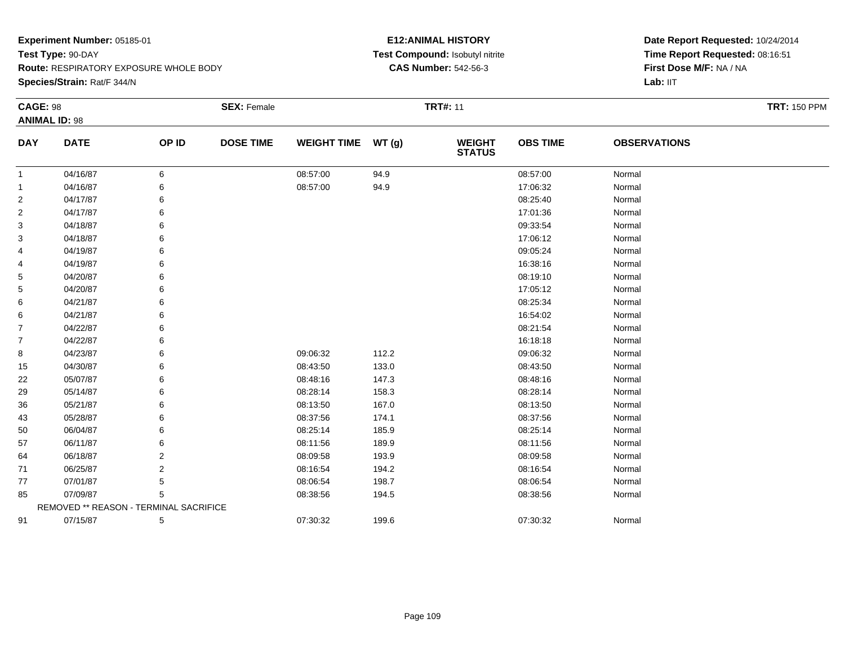**Species/Strain:** Rat/F 344/N

### **E12:ANIMAL HISTORY Test Compound:** Isobutyl nitrite**CAS Number:** 542-56-3

| <b>CAGE: 98</b> |                                        |                | <b>SEX: Female</b> |                    |       | <b>TRT#: 11</b>                |                 |                     | <b>TRT: 150 PPM</b> |
|-----------------|----------------------------------------|----------------|--------------------|--------------------|-------|--------------------------------|-----------------|---------------------|---------------------|
|                 | <b>ANIMAL ID: 98</b>                   |                |                    |                    |       |                                |                 |                     |                     |
| <b>DAY</b>      | <b>DATE</b>                            | OP ID          | <b>DOSE TIME</b>   | <b>WEIGHT TIME</b> | WT(g) | <b>WEIGHT</b><br><b>STATUS</b> | <b>OBS TIME</b> | <b>OBSERVATIONS</b> |                     |
| 1               | 04/16/87                               | 6              |                    | 08:57:00           | 94.9  |                                | 08:57:00        | Normal              |                     |
| 1               | 04/16/87                               | 6              |                    | 08:57:00           | 94.9  |                                | 17:06:32        | Normal              |                     |
| 2               | 04/17/87                               | 6              |                    |                    |       |                                | 08:25:40        | Normal              |                     |
| 2               | 04/17/87                               | 6              |                    |                    |       |                                | 17:01:36        | Normal              |                     |
| 3               | 04/18/87                               | 6              |                    |                    |       |                                | 09:33:54        | Normal              |                     |
| 3               | 04/18/87                               | 6              |                    |                    |       |                                | 17:06:12        | Normal              |                     |
| 4               | 04/19/87                               | 6              |                    |                    |       |                                | 09:05:24        | Normal              |                     |
| 4               | 04/19/87                               | 6              |                    |                    |       |                                | 16:38:16        | Normal              |                     |
| 5               | 04/20/87                               | 6              |                    |                    |       |                                | 08:19:10        | Normal              |                     |
| 5               | 04/20/87                               | 6              |                    |                    |       |                                | 17:05:12        | Normal              |                     |
| 6               | 04/21/87                               | 6              |                    |                    |       |                                | 08:25:34        | Normal              |                     |
| 6               | 04/21/87                               | 6              |                    |                    |       |                                | 16:54:02        | Normal              |                     |
| $\overline{7}$  | 04/22/87                               | 6              |                    |                    |       |                                | 08:21:54        | Normal              |                     |
| $\overline{7}$  | 04/22/87                               | 6              |                    |                    |       |                                | 16:18:18        | Normal              |                     |
| 8               | 04/23/87                               | 6              |                    | 09:06:32           | 112.2 |                                | 09:06:32        | Normal              |                     |
| 15              | 04/30/87                               | 6              |                    | 08:43:50           | 133.0 |                                | 08:43:50        | Normal              |                     |
| 22              | 05/07/87                               | 6              |                    | 08:48:16           | 147.3 |                                | 08:48:16        | Normal              |                     |
| 29              | 05/14/87                               | 6              |                    | 08:28:14           | 158.3 |                                | 08:28:14        | Normal              |                     |
| 36              | 05/21/87                               | 6              |                    | 08:13:50           | 167.0 |                                | 08:13:50        | Normal              |                     |
| 43              | 05/28/87                               | 6              |                    | 08:37:56           | 174.1 |                                | 08:37:56        | Normal              |                     |
| 50              | 06/04/87                               | 6              |                    | 08:25:14           | 185.9 |                                | 08:25:14        | Normal              |                     |
| 57              | 06/11/87                               | 6              |                    | 08:11:56           | 189.9 |                                | 08:11:56        | Normal              |                     |
| 64              | 06/18/87                               | 2              |                    | 08:09:58           | 193.9 |                                | 08:09:58        | Normal              |                     |
| 71              | 06/25/87                               | $\overline{2}$ |                    | 08:16:54           | 194.2 |                                | 08:16:54        | Normal              |                     |
| 77              | 07/01/87                               | 5              |                    | 08:06:54           | 198.7 |                                | 08:06:54        | Normal              |                     |
| 85              | 07/09/87                               | 5              |                    | 08:38:56           | 194.5 |                                | 08:38:56        | Normal              |                     |
|                 | REMOVED ** REASON - TERMINAL SACRIFICE |                |                    |                    |       |                                |                 |                     |                     |
| 91              | 07/15/87                               | 5              |                    | 07:30:32           | 199.6 |                                | 07:30:32        | Normal              |                     |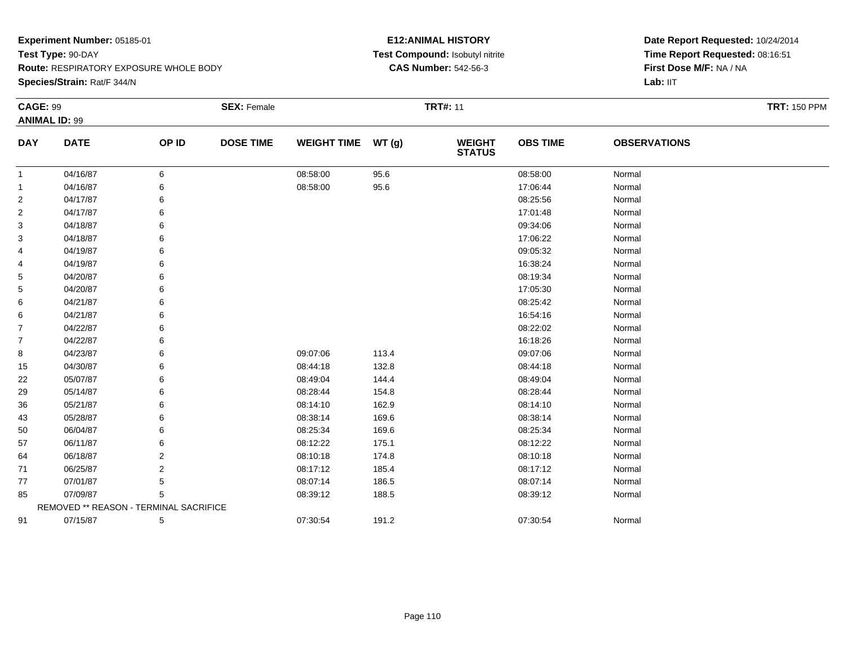**Species/Strain:** Rat/F 344/N

### **E12:ANIMAL HISTORY Test Compound:** Isobutyl nitrite**CAS Number:** 542-56-3

| <b>CAGE: 99</b> | <b>ANIMAL ID: 99</b>                   |       | <b>SEX: Female</b> |                    |       | <b>TRT#: 11</b>                |                 |                     | <b>TRT: 150 PPM</b> |
|-----------------|----------------------------------------|-------|--------------------|--------------------|-------|--------------------------------|-----------------|---------------------|---------------------|
| <b>DAY</b>      | <b>DATE</b>                            | OP ID | <b>DOSE TIME</b>   | WEIGHT TIME WT (g) |       | <b>WEIGHT</b><br><b>STATUS</b> | <b>OBS TIME</b> | <b>OBSERVATIONS</b> |                     |
| -1              | 04/16/87                               | 6     |                    | 08:58:00           | 95.6  |                                | 08:58:00        | Normal              |                     |
| $\mathbf 1$     | 04/16/87                               | 6     |                    | 08:58:00           | 95.6  |                                | 17:06:44        | Normal              |                     |
| $\overline{2}$  | 04/17/87                               |       |                    |                    |       |                                | 08:25:56        | Normal              |                     |
| $\overline{2}$  | 04/17/87                               | 6     |                    |                    |       |                                | 17:01:48        | Normal              |                     |
| 3               | 04/18/87                               | 6     |                    |                    |       |                                | 09:34:06        | Normal              |                     |
| 3               | 04/18/87                               | 6     |                    |                    |       |                                | 17:06:22        | Normal              |                     |
| 4               | 04/19/87                               | 6     |                    |                    |       |                                | 09:05:32        | Normal              |                     |
| 4               | 04/19/87                               | 6     |                    |                    |       |                                | 16:38:24        | Normal              |                     |
| 5               | 04/20/87                               | 6     |                    |                    |       |                                | 08:19:34        | Normal              |                     |
| 5               | 04/20/87                               |       |                    |                    |       |                                | 17:05:30        | Normal              |                     |
| 6               | 04/21/87                               |       |                    |                    |       |                                | 08:25:42        | Normal              |                     |
| 6               | 04/21/87                               | 6     |                    |                    |       |                                | 16:54:16        | Normal              |                     |
| $\overline{7}$  | 04/22/87                               | 6     |                    |                    |       |                                | 08:22:02        | Normal              |                     |
| $\overline{7}$  | 04/22/87                               |       |                    |                    |       |                                | 16:18:26        | Normal              |                     |
| 8               | 04/23/87                               | 6     |                    | 09:07:06           | 113.4 |                                | 09:07:06        | Normal              |                     |
| 15              | 04/30/87                               | 6     |                    | 08:44:18           | 132.8 |                                | 08:44:18        | Normal              |                     |
| 22              | 05/07/87                               | 6     |                    | 08:49:04           | 144.4 |                                | 08:49:04        | Normal              |                     |
| 29              | 05/14/87                               |       |                    | 08:28:44           | 154.8 |                                | 08:28:44        | Normal              |                     |
| 36              | 05/21/87                               |       |                    | 08:14:10           | 162.9 |                                | 08:14:10        | Normal              |                     |
| 43              | 05/28/87                               | 6     |                    | 08:38:14           | 169.6 |                                | 08:38:14        | Normal              |                     |
| 50              | 06/04/87                               | 6     |                    | 08:25:34           | 169.6 |                                | 08:25:34        | Normal              |                     |
| 57              | 06/11/87                               | 6     |                    | 08:12:22           | 175.1 |                                | 08:12:22        | Normal              |                     |
| 64              | 06/18/87                               | 2     |                    | 08:10:18           | 174.8 |                                | 08:10:18        | Normal              |                     |
| 71              | 06/25/87                               | 2     |                    | 08:17:12           | 185.4 |                                | 08:17:12        | Normal              |                     |
| 77              | 07/01/87                               | 5     |                    | 08:07:14           | 186.5 |                                | 08:07:14        | Normal              |                     |
| 85              | 07/09/87                               | 5     |                    | 08:39:12           | 188.5 |                                | 08:39:12        | Normal              |                     |
|                 | REMOVED ** REASON - TERMINAL SACRIFICE |       |                    |                    |       |                                |                 |                     |                     |
| 91              | 07/15/87                               | 5     |                    | 07:30:54           | 191.2 |                                | 07:30:54        | Normal              |                     |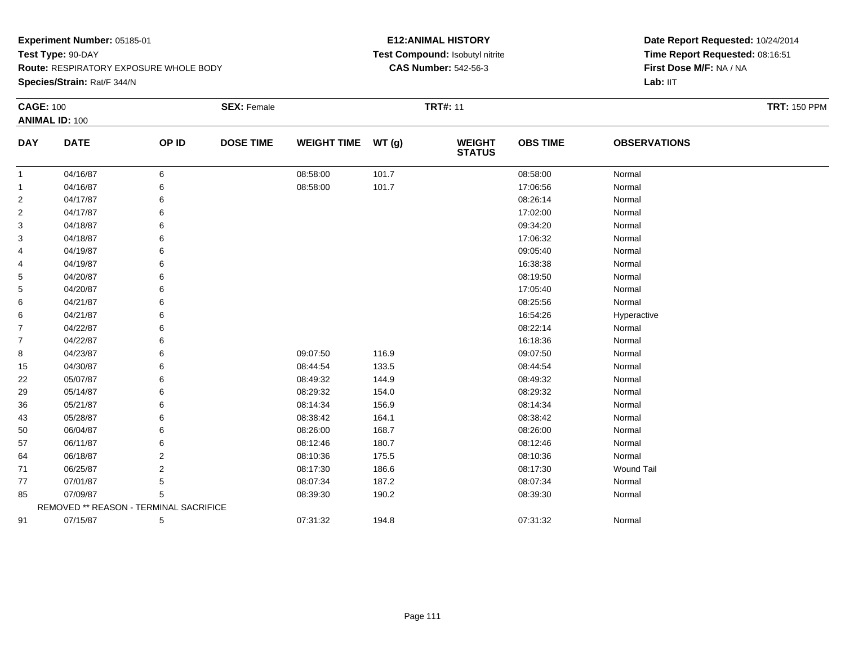**Species/Strain:** Rat/F 344/N

### **E12:ANIMAL HISTORY Test Compound:** Isobutyl nitrite**CAS Number:** 542-56-3

| <b>CAGE: 100</b> |                                        |       | <b>SEX: Female</b> |                    |       | <b>TRT#: 11</b>                |                 |                     | <b>TRT: 150 PPM</b> |
|------------------|----------------------------------------|-------|--------------------|--------------------|-------|--------------------------------|-----------------|---------------------|---------------------|
|                  | <b>ANIMAL ID: 100</b>                  |       |                    |                    |       |                                |                 |                     |                     |
| <b>DAY</b>       | <b>DATE</b>                            | OP ID | <b>DOSE TIME</b>   | <b>WEIGHT TIME</b> | WT(g) | <b>WEIGHT</b><br><b>STATUS</b> | <b>OBS TIME</b> | <b>OBSERVATIONS</b> |                     |
| $\mathbf{1}$     | 04/16/87                               | 6     |                    | 08:58:00           | 101.7 |                                | 08:58:00        | Normal              |                     |
| 1                | 04/16/87                               | 6     |                    | 08:58:00           | 101.7 |                                | 17:06:56        | Normal              |                     |
| 2                | 04/17/87                               |       |                    |                    |       |                                | 08:26:14        | Normal              |                     |
| 2                | 04/17/87                               | 6     |                    |                    |       |                                | 17:02:00        | Normal              |                     |
| 3                | 04/18/87                               |       |                    |                    |       |                                | 09:34:20        | Normal              |                     |
| 3                | 04/18/87                               |       |                    |                    |       |                                | 17:06:32        | Normal              |                     |
| 4                | 04/19/87                               | 6     |                    |                    |       |                                | 09:05:40        | Normal              |                     |
| 4                | 04/19/87                               | 6     |                    |                    |       |                                | 16:38:38        | Normal              |                     |
| 5                | 04/20/87                               | 6     |                    |                    |       |                                | 08:19:50        | Normal              |                     |
| 5                | 04/20/87                               |       |                    |                    |       |                                | 17:05:40        | Normal              |                     |
| 6                | 04/21/87                               |       |                    |                    |       |                                | 08:25:56        | Normal              |                     |
| 6                | 04/21/87                               | 6     |                    |                    |       |                                | 16:54:26        | Hyperactive         |                     |
| 7                | 04/22/87                               | 6     |                    |                    |       |                                | 08:22:14        | Normal              |                     |
| 7                | 04/22/87                               | 6     |                    |                    |       |                                | 16:18:36        | Normal              |                     |
| 8                | 04/23/87                               | 6     |                    | 09:07:50           | 116.9 |                                | 09:07:50        | Normal              |                     |
| 15               | 04/30/87                               | 6     |                    | 08:44:54           | 133.5 |                                | 08:44:54        | Normal              |                     |
| 22               | 05/07/87                               | 6     |                    | 08:49:32           | 144.9 |                                | 08:49:32        | Normal              |                     |
| 29               | 05/14/87                               |       |                    | 08:29:32           | 154.0 |                                | 08:29:32        | Normal              |                     |
| 36               | 05/21/87                               |       |                    | 08:14:34           | 156.9 |                                | 08:14:34        | Normal              |                     |
| 43               | 05/28/87                               | 6     |                    | 08:38:42           | 164.1 |                                | 08:38:42        | Normal              |                     |
| 50               | 06/04/87                               |       |                    | 08:26:00           | 168.7 |                                | 08:26:00        | Normal              |                     |
| 57               | 06/11/87                               |       |                    | 08:12:46           | 180.7 |                                | 08:12:46        | Normal              |                     |
| 64               | 06/18/87                               | 2     |                    | 08:10:36           | 175.5 |                                | 08:10:36        | Normal              |                     |
| 71               | 06/25/87                               | 2     |                    | 08:17:30           | 186.6 |                                | 08:17:30        | <b>Wound Tail</b>   |                     |
| 77               | 07/01/87                               | 5     |                    | 08:07:34           | 187.2 |                                | 08:07:34        | Normal              |                     |
| 85               | 07/09/87                               | 5     |                    | 08:39:30           | 190.2 |                                | 08:39:30        | Normal              |                     |
|                  | REMOVED ** REASON - TERMINAL SACRIFICE |       |                    |                    |       |                                |                 |                     |                     |
| 91               | 07/15/87                               | 5     |                    | 07:31:32           | 194.8 |                                | 07:31:32        | Normal              |                     |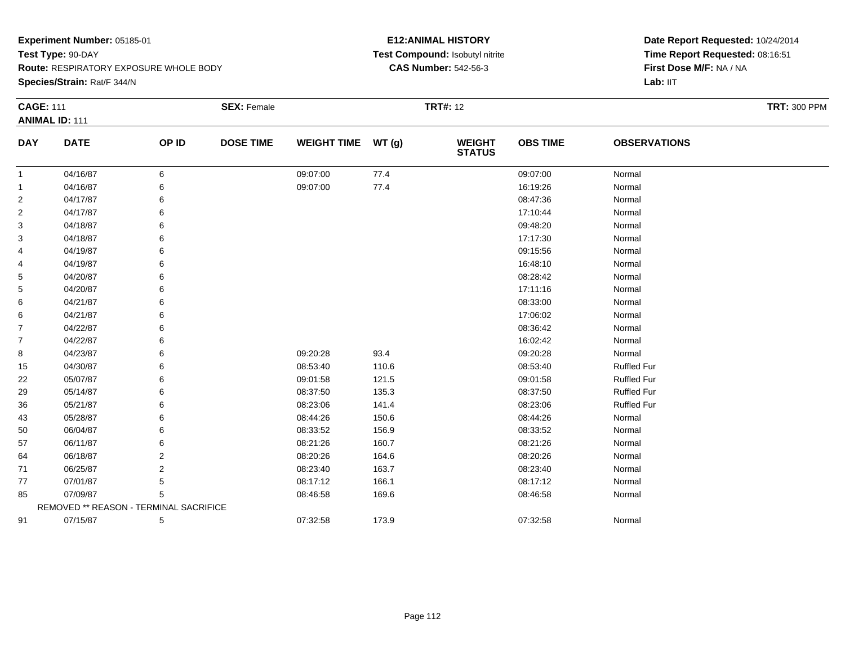**Species/Strain:** Rat/F 344/N

### **E12:ANIMAL HISTORY Test Compound:** Isobutyl nitrite**CAS Number:** 542-56-3

| <b>CAGE: 111</b> |                                        |       | <b>SEX: Female</b> |                    |       | <b>TRT#: 12</b>                |                 |                     | <b>TRT: 300 PPM</b> |
|------------------|----------------------------------------|-------|--------------------|--------------------|-------|--------------------------------|-----------------|---------------------|---------------------|
|                  | <b>ANIMAL ID: 111</b>                  |       |                    |                    |       |                                |                 |                     |                     |
| <b>DAY</b>       | <b>DATE</b>                            | OP ID | <b>DOSE TIME</b>   | WEIGHT TIME WT (g) |       | <b>WEIGHT</b><br><b>STATUS</b> | <b>OBS TIME</b> | <b>OBSERVATIONS</b> |                     |
| 1                | 04/16/87                               | 6     |                    | 09:07:00           | 77.4  |                                | 09:07:00        | Normal              |                     |
| 1                | 04/16/87                               | 6     |                    | 09:07:00           | 77.4  |                                | 16:19:26        | Normal              |                     |
| $\overline{2}$   | 04/17/87                               | 6     |                    |                    |       |                                | 08:47:36        | Normal              |                     |
| $\overline{2}$   | 04/17/87                               | 6     |                    |                    |       |                                | 17:10:44        | Normal              |                     |
| 3                | 04/18/87                               | 6     |                    |                    |       |                                | 09:48:20        | Normal              |                     |
| 3                | 04/18/87                               | 6     |                    |                    |       |                                | 17:17:30        | Normal              |                     |
| 4                | 04/19/87                               | 6     |                    |                    |       |                                | 09:15:56        | Normal              |                     |
| 4                | 04/19/87                               | 6     |                    |                    |       |                                | 16:48:10        | Normal              |                     |
| 5                | 04/20/87                               | 6     |                    |                    |       |                                | 08:28:42        | Normal              |                     |
| 5                | 04/20/87                               | 6     |                    |                    |       |                                | 17:11:16        | Normal              |                     |
| 6                | 04/21/87                               | 6     |                    |                    |       |                                | 08:33:00        | Normal              |                     |
| 6                | 04/21/87                               | 6     |                    |                    |       |                                | 17:06:02        | Normal              |                     |
| $\overline{7}$   | 04/22/87                               | 6     |                    |                    |       |                                | 08:36:42        | Normal              |                     |
| $\overline{7}$   | 04/22/87                               | 6     |                    |                    |       |                                | 16:02:42        | Normal              |                     |
| 8                | 04/23/87                               | 6     |                    | 09:20:28           | 93.4  |                                | 09:20:28        | Normal              |                     |
| 15               | 04/30/87                               | 6     |                    | 08:53:40           | 110.6 |                                | 08:53:40        | <b>Ruffled Fur</b>  |                     |
| 22               | 05/07/87                               | 6     |                    | 09:01:58           | 121.5 |                                | 09:01:58        | <b>Ruffled Fur</b>  |                     |
| 29               | 05/14/87                               | 6     |                    | 08:37:50           | 135.3 |                                | 08:37:50        | <b>Ruffled Fur</b>  |                     |
| 36               | 05/21/87                               | 6     |                    | 08:23:06           | 141.4 |                                | 08:23:06        | <b>Ruffled Fur</b>  |                     |
| 43               | 05/28/87                               | 6     |                    | 08:44:26           | 150.6 |                                | 08:44:26        | Normal              |                     |
| 50               | 06/04/87                               | 6     |                    | 08:33:52           | 156.9 |                                | 08:33:52        | Normal              |                     |
| 57               | 06/11/87                               | 6     |                    | 08:21:26           | 160.7 |                                | 08:21:26        | Normal              |                     |
| 64               | 06/18/87                               | 2     |                    | 08:20:26           | 164.6 |                                | 08:20:26        | Normal              |                     |
| 71               | 06/25/87                               | 2     |                    | 08:23:40           | 163.7 |                                | 08:23:40        | Normal              |                     |
| 77               | 07/01/87                               | 5     |                    | 08:17:12           | 166.1 |                                | 08:17:12        | Normal              |                     |
| 85               | 07/09/87                               | 5     |                    | 08:46:58           | 169.6 |                                | 08:46:58        | Normal              |                     |
|                  | REMOVED ** REASON - TERMINAL SACRIFICE |       |                    |                    |       |                                |                 |                     |                     |
| 91               | 07/15/87                               | 5     |                    | 07:32:58           | 173.9 |                                | 07:32:58        | Normal              |                     |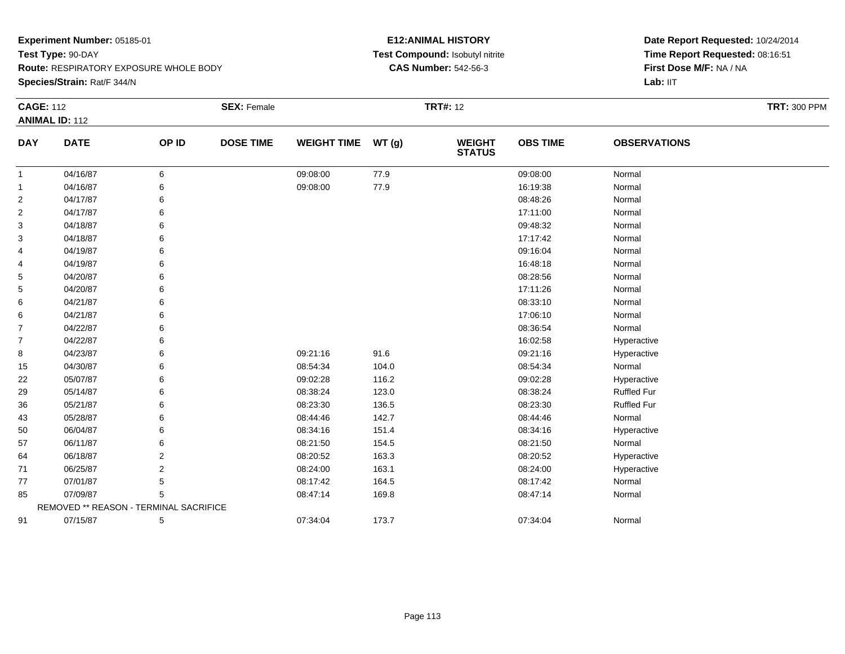**Route:** RESPIRATORY EXPOSURE WHOLE BODY

**Species/Strain:** Rat/F 344/N

### **E12:ANIMAL HISTORY Test Compound:** Isobutyl nitrite**CAS Number:** 542-56-3

| <b>CAGE: 112</b> | <b>ANIMAL ID: 112</b>                  |                | <b>SEX: Female</b> |                    |       | <b>TRT#: 12</b>                |                 |                     | <b>TRT: 300 PPM</b> |
|------------------|----------------------------------------|----------------|--------------------|--------------------|-------|--------------------------------|-----------------|---------------------|---------------------|
|                  |                                        |                |                    |                    |       |                                |                 |                     |                     |
| <b>DAY</b>       | <b>DATE</b>                            | OP ID          | <b>DOSE TIME</b>   | <b>WEIGHT TIME</b> | WT(g) | <b>WEIGHT</b><br><b>STATUS</b> | <b>OBS TIME</b> | <b>OBSERVATIONS</b> |                     |
| $\mathbf{1}$     | 04/16/87                               | 6              |                    | 09:08:00           | 77.9  |                                | 09:08:00        | Normal              |                     |
| $\mathbf{1}$     | 04/16/87                               | 6              |                    | 09:08:00           | 77.9  |                                | 16:19:38        | Normal              |                     |
| 2                | 04/17/87                               | 6              |                    |                    |       |                                | 08:48:26        | Normal              |                     |
| $\overline{c}$   | 04/17/87                               | 6              |                    |                    |       |                                | 17:11:00        | Normal              |                     |
| 3                | 04/18/87                               | 6              |                    |                    |       |                                | 09:48:32        | Normal              |                     |
| 3                | 04/18/87                               | 6              |                    |                    |       |                                | 17:17:42        | Normal              |                     |
| 4                | 04/19/87                               | 6              |                    |                    |       |                                | 09:16:04        | Normal              |                     |
| 4                | 04/19/87                               | 6              |                    |                    |       |                                | 16:48:18        | Normal              |                     |
| 5                | 04/20/87                               | 6              |                    |                    |       |                                | 08:28:56        | Normal              |                     |
| 5                | 04/20/87                               | 6              |                    |                    |       |                                | 17:11:26        | Normal              |                     |
| 6                | 04/21/87                               | 6              |                    |                    |       |                                | 08:33:10        | Normal              |                     |
| 6                | 04/21/87                               | 6              |                    |                    |       |                                | 17:06:10        | Normal              |                     |
| $\overline{7}$   | 04/22/87                               | 6              |                    |                    |       |                                | 08:36:54        | Normal              |                     |
| $\overline{7}$   | 04/22/87                               | 6              |                    |                    |       |                                | 16:02:58        | Hyperactive         |                     |
| 8                | 04/23/87                               | 6              |                    | 09:21:16           | 91.6  |                                | 09:21:16        | Hyperactive         |                     |
| 15               | 04/30/87                               | 6              |                    | 08:54:34           | 104.0 |                                | 08:54:34        | Normal              |                     |
| 22               | 05/07/87                               | 6              |                    | 09:02:28           | 116.2 |                                | 09:02:28        | Hyperactive         |                     |
| 29               | 05/14/87                               | 6              |                    | 08:38:24           | 123.0 |                                | 08:38:24        | <b>Ruffled Fur</b>  |                     |
| 36               | 05/21/87                               | 6              |                    | 08:23:30           | 136.5 |                                | 08:23:30        | Ruffled Fur         |                     |
| 43               | 05/28/87                               | 6              |                    | 08:44:46           | 142.7 |                                | 08:44:46        | Normal              |                     |
| 50               | 06/04/87                               | 6              |                    | 08:34:16           | 151.4 |                                | 08:34:16        | Hyperactive         |                     |
| 57               | 06/11/87                               | 6              |                    | 08:21:50           | 154.5 |                                | 08:21:50        | Normal              |                     |
| 64               | 06/18/87                               | 2              |                    | 08:20:52           | 163.3 |                                | 08:20:52        | Hyperactive         |                     |
| 71               | 06/25/87                               | $\overline{2}$ |                    | 08:24:00           | 163.1 |                                | 08:24:00        | Hyperactive         |                     |
| 77               | 07/01/87                               | 5              |                    | 08:17:42           | 164.5 |                                | 08:17:42        | Normal              |                     |
| 85               | 07/09/87                               | 5              |                    | 08:47:14           | 169.8 |                                | 08:47:14        | Normal              |                     |
|                  | REMOVED ** REASON - TERMINAL SACRIFICE |                |                    |                    |       |                                |                 |                     |                     |
| 91               | 07/15/87                               | 5              |                    | 07:34:04           | 173.7 |                                | 07:34:04        | Normal              |                     |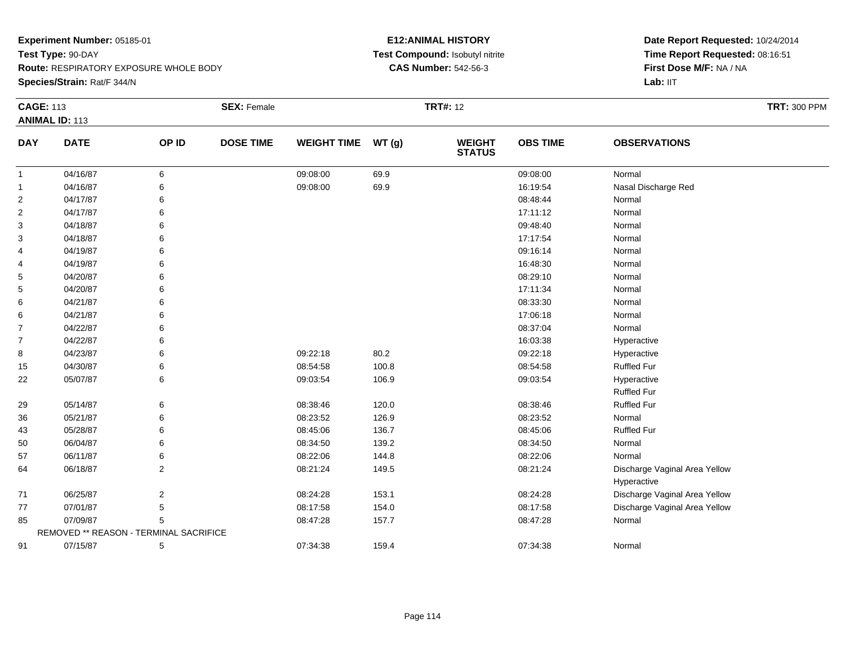**Route:** RESPIRATORY EXPOSURE WHOLE BODY

**Species/Strain:** Rat/F 344/N

### **E12:ANIMAL HISTORY Test Compound:** Isobutyl nitrite**CAS Number:** 542-56-3

| <b>CAGE: 113</b> | <b>ANIMAL ID: 113</b>                  |                | <b>SEX: Female</b> |                    |       | <b>TRT#: 12</b>                |                 | <b>TRT: 300 PPM</b>           |
|------------------|----------------------------------------|----------------|--------------------|--------------------|-------|--------------------------------|-----------------|-------------------------------|
| <b>DAY</b>       | <b>DATE</b>                            | OP ID          | <b>DOSE TIME</b>   | <b>WEIGHT TIME</b> | WT(g) | <b>WEIGHT</b><br><b>STATUS</b> | <b>OBS TIME</b> | <b>OBSERVATIONS</b>           |
| $\mathbf{1}$     | 04/16/87                               | 6              |                    | 09:08:00           | 69.9  |                                | 09:08:00        | Normal                        |
| $\mathbf{1}$     | 04/16/87                               | 6              |                    | 09:08:00           | 69.9  |                                | 16:19:54        | Nasal Discharge Red           |
| $\overline{c}$   | 04/17/87                               | 6              |                    |                    |       |                                | 08:48:44        | Normal                        |
| $\overline{c}$   | 04/17/87                               | 6              |                    |                    |       |                                | 17:11:12        | Normal                        |
| 3                | 04/18/87                               |                |                    |                    |       |                                | 09:48:40        | Normal                        |
| 3                | 04/18/87                               |                |                    |                    |       |                                | 17:17:54        | Normal                        |
| 4                | 04/19/87                               |                |                    |                    |       |                                | 09:16:14        | Normal                        |
| 4                | 04/19/87                               |                |                    |                    |       |                                | 16:48:30        | Normal                        |
| 5                | 04/20/87                               |                |                    |                    |       |                                | 08:29:10        | Normal                        |
| 5                | 04/20/87                               |                |                    |                    |       |                                | 17:11:34        | Normal                        |
| 6                | 04/21/87                               |                |                    |                    |       |                                | 08:33:30        | Normal                        |
| 6                | 04/21/87                               |                |                    |                    |       |                                | 17:06:18        | Normal                        |
| $\overline{7}$   | 04/22/87                               |                |                    |                    |       |                                | 08:37:04        | Normal                        |
| $\overline{7}$   | 04/22/87                               |                |                    |                    |       |                                | 16:03:38        | Hyperactive                   |
| 8                | 04/23/87                               |                |                    | 09:22:18           | 80.2  |                                | 09:22:18        | Hyperactive                   |
| 15               | 04/30/87                               | 6              |                    | 08:54:58           | 100.8 |                                | 08:54:58        | <b>Ruffled Fur</b>            |
| 22               | 05/07/87                               | 6              |                    | 09:03:54           | 106.9 |                                | 09:03:54        | Hyperactive                   |
|                  |                                        |                |                    |                    |       |                                |                 | <b>Ruffled Fur</b>            |
| 29               | 05/14/87                               | 6              |                    | 08:38:46           | 120.0 |                                | 08:38:46        | <b>Ruffled Fur</b>            |
| 36               | 05/21/87                               | 6              |                    | 08:23:52           | 126.9 |                                | 08:23:52        | Normal                        |
| 43               | 05/28/87                               | 6              |                    | 08:45:06           | 136.7 |                                | 08:45:06        | <b>Ruffled Fur</b>            |
| 50               | 06/04/87                               | 6              |                    | 08:34:50           | 139.2 |                                | 08:34:50        | Normal                        |
| 57               | 06/11/87                               | 6              |                    | 08:22:06           | 144.8 |                                | 08:22:06        | Normal                        |
| 64               | 06/18/87                               | $\overline{2}$ |                    | 08:21:24           | 149.5 |                                | 08:21:24        | Discharge Vaginal Area Yellow |
|                  |                                        |                |                    |                    |       |                                |                 | Hyperactive                   |
| 71               | 06/25/87                               | $\overline{2}$ |                    | 08:24:28           | 153.1 |                                | 08:24:28        | Discharge Vaginal Area Yellow |
| 77               | 07/01/87                               | 5              |                    | 08:17:58           | 154.0 |                                | 08:17:58        | Discharge Vaginal Area Yellow |
| 85               | 07/09/87                               | 5              |                    | 08:47:28           | 157.7 |                                | 08:47:28        | Normal                        |
|                  | REMOVED ** REASON - TERMINAL SACRIFICE |                |                    |                    |       |                                |                 |                               |
| 91               | 07/15/87                               | 5              |                    | 07:34:38           | 159.4 |                                | 07:34:38        | Normal                        |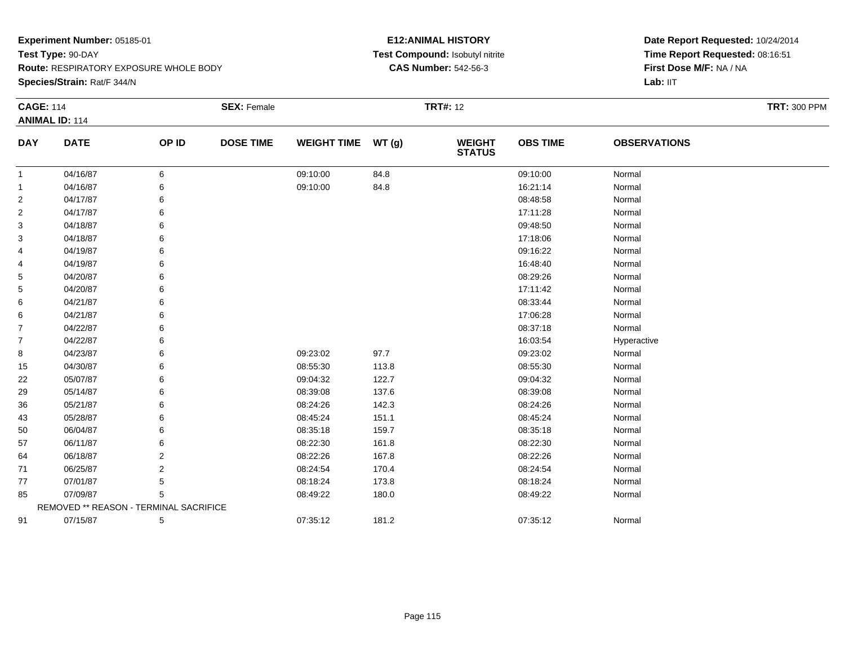**Species/Strain:** Rat/F 344/N

### **E12:ANIMAL HISTORY Test Compound:** Isobutyl nitrite**CAS Number:** 542-56-3

|             |                       |                  |                                        |                                        |                                |                 |                     | <b>TRT: 300 PPM</b> |
|-------------|-----------------------|------------------|----------------------------------------|----------------------------------------|--------------------------------|-----------------|---------------------|---------------------|
| <b>DATE</b> | OP ID                 | <b>DOSE TIME</b> |                                        | WT(g)                                  | <b>WEIGHT</b><br><b>STATUS</b> | <b>OBS TIME</b> | <b>OBSERVATIONS</b> |                     |
| 04/16/87    | 6                     |                  | 09:10:00                               | 84.8                                   |                                | 09:10:00        | Normal              |                     |
| 04/16/87    | 6                     |                  | 09:10:00                               | 84.8                                   |                                | 16:21:14        | Normal              |                     |
| 04/17/87    |                       |                  |                                        |                                        |                                | 08:48:58        | Normal              |                     |
| 04/17/87    | 6                     |                  |                                        |                                        |                                | 17:11:28        | Normal              |                     |
| 04/18/87    | 6                     |                  |                                        |                                        |                                | 09:48:50        | Normal              |                     |
| 04/18/87    | 6                     |                  |                                        |                                        |                                | 17:18:06        | Normal              |                     |
| 04/19/87    | 6                     |                  |                                        |                                        |                                | 09:16:22        | Normal              |                     |
| 04/19/87    | 6                     |                  |                                        |                                        |                                | 16:48:40        | Normal              |                     |
| 04/20/87    | 6                     |                  |                                        |                                        |                                | 08:29:26        | Normal              |                     |
| 04/20/87    | 6                     |                  |                                        |                                        |                                | 17:11:42        | Normal              |                     |
| 04/21/87    |                       |                  |                                        |                                        |                                | 08:33:44        | Normal              |                     |
| 04/21/87    | 6                     |                  |                                        |                                        |                                | 17:06:28        | Normal              |                     |
| 04/22/87    |                       |                  |                                        |                                        |                                | 08:37:18        | Normal              |                     |
| 04/22/87    | 6                     |                  |                                        |                                        |                                | 16:03:54        | Hyperactive         |                     |
| 04/23/87    | 6                     |                  | 09:23:02                               | 97.7                                   |                                | 09:23:02        | Normal              |                     |
| 04/30/87    | 6                     |                  | 08:55:30                               | 113.8                                  |                                | 08:55:30        | Normal              |                     |
| 05/07/87    |                       |                  | 09:04:32                               | 122.7                                  |                                | 09:04:32        | Normal              |                     |
| 05/14/87    |                       |                  | 08:39:08                               | 137.6                                  |                                | 08:39:08        | Normal              |                     |
| 05/21/87    |                       |                  | 08:24:26                               | 142.3                                  |                                | 08:24:26        | Normal              |                     |
| 05/28/87    | 6                     |                  | 08:45:24                               | 151.1                                  |                                | 08:45:24        | Normal              |                     |
| 06/04/87    |                       |                  | 08:35:18                               | 159.7                                  |                                | 08:35:18        | Normal              |                     |
| 06/11/87    |                       |                  | 08:22:30                               | 161.8                                  |                                | 08:22:30        | Normal              |                     |
| 06/18/87    | 2                     |                  | 08:22:26                               | 167.8                                  |                                | 08:22:26        | Normal              |                     |
| 06/25/87    | $\overline{2}$        |                  | 08:24:54                               | 170.4                                  |                                | 08:24:54        | Normal              |                     |
| 07/01/87    | 5                     |                  | 08:18:24                               | 173.8                                  |                                | 08:18:24        | Normal              |                     |
| 07/09/87    | 5                     |                  | 08:49:22                               | 180.0                                  |                                | 08:49:22        | Normal              |                     |
|             |                       |                  |                                        |                                        |                                |                 |                     |                     |
| 07/15/87    | 5                     |                  | 07:35:12                               | 181.2                                  |                                | 07:35:12        | Normal              |                     |
|             | <b>ANIMAL ID: 114</b> |                  | REMOVED ** REASON - TERMINAL SACRIFICE | <b>CAGE: 114</b><br><b>SEX: Female</b> | <b>WEIGHT TIME</b>             |                 | <b>TRT#: 12</b>     |                     |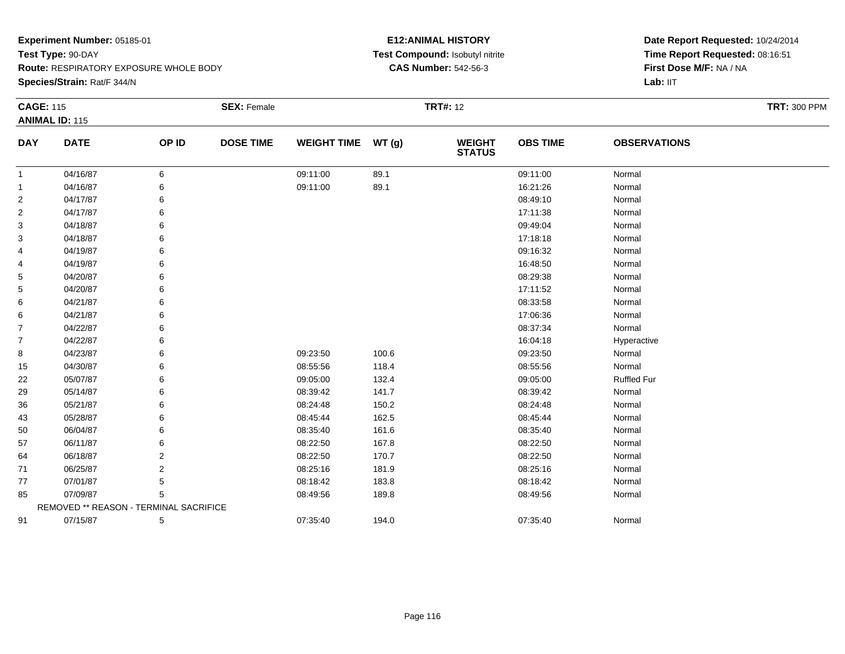**Route:** RESPIRATORY EXPOSURE WHOLE BODY

**Species/Strain:** Rat/F 344/N

### **E12:ANIMAL HISTORY Test Compound:** Isobutyl nitrite**CAS Number:** 542-56-3

| <b>CAGE: 115</b> |                                        |       | <b>SEX: Female</b> |                    |       | <b>TRT#: 12</b>                |                 |                     | <b>TRT: 300 PPM</b> |
|------------------|----------------------------------------|-------|--------------------|--------------------|-------|--------------------------------|-----------------|---------------------|---------------------|
|                  | <b>ANIMAL ID: 115</b>                  |       |                    |                    |       |                                |                 |                     |                     |
| <b>DAY</b>       | <b>DATE</b>                            | OP ID | <b>DOSE TIME</b>   | <b>WEIGHT TIME</b> | WT(g) | <b>WEIGHT</b><br><b>STATUS</b> | <b>OBS TIME</b> | <b>OBSERVATIONS</b> |                     |
| $\mathbf{1}$     | 04/16/87                               | 6     |                    | 09:11:00           | 89.1  |                                | 09:11:00        | Normal              |                     |
| 1                | 04/16/87                               | 6     |                    | 09:11:00           | 89.1  |                                | 16:21:26        | Normal              |                     |
| $\overline{2}$   | 04/17/87                               | 6     |                    |                    |       |                                | 08:49:10        | Normal              |                     |
| $\overline{2}$   | 04/17/87                               | 6     |                    |                    |       |                                | 17:11:38        | Normal              |                     |
| 3                | 04/18/87                               | 6     |                    |                    |       |                                | 09:49:04        | Normal              |                     |
| 3                | 04/18/87                               | 6     |                    |                    |       |                                | 17:18:18        | Normal              |                     |
| 4                | 04/19/87                               | 6     |                    |                    |       |                                | 09:16:32        | Normal              |                     |
| 4                | 04/19/87                               | 6     |                    |                    |       |                                | 16:48:50        | Normal              |                     |
| 5                | 04/20/87                               | 6     |                    |                    |       |                                | 08:29:38        | Normal              |                     |
| 5                | 04/20/87                               | 6     |                    |                    |       |                                | 17:11:52        | Normal              |                     |
| 6                | 04/21/87                               | 6     |                    |                    |       |                                | 08:33:58        | Normal              |                     |
| 6                | 04/21/87                               | 6     |                    |                    |       |                                | 17:06:36        | Normal              |                     |
| $\overline{7}$   | 04/22/87                               | 6     |                    |                    |       |                                | 08:37:34        | Normal              |                     |
| $\overline{7}$   | 04/22/87                               | 6     |                    |                    |       |                                | 16:04:18        | Hyperactive         |                     |
| 8                | 04/23/87                               | 6     |                    | 09:23:50           | 100.6 |                                | 09:23:50        | Normal              |                     |
| 15               | 04/30/87                               | 6     |                    | 08:55:56           | 118.4 |                                | 08:55:56        | Normal              |                     |
| 22               | 05/07/87                               | 6     |                    | 09:05:00           | 132.4 |                                | 09:05:00        | <b>Ruffled Fur</b>  |                     |
| 29               | 05/14/87                               | 6     |                    | 08:39:42           | 141.7 |                                | 08:39:42        | Normal              |                     |
| 36               | 05/21/87                               | 6     |                    | 08:24:48           | 150.2 |                                | 08:24:48        | Normal              |                     |
| 43               | 05/28/87                               | 6     |                    | 08:45:44           | 162.5 |                                | 08:45:44        | Normal              |                     |
| 50               | 06/04/87                               | 6     |                    | 08:35:40           | 161.6 |                                | 08:35:40        | Normal              |                     |
| 57               | 06/11/87                               | 6     |                    | 08:22:50           | 167.8 |                                | 08:22:50        | Normal              |                     |
| 64               | 06/18/87                               | 2     |                    | 08:22:50           | 170.7 |                                | 08:22:50        | Normal              |                     |
| 71               | 06/25/87                               | 2     |                    | 08:25:16           | 181.9 |                                | 08:25:16        | Normal              |                     |
| 77               | 07/01/87                               | 5     |                    | 08:18:42           | 183.8 |                                | 08:18:42        | Normal              |                     |
| 85               | 07/09/87                               | 5     |                    | 08:49:56           | 189.8 |                                | 08:49:56        | Normal              |                     |
|                  | REMOVED ** REASON - TERMINAL SACRIFICE |       |                    |                    |       |                                |                 |                     |                     |
| 91               | 07/15/87                               | 5     |                    | 07:35:40           | 194.0 |                                | 07:35:40        | Normal              |                     |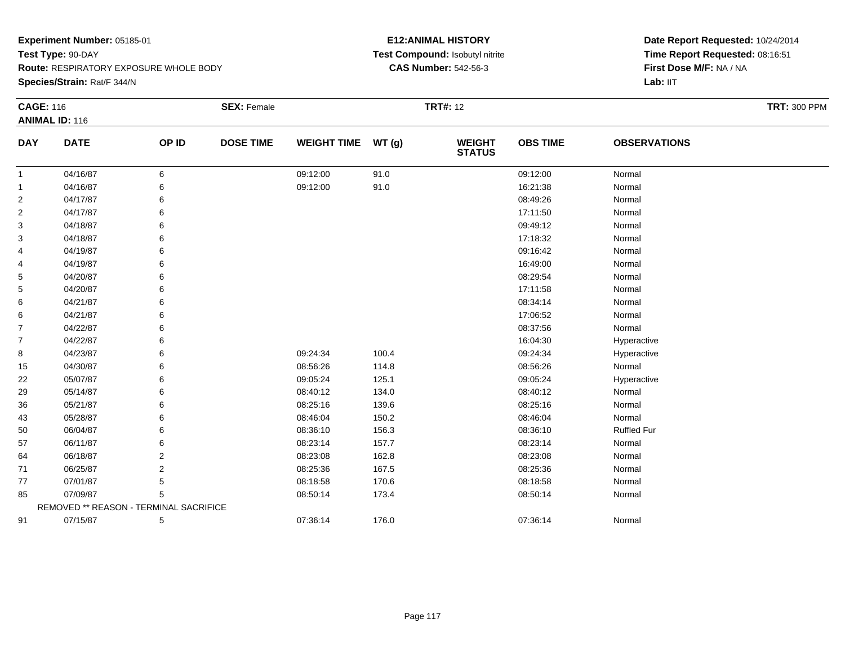**Species/Strain:** Rat/F 344/N

### **E12:ANIMAL HISTORY Test Compound:** Isobutyl nitrite**CAS Number:** 542-56-3

| <b>CAGE: 116</b> | <b>ANIMAL ID: 116</b>                  |                | <b>SEX: Female</b> |                    |       | <b>TRT#: 12</b>                |                 |                     | <b>TRT: 300 PPM</b> |
|------------------|----------------------------------------|----------------|--------------------|--------------------|-------|--------------------------------|-----------------|---------------------|---------------------|
| <b>DAY</b>       | <b>DATE</b>                            | OP ID          | <b>DOSE TIME</b>   | <b>WEIGHT TIME</b> | WT(g) | <b>WEIGHT</b><br><b>STATUS</b> | <b>OBS TIME</b> | <b>OBSERVATIONS</b> |                     |
| $\mathbf{1}$     | 04/16/87                               | 6              |                    | 09:12:00           | 91.0  |                                | 09:12:00        | Normal              |                     |
| $\mathbf{1}$     | 04/16/87                               | 6              |                    | 09:12:00           | 91.0  |                                | 16:21:38        | Normal              |                     |
| $\overline{2}$   | 04/17/87                               | 6              |                    |                    |       |                                | 08:49:26        | Normal              |                     |
| $\overline{2}$   | 04/17/87                               | 6              |                    |                    |       |                                | 17:11:50        | Normal              |                     |
| 3                | 04/18/87                               | 6              |                    |                    |       |                                | 09:49:12        | Normal              |                     |
| 3                | 04/18/87                               | 6              |                    |                    |       |                                | 17:18:32        | Normal              |                     |
| 4                | 04/19/87                               | 6              |                    |                    |       |                                | 09:16:42        | Normal              |                     |
| 4                | 04/19/87                               | 6              |                    |                    |       |                                | 16:49:00        | Normal              |                     |
| 5                | 04/20/87                               | 6              |                    |                    |       |                                | 08:29:54        | Normal              |                     |
| 5                | 04/20/87                               | 6              |                    |                    |       |                                | 17:11:58        | Normal              |                     |
| 6                | 04/21/87                               | 6              |                    |                    |       |                                | 08:34:14        | Normal              |                     |
| 6                | 04/21/87                               | 6              |                    |                    |       |                                | 17:06:52        | Normal              |                     |
| 7                | 04/22/87                               | 6              |                    |                    |       |                                | 08:37:56        | Normal              |                     |
| 7                | 04/22/87                               | 6              |                    |                    |       |                                | 16:04:30        | Hyperactive         |                     |
| 8                | 04/23/87                               | 6              |                    | 09:24:34           | 100.4 |                                | 09:24:34        | Hyperactive         |                     |
| 15               | 04/30/87                               | 6              |                    | 08:56:26           | 114.8 |                                | 08:56:26        | Normal              |                     |
| 22               | 05/07/87                               | 6              |                    | 09:05:24           | 125.1 |                                | 09:05:24        | Hyperactive         |                     |
| 29               | 05/14/87                               | 6              |                    | 08:40:12           | 134.0 |                                | 08:40:12        | Normal              |                     |
| 36               | 05/21/87                               | 6              |                    | 08:25:16           | 139.6 |                                | 08:25:16        | Normal              |                     |
| 43               | 05/28/87                               | 6              |                    | 08:46:04           | 150.2 |                                | 08:46:04        | Normal              |                     |
| 50               | 06/04/87                               | 6              |                    | 08:36:10           | 156.3 |                                | 08:36:10        | <b>Ruffled Fur</b>  |                     |
| 57               | 06/11/87                               | 6              |                    | 08:23:14           | 157.7 |                                | 08:23:14        | Normal              |                     |
| 64               | 06/18/87                               | 2              |                    | 08:23:08           | 162.8 |                                | 08:23:08        | Normal              |                     |
| 71               | 06/25/87                               | $\overline{2}$ |                    | 08:25:36           | 167.5 |                                | 08:25:36        | Normal              |                     |
| 77               | 07/01/87                               | 5              |                    | 08:18:58           | 170.6 |                                | 08:18:58        | Normal              |                     |
| 85               | 07/09/87                               | 5              |                    | 08:50:14           | 173.4 |                                | 08:50:14        | Normal              |                     |
|                  | REMOVED ** REASON - TERMINAL SACRIFICE |                |                    |                    |       |                                |                 |                     |                     |
| 91               | 07/15/87                               | 5              |                    | 07:36:14           | 176.0 |                                | 07:36:14        | Normal              |                     |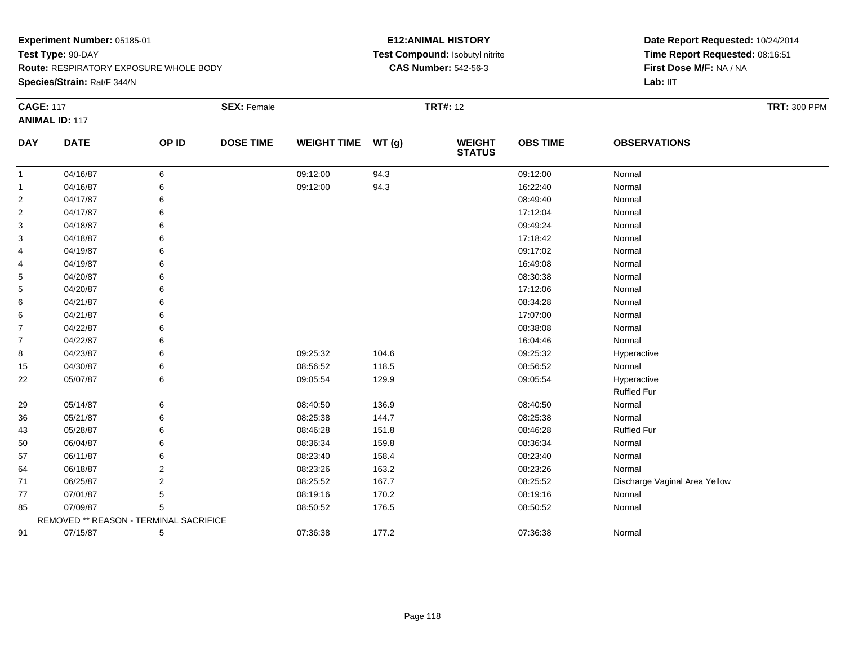**Species/Strain:** Rat/F 344/N

### **E12:ANIMAL HISTORY Test Compound:** Isobutyl nitrite**CAS Number:** 542-56-3

| <b>CAGE: 117</b> |                                        |                | <b>SEX: Female</b> |                    |       | <b>TRT#: 12</b>                |                 |                               | <b>TRT: 300 PPM</b> |
|------------------|----------------------------------------|----------------|--------------------|--------------------|-------|--------------------------------|-----------------|-------------------------------|---------------------|
|                  | <b>ANIMAL ID: 117</b>                  |                |                    |                    |       |                                |                 |                               |                     |
| <b>DAY</b>       | <b>DATE</b>                            | OP ID          | <b>DOSE TIME</b>   | <b>WEIGHT TIME</b> | WT(g) | <b>WEIGHT</b><br><b>STATUS</b> | <b>OBS TIME</b> | <b>OBSERVATIONS</b>           |                     |
| $\mathbf{1}$     | 04/16/87                               | 6              |                    | 09:12:00           | 94.3  |                                | 09:12:00        | Normal                        |                     |
| 1                | 04/16/87                               | 6              |                    | 09:12:00           | 94.3  |                                | 16:22:40        | Normal                        |                     |
| 2                | 04/17/87                               | 6              |                    |                    |       |                                | 08:49:40        | Normal                        |                     |
| 2                | 04/17/87                               | 6              |                    |                    |       |                                | 17:12:04        | Normal                        |                     |
| 3                | 04/18/87                               | 6              |                    |                    |       |                                | 09:49:24        | Normal                        |                     |
| 3                | 04/18/87                               | 6              |                    |                    |       |                                | 17:18:42        | Normal                        |                     |
| 4                | 04/19/87                               | 6              |                    |                    |       |                                | 09:17:02        | Normal                        |                     |
| 4                | 04/19/87                               | 6              |                    |                    |       |                                | 16:49:08        | Normal                        |                     |
| 5                | 04/20/87                               | 6              |                    |                    |       |                                | 08:30:38        | Normal                        |                     |
| 5                | 04/20/87                               | 6              |                    |                    |       |                                | 17:12:06        | Normal                        |                     |
| 6                | 04/21/87                               | 6              |                    |                    |       |                                | 08:34:28        | Normal                        |                     |
| 6                | 04/21/87                               | 6              |                    |                    |       |                                | 17:07:00        | Normal                        |                     |
| 7                | 04/22/87                               | 6              |                    |                    |       |                                | 08:38:08        | Normal                        |                     |
| 7                | 04/22/87                               | 6              |                    |                    |       |                                | 16:04:46        | Normal                        |                     |
| 8                | 04/23/87                               | 6              |                    | 09:25:32           | 104.6 |                                | 09:25:32        | Hyperactive                   |                     |
| 15               | 04/30/87                               | 6              |                    | 08:56:52           | 118.5 |                                | 08:56:52        | Normal                        |                     |
| 22               | 05/07/87                               | 6              |                    | 09:05:54           | 129.9 |                                | 09:05:54        | Hyperactive                   |                     |
|                  |                                        |                |                    |                    |       |                                |                 | <b>Ruffled Fur</b>            |                     |
| 29               | 05/14/87                               | 6              |                    | 08:40:50           | 136.9 |                                | 08:40:50        | Normal                        |                     |
| 36               | 05/21/87                               | 6              |                    | 08:25:38           | 144.7 |                                | 08:25:38        | Normal                        |                     |
| 43               | 05/28/87                               | 6              |                    | 08:46:28           | 151.8 |                                | 08:46:28        | <b>Ruffled Fur</b>            |                     |
| 50               | 06/04/87                               | 6              |                    | 08:36:34           | 159.8 |                                | 08:36:34        | Normal                        |                     |
| 57               | 06/11/87                               | 6              |                    | 08:23:40           | 158.4 |                                | 08:23:40        | Normal                        |                     |
| 64               | 06/18/87                               | $\overline{2}$ |                    | 08:23:26           | 163.2 |                                | 08:23:26        | Normal                        |                     |
| 71               | 06/25/87                               | $\overline{2}$ |                    | 08:25:52           | 167.7 |                                | 08:25:52        | Discharge Vaginal Area Yellow |                     |
| 77               | 07/01/87                               | 5              |                    | 08:19:16           | 170.2 |                                | 08:19:16        | Normal                        |                     |
| 85               | 07/09/87                               | 5              |                    | 08:50:52           | 176.5 |                                | 08:50:52        | Normal                        |                     |
|                  | REMOVED ** REASON - TERMINAL SACRIFICE |                |                    |                    |       |                                |                 |                               |                     |
| 91               | 07/15/87                               | 5              |                    | 07:36:38           | 177.2 |                                | 07:36:38        | Normal                        |                     |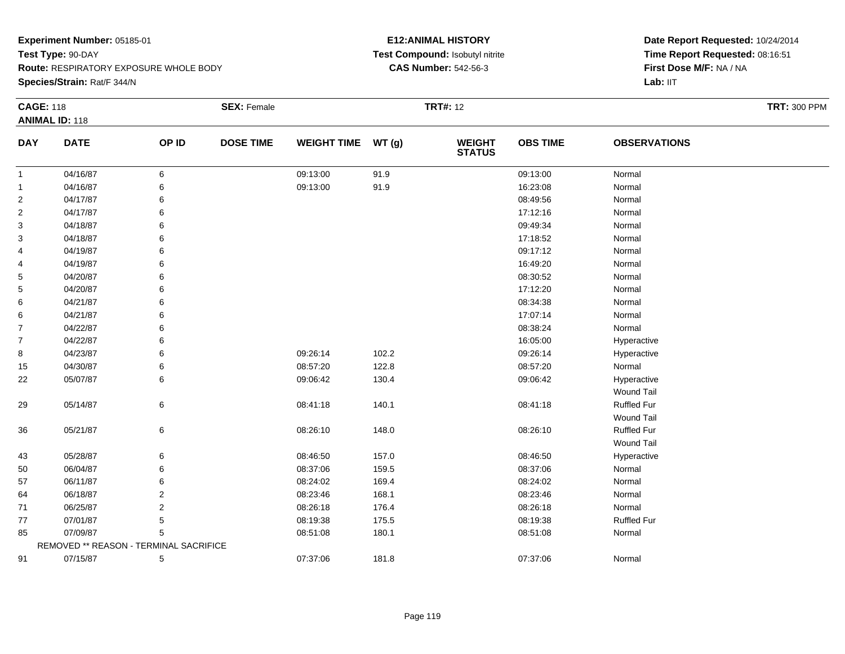**Species/Strain:** Rat/F 344/N

### **E12:ANIMAL HISTORY Test Compound:** Isobutyl nitrite**CAS Number:** 542-56-3

| <b>CAGE: 118</b> |                                        |       | <b>SEX: Female</b> |                    |       | <b>TRT#: 12</b>                |                 |                     | <b>TRT: 300 PPM</b> |
|------------------|----------------------------------------|-------|--------------------|--------------------|-------|--------------------------------|-----------------|---------------------|---------------------|
|                  | <b>ANIMAL ID: 118</b>                  |       |                    |                    |       |                                |                 |                     |                     |
| <b>DAY</b>       | <b>DATE</b>                            | OP ID | <b>DOSE TIME</b>   | <b>WEIGHT TIME</b> | WT(g) | <b>WEIGHT</b><br><b>STATUS</b> | <b>OBS TIME</b> | <b>OBSERVATIONS</b> |                     |
| $\mathbf{1}$     | 04/16/87                               | 6     |                    | 09:13:00           | 91.9  |                                | 09:13:00        | Normal              |                     |
| $\mathbf{1}$     | 04/16/87                               | 6     |                    | 09:13:00           | 91.9  |                                | 16:23:08        | Normal              |                     |
| $\overline{2}$   | 04/17/87                               | 6     |                    |                    |       |                                | 08:49:56        | Normal              |                     |
| $\overline{2}$   | 04/17/87                               |       |                    |                    |       |                                | 17:12:16        | Normal              |                     |
| 3                | 04/18/87                               |       |                    |                    |       |                                | 09:49:34        | Normal              |                     |
| 3                | 04/18/87                               |       |                    |                    |       |                                | 17:18:52        | Normal              |                     |
| 4                | 04/19/87                               |       |                    |                    |       |                                | 09:17:12        | Normal              |                     |
| 4                | 04/19/87                               |       |                    |                    |       |                                | 16:49:20        | Normal              |                     |
| 5                | 04/20/87                               |       |                    |                    |       |                                | 08:30:52        | Normal              |                     |
| 5                | 04/20/87                               |       |                    |                    |       |                                | 17:12:20        | Normal              |                     |
| 6                | 04/21/87                               |       |                    |                    |       |                                | 08:34:38        | Normal              |                     |
| 6                | 04/21/87                               |       |                    |                    |       |                                | 17:07:14        | Normal              |                     |
| $\overline{7}$   | 04/22/87                               | 6     |                    |                    |       |                                | 08:38:24        | Normal              |                     |
| $\overline{7}$   | 04/22/87                               | 6     |                    |                    |       |                                | 16:05:00        | Hyperactive         |                     |
| 8                | 04/23/87                               | 6     |                    | 09:26:14           | 102.2 |                                | 09:26:14        | Hyperactive         |                     |
| 15               | 04/30/87                               | 6     |                    | 08:57:20           | 122.8 |                                | 08:57:20        | Normal              |                     |
| 22               | 05/07/87                               | 6     |                    | 09:06:42           | 130.4 |                                | 09:06:42        | Hyperactive         |                     |
|                  |                                        |       |                    |                    |       |                                |                 | <b>Wound Tail</b>   |                     |
| 29               | 05/14/87                               | 6     |                    | 08:41:18           | 140.1 |                                | 08:41:18        | Ruffled Fur         |                     |
|                  |                                        |       |                    |                    |       |                                |                 | <b>Wound Tail</b>   |                     |
| 36               | 05/21/87                               | 6     |                    | 08:26:10           | 148.0 |                                | 08:26:10        | Ruffled Fur         |                     |
|                  |                                        |       |                    |                    |       |                                |                 | Wound Tail          |                     |
| 43               | 05/28/87                               | 6     |                    | 08:46:50           | 157.0 |                                | 08:46:50        | Hyperactive         |                     |
| 50               | 06/04/87                               | 6     |                    | 08:37:06           | 159.5 |                                | 08:37:06        | Normal              |                     |
| 57               | 06/11/87                               | 6     |                    | 08:24:02           | 169.4 |                                | 08:24:02        | Normal              |                     |
| 64               | 06/18/87                               | 2     |                    | 08:23:46           | 168.1 |                                | 08:23:46        | Normal              |                     |
| 71               | 06/25/87                               | 2     |                    | 08:26:18           | 176.4 |                                | 08:26:18        | Normal              |                     |
| 77               | 07/01/87                               | 5     |                    | 08:19:38           | 175.5 |                                | 08:19:38        | Ruffled Fur         |                     |
| 85               | 07/09/87                               | 5     |                    | 08:51:08           | 180.1 |                                | 08:51:08        | Normal              |                     |
|                  | REMOVED ** REASON - TERMINAL SACRIFICE |       |                    |                    |       |                                |                 |                     |                     |
| 91               | 07/15/87                               | 5     |                    | 07:37:06           | 181.8 |                                | 07:37:06        | Normal              |                     |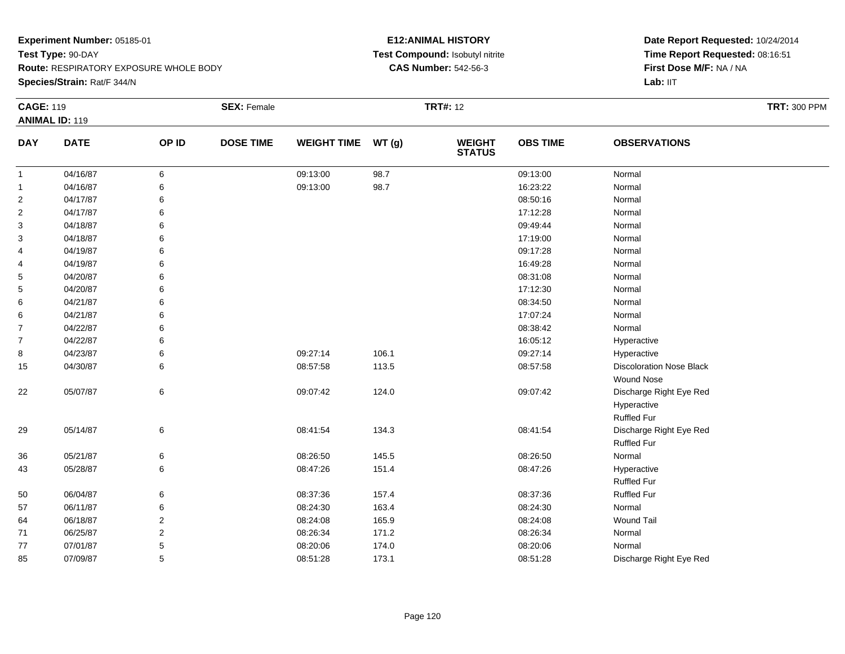**Species/Strain:** Rat/F 344/N

### **E12:ANIMAL HISTORY Test Compound:** Isobutyl nitrite**CAS Number:** 542-56-3

| <b>CAGE: 119</b> |                       |                | <b>SEX: Female</b> |                    |       | <b>TRT#:</b> 12                |                 |                                 | <b>TRT: 300 PPM</b> |
|------------------|-----------------------|----------------|--------------------|--------------------|-------|--------------------------------|-----------------|---------------------------------|---------------------|
|                  | <b>ANIMAL ID: 119</b> |                |                    |                    |       |                                |                 |                                 |                     |
| <b>DAY</b>       | <b>DATE</b>           | OP ID          | <b>DOSE TIME</b>   | <b>WEIGHT TIME</b> | WT(g) | <b>WEIGHT</b><br><b>STATUS</b> | <b>OBS TIME</b> | <b>OBSERVATIONS</b>             |                     |
| $\mathbf{1}$     | 04/16/87              | 6              |                    | 09:13:00           | 98.7  |                                | 09:13:00        | Normal                          |                     |
| $\mathbf{1}$     | 04/16/87              | 6              |                    | 09:13:00           | 98.7  |                                | 16:23:22        | Normal                          |                     |
| $\overline{2}$   | 04/17/87              | 6              |                    |                    |       |                                | 08:50:16        | Normal                          |                     |
| 2                | 04/17/87              | 6              |                    |                    |       |                                | 17:12:28        | Normal                          |                     |
| 3                | 04/18/87              | 6              |                    |                    |       |                                | 09:49:44        | Normal                          |                     |
| 3                | 04/18/87              | 6              |                    |                    |       |                                | 17:19:00        | Normal                          |                     |
| 4                | 04/19/87              | 6              |                    |                    |       |                                | 09:17:28        | Normal                          |                     |
| 4                | 04/19/87              | 6              |                    |                    |       |                                | 16:49:28        | Normal                          |                     |
| 5                | 04/20/87              | 6              |                    |                    |       |                                | 08:31:08        | Normal                          |                     |
| 5                | 04/20/87              | 6              |                    |                    |       |                                | 17:12:30        | Normal                          |                     |
| 6                | 04/21/87              | 6              |                    |                    |       |                                | 08:34:50        | Normal                          |                     |
| 6                | 04/21/87              | 6              |                    |                    |       |                                | 17:07:24        | Normal                          |                     |
| $\overline{7}$   | 04/22/87              | 6              |                    |                    |       |                                | 08:38:42        | Normal                          |                     |
| $\overline{7}$   | 04/22/87              | 6              |                    |                    |       |                                | 16:05:12        | Hyperactive                     |                     |
| 8                | 04/23/87              | 6              |                    | 09:27:14           | 106.1 |                                | 09:27:14        | Hyperactive                     |                     |
| 15               | 04/30/87              | 6              |                    | 08:57:58           | 113.5 |                                | 08:57:58        | <b>Discoloration Nose Black</b> |                     |
|                  |                       |                |                    |                    |       |                                |                 | Wound Nose                      |                     |
| 22               | 05/07/87              | $\,6\,$        |                    | 09:07:42           | 124.0 |                                | 09:07:42        | Discharge Right Eye Red         |                     |
|                  |                       |                |                    |                    |       |                                |                 | Hyperactive                     |                     |
|                  |                       |                |                    |                    |       |                                |                 | Ruffled Fur                     |                     |
| 29               | 05/14/87              | 6              |                    | 08:41:54           | 134.3 |                                | 08:41:54        | Discharge Right Eye Red         |                     |
|                  |                       |                |                    |                    |       |                                |                 | <b>Ruffled Fur</b>              |                     |
| 36               | 05/21/87              | 6              |                    | 08:26:50           | 145.5 |                                | 08:26:50        | Normal                          |                     |
| 43               | 05/28/87              | 6              |                    | 08:47:26           | 151.4 |                                | 08:47:26        | Hyperactive                     |                     |
|                  |                       |                |                    |                    |       |                                |                 | <b>Ruffled Fur</b>              |                     |
| 50               | 06/04/87              | 6              |                    | 08:37:36           | 157.4 |                                | 08:37:36        | <b>Ruffled Fur</b>              |                     |
| 57               | 06/11/87              | 6              |                    | 08:24:30           | 163.4 |                                | 08:24:30        | Normal                          |                     |
| 64               | 06/18/87              | $\overline{2}$ |                    | 08:24:08           | 165.9 |                                | 08:24:08        | <b>Wound Tail</b>               |                     |
| 71               | 06/25/87              | 2              |                    | 08:26:34           | 171.2 |                                | 08:26:34        | Normal                          |                     |
| 77               | 07/01/87              | 5              |                    | 08:20:06           | 174.0 |                                | 08:20:06        | Normal                          |                     |
| 85               | 07/09/87              | 5              |                    | 08:51:28           | 173.1 |                                | 08:51:28        | Discharge Right Eye Red         |                     |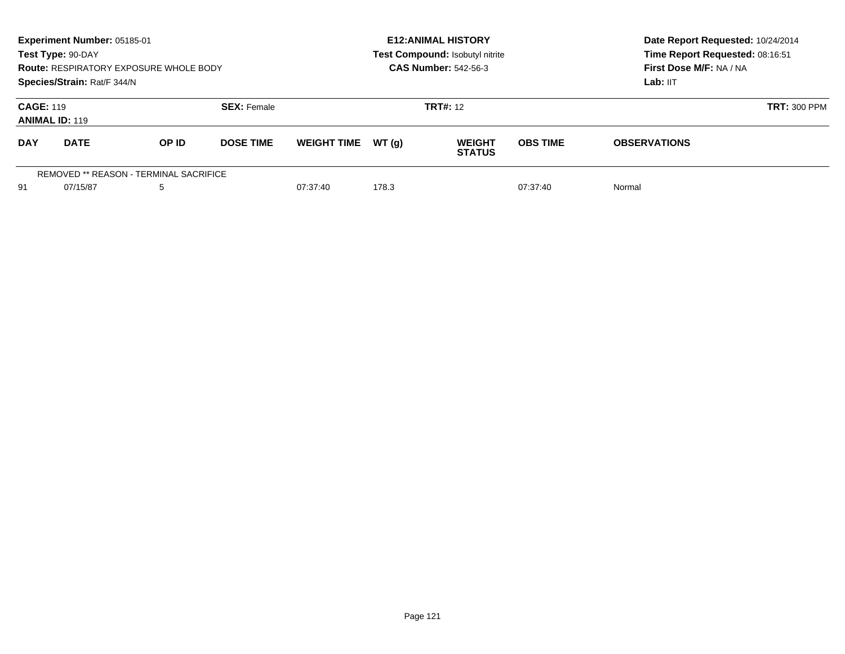| Experiment Number: 05185-01<br>Test Type: 90-DAY<br><b>Route: RESPIRATORY EXPOSURE WHOLE BODY</b><br>Species/Strain: Rat/F 344/N |             |       |                    | <b>E12:ANIMAL HISTORY</b><br>Test Compound: Isobutyl nitrite<br><b>CAS Number: 542-56-3</b> |        |                                |                 | Date Report Requested: 10/24/2014<br>Time Report Requested: 08:16:51<br>First Dose M/F: NA / NA<br>Lab: IIT |                     |
|----------------------------------------------------------------------------------------------------------------------------------|-------------|-------|--------------------|---------------------------------------------------------------------------------------------|--------|--------------------------------|-----------------|-------------------------------------------------------------------------------------------------------------|---------------------|
| <b>CAGE: 119</b><br><b>ANIMAL ID: 119</b>                                                                                        |             |       | <b>SEX: Female</b> |                                                                                             |        | <b>TRT#: 12</b>                |                 |                                                                                                             | <b>TRT: 300 PPM</b> |
| <b>DAY</b>                                                                                                                       | <b>DATE</b> | OP ID | <b>DOSE TIME</b>   | <b>WEIGHT TIME</b>                                                                          | WT (a) | <b>WEIGHT</b><br><b>STATUS</b> | <b>OBS TIME</b> | <b>OBSERVATIONS</b>                                                                                         |                     |
| REMOVED ** REASON - TERMINAL SACRIFICE<br>91<br>5<br>07/15/87                                                                    |             |       |                    | 07:37:40                                                                                    | 178.3  |                                | 07:37:40        | Normal                                                                                                      |                     |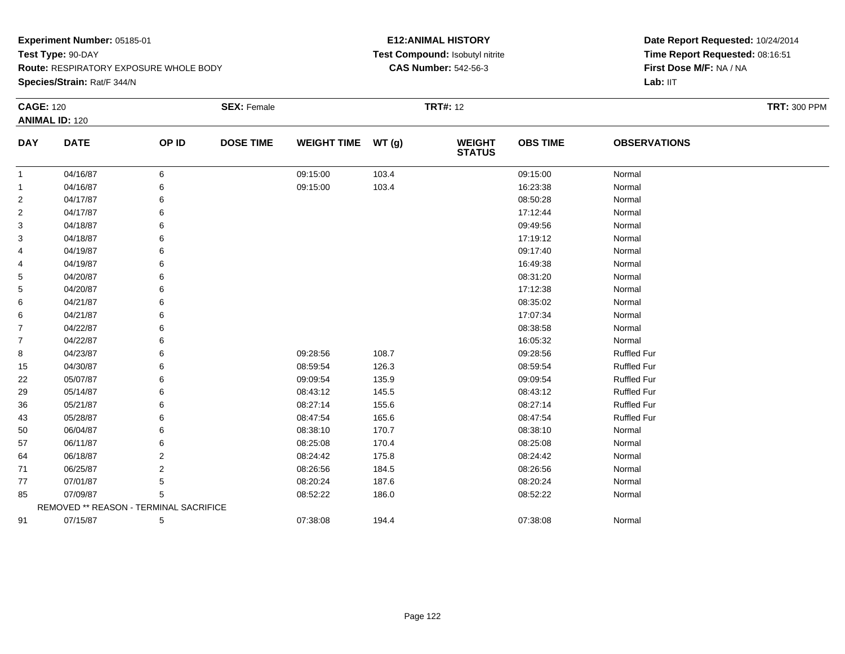**Route:** RESPIRATORY EXPOSURE WHOLE BODY

**Species/Strain:** Rat/F 344/N

#### **E12:ANIMAL HISTORY Test Compound:** Isobutyl nitrite**CAS Number:** 542-56-3

| <b>CAGE: 120</b>      |                                        | <b>SEX: Female</b> |                  | <b>TRT#: 12</b>    |       |                                |                 | <b>TRT: 300 PPM</b> |  |
|-----------------------|----------------------------------------|--------------------|------------------|--------------------|-------|--------------------------------|-----------------|---------------------|--|
| <b>ANIMAL ID: 120</b> |                                        |                    |                  |                    |       |                                |                 |                     |  |
| <b>DAY</b>            | <b>DATE</b>                            | OP ID              | <b>DOSE TIME</b> | <b>WEIGHT TIME</b> | WT(g) | <b>WEIGHT</b><br><b>STATUS</b> | <b>OBS TIME</b> | <b>OBSERVATIONS</b> |  |
| $\mathbf{1}$          | 04/16/87                               | 6                  |                  | 09:15:00           | 103.4 |                                | 09:15:00        | Normal              |  |
| 1                     | 04/16/87                               | 6                  |                  | 09:15:00           | 103.4 |                                | 16:23:38        | Normal              |  |
| 2                     | 04/17/87                               | 6                  |                  |                    |       |                                | 08:50:28        | Normal              |  |
| 2                     | 04/17/87                               | 6                  |                  |                    |       |                                | 17:12:44        | Normal              |  |
| 3                     | 04/18/87                               |                    |                  |                    |       |                                | 09:49:56        | Normal              |  |
| 3                     | 04/18/87                               | 6                  |                  |                    |       |                                | 17:19:12        | Normal              |  |
| 4                     | 04/19/87                               |                    |                  |                    |       |                                | 09:17:40        | Normal              |  |
| 4                     | 04/19/87                               | 6                  |                  |                    |       |                                | 16:49:38        | Normal              |  |
| 5                     | 04/20/87                               |                    |                  |                    |       |                                | 08:31:20        | Normal              |  |
| 5                     | 04/20/87                               |                    |                  |                    |       |                                | 17:12:38        | Normal              |  |
| 6                     | 04/21/87                               | 6                  |                  |                    |       |                                | 08:35:02        | Normal              |  |
| 6                     | 04/21/87                               | 6                  |                  |                    |       |                                | 17:07:34        | Normal              |  |
| 7                     | 04/22/87                               |                    |                  |                    |       |                                | 08:38:58        | Normal              |  |
| 7                     | 04/22/87                               |                    |                  |                    |       |                                | 16:05:32        | Normal              |  |
| 8                     | 04/23/87                               | 6                  |                  | 09:28:56           | 108.7 |                                | 09:28:56        | <b>Ruffled Fur</b>  |  |
| 15                    | 04/30/87                               | 6                  |                  | 08:59:54           | 126.3 |                                | 08:59:54        | <b>Ruffled Fur</b>  |  |
| 22                    | 05/07/87                               | 6                  |                  | 09:09:54           | 135.9 |                                | 09:09:54        | <b>Ruffled Fur</b>  |  |
| 29                    | 05/14/87                               |                    |                  | 08:43:12           | 145.5 |                                | 08:43:12        | <b>Ruffled Fur</b>  |  |
| 36                    | 05/21/87                               | 6                  |                  | 08:27:14           | 155.6 |                                | 08:27:14        | <b>Ruffled Fur</b>  |  |
| 43                    | 05/28/87                               |                    |                  | 08:47:54           | 165.6 |                                | 08:47:54        | <b>Ruffled Fur</b>  |  |
| 50                    | 06/04/87                               |                    |                  | 08:38:10           | 170.7 |                                | 08:38:10        | Normal              |  |
| 57                    | 06/11/87                               |                    |                  | 08:25:08           | 170.4 |                                | 08:25:08        | Normal              |  |
| 64                    | 06/18/87                               | 2                  |                  | 08:24:42           | 175.8 |                                | 08:24:42        | Normal              |  |
| 71                    | 06/25/87                               | 2                  |                  | 08:26:56           | 184.5 |                                | 08:26:56        | Normal              |  |
| 77                    | 07/01/87                               | 5                  |                  | 08:20:24           | 187.6 |                                | 08:20:24        | Normal              |  |
| 85                    | 07/09/87                               | 5                  |                  | 08:52:22           | 186.0 |                                | 08:52:22        | Normal              |  |
|                       | REMOVED ** REASON - TERMINAL SACRIFICE |                    |                  |                    |       |                                |                 |                     |  |
| 91                    | 07/15/87                               | 5                  |                  | 07:38:08           | 194.4 |                                | 07:38:08        | Normal              |  |